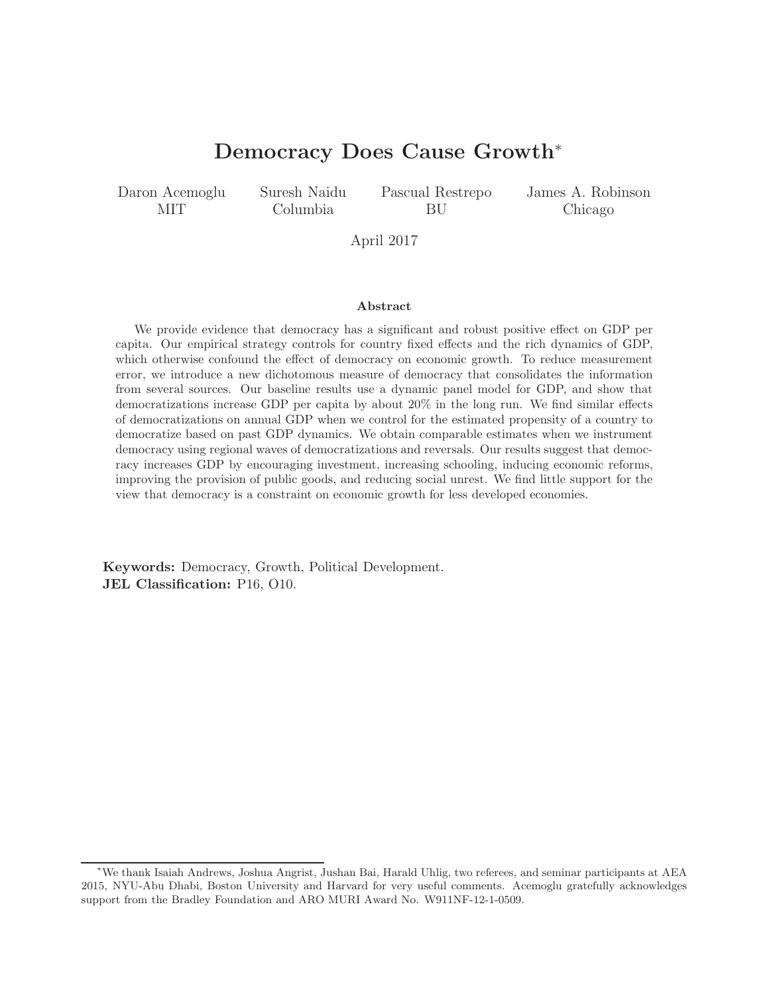# Democracy Does Cause Growth<sup>∗</sup>

Daron Acemoglu **MIT** 

Suresh Naidu Columbia

Pascual Restrepo **BU** 

James A. Robinson Chicago

April 2017

#### Abstract

We provide evidence that democracy has a significant and robust positive effect on GDP per capita. Our empirical strategy controls for country fixed effects and the rich dynamics of GDP, which otherwise confound the effect of democracy on economic growth. To reduce measurement error, we introduce a new dichotomous measure of democracy that consolidates the information from several sources. Our baseline results use a dynamic panel model for GDP, and show that democratizations increase GDP per capita by about 20% in the long run. We find similar effects of democratizations on annual GDP when we control for the estimated propensity of a country to democratize based on past GDP dynamics. We obtain comparable estimates when we instrument democracy using regional waves of democratizations and reversals. Our results suggest that democracy increases GDP by encouraging investment, increasing schooling, inducing economic reforms, improving the provision of public goods, and reducing social unrest. We find little support for the view that democracy is a constraint on economic growth for less developed economies.

Keywords: Democracy, Growth, Political Development. JEL Classification: P16, O10.

<sup>∗</sup>We thank Isaiah Andrews, Joshua Angrist, Jushan Bai, Harald Uhlig, two referees, and seminar participants at AEA 2015, NYU-Abu Dhabi, Boston University and Harvard for very useful comments. Acemoglu gratefully acknowledges support from the Bradley Foundation and ARO MURI Award No. W911NF-12-1-0509.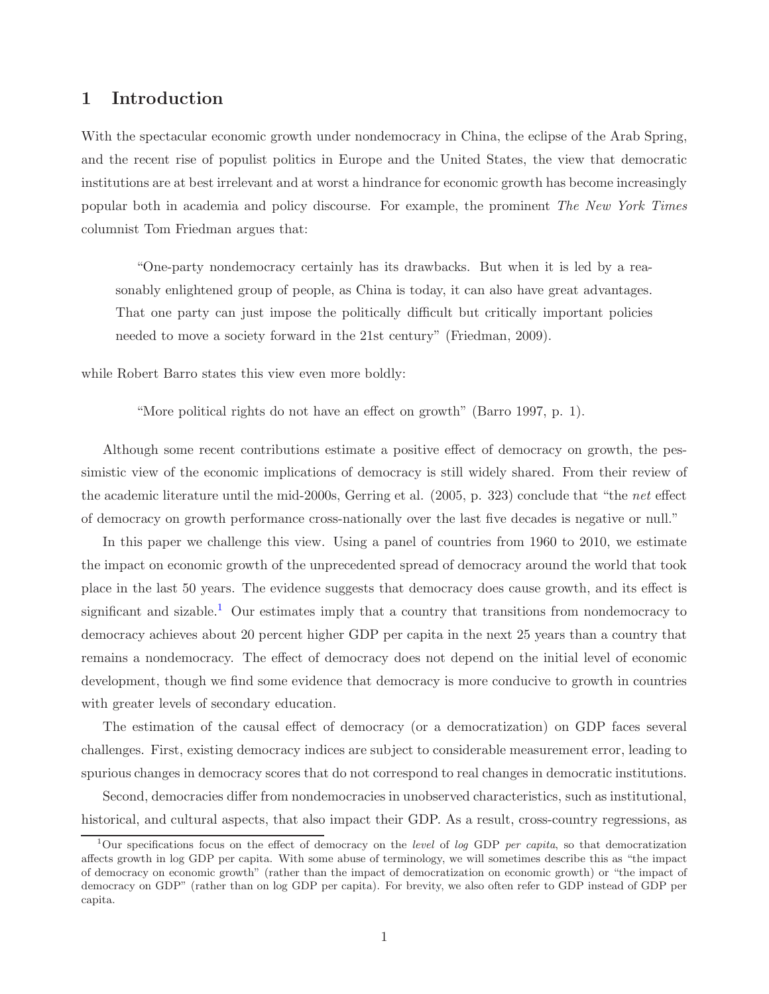# 1 Introduction

With the spectacular economic growth under nondemocracy in China, the eclipse of the Arab Spring, and the recent rise of populist politics in Europe and the United States, the view that democratic institutions are at best irrelevant and at worst a hindrance for economic growth has become increasingly popular both in academia and policy discourse. For example, the prominent *The New York Times* columnist Tom Friedman argues that:

"One-party nondemocracy certainly has its drawbacks. But when it is led by a reasonably enlightened group of people, as China is today, it can also have great advantages. That one party can just impose the politically difficult but critically important policies needed to move a society forward in the 21st century" (Friedman, 2009).

while Robert Barro states this view even more boldly:

"More political rights do not have an effect on growth" (Barro 1997, p. 1).

Although some recent contributions estimate a positive effect of democracy on growth, the pessimistic view of the economic implications of democracy is still widely shared. From their review of the academic literature until the mid-2000s, Gerring et al. (2005, p. 323) conclude that "the *net* effect of democracy on growth performance cross-nationally over the last five decades is negative or null."

In this paper we challenge this view. Using a panel of countries from 1960 to 2010, we estimate the impact on economic growth of the unprecedented spread of democracy around the world that took place in the last 50 years. The evidence suggests that democracy does cause growth, and its effect is significant and sizable.<sup>[1](#page-1-0)</sup> Our estimates imply that a country that transitions from nondemocracy to democracy achieves about 20 percent higher GDP per capita in the next 25 years than a country that remains a nondemocracy. The effect of democracy does not depend on the initial level of economic development, though we find some evidence that democracy is more conducive to growth in countries with greater levels of secondary education.

The estimation of the causal effect of democracy (or a democratization) on GDP faces several challenges. First, existing democracy indices are subject to considerable measurement error, leading to spurious changes in democracy scores that do not correspond to real changes in democratic institutions.

Second, democracies differ from nondemocracies in unobserved characteristics, such as institutional, historical, and cultural aspects, that also impact their GDP. As a result, cross-country regressions, as

<span id="page-1-0"></span> $1$ Our specifications focus on the effect of democracy on the level of log GDP per capita, so that democratization affects growth in log GDP per capita. With some abuse of terminology, we will sometimes describe this as "the impact of democracy on economic growth" (rather than the impact of democratization on economic growth) or "the impact of democracy on GDP" (rather than on log GDP per capita). For brevity, we also often refer to GDP instead of GDP per capita.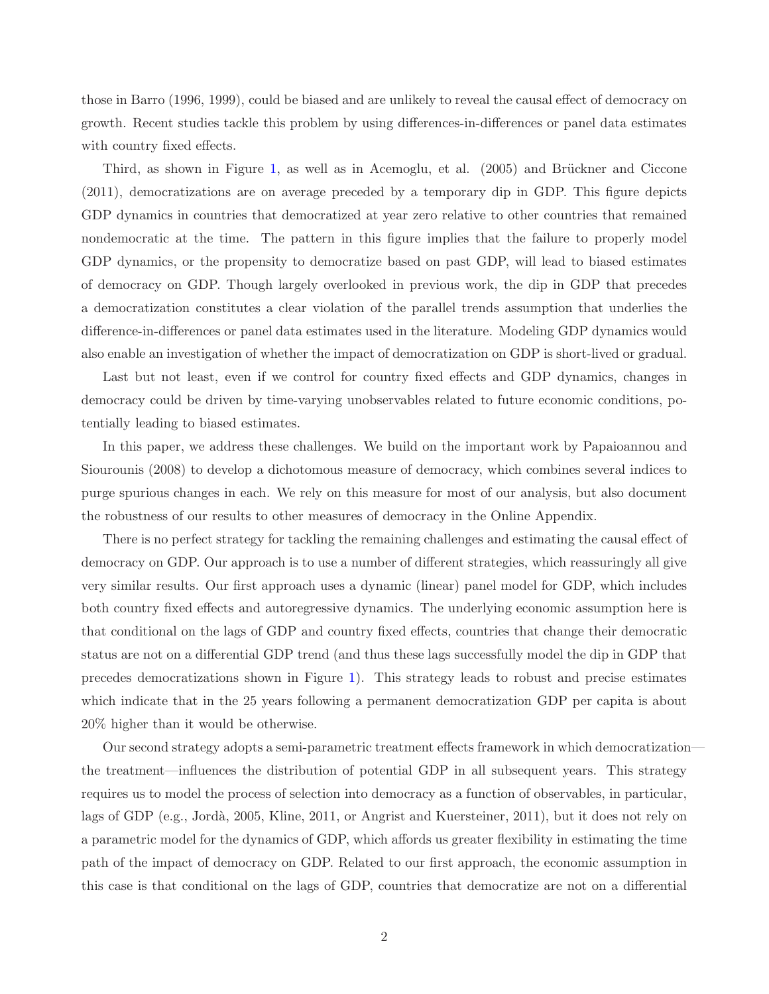those in Barro (1996, 1999), could be biased and are unlikely to reveal the causal effect of democracy on growth. Recent studies tackle this problem by using differences-in-differences or panel data estimates with country fixed effects.

Third, as shown in Figure [1,](#page-42-0) as well as in Acemoglu, et al.  $(2005)$  and Brückner and Ciccone (2011), democratizations are on average preceded by a temporary dip in GDP. This figure depicts GDP dynamics in countries that democratized at year zero relative to other countries that remained nondemocratic at the time. The pattern in this figure implies that the failure to properly model GDP dynamics, or the propensity to democratize based on past GDP, will lead to biased estimates of democracy on GDP. Though largely overlooked in previous work, the dip in GDP that precedes a democratization constitutes a clear violation of the parallel trends assumption that underlies the difference-in-differences or panel data estimates used in the literature. Modeling GDP dynamics would also enable an investigation of whether the impact of democratization on GDP is short-lived or gradual.

Last but not least, even if we control for country fixed effects and GDP dynamics, changes in democracy could be driven by time-varying unobservables related to future economic conditions, potentially leading to biased estimates.

In this paper, we address these challenges. We build on the important work by Papaioannou and Siourounis (2008) to develop a dichotomous measure of democracy, which combines several indices to purge spurious changes in each. We rely on this measure for most of our analysis, but also document the robustness of our results to other measures of democracy in the Online Appendix.

There is no perfect strategy for tackling the remaining challenges and estimating the causal effect of democracy on GDP. Our approach is to use a number of different strategies, which reassuringly all give very similar results. Our first approach uses a dynamic (linear) panel model for GDP, which includes both country fixed effects and autoregressive dynamics. The underlying economic assumption here is that conditional on the lags of GDP and country fixed effects, countries that change their democratic status are not on a differential GDP trend (and thus these lags successfully model the dip in GDP that precedes democratizations shown in Figure [1\)](#page-42-0). This strategy leads to robust and precise estimates which indicate that in the 25 years following a permanent democratization GDP per capita is about 20% higher than it would be otherwise.

Our second strategy adopts a semi-parametric treatment effects framework in which democratization the treatment—influences the distribution of potential GDP in all subsequent years. This strategy requires us to model the process of selection into democracy as a function of observables, in particular, lags of GDP (e.g., Jordà, 2005, Kline, 2011, or Angrist and Kuersteiner, 2011), but it does not rely on a parametric model for the dynamics of GDP, which affords us greater flexibility in estimating the time path of the impact of democracy on GDP. Related to our first approach, the economic assumption in this case is that conditional on the lags of GDP, countries that democratize are not on a differential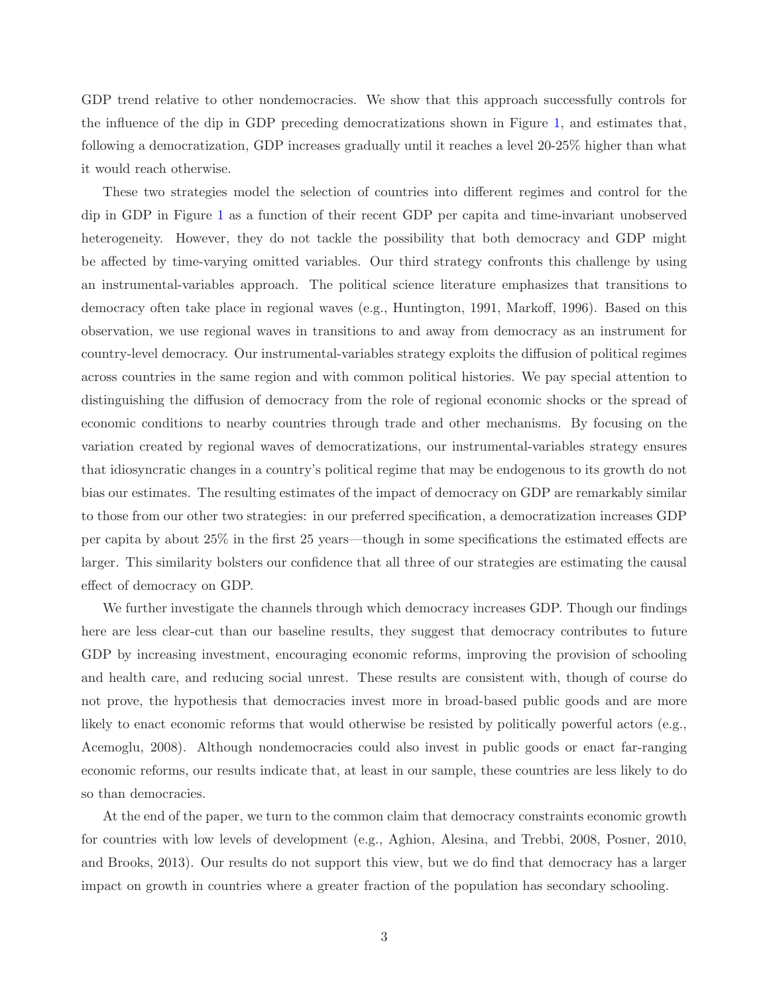GDP trend relative to other nondemocracies. We show that this approach successfully controls for the influence of the dip in GDP preceding democratizations shown in Figure [1,](#page-42-0) and estimates that, following a democratization, GDP increases gradually until it reaches a level 20-25% higher than what it would reach otherwise.

These two strategies model the selection of countries into different regimes and control for the dip in GDP in Figure [1](#page-42-0) as a function of their recent GDP per capita and time-invariant unobserved heterogeneity. However, they do not tackle the possibility that both democracy and GDP might be affected by time-varying omitted variables. Our third strategy confronts this challenge by using an instrumental-variables approach. The political science literature emphasizes that transitions to democracy often take place in regional waves (e.g., Huntington, 1991, Markoff, 1996). Based on this observation, we use regional waves in transitions to and away from democracy as an instrument for country-level democracy. Our instrumental-variables strategy exploits the diffusion of political regimes across countries in the same region and with common political histories. We pay special attention to distinguishing the diffusion of democracy from the role of regional economic shocks or the spread of economic conditions to nearby countries through trade and other mechanisms. By focusing on the variation created by regional waves of democratizations, our instrumental-variables strategy ensures that idiosyncratic changes in a country's political regime that may be endogenous to its growth do not bias our estimates. The resulting estimates of the impact of democracy on GDP are remarkably similar to those from our other two strategies: in our preferred specification, a democratization increases GDP per capita by about 25% in the first 25 years—though in some specifications the estimated effects are larger. This similarity bolsters our confidence that all three of our strategies are estimating the causal effect of democracy on GDP.

We further investigate the channels through which democracy increases GDP. Though our findings here are less clear-cut than our baseline results, they suggest that democracy contributes to future GDP by increasing investment, encouraging economic reforms, improving the provision of schooling and health care, and reducing social unrest. These results are consistent with, though of course do not prove, the hypothesis that democracies invest more in broad-based public goods and are more likely to enact economic reforms that would otherwise be resisted by politically powerful actors (e.g., Acemoglu, 2008). Although nondemocracies could also invest in public goods or enact far-ranging economic reforms, our results indicate that, at least in our sample, these countries are less likely to do so than democracies.

At the end of the paper, we turn to the common claim that democracy constraints economic growth for countries with low levels of development (e.g., Aghion, Alesina, and Trebbi, 2008, Posner, 2010, and Brooks, 2013). Our results do not support this view, but we do find that democracy has a larger impact on growth in countries where a greater fraction of the population has secondary schooling.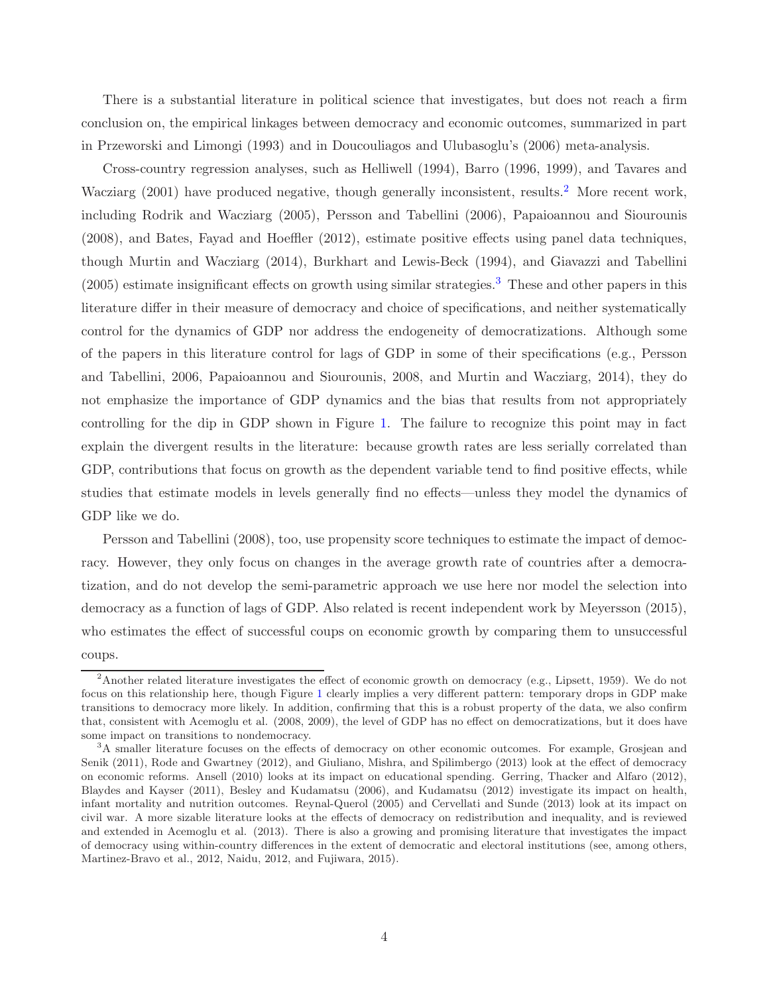There is a substantial literature in political science that investigates, but does not reach a firm conclusion on, the empirical linkages between democracy and economic outcomes, summarized in part in Przeworski and Limongi (1993) and in Doucouliagos and Ulubasoglu's (2006) meta-analysis.

Cross-country regression analyses, such as Helliwell (1994), Barro (1996, 1999), and Tavares and Wacziarg ([2](#page-4-0)001) have produced negative, though generally inconsistent, results.<sup>2</sup> More recent work, including Rodrik and Wacziarg (2005), Persson and Tabellini (2006), Papaioannou and Siourounis (2008), and Bates, Fayad and Hoeffler (2012), estimate positive effects using panel data techniques, though Murtin and Wacziarg (2014), Burkhart and Lewis-Beck (1994), and Giavazzi and Tabellini  $(2005)$  estimate insignificant effects on growth using similar strategies.<sup>[3](#page-4-1)</sup> These and other papers in this literature differ in their measure of democracy and choice of specifications, and neither systematically control for the dynamics of GDP nor address the endogeneity of democratizations. Although some of the papers in this literature control for lags of GDP in some of their specifications (e.g., Persson and Tabellini, 2006, Papaioannou and Siourounis, 2008, and Murtin and Wacziarg, 2014), they do not emphasize the importance of GDP dynamics and the bias that results from not appropriately controlling for the dip in GDP shown in Figure [1.](#page-42-0) The failure to recognize this point may in fact explain the divergent results in the literature: because growth rates are less serially correlated than GDP, contributions that focus on growth as the dependent variable tend to find positive effects, while studies that estimate models in levels generally find no effects—unless they model the dynamics of GDP like we do.

Persson and Tabellini (2008), too, use propensity score techniques to estimate the impact of democracy. However, they only focus on changes in the average growth rate of countries after a democratization, and do not develop the semi-parametric approach we use here nor model the selection into democracy as a function of lags of GDP. Also related is recent independent work by Meyersson (2015), who estimates the effect of successful coups on economic growth by comparing them to unsuccessful coups.

<span id="page-4-0"></span><sup>&</sup>lt;sup>2</sup>Another related literature investigates the effect of economic growth on democracy (e.g., Lipsett, 1959). We do not focus on this relationship here, though Figure [1](#page-42-0) clearly implies a very different pattern: temporary drops in GDP make transitions to democracy more likely. In addition, confirming that this is a robust property of the data, we also confirm that, consistent with Acemoglu et al. (2008, 2009), the level of GDP has no effect on democratizations, but it does have some impact on transitions to nondemocracy.

<span id="page-4-1"></span><sup>&</sup>lt;sup>3</sup>A smaller literature focuses on the effects of democracy on other economic outcomes. For example, Grosjean and Senik (2011), Rode and Gwartney (2012), and Giuliano, Mishra, and Spilimbergo (2013) look at the effect of democracy on economic reforms. Ansell (2010) looks at its impact on educational spending. Gerring, Thacker and Alfaro (2012), Blaydes and Kayser (2011), Besley and Kudamatsu (2006), and Kudamatsu (2012) investigate its impact on health, infant mortality and nutrition outcomes. Reynal-Querol (2005) and Cervellati and Sunde (2013) look at its impact on civil war. A more sizable literature looks at the effects of democracy on redistribution and inequality, and is reviewed and extended in Acemoglu et al. (2013). There is also a growing and promising literature that investigates the impact of democracy using within-country differences in the extent of democratic and electoral institutions (see, among others, Martinez-Bravo et al., 2012, Naidu, 2012, and Fujiwara, 2015).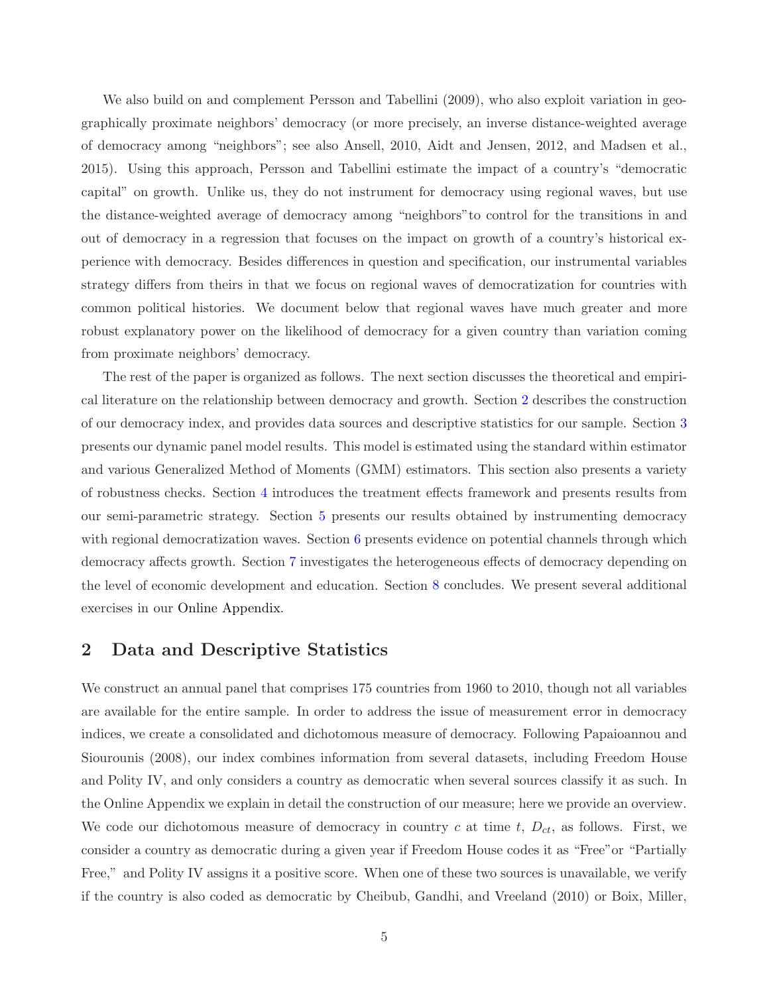We also build on and complement Persson and Tabellini (2009), who also exploit variation in geographically proximate neighbors' democracy (or more precisely, an inverse distance-weighted average of democracy among "neighbors"; see also Ansell, 2010, Aidt and Jensen, 2012, and Madsen et al., 2015). Using this approach, Persson and Tabellini estimate the impact of a country's "democratic capital" on growth. Unlike us, they do not instrument for democracy using regional waves, but use the distance-weighted average of democracy among "neighbors"to control for the transitions in and out of democracy in a regression that focuses on the impact on growth of a country's historical experience with democracy. Besides differences in question and specification, our instrumental variables strategy differs from theirs in that we focus on regional waves of democratization for countries with common political histories. We document below that regional waves have much greater and more robust explanatory power on the likelihood of democracy for a given country than variation coming from proximate neighbors' democracy.

The rest of the paper is organized as follows. The next section discusses the theoretical and empirical literature on the relationship between democracy and growth. Section [2](#page-50-0) describes the construction of our democracy index, and provides data sources and descriptive statistics for our sample. Section [3](#page-50-1) presents our dynamic panel model results. This model is estimated using the standard within estimator and various Generalized Method of Moments (GMM) estimators. This section also presents a variety of robustness checks. Section [4](#page-51-0) introduces the treatment effects framework and presents results from our semi-parametric strategy. Section [5](#page-52-0) presents our results obtained by instrumenting democracy with regional democratization waves. Section [6](#page-53-0) presents evidence on potential channels through which democracy affects growth. Section [7](#page-55-0) investigates the heterogeneous effects of democracy depending on the level of economic development and education. Section [8](#page-57-0) concludes. We present several additional exercises in our [Online Appendix.](http://pascual.scripts.mit.edu/research/04/DemocracyDoesCauseGrowthFull.pdf)

# 2 Data and Descriptive Statistics

We construct an annual panel that comprises 175 countries from 1960 to 2010, though not all variables are available for the entire sample. In order to address the issue of measurement error in democracy indices, we create a consolidated and dichotomous measure of democracy. Following Papaioannou and Siourounis (2008), our index combines information from several datasets, including Freedom House and Polity IV, and only considers a country as democratic when several sources classify it as such. In the Online Appendix we explain in detail the construction of our measure; here we provide an overview. We code our dichotomous measure of democracy in country c at time t,  $D_{ct}$ , as follows. First, we consider a country as democratic during a given year if Freedom House codes it as "Free"or "Partially Free," and Polity IV assigns it a positive score. When one of these two sources is unavailable, we verify if the country is also coded as democratic by Cheibub, Gandhi, and Vreeland (2010) or Boix, Miller,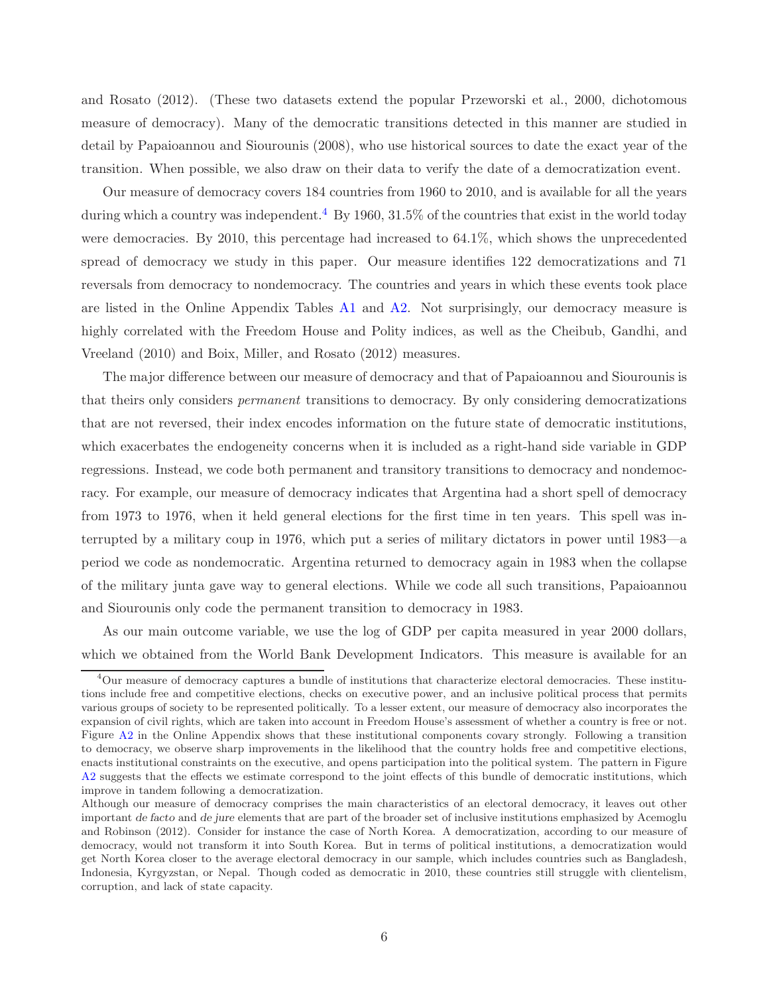and Rosato (2012). (These two datasets extend the popular Przeworski et al., 2000, dichotomous measure of democracy). Many of the democratic transitions detected in this manner are studied in detail by Papaioannou and Siourounis (2008), who use historical sources to date the exact year of the transition. When possible, we also draw on their data to verify the date of a democratization event.

Our measure of democracy covers 184 countries from 1960 to 2010, and is available for all the years during which a country was independent.<sup>[4](#page-6-0)</sup> By 1960, 31.5% of the countries that exist in the world today were democracies. By 2010, this percentage had increased to 64.1\%, which shows the unprecedented spread of democracy we study in this paper. Our measure identifies 122 democratizations and 71 reversals from democracy to nondemocracy. The countries and years in which these events took place are listed in the Online Appendix Tables [A1](#page-63-0) and [A2.](#page-64-0) Not surprisingly, our democracy measure is highly correlated with the Freedom House and Polity indices, as well as the Cheibub, Gandhi, and Vreeland (2010) and Boix, Miller, and Rosato (2012) measures.

The major difference between our measure of democracy and that of Papaioannou and Siourounis is that theirs only considers *permanent* transitions to democracy. By only considering democratizations that are not reversed, their index encodes information on the future state of democratic institutions, which exacerbates the endogeneity concerns when it is included as a right-hand side variable in GDP regressions. Instead, we code both permanent and transitory transitions to democracy and nondemocracy. For example, our measure of democracy indicates that Argentina had a short spell of democracy from 1973 to 1976, when it held general elections for the first time in ten years. This spell was interrupted by a military coup in 1976, which put a series of military dictators in power until 1983—a period we code as nondemocratic. Argentina returned to democracy again in 1983 when the collapse of the military junta gave way to general elections. While we code all such transitions, Papaioannou and Siourounis only code the permanent transition to democracy in 1983.

As our main outcome variable, we use the log of GDP per capita measured in year 2000 dollars, which we obtained from the World Bank Development Indicators. This measure is available for an

<span id="page-6-0"></span><sup>4</sup>Our measure of democracy captures a bundle of institutions that characterize electoral democracies. These institutions include free and competitive elections, checks on executive power, and an inclusive political process that permits various groups of society to be represented politically. To a lesser extent, our measure of democracy also incorporates the expansion of civil rights, which are taken into account in Freedom House's assessment of whether a country is free or not. Figure [A2](#page-79-0) in the Online Appendix shows that these institutional components covary strongly. Following a transition to democracy, we observe sharp improvements in the likelihood that the country holds free and competitive elections, enacts institutional constraints on the executive, and opens participation into the political system. The pattern in Figure [A2](#page-79-0) suggests that the effects we estimate correspond to the joint effects of this bundle of democratic institutions, which improve in tandem following a democratization.

Although our measure of democracy comprises the main characteristics of an electoral democracy, it leaves out other important de facto and de jure elements that are part of the broader set of inclusive institutions emphasized by Acemoglu and Robinson (2012). Consider for instance the case of North Korea. A democratization, according to our measure of democracy, would not transform it into South Korea. But in terms of political institutions, a democratization would get North Korea closer to the average electoral democracy in our sample, which includes countries such as Bangladesh, Indonesia, Kyrgyzstan, or Nepal. Though coded as democratic in 2010, these countries still struggle with clientelism, corruption, and lack of state capacity.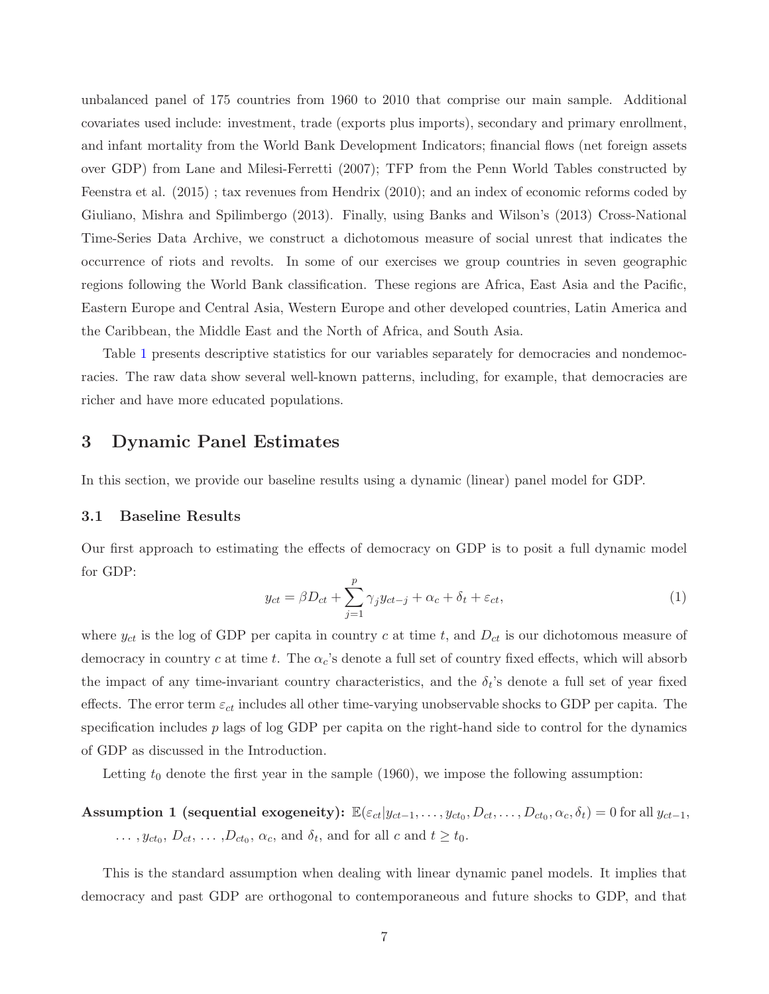unbalanced panel of 175 countries from 1960 to 2010 that comprise our main sample. Additional covariates used include: investment, trade (exports plus imports), secondary and primary enrollment, and infant mortality from the World Bank Development Indicators; financial flows (net foreign assets over GDP) from Lane and Milesi-Ferretti (2007); TFP from the Penn World Tables constructed by Feenstra et al. (2015) ; tax revenues from Hendrix (2010); and an index of economic reforms coded by Giuliano, Mishra and Spilimbergo (2013). Finally, using Banks and Wilson's (2013) Cross-National Time-Series Data Archive, we construct a dichotomous measure of social unrest that indicates the occurrence of riots and revolts. In some of our exercises we group countries in seven geographic regions following the World Bank classification. These regions are Africa, East Asia and the Pacific, Eastern Europe and Central Asia, Western Europe and other developed countries, Latin America and the Caribbean, the Middle East and the North of Africa, and South Asia.

Table [1](#page-34-0) presents descriptive statistics for our variables separately for democracies and nondemocracies. The raw data show several well-known patterns, including, for example, that democracies are richer and have more educated populations.

### 3 Dynamic Panel Estimates

In this section, we provide our baseline results using a dynamic (linear) panel model for GDP.

#### 3.1 Baseline Results

Our first approach to estimating the effects of democracy on GDP is to posit a full dynamic model for GDP:

<span id="page-7-0"></span>
$$
y_{ct} = \beta D_{ct} + \sum_{j=1}^{p} \gamma_j y_{ct-j} + \alpha_c + \delta_t + \varepsilon_{ct},\tag{1}
$$

where  $y_{ct}$  is the log of GDP per capita in country c at time t, and  $D_{ct}$  is our dichotomous measure of democracy in country c at time t. The  $\alpha_c$ 's denote a full set of country fixed effects, which will absorb the impact of any time-invariant country characteristics, and the  $\delta_t$ 's denote a full set of year fixed effects. The error term  $\varepsilon_{ct}$  includes all other time-varying unobservable shocks to GDP per capita. The specification includes  $p$  lags of log GDP per capita on the right-hand side to control for the dynamics of GDP as discussed in the Introduction.

Letting  $t_0$  denote the first year in the sample (1960), we impose the following assumption:

Assumption 1 (sequential exogeneity):  $\mathbb{E}(\varepsilon_{ct}|y_{ct-1},\ldots,y_{ct_0},D_{ct},\ldots,D_{ct_0},\alpha_c,\delta_t)=0$  for all  $y_{ct-1}$ ,  $\dots, y_{ct_0}, D_{ct}, \dots, D_{ct_0}, \alpha_c$ , and  $\delta_t$ , and for all c and  $t \geq t_0$ .

This is the standard assumption when dealing with linear dynamic panel models. It implies that democracy and past GDP are orthogonal to contemporaneous and future shocks to GDP, and that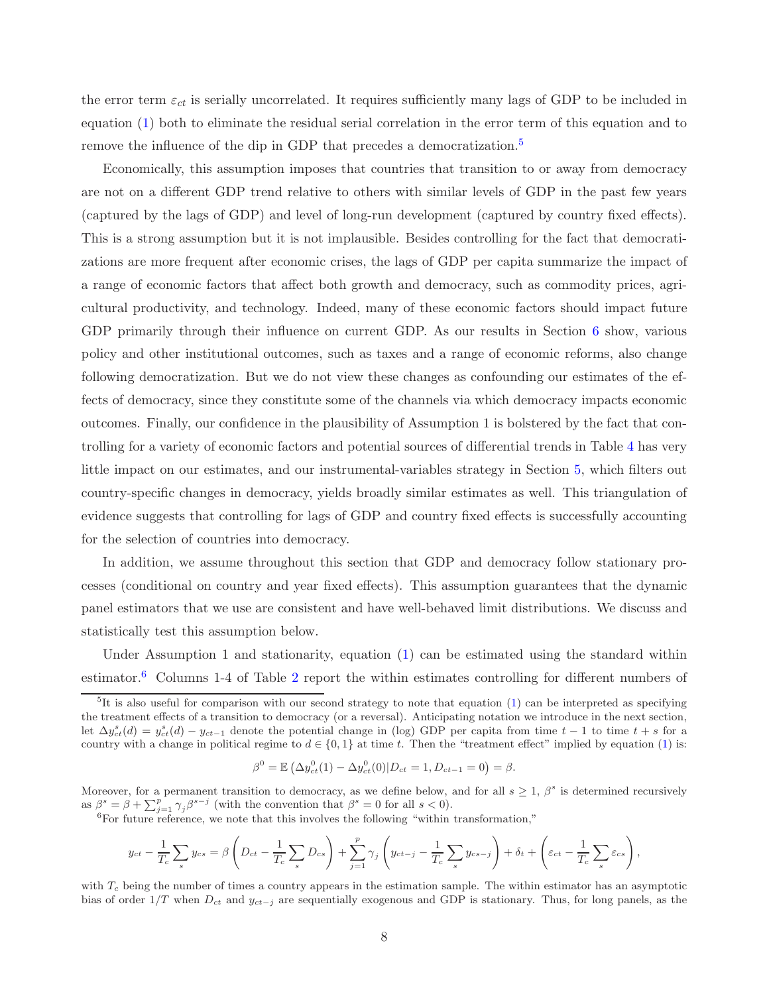the error term  $\varepsilon_{ct}$  is serially uncorrelated. It requires sufficiently many lags of GDP to be included in equation [\(1\)](#page-7-0) both to eliminate the residual serial correlation in the error term of this equation and to remove the influence of the dip in GDP that precedes a democratization.<sup>[5](#page-8-0)</sup>

Economically, this assumption imposes that countries that transition to or away from democracy are not on a different GDP trend relative to others with similar levels of GDP in the past few years (captured by the lags of GDP) and level of long-run development (captured by country fixed effects). This is a strong assumption but it is not implausible. Besides controlling for the fact that democratizations are more frequent after economic crises, the lags of GDP per capita summarize the impact of a range of economic factors that affect both growth and democracy, such as commodity prices, agricultural productivity, and technology. Indeed, many of these economic factors should impact future GDP primarily through their influence on current GDP. As our results in Section [6](#page-53-0) show, various policy and other institutional outcomes, such as taxes and a range of economic reforms, also change following democratization. But we do not view these changes as confounding our estimates of the effects of democracy, since they constitute some of the channels via which democracy impacts economic outcomes. Finally, our confidence in the plausibility of Assumption 1 is bolstered by the fact that controlling for a variety of economic factors and potential sources of differential trends in Table [4](#page-37-0) has very little impact on our estimates, and our instrumental-variables strategy in Section [5,](#page-52-0) which filters out country-specific changes in democracy, yields broadly similar estimates as well. This triangulation of evidence suggests that controlling for lags of GDP and country fixed effects is successfully accounting for the selection of countries into democracy.

In addition, we assume throughout this section that GDP and democracy follow stationary processes (conditional on country and year fixed effects). This assumption guarantees that the dynamic panel estimators that we use are consistent and have well-behaved limit distributions. We discuss and statistically test this assumption below.

Under Assumption 1 and stationarity, equation [\(1\)](#page-7-0) can be estimated using the standard within estimator.<sup>[6](#page-8-1)</sup> Columns 1-4 of Table [2](#page-35-0) report the within estimates controlling for different numbers of

$$
\beta^{0} = \mathbb{E} \left( \Delta y_{ct}^{0}(1) - \Delta y_{ct}^{0}(0) \right) D_{ct} = 1, D_{ct-1} = 0 = \beta.
$$

Moreover, for a permanent transition to democracy, as we define below, and for all  $s \geq 1$ ,  $\beta^s$  is determined recursively as  $\beta^s = \beta + \sum_{j=1}^p \gamma_j \beta^{s-j}$  (with the convention that  $\beta^s = 0$  for all  $s < 0$ ).

<span id="page-8-1"></span> ${}^{6}$ For future reference, we note that this involves the following "within transformation,"

$$
y_{ct} - \frac{1}{T_c} \sum_s y_{cs} = \beta \left( D_{ct} - \frac{1}{T_c} \sum_s D_{cs} \right) + \sum_{j=1}^p \gamma_j \left( y_{ct-j} - \frac{1}{T_c} \sum_s y_{cs-j} \right) + \delta_t + \left( \varepsilon_{ct} - \frac{1}{T_c} \sum_s \varepsilon_{cs} \right)
$$

,

with  $T_c$  being the number of times a country appears in the estimation sample. The within estimator has an asymptotic bias of order  $1/T$  when  $D_{ct}$  and  $y_{ct-<sub>j</sub>}$  are sequentially exogenous and GDP is stationary. Thus, for long panels, as the

<span id="page-8-0"></span><sup>&</sup>lt;sup>5</sup>It is also useful for comparison with our second strategy to note that equation [\(1\)](#page-7-0) can be interpreted as specifying the treatment effects of a transition to democracy (or a reversal). Anticipating notation we introduce in the next section, let  $\Delta y_{ct}^s(d) = y_{ct}^s(d) - y_{ct-1}$  denote the potential change in (log) GDP per capita from time  $t-1$  to time  $t+s$  for a country with a change in political regime to  $d \in \{0,1\}$  at time t. Then the "treatment effect" implied by equation [\(1\)](#page-7-0) is: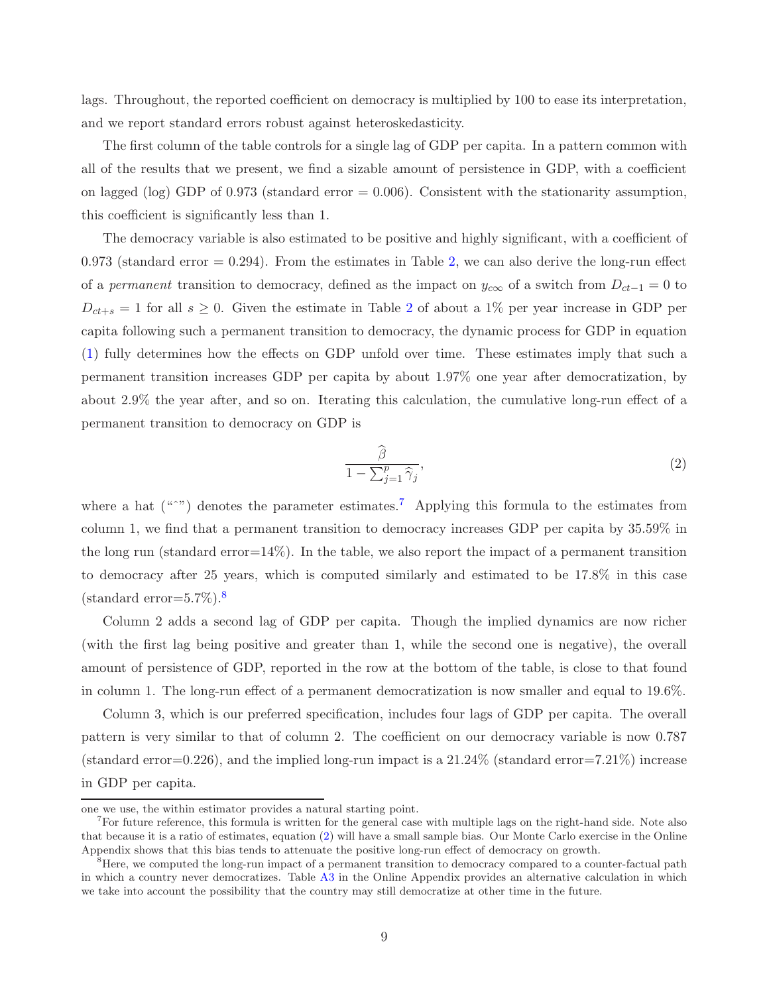lags. Throughout, the reported coefficient on democracy is multiplied by 100 to ease its interpretation, and we report standard errors robust against heteroskedasticity.

The first column of the table controls for a single lag of GDP per capita. In a pattern common with all of the results that we present, we find a sizable amount of persistence in GDP, with a coefficient on lagged (log) GDP of 0.973 (standard error  $= 0.006$ ). Consistent with the stationarity assumption, this coefficient is significantly less than 1.

The democracy variable is also estimated to be positive and highly significant, with a coefficient of  $0.973$  (standard error  $= 0.294$ ). From the estimates in Table [2,](#page-35-0) we can also derive the long-run effect of a *permanent* transition to democracy, defined as the impact on  $y_{c\infty}$  of a switch from  $D_{ct-1} = 0$  to  $D_{ct+s} = 1$  for all  $s \geq 0$ . Given the estimate in Table [2](#page-35-0) of about a 1% per year increase in GDP per capita following such a permanent transition to democracy, the dynamic process for GDP in equation [\(1\)](#page-7-0) fully determines how the effects on GDP unfold over time. These estimates imply that such a permanent transition increases GDP per capita by about 1.97% one year after democratization, by about 2.9% the year after, and so on. Iterating this calculation, the cumulative long-run effect of a permanent transition to democracy on GDP is

<span id="page-9-2"></span>
$$
\frac{\widehat{\beta}}{1 - \sum_{j=1}^{p} \widehat{\gamma}_j},\tag{2}
$$

where a hat ("ˆ") denotes the parameter estimates.[7](#page-9-0) Applying this formula to the estimates from column 1, we find that a permanent transition to democracy increases GDP per capita by 35.59% in the long run (standard error=14%). In the table, we also report the impact of a permanent transition to democracy after 25 years, which is computed similarly and estimated to be 17.8% in this case  $(\text{standard error}=5.7\%).$ <sup>[8](#page-9-1)</sup>

Column 2 adds a second lag of GDP per capita. Though the implied dynamics are now richer (with the first lag being positive and greater than 1, while the second one is negative), the overall amount of persistence of GDP, reported in the row at the bottom of the table, is close to that found in column 1. The long-run effect of a permanent democratization is now smaller and equal to 19.6%.

Column 3, which is our preferred specification, includes four lags of GDP per capita. The overall pattern is very similar to that of column 2. The coefficient on our democracy variable is now 0.787 (standard error=0.226), and the implied long-run impact is a  $21.24\%$  (standard error=7.21%) increase in GDP per capita.

one we use, the within estimator provides a natural starting point.

<span id="page-9-0"></span> $<sup>7</sup>$  For future reference, this formula is written for the general case with multiple lags on the right-hand side. Note also</sup> that because it is a ratio of estimates, equation [\(2\)](#page-9-2) will have a small sample bias. Our Monte Carlo exercise in the Online Appendix shows that this bias tends to attenuate the positive long-run effect of democracy on growth.

<span id="page-9-1"></span><sup>8</sup>Here, we computed the long-run impact of a permanent transition to democracy compared to a counter-factual path in which a country never democratizes. Table [A3](#page-65-0) in the Online Appendix provides an alternative calculation in which we take into account the possibility that the country may still democratize at other time in the future.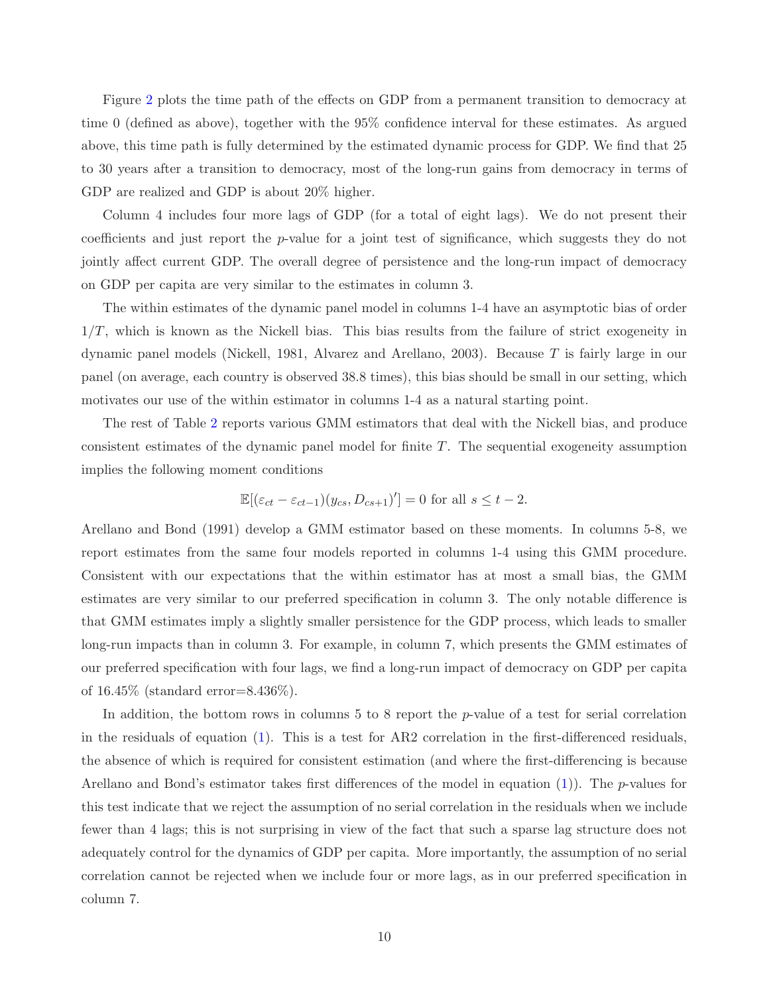Figure [2](#page-42-1) plots the time path of the effects on GDP from a permanent transition to democracy at time 0 (defined as above), together with the 95% confidence interval for these estimates. As argued above, this time path is fully determined by the estimated dynamic process for GDP. We find that 25 to 30 years after a transition to democracy, most of the long-run gains from democracy in terms of GDP are realized and GDP is about 20% higher.

Column 4 includes four more lags of GDP (for a total of eight lags). We do not present their coefficients and just report the p-value for a joint test of significance, which suggests they do not jointly affect current GDP. The overall degree of persistence and the long-run impact of democracy on GDP per capita are very similar to the estimates in column 3.

The within estimates of the dynamic panel model in columns 1-4 have an asymptotic bias of order  $1/T$ , which is known as the Nickell bias. This bias results from the failure of strict exogeneity in dynamic panel models (Nickell, 1981, Alvarez and Arellano, 2003). Because T is fairly large in our panel (on average, each country is observed 38.8 times), this bias should be small in our setting, which motivates our use of the within estimator in columns 1-4 as a natural starting point.

The rest of Table [2](#page-35-0) reports various GMM estimators that deal with the Nickell bias, and produce consistent estimates of the dynamic panel model for finite  $T$ . The sequential exogeneity assumption implies the following moment conditions

$$
\mathbb{E}[(\varepsilon_{ct} - \varepsilon_{ct-1})(y_{cs}, D_{cs+1})'] = 0
$$
 for all  $s \le t - 2$ .

Arellano and Bond (1991) develop a GMM estimator based on these moments. In columns 5-8, we report estimates from the same four models reported in columns 1-4 using this GMM procedure. Consistent with our expectations that the within estimator has at most a small bias, the GMM estimates are very similar to our preferred specification in column 3. The only notable difference is that GMM estimates imply a slightly smaller persistence for the GDP process, which leads to smaller long-run impacts than in column 3. For example, in column 7, which presents the GMM estimates of our preferred specification with four lags, we find a long-run impact of democracy on GDP per capita of 16.45% (standard error=8.436%).

In addition, the bottom rows in columns 5 to 8 report the p-value of a test for serial correlation in the residuals of equation [\(1\)](#page-7-0). This is a test for AR2 correlation in the first-differenced residuals, the absence of which is required for consistent estimation (and where the first-differencing is because Arellano and Bond's estimator takes first differences of the model in equation [\(1\)](#page-7-0)). The p-values for this test indicate that we reject the assumption of no serial correlation in the residuals when we include fewer than 4 lags; this is not surprising in view of the fact that such a sparse lag structure does not adequately control for the dynamics of GDP per capita. More importantly, the assumption of no serial correlation cannot be rejected when we include four or more lags, as in our preferred specification in column 7.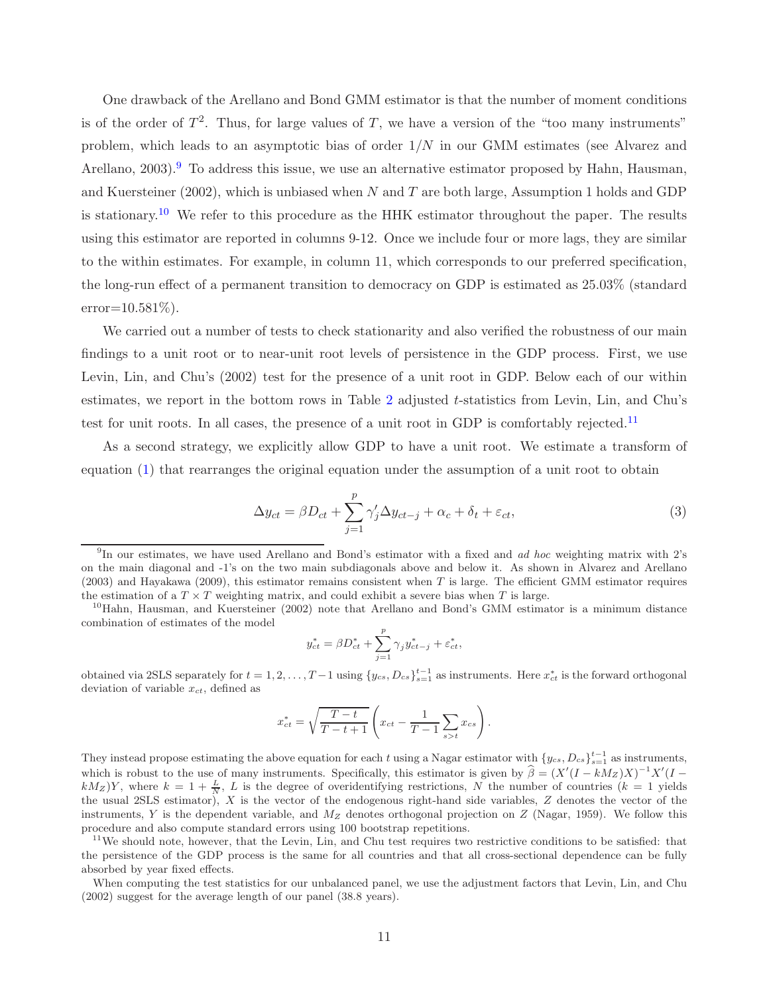One drawback of the Arellano and Bond GMM estimator is that the number of moment conditions is of the order of  $T^2$ . Thus, for large values of T, we have a version of the "too many instruments" problem, which leads to an asymptotic bias of order  $1/N$  in our GMM estimates (see Alvarez and Arellano,  $2003$ ).<sup>[9](#page-11-0)</sup> To address this issue, we use an alternative estimator proposed by Hahn, Hausman, and Kuersteiner (2002), which is unbiased when N and T are both large, Assumption 1 holds and GDP is stationary.<sup>[10](#page-11-1)</sup> We refer to this procedure as the HHK estimator throughout the paper. The results using this estimator are reported in columns 9-12. Once we include four or more lags, they are similar to the within estimates. For example, in column 11, which corresponds to our preferred specification, the long-run effect of a permanent transition to democracy on GDP is estimated as 25.03% (standard  $error=10.581\%$ ).

We carried out a number of tests to check stationarity and also verified the robustness of our main findings to a unit root or to near-unit root levels of persistence in the GDP process. First, we use Levin, Lin, and Chu's (2002) test for the presence of a unit root in GDP. Below each of our within estimates, we report in the bottom rows in Table [2](#page-35-0) adjusted t-statistics from Levin, Lin, and Chu's test for unit roots. In all cases, the presence of a unit root in GDP is comfortably rejected.<sup>[11](#page-11-2)</sup>

As a second strategy, we explicitly allow GDP to have a unit root. We estimate a transform of equation [\(1\)](#page-7-0) that rearranges the original equation under the assumption of a unit root to obtain

$$
\Delta y_{ct} = \beta D_{ct} + \sum_{j=1}^{p} \gamma_j' \Delta y_{ct-j} + \alpha_c + \delta_t + \varepsilon_{ct},\tag{3}
$$

<span id="page-11-1"></span> $10$ Hahn, Hausman, and Kuersteiner (2002) note that Arellano and Bond's GMM estimator is a minimum distance combination of estimates of the model

$$
y_{ct}^* = \beta D_{ct}^* + \sum_{j=1}^p \gamma_j y_{ct-j}^* + \varepsilon_{ct}^*,
$$

obtained via 2SLS separately for  $t = 1, 2, ..., T-1$  using  $\{y_{cs}, D_{cs}\}_{s=1}^{t-1}$  as instruments. Here  $x_{ct}^*$  is the forward orthogonal deviation of variable  $x_{ct}$ , defined as

$$
x_{ct}^{*} = \sqrt{\frac{T-t}{T-t+1}} \left( x_{ct} - \frac{1}{T-1} \sum_{s > t} x_{cs} \right).
$$

They instead propose estimating the above equation for each t using a Nagar estimator with  $\{y_{cs}, D_{cs}\}_{s=1}^{t-1}$  as instruments, which is robust to the use of many instruments. Specifically, this estimator is given by  $\hat{\beta} = (X'(I - kM_Z)X)^{-1}X'(I - kM_Z)$  $kM_Z$ )Y, where  $k = 1 + \frac{L}{N}$ , L is the degree of overidentifying restrictions, N the number of countries  $(k = 1$  yields the usual 2SLS estimator),  $X$  is the vector of the endogenous right-hand side variables,  $Z$  denotes the vector of the instruments, Y is the dependent variable, and  $M_Z$  denotes orthogonal projection on Z (Nagar, 1959). We follow this procedure and also compute standard errors using 100 bootstrap repetitions.

<span id="page-11-2"></span> $11$ We should note, however, that the Levin, Lin, and Chu test requires two restrictive conditions to be satisfied: that the persistence of the GDP process is the same for all countries and that all cross-sectional dependence can be fully absorbed by year fixed effects.

When computing the test statistics for our unbalanced panel, we use the adjustment factors that Levin, Lin, and Chu (2002) suggest for the average length of our panel (38.8 years).

<span id="page-11-0"></span> $^{9}$ In our estimates, we have used Arellano and Bond's estimator with a fixed and *ad hoc* weighting matrix with 2's on the main diagonal and -1's on the two main subdiagonals above and below it. As shown in Alvarez and Arellano (2003) and Hayakawa (2009), this estimator remains consistent when T is large. The efficient GMM estimator requires the estimation of a  $T \times T$  weighting matrix, and could exhibit a severe bias when T is large.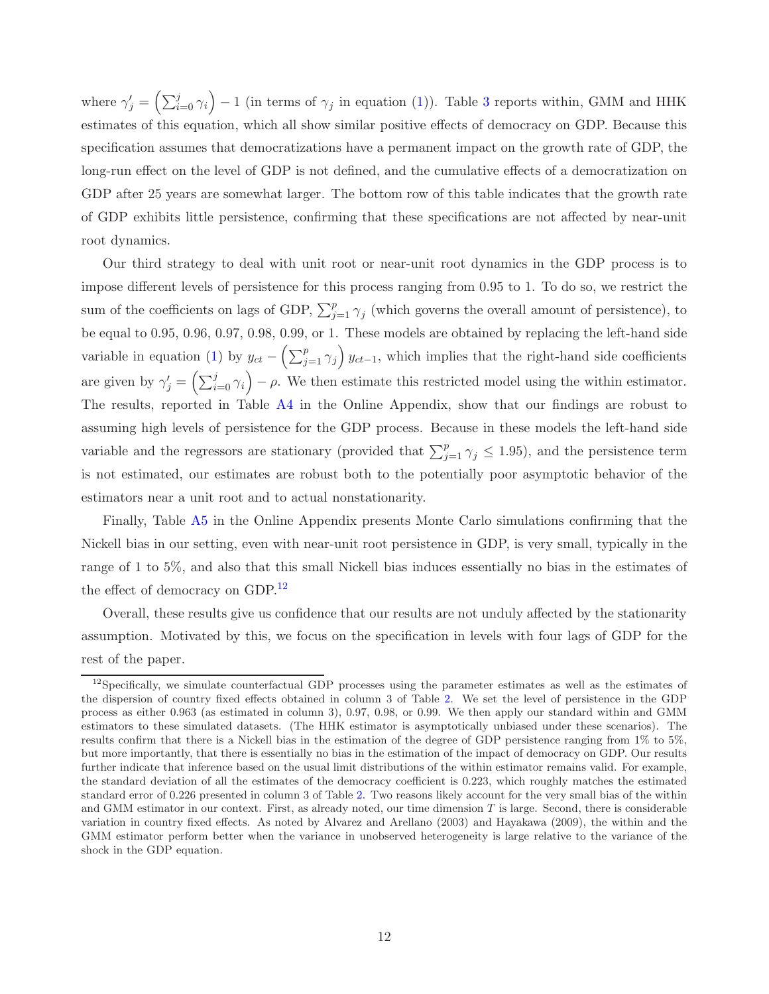where  $\gamma'_j = \left(\sum_{i=0}^j \gamma_i\right) - 1$  (in terms of  $\gamma_j$  in equation [\(1\)](#page-7-0)). Table [3](#page-36-0) reports within, GMM and HHK estimates of this equation, which all show similar positive effects of democracy on GDP. Because this specification assumes that democratizations have a permanent impact on the growth rate of GDP, the long-run effect on the level of GDP is not defined, and the cumulative effects of a democratization on GDP after 25 years are somewhat larger. The bottom row of this table indicates that the growth rate of GDP exhibits little persistence, confirming that these specifications are not affected by near-unit root dynamics.

Our third strategy to deal with unit root or near-unit root dynamics in the GDP process is to impose different levels of persistence for this process ranging from 0.95 to 1. To do so, we restrict the sum of the coefficients on lags of GDP,  $\sum_{j=1}^{p} \gamma_j$  (which governs the overall amount of persistence), to be equal to 0.95, 0.96, 0.97, 0.98, 0.99, or 1. These models are obtained by replacing the left-hand side variable in equation [\(1\)](#page-7-0) by  $y_{ct} - \left(\sum_{j=1}^p \gamma_j\right) y_{ct-1}$ , which implies that the right-hand side coefficients are given by  $\gamma'_{j} = \left(\sum_{i=0}^{j} \gamma_{i}\right) - \rho$ . We then estimate this restricted model using the within estimator. The results, reported in Table [A4](#page-66-0) in the Online Appendix, show that our findings are robust to assuming high levels of persistence for the GDP process. Because in these models the left-hand side variable and the regressors are stationary (provided that  $\sum_{j=1}^{p} \gamma_j \leq 1.95$ ), and the persistence term is not estimated, our estimates are robust both to the potentially poor asymptotic behavior of the estimators near a unit root and to actual nonstationarity.

Finally, Table [A5](#page-67-0) in the Online Appendix presents Monte Carlo simulations confirming that the Nickell bias in our setting, even with near-unit root persistence in GDP, is very small, typically in the range of 1 to 5%, and also that this small Nickell bias induces essentially no bias in the estimates of the effect of democracy on GDP.<sup>[12](#page-12-0)</sup>

Overall, these results give us confidence that our results are not unduly affected by the stationarity assumption. Motivated by this, we focus on the specification in levels with four lags of GDP for the rest of the paper.

<span id="page-12-0"></span> $12$ Specifically, we simulate counterfactual GDP processes using the parameter estimates as well as the estimates of the dispersion of country fixed effects obtained in column 3 of Table [2.](#page-35-0) We set the level of persistence in the GDP process as either 0.963 (as estimated in column 3), 0.97, 0.98, or 0.99. We then apply our standard within and GMM estimators to these simulated datasets. (The HHK estimator is asymptotically unbiased under these scenarios). The results confirm that there is a Nickell bias in the estimation of the degree of GDP persistence ranging from 1% to 5%, but more importantly, that there is essentially no bias in the estimation of the impact of democracy on GDP. Our results further indicate that inference based on the usual limit distributions of the within estimator remains valid. For example, the standard deviation of all the estimates of the democracy coefficient is 0.223, which roughly matches the estimated standard error of 0.226 presented in column 3 of Table [2.](#page-35-0) Two reasons likely account for the very small bias of the within and GMM estimator in our context. First, as already noted, our time dimension T is large. Second, there is considerable variation in country fixed effects. As noted by Alvarez and Arellano (2003) and Hayakawa (2009), the within and the GMM estimator perform better when the variance in unobserved heterogeneity is large relative to the variance of the shock in the GDP equation.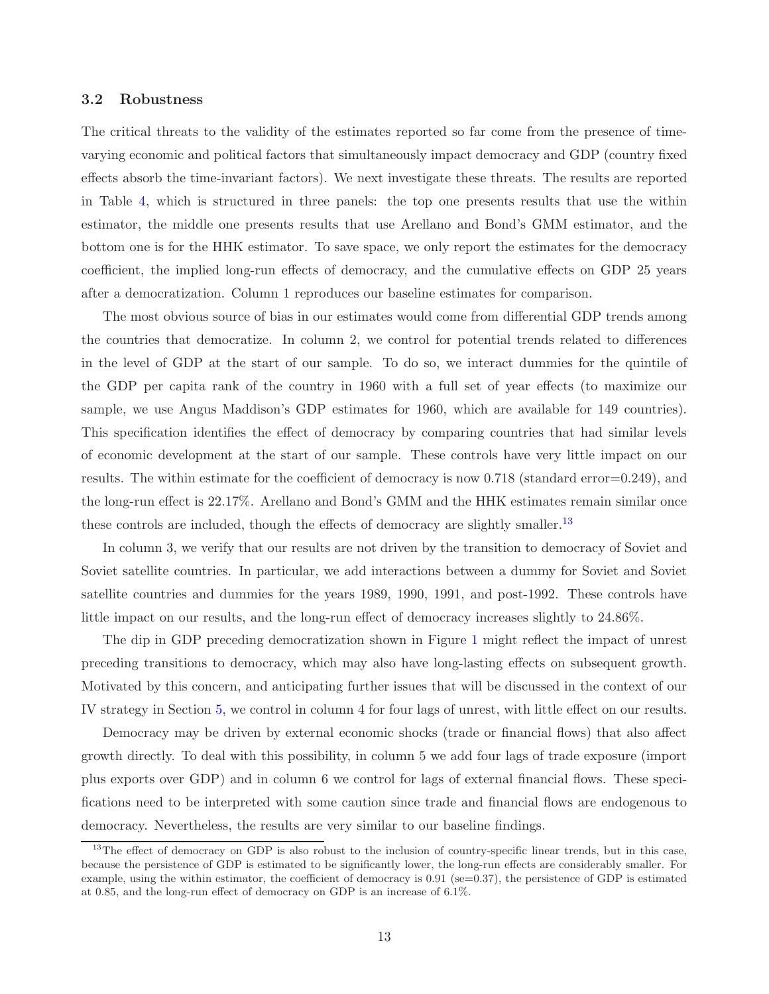#### 3.2 Robustness

The critical threats to the validity of the estimates reported so far come from the presence of timevarying economic and political factors that simultaneously impact democracy and GDP (country fixed effects absorb the time-invariant factors). We next investigate these threats. The results are reported in Table [4,](#page-37-0) which is structured in three panels: the top one presents results that use the within estimator, the middle one presents results that use Arellano and Bond's GMM estimator, and the bottom one is for the HHK estimator. To save space, we only report the estimates for the democracy coefficient, the implied long-run effects of democracy, and the cumulative effects on GDP 25 years after a democratization. Column 1 reproduces our baseline estimates for comparison.

The most obvious source of bias in our estimates would come from differential GDP trends among the countries that democratize. In column 2, we control for potential trends related to differences in the level of GDP at the start of our sample. To do so, we interact dummies for the quintile of the GDP per capita rank of the country in 1960 with a full set of year effects (to maximize our sample, we use Angus Maddison's GDP estimates for 1960, which are available for 149 countries). This specification identifies the effect of democracy by comparing countries that had similar levels of economic development at the start of our sample. These controls have very little impact on our results. The within estimate for the coefficient of democracy is now 0.718 (standard error=0.249), and the long-run effect is 22.17%. Arellano and Bond's GMM and the HHK estimates remain similar once these controls are included, though the effects of democracy are slightly smaller.<sup>[13](#page-13-0)</sup>

In column 3, we verify that our results are not driven by the transition to democracy of Soviet and Soviet satellite countries. In particular, we add interactions between a dummy for Soviet and Soviet satellite countries and dummies for the years 1989, 1990, 1991, and post-1992. These controls have little impact on our results, and the long-run effect of democracy increases slightly to 24.86%.

The dip in GDP preceding democratization shown in Figure [1](#page-42-0) might reflect the impact of unrest preceding transitions to democracy, which may also have long-lasting effects on subsequent growth. Motivated by this concern, and anticipating further issues that will be discussed in the context of our IV strategy in Section [5,](#page-52-0) we control in column 4 for four lags of unrest, with little effect on our results.

Democracy may be driven by external economic shocks (trade or financial flows) that also affect growth directly. To deal with this possibility, in column 5 we add four lags of trade exposure (import plus exports over GDP) and in column 6 we control for lags of external financial flows. These specifications need to be interpreted with some caution since trade and financial flows are endogenous to democracy. Nevertheless, the results are very similar to our baseline findings.

<span id="page-13-0"></span><sup>&</sup>lt;sup>13</sup>The effect of democracy on GDP is also robust to the inclusion of country-specific linear trends, but in this case, because the persistence of GDP is estimated to be significantly lower, the long-run effects are considerably smaller. For example, using the within estimator, the coefficient of democracy is  $0.91$  (se=0.37), the persistence of GDP is estimated at 0.85, and the long-run effect of democracy on GDP is an increase of 6.1%.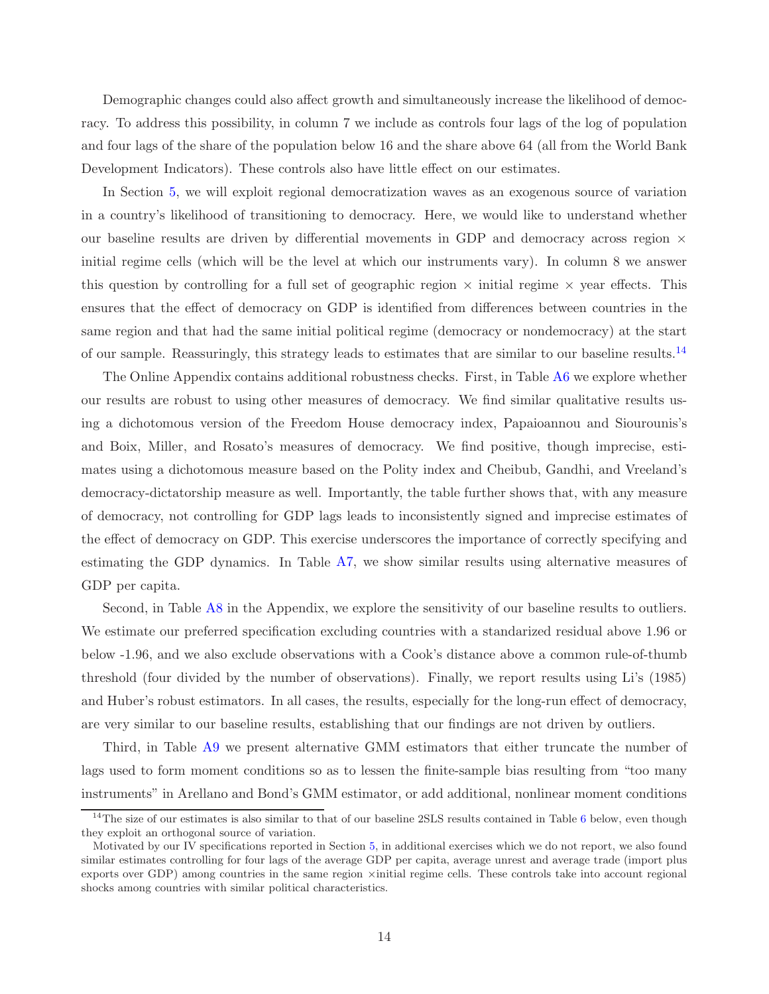Demographic changes could also affect growth and simultaneously increase the likelihood of democracy. To address this possibility, in column 7 we include as controls four lags of the log of population and four lags of the share of the population below 16 and the share above 64 (all from the World Bank Development Indicators). These controls also have little effect on our estimates.

In Section [5,](#page-52-0) we will exploit regional democratization waves as an exogenous source of variation in a country's likelihood of transitioning to democracy. Here, we would like to understand whether our baseline results are driven by differential movements in GDP and democracy across region  $\times$ initial regime cells (which will be the level at which our instruments vary). In column 8 we answer this question by controlling for a full set of geographic region  $\times$  initial regime  $\times$  year effects. This ensures that the effect of democracy on GDP is identified from differences between countries in the same region and that had the same initial political regime (democracy or nondemocracy) at the start of our sample. Reassuringly, this strategy leads to estimates that are similar to our baseline results.<sup>[14](#page-14-0)</sup>

The Online Appendix contains additional robustness checks. First, in Table [A6](#page-68-0) we explore whether our results are robust to using other measures of democracy. We find similar qualitative results using a dichotomous version of the Freedom House democracy index, Papaioannou and Siourounis's and Boix, Miller, and Rosato's measures of democracy. We find positive, though imprecise, estimates using a dichotomous measure based on the Polity index and Cheibub, Gandhi, and Vreeland's democracy-dictatorship measure as well. Importantly, the table further shows that, with any measure of democracy, not controlling for GDP lags leads to inconsistently signed and imprecise estimates of the effect of democracy on GDP. This exercise underscores the importance of correctly specifying and estimating the GDP dynamics. In Table [A7,](#page-69-0) we show similar results using alternative measures of GDP per capita.

Second, in Table [A8](#page-70-0) in the Appendix, we explore the sensitivity of our baseline results to outliers. We estimate our preferred specification excluding countries with a standarized residual above 1.96 or below -1.96, and we also exclude observations with a Cook's distance above a common rule-of-thumb threshold (four divided by the number of observations). Finally, we report results using Li's (1985) and Huber's robust estimators. In all cases, the results, especially for the long-run effect of democracy, are very similar to our baseline results, establishing that our findings are not driven by outliers.

Third, in Table [A9](#page-71-0) we present alternative GMM estimators that either truncate the number of lags used to form moment conditions so as to lessen the finite-sample bias resulting from "too many instruments" in Arellano and Bond's GMM estimator, or add additional, nonlinear moment conditions

<span id="page-14-0"></span><sup>&</sup>lt;sup>14</sup>The size of our estimates is also similar to that of our baseline 2SLS results contained in Table  $6$  below, even though they exploit an orthogonal source of variation.

Motivated by our IV specifications reported in Section [5,](#page-52-0) in additional exercises which we do not report, we also found similar estimates controlling for four lags of the average GDP per capita, average unrest and average trade (import plus exports over GDP) among countries in the same region ×initial regime cells. These controls take into account regional shocks among countries with similar political characteristics.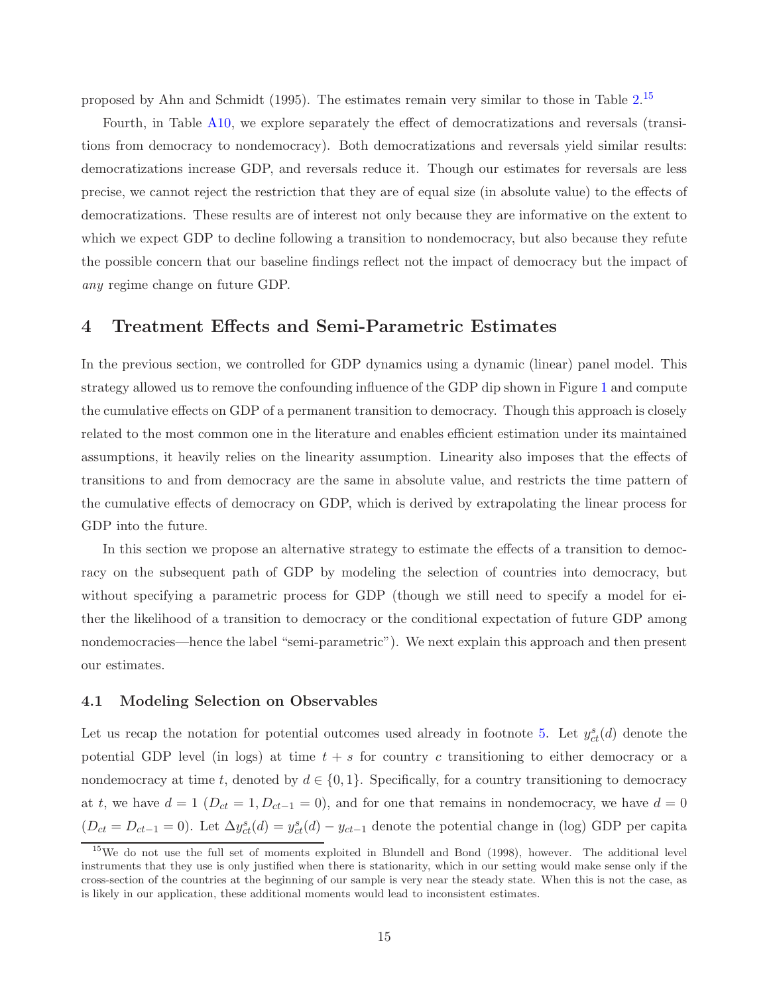proposed by Ahn and Schmidt (1995). The estimates remain very similar to those in Table [2.](#page-35-0)<sup>[15](#page-15-0)</sup>

Fourth, in Table [A10,](#page-72-0) we explore separately the effect of democratizations and reversals (transitions from democracy to nondemocracy). Both democratizations and reversals yield similar results: democratizations increase GDP, and reversals reduce it. Though our estimates for reversals are less precise, we cannot reject the restriction that they are of equal size (in absolute value) to the effects of democratizations. These results are of interest not only because they are informative on the extent to which we expect GDP to decline following a transition to nondemocracy, but also because they refute the possible concern that our baseline findings reflect not the impact of democracy but the impact of *any* regime change on future GDP.

# 4 Treatment Effects and Semi-Parametric Estimates

In the previous section, we controlled for GDP dynamics using a dynamic (linear) panel model. This strategy allowed us to remove the confounding influence of the GDP dip shown in Figure [1](#page-42-0) and compute the cumulative effects on GDP of a permanent transition to democracy. Though this approach is closely related to the most common one in the literature and enables efficient estimation under its maintained assumptions, it heavily relies on the linearity assumption. Linearity also imposes that the effects of transitions to and from democracy are the same in absolute value, and restricts the time pattern of the cumulative effects of democracy on GDP, which is derived by extrapolating the linear process for GDP into the future.

In this section we propose an alternative strategy to estimate the effects of a transition to democracy on the subsequent path of GDP by modeling the selection of countries into democracy, but without specifying a parametric process for GDP (though we still need to specify a model for either the likelihood of a transition to democracy or the conditional expectation of future GDP among nondemocracies—hence the label "semi-parametric"). We next explain this approach and then present our estimates.

#### 4.1 Modeling Selection on Observables

Let us recap the notation for potential outcomes used already in footnote [5.](#page-8-0) Let  $y_{ct}^s(d)$  denote the potential GDP level (in logs) at time  $t + s$  for country c transitioning to either democracy or a nondemocracy at time t, denoted by  $d \in \{0, 1\}$ . Specifically, for a country transitioning to democracy at t, we have  $d = 1$  ( $D_{ct} = 1, D_{ct-1} = 0$ ), and for one that remains in nondemocracy, we have  $d = 0$  $(D_{ct} = D_{ct-1} = 0)$ . Let  $\Delta y_{ct}^s(d) = y_{ct}^s(d) - y_{ct-1}$  denote the potential change in (log) GDP per capital

<span id="page-15-0"></span><sup>&</sup>lt;sup>15</sup>We do not use the full set of moments exploited in Blundell and Bond (1998), however. The additional level instruments that they use is only justified when there is stationarity, which in our setting would make sense only if the cross-section of the countries at the beginning of our sample is very near the steady state. When this is not the case, as is likely in our application, these additional moments would lead to inconsistent estimates.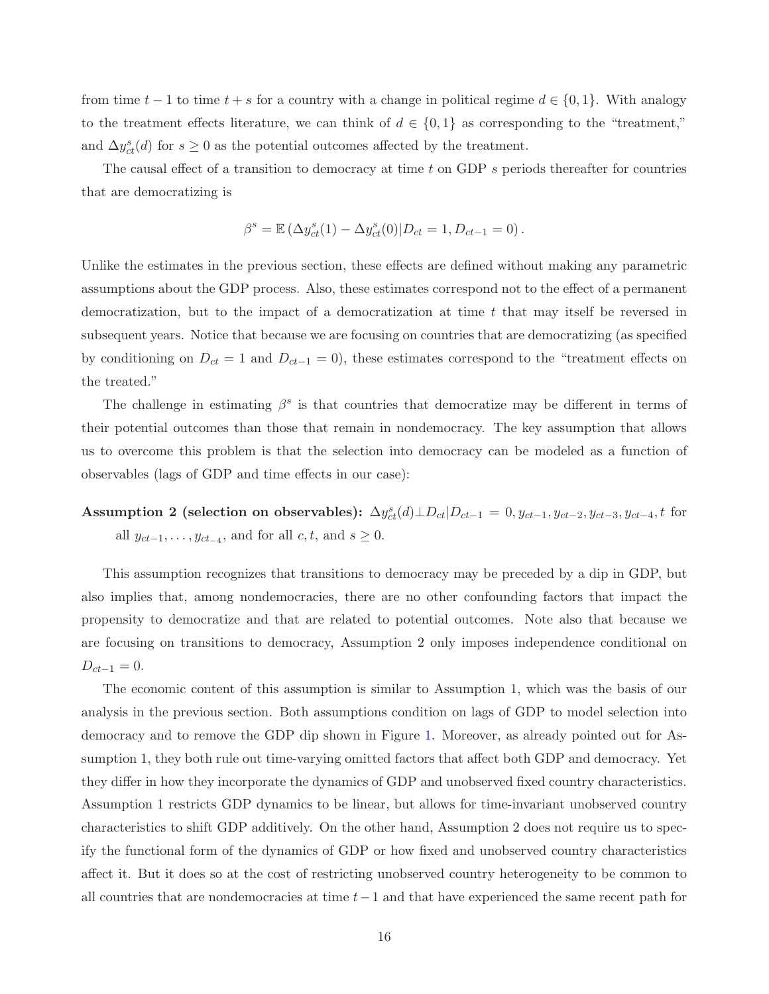from time  $t-1$  to time  $t+s$  for a country with a change in political regime  $d \in \{0,1\}$ . With analogy to the treatment effects literature, we can think of  $d \in \{0,1\}$  as corresponding to the "treatment," and  $\Delta y_{ct}^s(d)$  for  $s \geq 0$  as the potential outcomes affected by the treatment.

The causal effect of a transition to democracy at time t on GDP s periods thereafter for countries that are democratizing is

$$
\beta^{s} = \mathbb{E} (\Delta y_{ct}^{s}(1) - \Delta y_{ct}^{s}(0) | D_{ct} = 1, D_{ct-1} = 0).
$$

Unlike the estimates in the previous section, these effects are defined without making any parametric assumptions about the GDP process. Also, these estimates correspond not to the effect of a permanent democratization, but to the impact of a democratization at time t that may itself be reversed in subsequent years. Notice that because we are focusing on countries that are democratizing (as specified by conditioning on  $D_{ct} = 1$  and  $D_{ct-1} = 0$ , these estimates correspond to the "treatment effects on the treated."

The challenge in estimating  $\beta^s$  is that countries that democratize may be different in terms of their potential outcomes than those that remain in nondemocracy. The key assumption that allows us to overcome this problem is that the selection into democracy can be modeled as a function of observables (lags of GDP and time effects in our case):

Assumption 2 (selection on observables):  $\Delta y_{ct}^s(d) \perp D_{ct}|D_{ct-1} = 0, y_{ct-1}, y_{ct-2}, y_{ct-3}, y_{ct-4}, t$  for all  $y_{ct-1}, \ldots, y_{ct_{-4}}$ , and for all  $c, t$ , and  $s \geq 0$ .

This assumption recognizes that transitions to democracy may be preceded by a dip in GDP, but also implies that, among nondemocracies, there are no other confounding factors that impact the propensity to democratize and that are related to potential outcomes. Note also that because we are focusing on transitions to democracy, Assumption 2 only imposes independence conditional on  $D_{ct-1} = 0.$ 

The economic content of this assumption is similar to Assumption 1, which was the basis of our analysis in the previous section. Both assumptions condition on lags of GDP to model selection into democracy and to remove the GDP dip shown in Figure [1.](#page-42-0) Moreover, as already pointed out for Assumption 1, they both rule out time-varying omitted factors that affect both GDP and democracy. Yet they differ in how they incorporate the dynamics of GDP and unobserved fixed country characteristics. Assumption 1 restricts GDP dynamics to be linear, but allows for time-invariant unobserved country characteristics to shift GDP additively. On the other hand, Assumption 2 does not require us to specify the functional form of the dynamics of GDP or how fixed and unobserved country characteristics affect it. But it does so at the cost of restricting unobserved country heterogeneity to be common to all countries that are nondemocracies at time  $t-1$  and that have experienced the same recent path for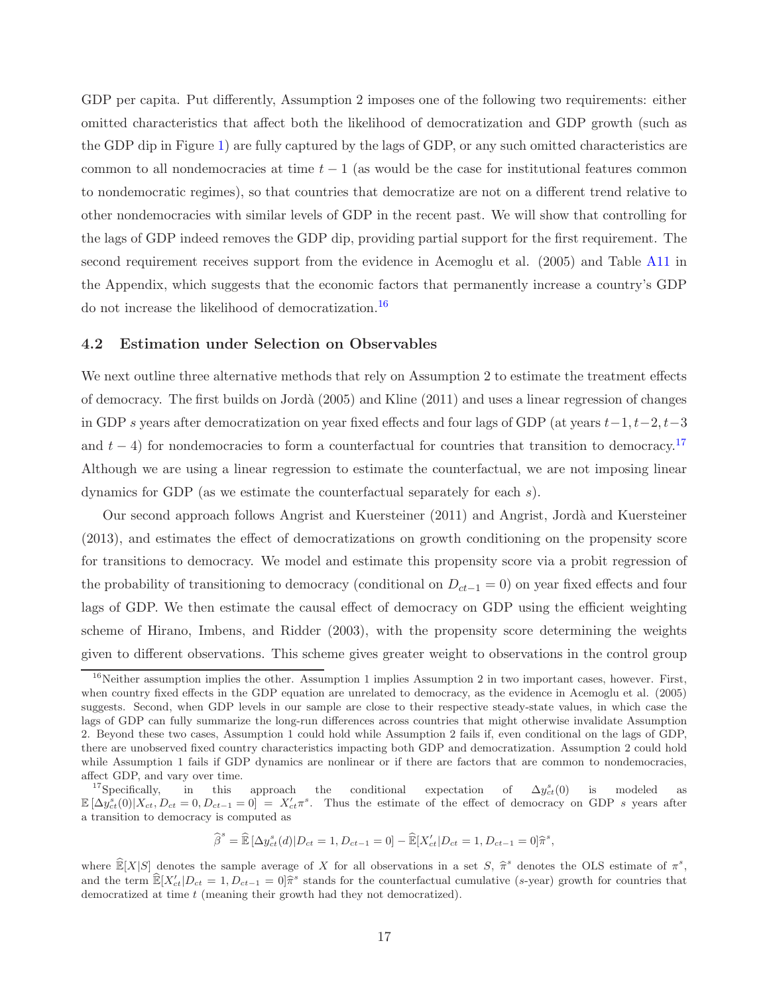GDP per capita. Put differently, Assumption 2 imposes one of the following two requirements: either omitted characteristics that affect both the likelihood of democratization and GDP growth (such as the GDP dip in Figure [1\)](#page-42-0) are fully captured by the lags of GDP, or any such omitted characteristics are common to all nondemocracies at time  $t-1$  (as would be the case for institutional features common to nondemocratic regimes), so that countries that democratize are not on a different trend relative to other nondemocracies with similar levels of GDP in the recent past. We will show that controlling for the lags of GDP indeed removes the GDP dip, providing partial support for the first requirement. The second requirement receives support from the evidence in Acemoglu et al. (2005) and Table [A11](#page-73-0) in the Appendix, which suggests that the economic factors that permanently increase a country's GDP do not increase the likelihood of democratization.[16](#page-17-0)

#### 4.2 Estimation under Selection on Observables

We next outline three alternative methods that rely on Assumption 2 to estimate the treatment effects of democracy. The first builds on Jord`a (2005) and Kline (2011) and uses a linear regression of changes in GDP s years after democratization on year fixed effects and four lags of GDP (at years  $t-1, t-2, t-3$ and  $t - 4$ ) for nondemocracies to form a counterfactual for countries that transition to democracy.<sup>[17](#page-17-1)</sup> Although we are using a linear regression to estimate the counterfactual, we are not imposing linear dynamics for GDP (as we estimate the counterfactual separately for each s).

Our second approach follows Angrist and Kuersteiner (2011) and Angrist, Jord`a and Kuersteiner (2013), and estimates the effect of democratizations on growth conditioning on the propensity score for transitions to democracy. We model and estimate this propensity score via a probit regression of the probability of transitioning to democracy (conditional on  $D_{ct-1} = 0$ ) on year fixed effects and four lags of GDP. We then estimate the causal effect of democracy on GDP using the efficient weighting scheme of Hirano, Imbens, and Ridder (2003), with the propensity score determining the weights given to different observations. This scheme gives greater weight to observations in the control group

$$
\widehat{\beta}^s = \widehat{\mathbb{E}}\left[\Delta y_{ct}^s(d)|D_{ct} = 1, D_{ct-1} = 0\right] - \widehat{\mathbb{E}}[X_{ct}'|D_{ct} = 1, D_{ct-1} = 0]\widehat{\pi}^s,
$$

<span id="page-17-0"></span> $16$ Neither assumption implies the other. Assumption 1 implies Assumption 2 in two important cases, however. First, when country fixed effects in the GDP equation are unrelated to democracy, as the evidence in Acemoglu et al. (2005) suggests. Second, when GDP levels in our sample are close to their respective steady-state values, in which case the lags of GDP can fully summarize the long-run differences across countries that might otherwise invalidate Assumption 2. Beyond these two cases, Assumption 1 could hold while Assumption 2 fails if, even conditional on the lags of GDP, there are unobserved fixed country characteristics impacting both GDP and democratization. Assumption 2 could hold while Assumption 1 fails if GDP dynamics are nonlinear or if there are factors that are common to nondemocracies, affect GDP, and vary over time.

<span id="page-17-1"></span> $17$ Specifically, in this approach the conditional expectation of  $s_{ct}^s(0)$  is modeled as  $\mathbb{E}[\Delta y_{ct}^s(0)|X_{ct}, D_{ct}=0, D_{ct-1}=0] = X'_{ct}\pi^s$ . Thus the estimate of the effect of democracy on GDP s years after a transition to democracy is computed as

where  $\widehat{\mathbb{E}}[X|S]$  denotes the sample average of X for all observations in a set  $S$ ,  $\widehat{\pi}^s$  denotes the OLS estimate of  $\pi^s$ , and the term  $\mathbb{E}[X'_{ct}|D_{ct} = 1, D_{ct-1} = 0]\hat{\pi}^s$  stands for the counterfactual cumulative (s-year) growth for countries that democratized at time t (meaning their growth had they not democratized).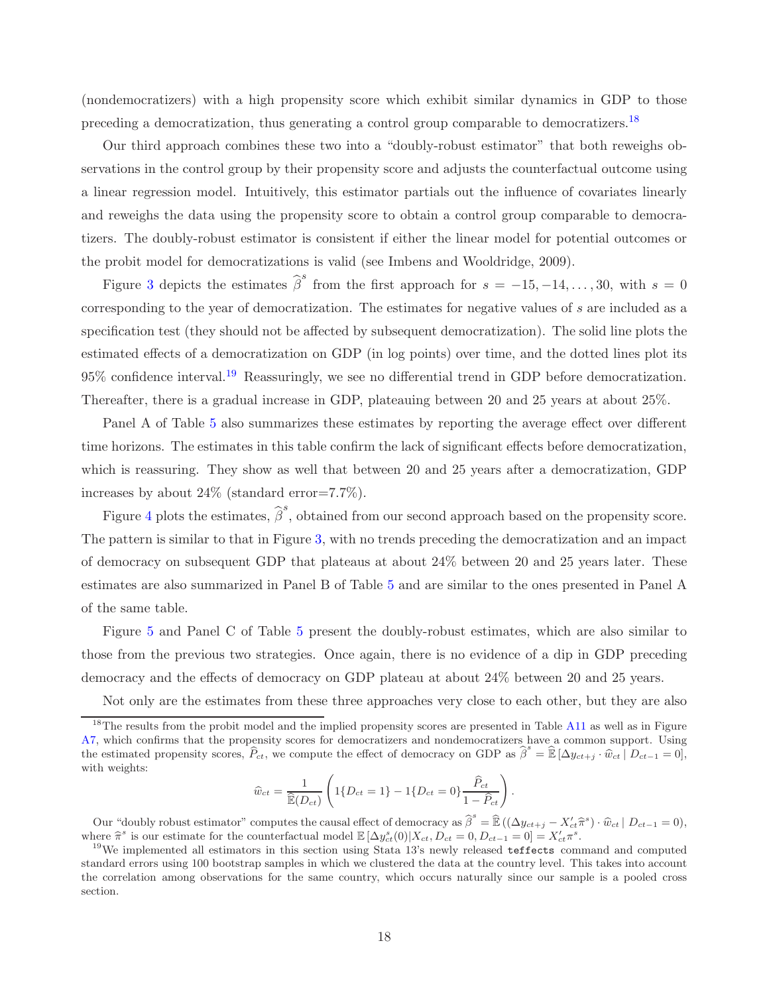(nondemocratizers) with a high propensity score which exhibit similar dynamics in GDP to those preceding a democratization, thus generating a control group comparable to democratizers.<sup>[18](#page-18-0)</sup>

Our third approach combines these two into a "doubly-robust estimator" that both reweighs observations in the control group by their propensity score and adjusts the counterfactual outcome using a linear regression model. Intuitively, this estimator partials out the influence of covariates linearly and reweighs the data using the propensity score to obtain a control group comparable to democratizers. The doubly-robust estimator is consistent if either the linear model for potential outcomes or the probit model for democratizations is valid (see Imbens and Wooldridge, 2009).

Figure [3](#page-43-0) depicts the estimates  $\hat{\beta}^s$  from the first approach for  $s = -15, -14, \ldots, 30$ , with  $s = 0$ corresponding to the year of democratization. The estimates for negative values of s are included as a specification test (they should not be affected by subsequent democratization). The solid line plots the estimated effects of a democratization on GDP (in log points) over time, and the dotted lines plot its  $95\%$  confidence interval.<sup>[19](#page-18-1)</sup> Reassuringly, we see no differential trend in GDP before democratization. Thereafter, there is a gradual increase in GDP, plateauing between 20 and 25 years at about 25%.

Panel A of Table [5](#page-38-0) also summarizes these estimates by reporting the average effect over different time horizons. The estimates in this table confirm the lack of significant effects before democratization, which is reassuring. They show as well that between 20 and 25 years after a democratization, GDP increases by about  $24\%$  (standard error=7.7%).

Figure [4](#page-43-1) plots the estimates,  $\widehat{\beta}^s$ , obtained from our second approach based on the propensity score. The pattern is similar to that in Figure [3,](#page-43-0) with no trends preceding the democratization and an impact of democracy on subsequent GDP that plateaus at about 24% between 20 and 25 years later. These estimates are also summarized in Panel B of Table [5](#page-38-0) and are similar to the ones presented in Panel A of the same table.

Figure [5](#page-44-0) and Panel C of Table [5](#page-38-0) present the doubly-robust estimates, which are also similar to those from the previous two strategies. Once again, there is no evidence of a dip in GDP preceding democracy and the effects of democracy on GDP plateau at about 24% between 20 and 25 years.

Not only are the estimates from these three approaches very close to each other, but they are also

$$
\widehat{w}_{ct} = \frac{1}{\widehat{\mathbb{E}}(D_{ct})} \left( 1\{D_{ct} = 1\} - 1\{D_{ct} = 0\} \frac{\widehat{P}_{ct}}{1 - \widehat{P}_{ct}} \right).
$$

Our "doubly robust estimator" computes the causal effect of democracy as  $\hat{\beta}^s = \hat{\mathbb{E}}((\Delta y_{ct+j} - X_{ct}^t \hat{\pi}^s) \cdot \hat{w}_{ct} | D_{ct-1} = 0),$ where  $\hat{\pi}^s$  is our estimate for the counterfactual model  $\mathbb{E}[\Delta y_{ct}^s(0)|X_{ct}, D_{ct} = 0, D_{ct-1} = 0] = X'_{ct}\pi^s$ .

<span id="page-18-0"></span><sup>&</sup>lt;sup>18</sup>The results from the probit model and the implied propensity scores are presented in Table [A11](#page-73-0) as well as in Figure [A7,](#page-84-0) which confirms that the propensity scores for democratizers and nondemocratizers have a common support. Using the estimated propensity scores,  $\widehat{P}_{ct}$ , we compute the effect of democracy on GDP as  $\widehat{\beta}^s = \widehat{\mathbb{E}}\left[\Delta y_{ct+j} \cdot \widehat{w}_{ct} \mid D_{ct-1} = 0\right]$ with weights:

<span id="page-18-1"></span><sup>&</sup>lt;sup>19</sup>We implemented all estimators in this section using Stata 13's newly released teffects command and computed standard errors using 100 bootstrap samples in which we clustered the data at the country level. This takes into account the correlation among observations for the same country, which occurs naturally since our sample is a pooled cross section.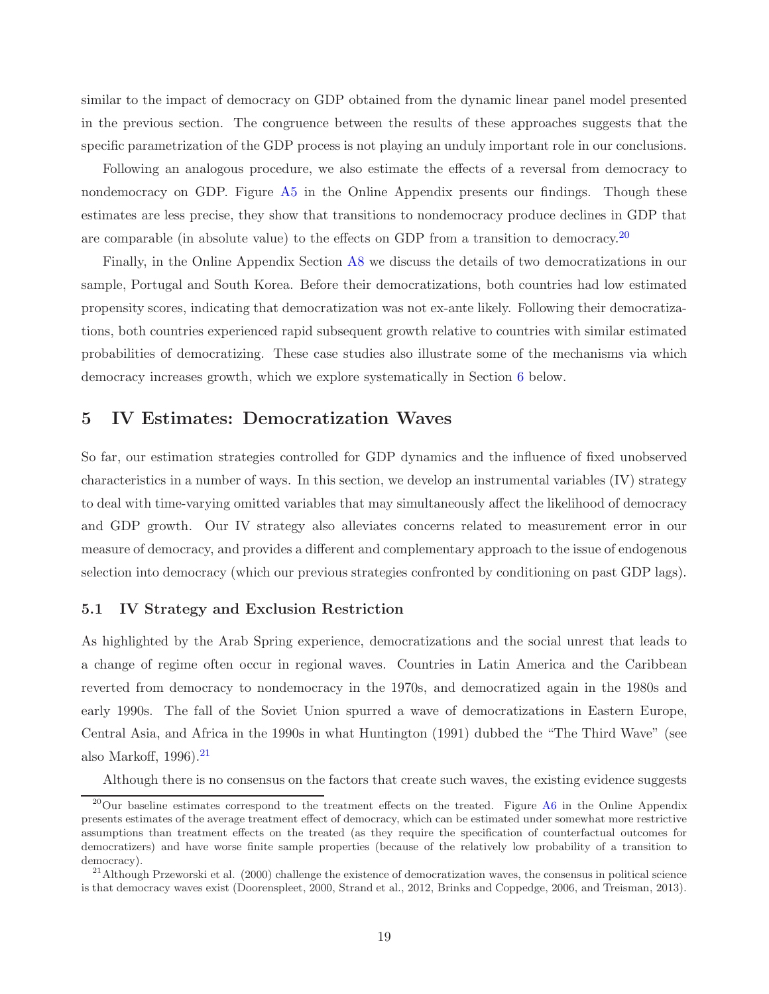similar to the impact of democracy on GDP obtained from the dynamic linear panel model presented in the previous section. The congruence between the results of these approaches suggests that the specific parametrization of the GDP process is not playing an unduly important role in our conclusions.

Following an analogous procedure, we also estimate the effects of a reversal from democracy to nondemocracy on GDP. Figure [A5](#page-82-0) in the Online Appendix presents our findings. Though these estimates are less precise, they show that transitions to nondemocracy produce declines in GDP that are comparable (in absolute value) to the effects on GDP from a transition to democracy.<sup>[20](#page-19-0)</sup>

Finally, in the Online Appendix Section [A8](#page-57-0) we discuss the details of two democratizations in our sample, Portugal and South Korea. Before their democratizations, both countries had low estimated propensity scores, indicating that democratization was not ex-ante likely. Following their democratizations, both countries experienced rapid subsequent growth relative to countries with similar estimated probabilities of democratizing. These case studies also illustrate some of the mechanisms via which democracy increases growth, which we explore systematically in Section [6](#page-53-0) below.

### 5 IV Estimates: Democratization Waves

So far, our estimation strategies controlled for GDP dynamics and the influence of fixed unobserved characteristics in a number of ways. In this section, we develop an instrumental variables (IV) strategy to deal with time-varying omitted variables that may simultaneously affect the likelihood of democracy and GDP growth. Our IV strategy also alleviates concerns related to measurement error in our measure of democracy, and provides a different and complementary approach to the issue of endogenous selection into democracy (which our previous strategies confronted by conditioning on past GDP lags).

#### 5.1 IV Strategy and Exclusion Restriction

As highlighted by the Arab Spring experience, democratizations and the social unrest that leads to a change of regime often occur in regional waves. Countries in Latin America and the Caribbean reverted from democracy to nondemocracy in the 1970s, and democratized again in the 1980s and early 1990s. The fall of the Soviet Union spurred a wave of democratizations in Eastern Europe, Central Asia, and Africa in the 1990s in what Huntington (1991) dubbed the "The Third Wave" (see also Markoff, 1996). $^{21}$  $^{21}$  $^{21}$ 

Although there is no consensus on the factors that create such waves, the existing evidence suggests

<span id="page-19-0"></span> $^{20}$ Our baseline estimates correspond to the treatment effects on the treated. Figure [A6](#page-83-0) in the Online Appendix presents estimates of the average treatment effect of democracy, which can be estimated under somewhat more restrictive assumptions than treatment effects on the treated (as they require the specification of counterfactual outcomes for democratizers) and have worse finite sample properties (because of the relatively low probability of a transition to democracy).

<span id="page-19-1"></span> $^{21}$ Although Przeworski et al. (2000) challenge the existence of democratization waves, the consensus in political science is that democracy waves exist (Doorenspleet, 2000, Strand et al., 2012, Brinks and Coppedge, 2006, and Treisman, 2013).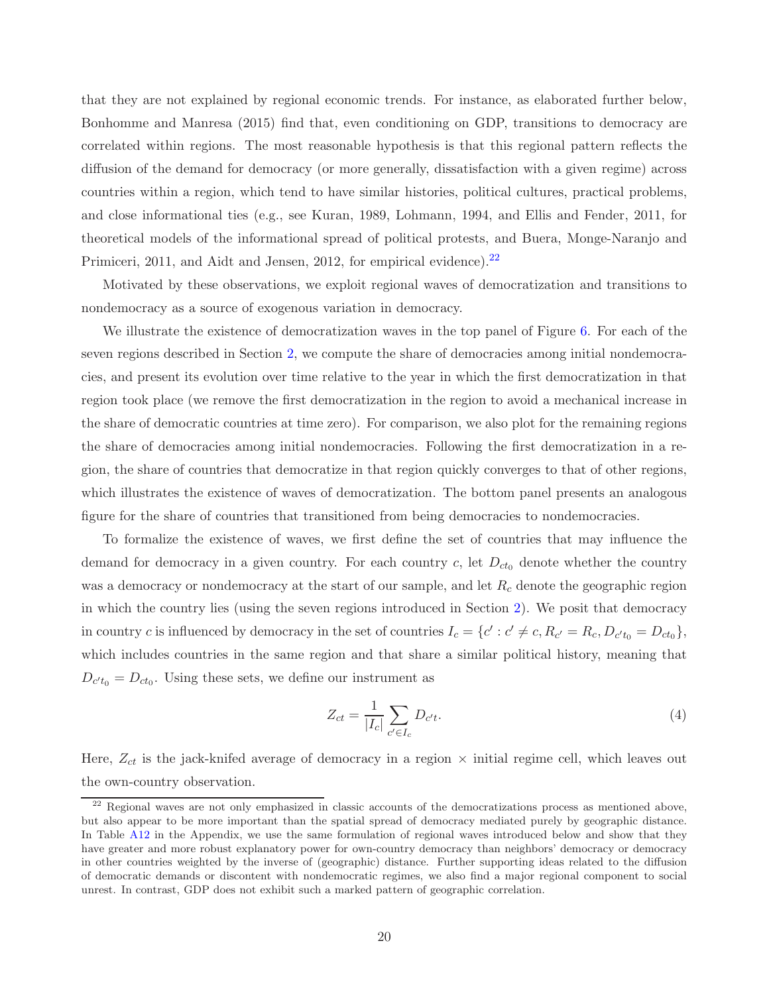that they are not explained by regional economic trends. For instance, as elaborated further below, Bonhomme and Manresa (2015) find that, even conditioning on GDP, transitions to democracy are correlated within regions. The most reasonable hypothesis is that this regional pattern reflects the diffusion of the demand for democracy (or more generally, dissatisfaction with a given regime) across countries within a region, which tend to have similar histories, political cultures, practical problems, and close informational ties (e.g., see Kuran, 1989, Lohmann, 1994, and Ellis and Fender, 2011, for theoretical models of the informational spread of political protests, and Buera, Monge-Naranjo and Primiceri, 2011, and Aidt and Jensen, 2012, for empirical evidence). $^{22}$  $^{22}$  $^{22}$ 

Motivated by these observations, we exploit regional waves of democratization and transitions to nondemocracy as a source of exogenous variation in democracy.

We illustrate the existence of democratization waves in the top panel of Figure [6.](#page-45-0) For each of the seven regions described in Section [2,](#page-50-0) we compute the share of democracies among initial nondemocracies, and present its evolution over time relative to the year in which the first democratization in that region took place (we remove the first democratization in the region to avoid a mechanical increase in the share of democratic countries at time zero). For comparison, we also plot for the remaining regions the share of democracies among initial nondemocracies. Following the first democratization in a region, the share of countries that democratize in that region quickly converges to that of other regions, which illustrates the existence of waves of democratization. The bottom panel presents an analogous figure for the share of countries that transitioned from being democracies to nondemocracies.

To formalize the existence of waves, we first define the set of countries that may influence the demand for democracy in a given country. For each country  $c$ , let  $D_{ct_0}$  denote whether the country was a democracy or nondemocracy at the start of our sample, and let  $R_c$  denote the geographic region in which the country lies (using the seven regions introduced in Section [2\)](#page-50-0). We posit that democracy in country c is influenced by democracy in the set of countries  $I_c = \{c' : c' \neq c, R_{c'} = R_c, D_{c't_0} = D_{ct_0}\}\,$ which includes countries in the same region and that share a similar political history, meaning that  $D_{c't_0} = D_{ct_0}$ . Using these sets, we define our instrument as

<span id="page-20-1"></span>
$$
Z_{ct} = \frac{1}{|I_c|} \sum_{c' \in I_c} D_{c't}.\tag{4}
$$

Here,  $Z_{ct}$  is the jack-knifed average of democracy in a region  $\times$  initial regime cell, which leaves out the own-country observation.

<span id="page-20-0"></span> $^{22}$  Regional waves are not only emphasized in classic accounts of the democratizations process as mentioned above, but also appear to be more important than the spatial spread of democracy mediated purely by geographic distance. In Table [A12](#page-74-0) in the Appendix, we use the same formulation of regional waves introduced below and show that they have greater and more robust explanatory power for own-country democracy than neighbors' democracy or democracy in other countries weighted by the inverse of (geographic) distance. Further supporting ideas related to the diffusion of democratic demands or discontent with nondemocratic regimes, we also find a major regional component to social unrest. In contrast, GDP does not exhibit such a marked pattern of geographic correlation.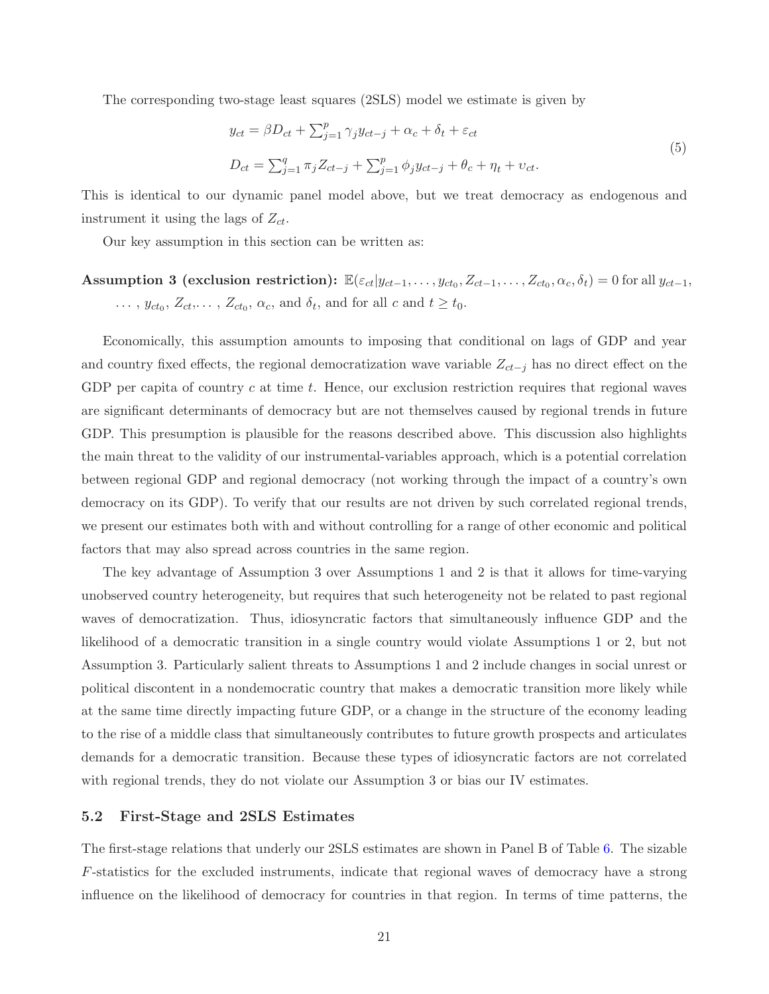The corresponding two-stage least squares (2SLS) model we estimate is given by

<span id="page-21-0"></span>
$$
y_{ct} = \beta D_{ct} + \sum_{j=1}^{p} \gamma_j y_{ct-j} + \alpha_c + \delta_t + \varepsilon_{ct}
$$
  
\n
$$
D_{ct} = \sum_{j=1}^{q} \pi_j Z_{ct-j} + \sum_{j=1}^{p} \phi_j y_{ct-j} + \theta_c + \eta_t + v_{ct}.
$$
\n(5)

This is identical to our dynamic panel model above, but we treat democracy as endogenous and instrument it using the lags of  $Z_{ct}$ .

Our key assumption in this section can be written as:

Assumption 3 (exclusion restriction):  $\mathbb{E}(\varepsilon_{ct}|y_{ct-1},\ldots,y_{ct_0},Z_{ct-1},\ldots,Z_{ct_0},\alpha_c,\delta_t)=0$  for all  $y_{ct-1}$ ,  $\dots$ ,  $y_{ct_0}$ ,  $Z_{ct_0}$ , ...,  $Z_{ct_0}$ ,  $\alpha_c$ , and  $\delta_t$ , and for all c and  $t \geq t_0$ .

Economically, this assumption amounts to imposing that conditional on lags of GDP and year and country fixed effects, the regional democratization wave variable  $Z_{ct-j}$  has no direct effect on the GDP per capita of country c at time t. Hence, our exclusion restriction requires that regional waves are significant determinants of democracy but are not themselves caused by regional trends in future GDP. This presumption is plausible for the reasons described above. This discussion also highlights the main threat to the validity of our instrumental-variables approach, which is a potential correlation between regional GDP and regional democracy (not working through the impact of a country's own democracy on its GDP). To verify that our results are not driven by such correlated regional trends, we present our estimates both with and without controlling for a range of other economic and political factors that may also spread across countries in the same region.

The key advantage of Assumption 3 over Assumptions 1 and 2 is that it allows for time-varying unobserved country heterogeneity, but requires that such heterogeneity not be related to past regional waves of democratization. Thus, idiosyncratic factors that simultaneously influence GDP and the likelihood of a democratic transition in a single country would violate Assumptions 1 or 2, but not Assumption 3. Particularly salient threats to Assumptions 1 and 2 include changes in social unrest or political discontent in a nondemocratic country that makes a democratic transition more likely while at the same time directly impacting future GDP, or a change in the structure of the economy leading to the rise of a middle class that simultaneously contributes to future growth prospects and articulates demands for a democratic transition. Because these types of idiosyncratic factors are not correlated with regional trends, they do not violate our Assumption 3 or bias our IV estimates.

### 5.2 First-Stage and 2SLS Estimates

The first-stage relations that underly our 2SLS estimates are shown in Panel B of Table [6.](#page-39-0) The sizable F-statistics for the excluded instruments, indicate that regional waves of democracy have a strong influence on the likelihood of democracy for countries in that region. In terms of time patterns, the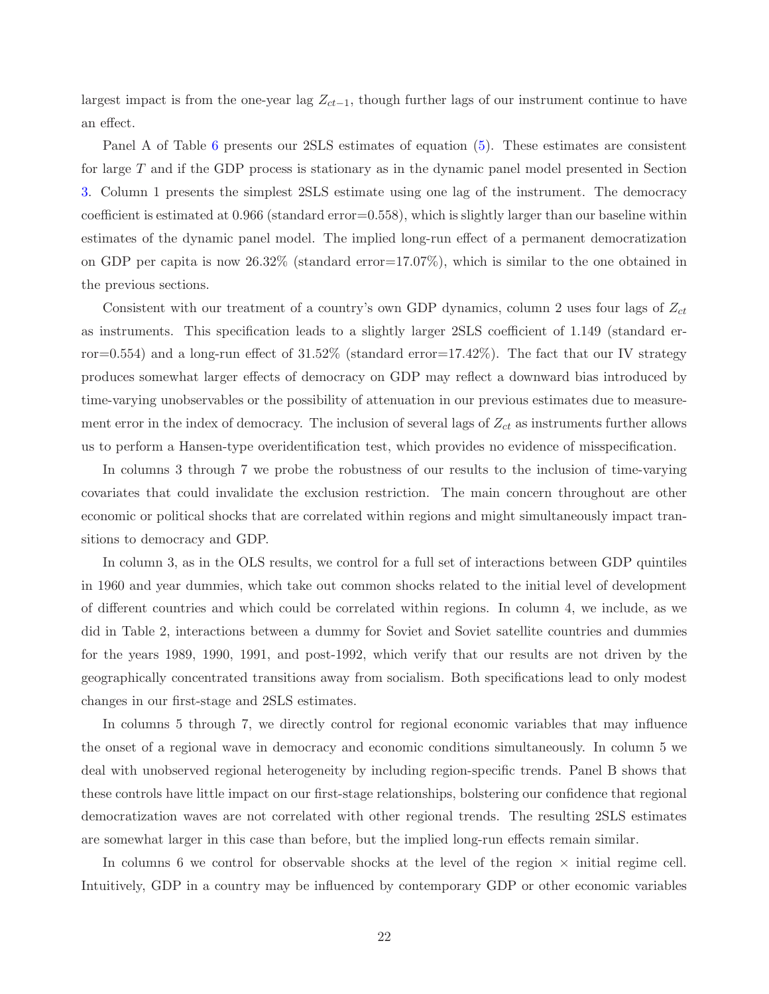largest impact is from the one-year lag  $Z_{ct-1}$ , though further lags of our instrument continue to have an effect.

Panel A of Table [6](#page-39-0) presents our 2SLS estimates of equation  $(5)$ . These estimates are consistent for large T and if the GDP process is stationary as in the dynamic panel model presented in Section [3.](#page-50-1) Column 1 presents the simplest 2SLS estimate using one lag of the instrument. The democracy coefficient is estimated at 0.966 (standard error=0.558), which is slightly larger than our baseline within estimates of the dynamic panel model. The implied long-run effect of a permanent democratization on GDP per capita is now  $26.32\%$  (standard error=17.07%), which is similar to the one obtained in the previous sections.

Consistent with our treatment of a country's own GDP dynamics, column 2 uses four lags of  $Z_{ct}$ as instruments. This specification leads to a slightly larger 2SLS coefficient of 1.149 (standard error=0.554) and a long-run effect of  $31.52\%$  (standard error=17.42%). The fact that our IV strategy produces somewhat larger effects of democracy on GDP may reflect a downward bias introduced by time-varying unobservables or the possibility of attenuation in our previous estimates due to measurement error in the index of democracy. The inclusion of several lags of  $Z_{ct}$  as instruments further allows us to perform a Hansen-type overidentification test, which provides no evidence of misspecification.

In columns 3 through 7 we probe the robustness of our results to the inclusion of time-varying covariates that could invalidate the exclusion restriction. The main concern throughout are other economic or political shocks that are correlated within regions and might simultaneously impact transitions to democracy and GDP.

In column 3, as in the OLS results, we control for a full set of interactions between GDP quintiles in 1960 and year dummies, which take out common shocks related to the initial level of development of different countries and which could be correlated within regions. In column 4, we include, as we did in Table 2, interactions between a dummy for Soviet and Soviet satellite countries and dummies for the years 1989, 1990, 1991, and post-1992, which verify that our results are not driven by the geographically concentrated transitions away from socialism. Both specifications lead to only modest changes in our first-stage and 2SLS estimates.

In columns 5 through 7, we directly control for regional economic variables that may influence the onset of a regional wave in democracy and economic conditions simultaneously. In column 5 we deal with unobserved regional heterogeneity by including region-specific trends. Panel B shows that these controls have little impact on our first-stage relationships, bolstering our confidence that regional democratization waves are not correlated with other regional trends. The resulting 2SLS estimates are somewhat larger in this case than before, but the implied long-run effects remain similar.

In columns 6 we control for observable shocks at the level of the region  $\times$  initial regime cell. Intuitively, GDP in a country may be influenced by contemporary GDP or other economic variables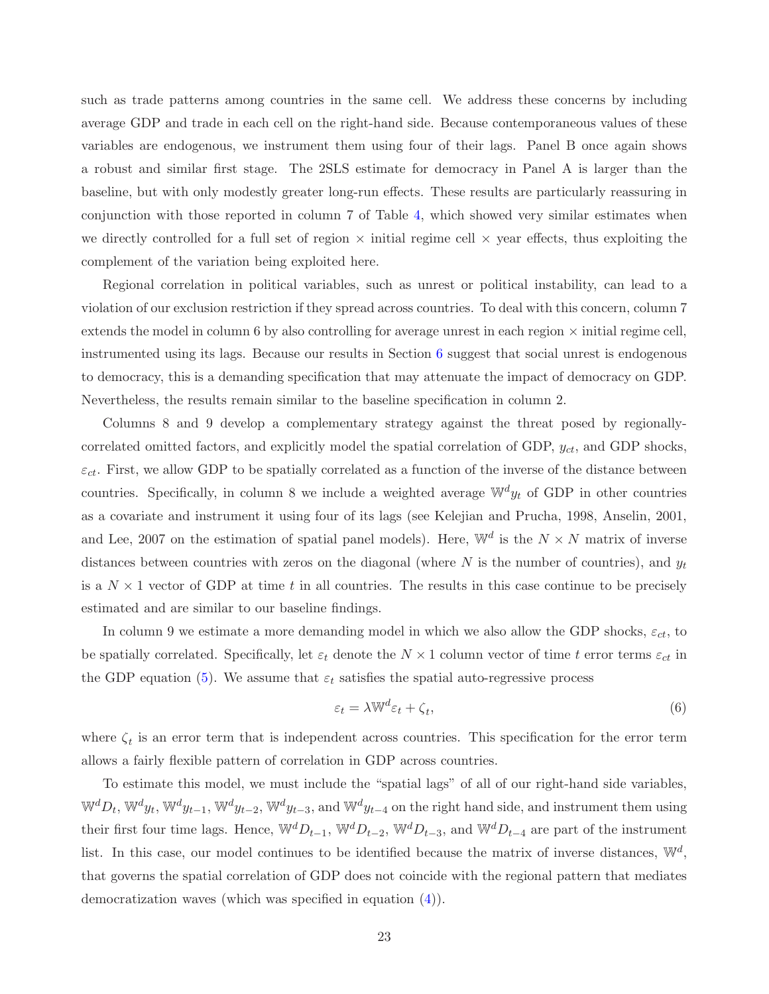such as trade patterns among countries in the same cell. We address these concerns by including average GDP and trade in each cell on the right-hand side. Because contemporaneous values of these variables are endogenous, we instrument them using four of their lags. Panel B once again shows a robust and similar first stage. The 2SLS estimate for democracy in Panel A is larger than the baseline, but with only modestly greater long-run effects. These results are particularly reassuring in conjunction with those reported in column 7 of Table [4,](#page-37-0) which showed very similar estimates when we directly controlled for a full set of region  $\times$  initial regime cell  $\times$  year effects, thus exploiting the complement of the variation being exploited here.

Regional correlation in political variables, such as unrest or political instability, can lead to a violation of our exclusion restriction if they spread across countries. To deal with this concern, column 7 extends the model in column 6 by also controlling for average unrest in each region  $\times$  initial regime cell, instrumented using its lags. Because our results in Section [6](#page-53-0) suggest that social unrest is endogenous to democracy, this is a demanding specification that may attenuate the impact of democracy on GDP. Nevertheless, the results remain similar to the baseline specification in column 2.

Columns 8 and 9 develop a complementary strategy against the threat posed by regionallycorrelated omitted factors, and explicitly model the spatial correlation of GDP,  $y_{ct}$ , and GDP shocks,  $\varepsilon_{ct}$ . First, we allow GDP to be spatially correlated as a function of the inverse of the distance between countries. Specifically, in column 8 we include a weighted average  $\mathbb{W}^d y_t$  of GDP in other countries as a covariate and instrument it using four of its lags (see Kelejian and Prucha, 1998, Anselin, 2001, and Lee, 2007 on the estimation of spatial panel models). Here,  $\mathbb{W}^d$  is the  $N \times N$  matrix of inverse distances between countries with zeros on the diagonal (where N is the number of countries), and  $y_t$ is a  $N \times 1$  vector of GDP at time t in all countries. The results in this case continue to be precisely estimated and are similar to our baseline findings.

In column 9 we estimate a more demanding model in which we also allow the GDP shocks,  $\varepsilon_{ct}$ , to be spatially correlated. Specifically, let  $\varepsilon_t$  denote the  $N \times 1$  column vector of time t error terms  $\varepsilon_{ct}$  in the GDP equation [\(5\)](#page-21-0). We assume that  $\varepsilon_t$  satisfies the spatial auto-regressive process

$$
\varepsilon_t = \lambda \mathbb{W}^d \varepsilon_t + \zeta_t,\tag{6}
$$

where  $\zeta_t$  is an error term that is independent across countries. This specification for the error term allows a fairly flexible pattern of correlation in GDP across countries.

To estimate this model, we must include the "spatial lags" of all of our right-hand side variables,  $\mathbb{W}^dD_t$ ,  $\mathbb{W}^d y_t$ ,  $\mathbb{W}^d y_{t-1}$ ,  $\mathbb{W}^d y_{t-2}$ ,  $\mathbb{W}^d y_{t-3}$ , and  $\mathbb{W}^d y_{t-4}$  on the right hand side, and instrument them using their first four time lags. Hence,  $\mathbb{W}^d D_{t-1}$ ,  $\mathbb{W}^d D_{t-2}$ ,  $\mathbb{W}^d D_{t-3}$ , and  $\mathbb{W}^d D_{t-4}$  are part of the instrument list. In this case, our model continues to be identified because the matrix of inverse distances,  $\mathbb{W}^d$ , that governs the spatial correlation of GDP does not coincide with the regional pattern that mediates democratization waves (which was specified in equation [\(4\)](#page-20-1)).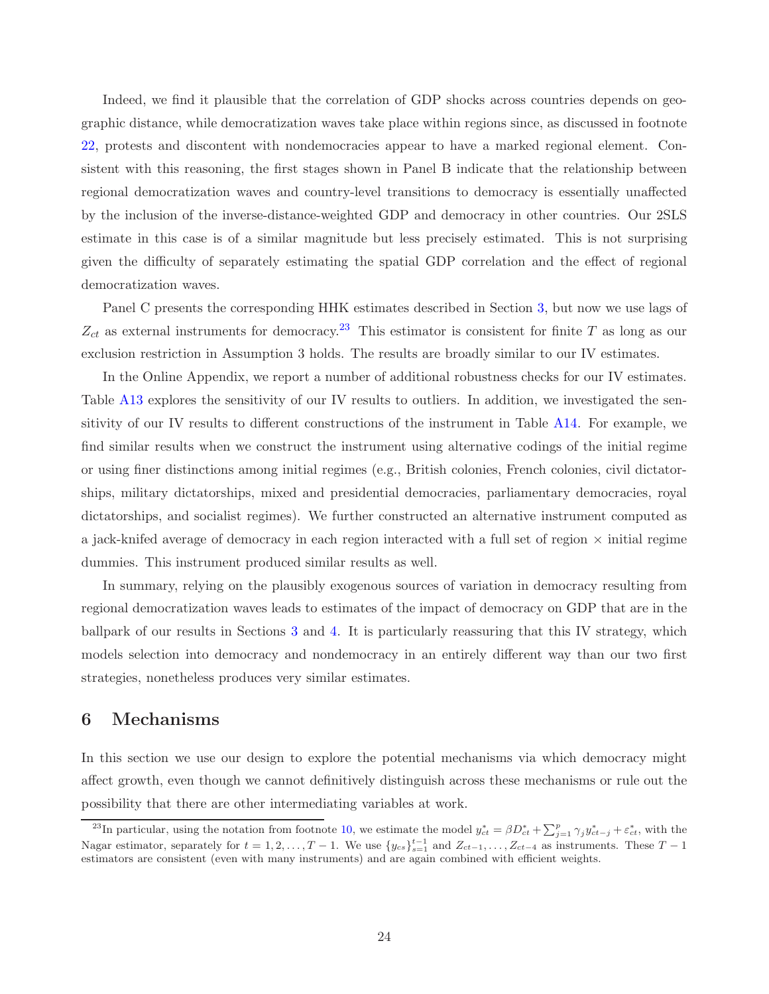Indeed, we find it plausible that the correlation of GDP shocks across countries depends on geographic distance, while democratization waves take place within regions since, as discussed in footnote [22,](#page-20-0) protests and discontent with nondemocracies appear to have a marked regional element. Consistent with this reasoning, the first stages shown in Panel B indicate that the relationship between regional democratization waves and country-level transitions to democracy is essentially unaffected by the inclusion of the inverse-distance-weighted GDP and democracy in other countries. Our 2SLS estimate in this case is of a similar magnitude but less precisely estimated. This is not surprising given the difficulty of separately estimating the spatial GDP correlation and the effect of regional democratization waves.

Panel C presents the corresponding HHK estimates described in Section [3,](#page-50-1) but now we use lags of  $Z_{ct}$  as external instruments for democracy.<sup>[23](#page-24-0)</sup> This estimator is consistent for finite T as long as our exclusion restriction in Assumption 3 holds. The results are broadly similar to our IV estimates.

In the Online Appendix, we report a number of additional robustness checks for our IV estimates. Table [A13](#page-75-0) explores the sensitivity of our IV results to outliers. In addition, we investigated the sensitivity of our IV results to different constructions of the instrument in Table [A14.](#page-76-0) For example, we find similar results when we construct the instrument using alternative codings of the initial regime or using finer distinctions among initial regimes (e.g., British colonies, French colonies, civil dictatorships, military dictatorships, mixed and presidential democracies, parliamentary democracies, royal dictatorships, and socialist regimes). We further constructed an alternative instrument computed as a jack-knifed average of democracy in each region interacted with a full set of region  $\times$  initial regime dummies. This instrument produced similar results as well.

In summary, relying on the plausibly exogenous sources of variation in democracy resulting from regional democratization waves leads to estimates of the impact of democracy on GDP that are in the ballpark of our results in Sections [3](#page-50-1) and [4.](#page-51-0) It is particularly reassuring that this IV strategy, which models selection into democracy and nondemocracy in an entirely different way than our two first strategies, nonetheless produces very similar estimates.

### 6 Mechanisms

In this section we use our design to explore the potential mechanisms via which democracy might affect growth, even though we cannot definitively distinguish across these mechanisms or rule out the possibility that there are other intermediating variables at work.

<span id="page-24-0"></span><sup>&</sup>lt;sup>23</sup>In particular, using the notation from footnote [10,](#page-11-1) we estimate the model  $y_{ct}^* = \beta D_{ct}^* + \sum_{j=1}^p \gamma_j y_{ct-j}^* + \varepsilon_{ct}^*$ , with the Nagar estimator, separately for  $t = 1, 2, ..., T-1$ . We use  $\{y_{cs}\}_{s=1}^{t-1}$  and  $Z_{ct-1}, ..., Z_{ct-4}$  as instruments. These  $T-1$ estimators are consistent (even with many instruments) and are again combined with efficient weights.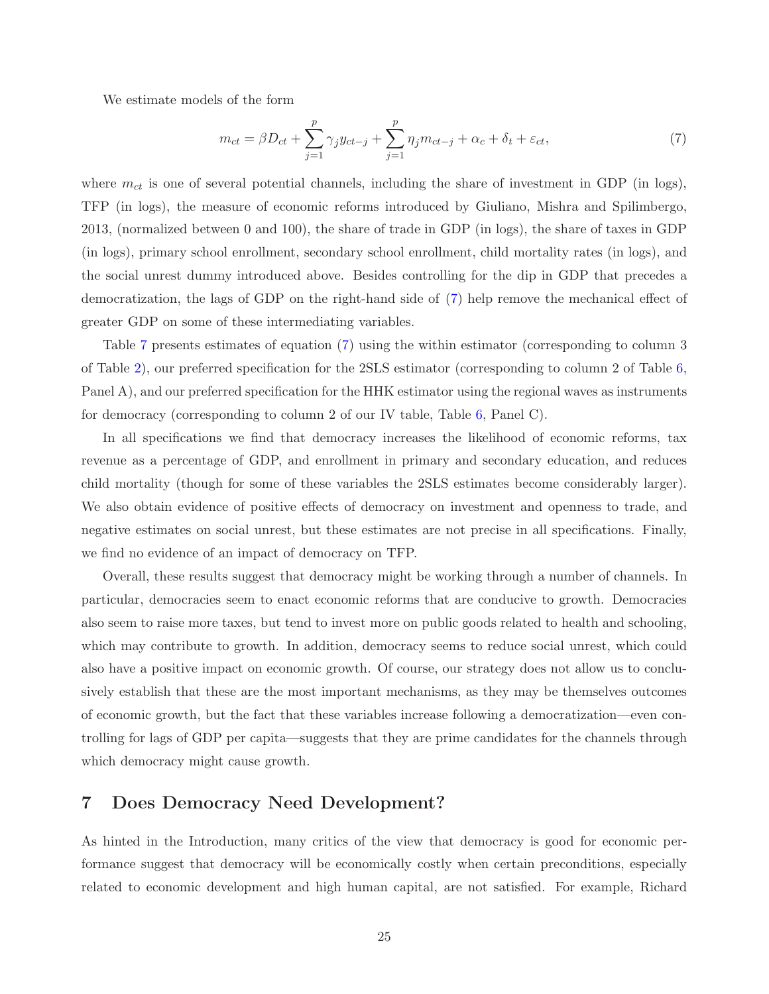We estimate models of the form

<span id="page-25-0"></span>
$$
m_{ct} = \beta D_{ct} + \sum_{j=1}^{p} \gamma_j y_{ct-j} + \sum_{j=1}^{p} \eta_j m_{ct-j} + \alpha_c + \delta_t + \varepsilon_{ct},\tag{7}
$$

where  $m_{ct}$  is one of several potential channels, including the share of investment in GDP (in logs), TFP (in logs), the measure of economic reforms introduced by Giuliano, Mishra and Spilimbergo, 2013, (normalized between 0 and 100), the share of trade in GDP (in logs), the share of taxes in GDP (in logs), primary school enrollment, secondary school enrollment, child mortality rates (in logs), and the social unrest dummy introduced above. Besides controlling for the dip in GDP that precedes a democratization, the lags of GDP on the right-hand side of [\(7\)](#page-25-0) help remove the mechanical effect of greater GDP on some of these intermediating variables.

Table [7](#page-40-0) presents estimates of equation [\(7\)](#page-25-0) using the within estimator (corresponding to column 3 of Table [2\)](#page-35-0), our preferred specification for the 2SLS estimator (corresponding to column 2 of Table [6,](#page-39-0) Panel A), and our preferred specification for the HHK estimator using the regional waves as instruments for democracy (corresponding to column 2 of our IV table, Table [6,](#page-39-0) Panel C).

In all specifications we find that democracy increases the likelihood of economic reforms, tax revenue as a percentage of GDP, and enrollment in primary and secondary education, and reduces child mortality (though for some of these variables the 2SLS estimates become considerably larger). We also obtain evidence of positive effects of democracy on investment and openness to trade, and negative estimates on social unrest, but these estimates are not precise in all specifications. Finally, we find no evidence of an impact of democracy on TFP.

Overall, these results suggest that democracy might be working through a number of channels. In particular, democracies seem to enact economic reforms that are conducive to growth. Democracies also seem to raise more taxes, but tend to invest more on public goods related to health and schooling, which may contribute to growth. In addition, democracy seems to reduce social unrest, which could also have a positive impact on economic growth. Of course, our strategy does not allow us to conclusively establish that these are the most important mechanisms, as they may be themselves outcomes of economic growth, but the fact that these variables increase following a democratization—even controlling for lags of GDP per capita—suggests that they are prime candidates for the channels through which democracy might cause growth.

# 7 Does Democracy Need Development?

As hinted in the Introduction, many critics of the view that democracy is good for economic performance suggest that democracy will be economically costly when certain preconditions, especially related to economic development and high human capital, are not satisfied. For example, Richard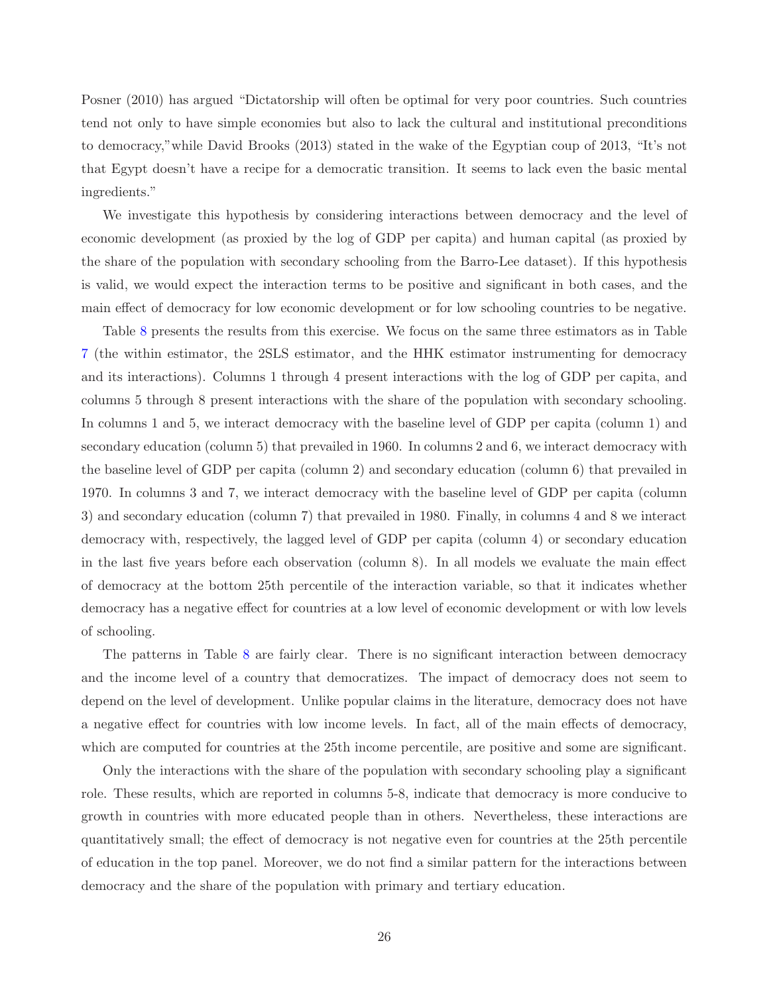Posner (2010) has argued "Dictatorship will often be optimal for very poor countries. Such countries tend not only to have simple economies but also to lack the cultural and institutional preconditions to democracy,"while David Brooks (2013) stated in the wake of the Egyptian coup of 2013, "It's not that Egypt doesn't have a recipe for a democratic transition. It seems to lack even the basic mental ingredients."

We investigate this hypothesis by considering interactions between democracy and the level of economic development (as proxied by the log of GDP per capita) and human capital (as proxied by the share of the population with secondary schooling from the Barro-Lee dataset). If this hypothesis is valid, we would expect the interaction terms to be positive and significant in both cases, and the main effect of democracy for low economic development or for low schooling countries to be negative.

Table [8](#page-41-0) presents the results from this exercise. We focus on the same three estimators as in Table [7](#page-40-0) (the within estimator, the 2SLS estimator, and the HHK estimator instrumenting for democracy and its interactions). Columns 1 through 4 present interactions with the log of GDP per capita, and columns 5 through 8 present interactions with the share of the population with secondary schooling. In columns 1 and 5, we interact democracy with the baseline level of GDP per capita (column 1) and secondary education (column 5) that prevailed in 1960. In columns 2 and 6, we interact democracy with the baseline level of GDP per capita (column 2) and secondary education (column 6) that prevailed in 1970. In columns 3 and 7, we interact democracy with the baseline level of GDP per capita (column 3) and secondary education (column 7) that prevailed in 1980. Finally, in columns 4 and 8 we interact democracy with, respectively, the lagged level of GDP per capita (column 4) or secondary education in the last five years before each observation (column 8). In all models we evaluate the main effect of democracy at the bottom 25th percentile of the interaction variable, so that it indicates whether democracy has a negative effect for countries at a low level of economic development or with low levels of schooling.

The patterns in Table [8](#page-41-0) are fairly clear. There is no significant interaction between democracy and the income level of a country that democratizes. The impact of democracy does not seem to depend on the level of development. Unlike popular claims in the literature, democracy does not have a negative effect for countries with low income levels. In fact, all of the main effects of democracy, which are computed for countries at the 25th income percentile, are positive and some are significant.

Only the interactions with the share of the population with secondary schooling play a significant role. These results, which are reported in columns 5-8, indicate that democracy is more conducive to growth in countries with more educated people than in others. Nevertheless, these interactions are quantitatively small; the effect of democracy is not negative even for countries at the 25th percentile of education in the top panel. Moreover, we do not find a similar pattern for the interactions between democracy and the share of the population with primary and tertiary education.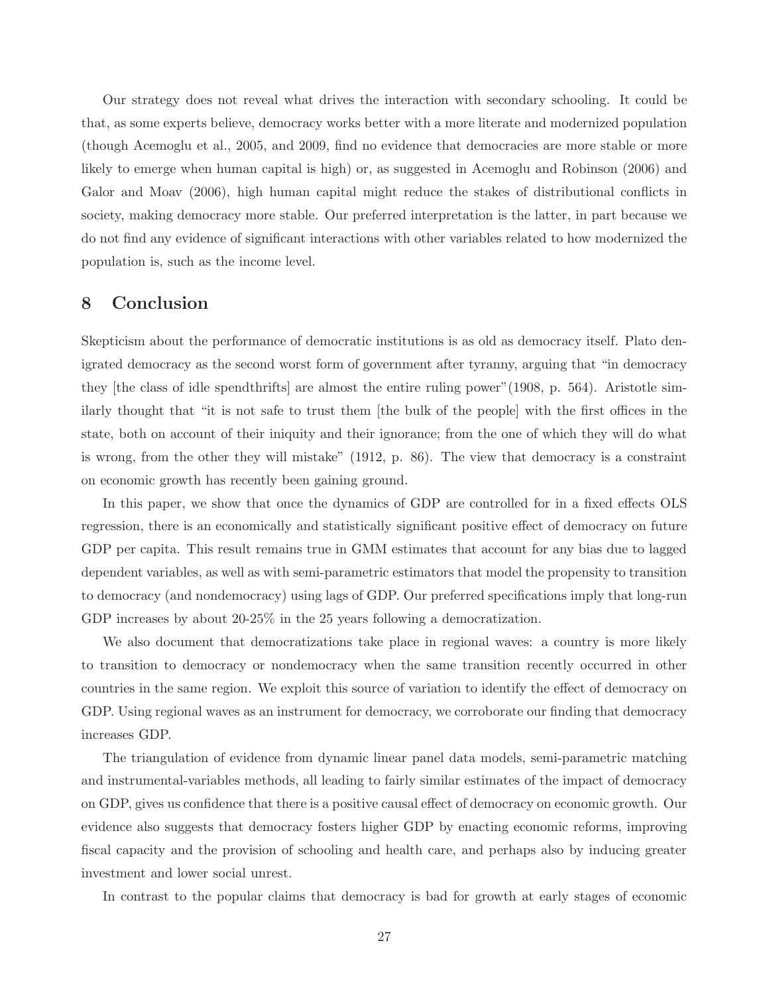Our strategy does not reveal what drives the interaction with secondary schooling. It could be that, as some experts believe, democracy works better with a more literate and modernized population (though Acemoglu et al., 2005, and 2009, find no evidence that democracies are more stable or more likely to emerge when human capital is high) or, as suggested in Acemoglu and Robinson (2006) and Galor and Moav (2006), high human capital might reduce the stakes of distributional conflicts in society, making democracy more stable. Our preferred interpretation is the latter, in part because we do not find any evidence of significant interactions with other variables related to how modernized the population is, such as the income level.

### 8 Conclusion

Skepticism about the performance of democratic institutions is as old as democracy itself. Plato denigrated democracy as the second worst form of government after tyranny, arguing that "in democracy they [the class of idle spendthrifts] are almost the entire ruling power"(1908, p. 564). Aristotle similarly thought that "it is not safe to trust them [the bulk of the people] with the first offices in the state, both on account of their iniquity and their ignorance; from the one of which they will do what is wrong, from the other they will mistake" (1912, p. 86). The view that democracy is a constraint on economic growth has recently been gaining ground.

In this paper, we show that once the dynamics of GDP are controlled for in a fixed effects OLS regression, there is an economically and statistically significant positive effect of democracy on future GDP per capita. This result remains true in GMM estimates that account for any bias due to lagged dependent variables, as well as with semi-parametric estimators that model the propensity to transition to democracy (and nondemocracy) using lags of GDP. Our preferred specifications imply that long-run GDP increases by about 20-25% in the 25 years following a democratization.

We also document that democratizations take place in regional waves: a country is more likely to transition to democracy or nondemocracy when the same transition recently occurred in other countries in the same region. We exploit this source of variation to identify the effect of democracy on GDP. Using regional waves as an instrument for democracy, we corroborate our finding that democracy increases GDP.

The triangulation of evidence from dynamic linear panel data models, semi-parametric matching and instrumental-variables methods, all leading to fairly similar estimates of the impact of democracy on GDP, gives us confidence that there is a positive causal effect of democracy on economic growth. Our evidence also suggests that democracy fosters higher GDP by enacting economic reforms, improving fiscal capacity and the provision of schooling and health care, and perhaps also by inducing greater investment and lower social unrest.

In contrast to the popular claims that democracy is bad for growth at early stages of economic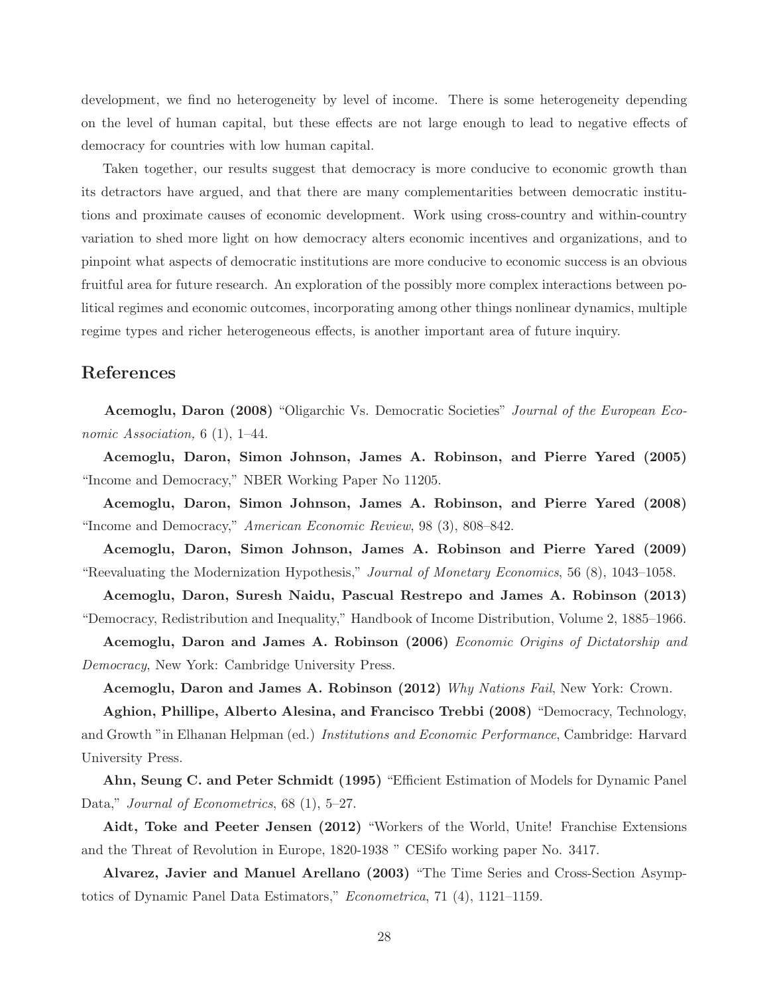development, we find no heterogeneity by level of income. There is some heterogeneity depending on the level of human capital, but these effects are not large enough to lead to negative effects of democracy for countries with low human capital.

Taken together, our results suggest that democracy is more conducive to economic growth than its detractors have argued, and that there are many complementarities between democratic institutions and proximate causes of economic development. Work using cross-country and within-country variation to shed more light on how democracy alters economic incentives and organizations, and to pinpoint what aspects of democratic institutions are more conducive to economic success is an obvious fruitful area for future research. An exploration of the possibly more complex interactions between political regimes and economic outcomes, incorporating among other things nonlinear dynamics, multiple regime types and richer heterogeneous effects, is another important area of future inquiry.

# References

Acemoglu, Daron (2008) "Oligarchic Vs. Democratic Societies" *Journal of the European Economic Association,* 6 (1), 1–44.

Acemoglu, Daron, Simon Johnson, James A. Robinson, and Pierre Yared (2005) "Income and Democracy," NBER Working Paper No 11205.

Acemoglu, Daron, Simon Johnson, James A. Robinson, and Pierre Yared (2008) "Income and Democracy," *American Economic Review*, 98 (3), 808–842.

Acemoglu, Daron, Simon Johnson, James A. Robinson and Pierre Yared (2009) "Reevaluating the Modernization Hypothesis," *Journal of Monetary Economics*, 56 (8), 1043–1058.

Acemoglu, Daron, Suresh Naidu, Pascual Restrepo and James A. Robinson (2013) "Democracy, Redistribution and Inequality," Handbook of Income Distribution, Volume 2, 1885–1966.

Acemoglu, Daron and James A. Robinson (2006) *Economic Origins of Dictatorship and Democracy*, New York: Cambridge University Press.

Acemoglu, Daron and James A. Robinson (2012) *Why Nations Fail*, New York: Crown.

Aghion, Phillipe, Alberto Alesina, and Francisco Trebbi (2008) "Democracy, Technology, and Growth "in Elhanan Helpman (ed.) *Institutions and Economic Performance*, Cambridge: Harvard University Press.

Ahn, Seung C. and Peter Schmidt (1995) "Efficient Estimation of Models for Dynamic Panel Data," *Journal of Econometrics*, 68 (1), 5–27.

Aidt, Toke and Peeter Jensen (2012) "Workers of the World, Unite! Franchise Extensions and the Threat of Revolution in Europe, 1820-1938 " CESifo working paper No. 3417.

Alvarez, Javier and Manuel Arellano (2003) "The Time Series and Cross-Section Asymptotics of Dynamic Panel Data Estimators," *Econometrica*, 71 (4), 1121–1159.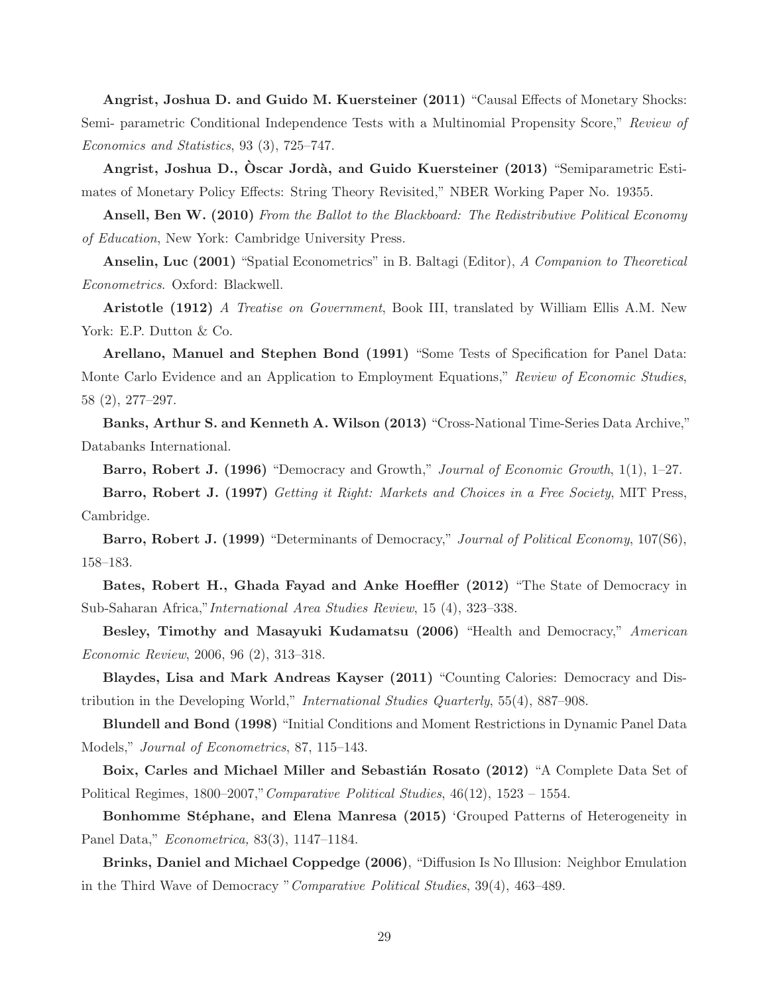Angrist, Joshua D. and Guido M. Kuersteiner (2011) "Causal Effects of Monetary Shocks: Semi- parametric Conditional Independence Tests with a Multinomial Propensity Score," *Review of Economics and Statistics*, 93 (3), 725–747.

Angrist, Joshua D., Oscar Jordà, and Guido Kuersteiner (2013) "Semiparametric Estimates of Monetary Policy Effects: String Theory Revisited," NBER Working Paper No. 19355.

Ansell, Ben W. (2010) *From the Ballot to the Blackboard: The Redistributive Political Economy of Education*, New York: Cambridge University Press.

Anselin, Luc (2001) "Spatial Econometrics" in B. Baltagi (Editor), *A Companion to Theoretical Econometrics*. Oxford: Blackwell.

Aristotle (1912) *A Treatise on Government*, Book III, translated by William Ellis A.M. New York: E.P. Dutton & Co.

Arellano, Manuel and Stephen Bond (1991) "Some Tests of Specification for Panel Data: Monte Carlo Evidence and an Application to Employment Equations," *Review of Economic Studies*, 58 (2), 277–297.

Banks, Arthur S. and Kenneth A. Wilson (2013) "Cross-National Time-Series Data Archive," Databanks International.

Barro, Robert J. (1996) "Democracy and Growth," *Journal of Economic Growth*, 1(1), 1–27.

Barro, Robert J. (1997) *Getting it Right: Markets and Choices in a Free Society*, MIT Press, Cambridge.

Barro, Robert J. (1999) "Determinants of Democracy," *Journal of Political Economy*, 107(S6), 158–183.

Bates, Robert H., Ghada Fayad and Anke Hoeffler (2012) "The State of Democracy in Sub-Saharan Africa,"*International Area Studies Review*, 15 (4), 323–338.

Besley, Timothy and Masayuki Kudamatsu (2006) "Health and Democracy," *American Economic Review*, 2006, 96 (2), 313–318.

Blaydes, Lisa and Mark Andreas Kayser (2011) "Counting Calories: Democracy and Distribution in the Developing World," *International Studies Quarterly*, 55(4), 887–908.

Blundell and Bond (1998) "Initial Conditions and Moment Restrictions in Dynamic Panel Data Models," *Journal of Econometrics*, 87, 115–143.

Boix, Carles and Michael Miller and Sebastián Rosato (2012) "A Complete Data Set of Political Regimes, 1800–2007,"*Comparative Political Studies*, 46(12), 1523 – 1554.

Bonhomme Stéphane, and Elena Manresa (2015) 'Grouped Patterns of Heterogeneity in Panel Data," *Econometrica,* 83(3), 1147–1184.

Brinks, Daniel and Michael Coppedge (2006), "Diffusion Is No Illusion: Neighbor Emulation in the Third Wave of Democracy "*Comparative Political Studies*, 39(4), 463–489.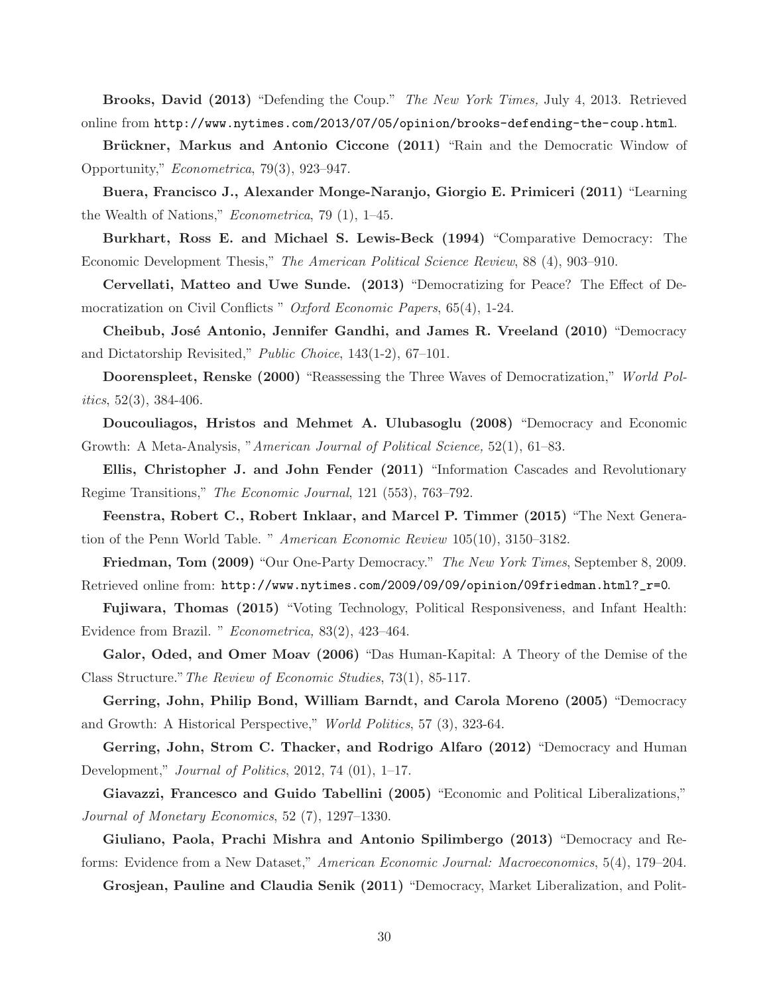Brooks, David (2013) "Defending the Coup." *The New York Times,* July 4, 2013. Retrieved online from <http://www.nytimes.com/2013/07/05/opinion/brooks-defending-the-coup.html>.

Brückner, Markus and Antonio Ciccone (2011) "Rain and the Democratic Window of Opportunity," *Econometrica*, 79(3), 923–947.

Buera, Francisco J., Alexander Monge-Naranjo, Giorgio E. Primiceri (2011) "Learning the Wealth of Nations," *Econometrica*, 79 (1), 1–45.

Burkhart, Ross E. and Michael S. Lewis-Beck (1994) "Comparative Democracy: The Economic Development Thesis," *The American Political Science Review*, 88 (4), 903–910.

Cervellati, Matteo and Uwe Sunde. (2013) "Democratizing for Peace? The Effect of Democratization on Civil Conflicts " *Oxford Economic Papers*, 65(4), 1-24.

Cheibub, José Antonio, Jennifer Gandhi, and James R. Vreeland (2010) "Democracy and Dictatorship Revisited," *Public Choice*, 143(1-2), 67–101.

Doorenspleet, Renske (2000) "Reassessing the Three Waves of Democratization," *World Politics*, 52(3), 384-406.

Doucouliagos, Hristos and Mehmet A. Ulubasoglu (2008) "Democracy and Economic Growth: A Meta-Analysis, "*American Journal of Political Science,* 52(1), 61–83.

Ellis, Christopher J. and John Fender (2011) "Information Cascades and Revolutionary Regime Transitions," *The Economic Journal*, 121 (553), 763–792.

Feenstra, Robert C., Robert Inklaar, and Marcel P. Timmer (2015) "The Next Generation of the Penn World Table. " *American Economic Review* 105(10), 3150–3182.

Friedman, Tom (2009) "Our One-Party Democracy." *The New York Times*, September 8, 2009. Retrieved online from: [http://www.nytimes.com/2009/09/09/opinion/09friedman.html?\\_r=0](http://www.nytimes.com/2009/09/09/opinion/09friedman.html?_r=0).

Fujiwara, Thomas (2015) "Voting Technology, Political Responsiveness, and Infant Health: Evidence from Brazil. " *Econometrica,* 83(2), 423–464.

Galor, Oded, and Omer Moav (2006) "Das Human-Kapital: A Theory of the Demise of the Class Structure."*The Review of Economic Studies*, 73(1), 85-117.

Gerring, John, Philip Bond, William Barndt, and Carola Moreno (2005) "Democracy and Growth: A Historical Perspective," *World Politics*, 57 (3), 323-64.

Gerring, John, Strom C. Thacker, and Rodrigo Alfaro (2012) "Democracy and Human Development," *Journal of Politics*, 2012, 74 (01), 1–17.

Giavazzi, Francesco and Guido Tabellini (2005) "Economic and Political Liberalizations," *Journal of Monetary Economics*, 52 (7), 1297–1330.

Giuliano, Paola, Prachi Mishra and Antonio Spilimbergo (2013) "Democracy and Reforms: Evidence from a New Dataset," *American Economic Journal: Macroeconomics*, 5(4), 179–204.

Grosjean, Pauline and Claudia Senik (2011) "Democracy, Market Liberalization, and Polit-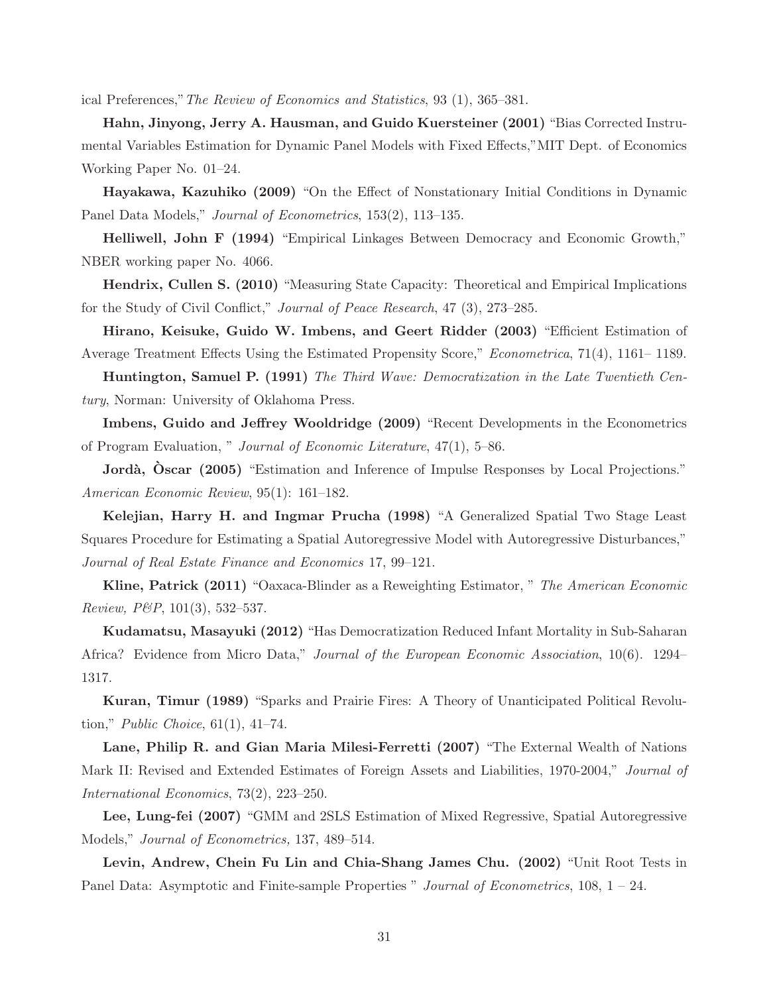ical Preferences,"*The Review of Economics and Statistics*, 93 (1), 365–381.

Hahn, Jinyong, Jerry A. Hausman, and Guido Kuersteiner (2001) "Bias Corrected Instrumental Variables Estimation for Dynamic Panel Models with Fixed Effects,"MIT Dept. of Economics Working Paper No. 01–24.

Hayakawa, Kazuhiko (2009) "On the Effect of Nonstationary Initial Conditions in Dynamic Panel Data Models," *Journal of Econometrics*, 153(2), 113–135.

Helliwell, John F (1994) "Empirical Linkages Between Democracy and Economic Growth," NBER working paper No. 4066.

Hendrix, Cullen S. (2010) "Measuring State Capacity: Theoretical and Empirical Implications for the Study of Civil Conflict," *Journal of Peace Research*, 47 (3), 273–285.

Hirano, Keisuke, Guido W. Imbens, and Geert Ridder (2003) "Efficient Estimation of Average Treatment Effects Using the Estimated Propensity Score," *Econometrica*, 71(4), 1161– 1189.

Huntington, Samuel P. (1991) *The Third Wave: Democratization in the Late Twentieth Century*, Norman: University of Oklahoma Press.

Imbens, Guido and Jeffrey Wooldridge (2009) "Recent Developments in the Econometrics of Program Evaluation, " *Journal of Economic Literature*, 47(1), 5–86.

Jordà, Oscar (2005) "Estimation and Inference of Impulse Responses by Local Projections." *American Economic Review*, 95(1): 161–182.

Kelejian, Harry H. and Ingmar Prucha (1998) "A Generalized Spatial Two Stage Least Squares Procedure for Estimating a Spatial Autoregressive Model with Autoregressive Disturbances," *Journal of Real Estate Finance and Economics* 17, 99–121.

Kline, Patrick (2011) "Oaxaca-Blinder as a Reweighting Estimator, " *The American Economic Review, P&P*, 101(3), 532–537.

Kudamatsu, Masayuki (2012) "Has Democratization Reduced Infant Mortality in Sub-Saharan Africa? Evidence from Micro Data," *Journal of the European Economic Association*, 10(6). 1294– 1317.

Kuran, Timur (1989) "Sparks and Prairie Fires: A Theory of Unanticipated Political Revolution," *Public Choice*, 61(1), 41–74.

Lane, Philip R. and Gian Maria Milesi-Ferretti (2007) "The External Wealth of Nations Mark II: Revised and Extended Estimates of Foreign Assets and Liabilities, 1970-2004," *Journal of International Economics*, 73(2), 223–250.

Lee, Lung-fei (2007) "GMM and 2SLS Estimation of Mixed Regressive, Spatial Autoregressive Models," *Journal of Econometrics,* 137, 489–514.

Levin, Andrew, Chein Fu Lin and Chia-Shang James Chu. (2002) "Unit Root Tests in Panel Data: Asymptotic and Finite-sample Properties " *Journal of Econometrics*, 108, 1 – 24.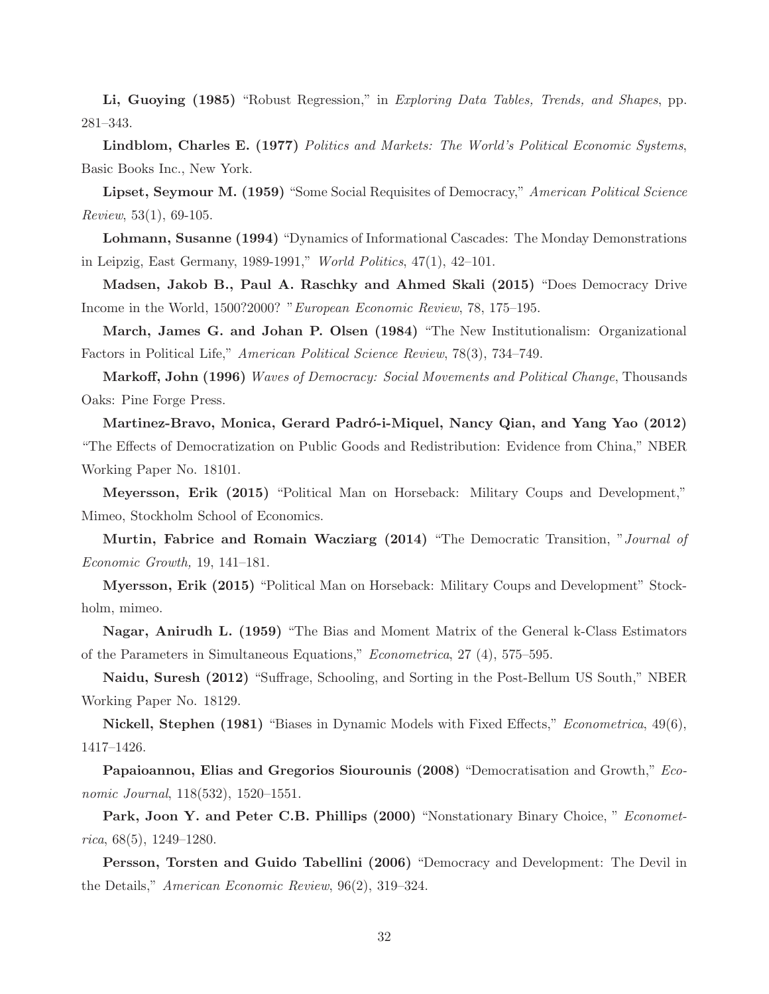Li, Guoying (1985) "Robust Regression," in *Exploring Data Tables, Trends, and Shapes*, pp. 281–343.

Lindblom, Charles E. (1977) *Politics and Markets: The World's Political Economic Systems*, Basic Books Inc., New York.

Lipset, Seymour M. (1959) "Some Social Requisites of Democracy," *American Political Science Review*, 53(1), 69-105.

Lohmann, Susanne (1994) "Dynamics of Informational Cascades: The Monday Demonstrations in Leipzig, East Germany, 1989-1991," *World Politics*, 47(1), 42–101.

Madsen, Jakob B., Paul A. Raschky and Ahmed Skali (2015) "Does Democracy Drive Income in the World, 1500?2000? "*European Economic Review*, 78, 175–195.

March, James G. and Johan P. Olsen (1984) "The New Institutionalism: Organizational Factors in Political Life," *American Political Science Review*, 78(3), 734–749.

Markoff, John (1996) *Waves of Democracy: Social Movements and Political Change*, Thousands Oaks: Pine Forge Press.

Martinez-Bravo, Monica, Gerard Padró-i-Miquel, Nancy Qian, and Yang Yao (2012) "The Effects of Democratization on Public Goods and Redistribution: Evidence from China," NBER Working Paper No. 18101.

Meyersson, Erik (2015) "Political Man on Horseback: Military Coups and Development," Mimeo, Stockholm School of Economics.

Murtin, Fabrice and Romain Wacziarg (2014) "The Democratic Transition, "*Journal of Economic Growth,* 19, 141–181.

Myersson, Erik (2015) "Political Man on Horseback: Military Coups and Development" Stockholm, mimeo.

Nagar, Anirudh L. (1959) "The Bias and Moment Matrix of the General k-Class Estimators of the Parameters in Simultaneous Equations," *Econometrica*, 27 (4), 575–595.

Naidu, Suresh (2012) "Suffrage, Schooling, and Sorting in the Post-Bellum US South," NBER Working Paper No. 18129.

Nickell, Stephen (1981) "Biases in Dynamic Models with Fixed Effects," *Econometrica*, 49(6), 1417–1426.

Papaioannou, Elias and Gregorios Siourounis (2008) "Democratisation and Growth," *Economic Journal*, 118(532), 1520–1551.

Park, Joon Y. and Peter C.B. Phillips (2000) "Nonstationary Binary Choice, " *Econometrica*, 68(5), 1249–1280.

Persson, Torsten and Guido Tabellini (2006) "Democracy and Development: The Devil in the Details," *American Economic Review*, 96(2), 319–324.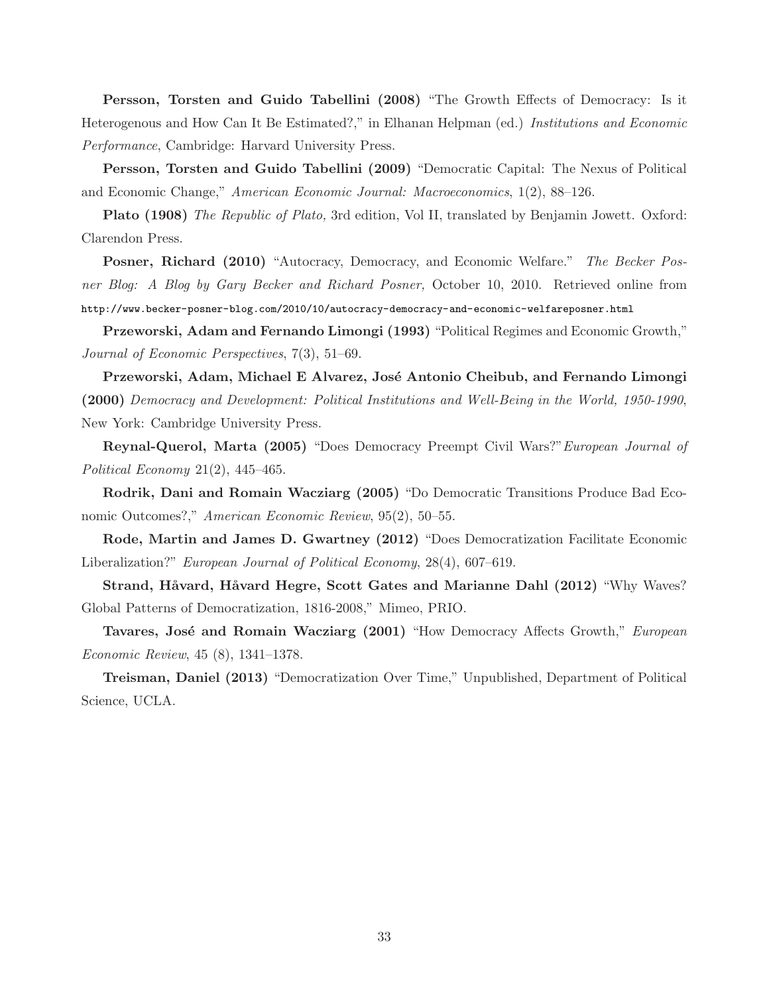Persson, Torsten and Guido Tabellini (2008) "The Growth Effects of Democracy: Is it Heterogenous and How Can It Be Estimated?," in Elhanan Helpman (ed.) *Institutions and Economic Performance*, Cambridge: Harvard University Press.

Persson, Torsten and Guido Tabellini (2009) "Democratic Capital: The Nexus of Political and Economic Change," *American Economic Journal: Macroeconomics*, 1(2), 88–126.

Plato (1908) *The Republic of Plato,* 3rd edition, Vol II, translated by Benjamin Jowett. Oxford: Clarendon Press.

Posner, Richard (2010) "Autocracy, Democracy, and Economic Welfare." *The Becker Posner Blog: A Blog by Gary Becker and Richard Posner,* October 10, 2010. Retrieved online from <http://www.becker-posner-blog.com/2010/10/autocracy-democracy-and-economic-welfareposner.html>

Przeworski, Adam and Fernando Limongi (1993) "Political Regimes and Economic Growth," *Journal of Economic Perspectives*, 7(3), 51–69.

Przeworski, Adam, Michael E Alvarez, José Antonio Cheibub, and Fernando Limongi (2000) *Democracy and Development: Political Institutions and Well-Being in the World, 1950-1990*, New York: Cambridge University Press.

Reynal-Querol, Marta (2005) "Does Democracy Preempt Civil Wars?"*European Journal of Political Economy* 21(2), 445–465.

Rodrik, Dani and Romain Wacziarg (2005) "Do Democratic Transitions Produce Bad Economic Outcomes?," *American Economic Review*, 95(2), 50–55.

Rode, Martin and James D. Gwartney (2012) "Does Democratization Facilitate Economic Liberalization?" *European Journal of Political Economy*, 28(4), 607–619.

Strand, Håvard, Håvard Hegre, Scott Gates and Marianne Dahl (2012) "Why Waves? Global Patterns of Democratization, 1816-2008," Mimeo, PRIO.

Tavares, José and Romain Wacziarg (2001) "How Democracy Affects Growth," *European Economic Review*, 45 (8), 1341–1378.

Treisman, Daniel (2013) "Democratization Over Time," Unpublished, Department of Political Science, UCLA.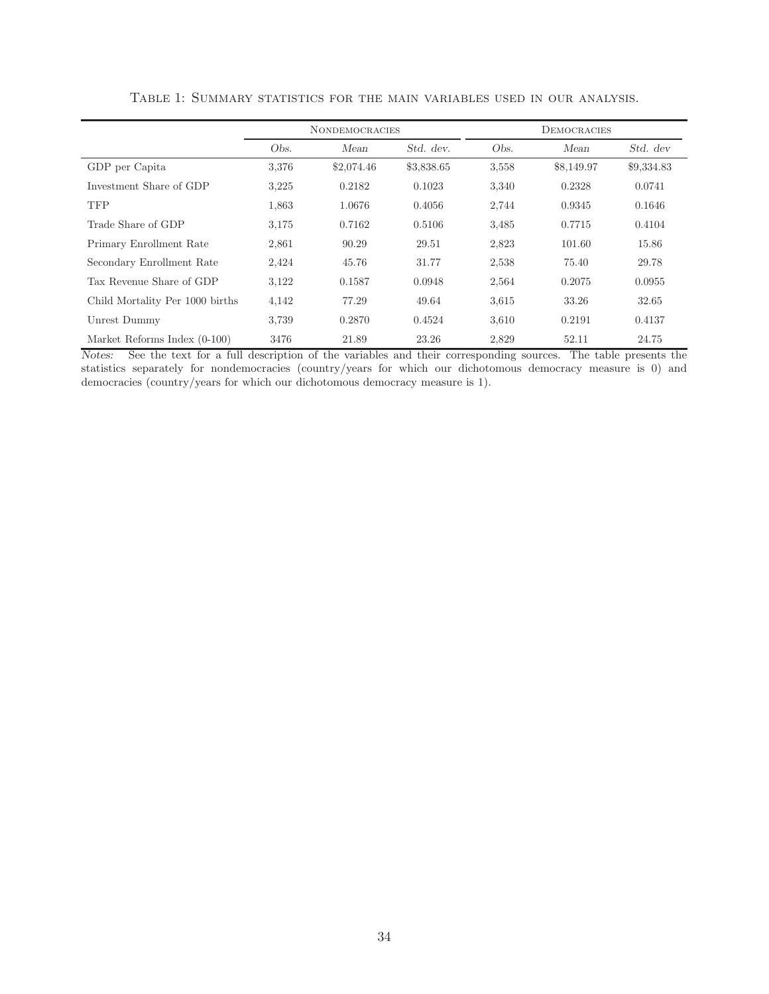|                                 |       | <b>NONDEMOCRACIES</b> |            | DEMOCRACIES |            |            |  |  |
|---------------------------------|-------|-----------------------|------------|-------------|------------|------------|--|--|
|                                 | Obs.  | Mean                  | Std. dev.  | Obs.        | Mean       | Std. dev   |  |  |
| GDP per Capita                  | 3,376 | \$2,074.46            | \$3,838.65 | 3,558       | \$8,149.97 | \$9,334.83 |  |  |
| Investment Share of GDP         | 3.225 | 0.2182                | 0.1023     | 3,340       | 0.2328     | 0.0741     |  |  |
| <b>TFP</b>                      | 1,863 | 1.0676                | 0.4056     | 2,744       | 0.9345     | 0.1646     |  |  |
| Trade Share of GDP              | 3.175 | 0.7162                | 0.5106     | 3.485       | 0.7715     | 0.4104     |  |  |
| Primary Enrollment Rate         | 2,861 | 90.29                 | 29.51      | 2,823       | 101.60     | 15.86      |  |  |
| Secondary Enrollment Rate       | 2,424 | 45.76                 | 31.77      | 2,538       | 75.40      | 29.78      |  |  |
| Tax Revenue Share of GDP        | 3.122 | 0.1587                | 0.0948     | 2,564       | 0.2075     | 0.0955     |  |  |
| Child Mortality Per 1000 births | 4,142 | 77.29                 | 49.64      | 3.615       | 33.26      | 32.65      |  |  |
| Unrest Dummy                    | 3.739 | 0.2870                | 0.4524     | 3,610       | 0.2191     | 0.4137     |  |  |
| Market Reforms Index $(0-100)$  | 3476  | 21.89                 | 23.26      | 2,829       | 52.11      | 24.75      |  |  |

<span id="page-34-0"></span>TABLE 1: SUMMARY STATISTICS FOR THE MAIN VARIABLES USED IN OUR ANALYSIS.

Notes: See the text for a full description of the variables and their corresponding sources. The table presents the statistics separately for nondemocracies (country/years for which our dichotomous democracy measure is 0) and democracies (country/years for which our dichotomous democracy measure is 1).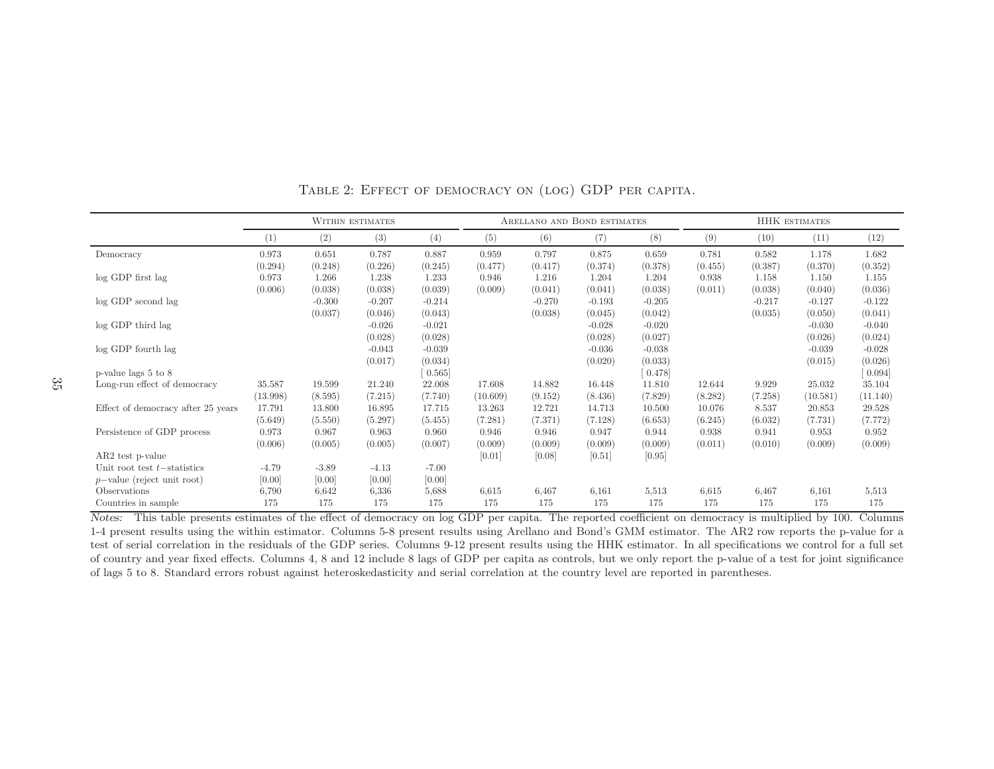<span id="page-35-0"></span>

|                                    | <b>WITHIN ESTIMATES</b> |          |          |          | ARELLANO AND BOND ESTIMATES |          |          |          | <b>HHK ESTIMATES</b> |          |          |          |
|------------------------------------|-------------------------|----------|----------|----------|-----------------------------|----------|----------|----------|----------------------|----------|----------|----------|
|                                    | (1)                     | (2)      | (3)      | (4)      | (5)                         | (6)      | (7)      | (8)      | (9)                  | (10)     | (11)     | (12)     |
| Democracy                          | 0.973                   | 0.651    | 0.787    | 0.887    | 0.959                       | 0.797    | 0.875    | 0.659    | 0.781                | 0.582    | 1.178    | 1.682    |
|                                    | (0.294)                 | (0.248)  | (0.226)  | (0.245)  | (0.477)                     | (0.417)  | (0.374)  | (0.378)  | (0.455)              | (0.387)  | (0.370)  | (0.352)  |
| $log$ GDP first $lag$              | 0.973                   | 1.266    | 1.238    | 1.233    | 0.946                       | 1.216    | 1.204    | 1.204    | 0.938                | 1.158    | 1.150    | 1.155    |
|                                    | (0.006)                 | (0.038)  | (0.038)  | (0.039)  | (0.009)                     | (0.041)  | (0.041)  | (0.038)  | (0.011)              | (0.038)  | (0.040)  | (0.036)  |
| log GDP second lag                 |                         | $-0.300$ | $-0.207$ | $-0.214$ |                             | $-0.270$ | $-0.193$ | $-0.205$ |                      | $-0.217$ | $-0.127$ | $-0.122$ |
|                                    |                         | (0.037)  | (0.046)  | (0.043)  |                             | (0.038)  | (0.045)  | (0.042)  |                      | (0.035)  | (0.050)  | (0.041)  |
| log GDP third lag                  |                         |          | $-0.026$ | $-0.021$ |                             |          | $-0.028$ | $-0.020$ |                      |          | $-0.030$ | $-0.040$ |
|                                    |                         |          | (0.028)  | (0.028)  |                             |          | (0.028)  | (0.027)  |                      |          | (0.026)  | (0.024)  |
| log GDP fourth lag                 |                         |          | $-0.043$ | $-0.039$ |                             |          | $-0.036$ | $-0.038$ |                      |          | $-0.039$ | $-0.028$ |
|                                    |                         |          | (0.017)  | (0.034)  |                             |          | (0.020)  | (0.033)  |                      |          | (0.015)  | (0.026)  |
| p-value lags 5 to 8                |                         |          |          | 0.565    |                             |          |          | 0.478    |                      |          |          | [0.094]  |
| Long-run effect of democracy       | 35.587                  | 19.599   | 21.240   | 22.008   | 17.608                      | 14.882   | 16.448   | 11.810   | 12.644               | 9.929    | 25.032   | 35.104   |
|                                    | (13.998)                | (8.595)  | (7.215)  | (7.740)  | (10.609)                    | (9.152)  | (8.436)  | (7.829)  | (8.282)              | (7.258)  | (10.581) | (11.140) |
| Effect of democracy after 25 years | 17.791                  | 13.800   | 16.895   | 17.715   | 13.263                      | 12.721   | 14.713   | 10.500   | 10.076               | 8.537    | 20.853   | 29.528   |
|                                    | (5.649)                 | (5.550)  | (5.297)  | (5.455)  | (7.281)                     | (7.371)  | (7.128)  | (6.653)  | (6.245)              | (6.032)  | (7.731)  | (7.772)  |
| Persistence of GDP process         | 0.973                   | 0.967    | 0.963    | 0.960    | 0.946                       | 0.946    | 0.947    | 0.944    | 0.938                | 0.941    | 0.953    | 0.952    |
|                                    | (0.006)                 | (0.005)  | (0.005)  | (0.007)  | (0.009)                     | (0.009)  | (0.009)  | (0.009)  | (0.011)              | (0.010)  | (0.009)  | (0.009)  |
| AR2 test p-value                   |                         |          |          |          | [0.01]                      | [0.08]   | [0.51]   | [0.95]   |                      |          |          |          |
| Unit root test $t$ -statistics     | $-4.79$                 | $-3.89$  | $-4.13$  | $-7.00$  |                             |          |          |          |                      |          |          |          |
| $p$ -value (reject unit root)      | [0.00]                  | [0.00]   | [0.00]   | [0.00]   |                             |          |          |          |                      |          |          |          |
| Observations                       | 6,790                   | 6,642    | 6,336    | 5,688    | 6,615                       | 6,467    | 6,161    | 5,513    | 6,615                | 6,467    | 6,161    | 5,513    |
| Countries in sample                | 175                     | 175      | 175      | 175      | 175                         | 175      | 175      | 175      | 175                  | 175      | 175      | 175      |

Table 2: Effect of democracy on (log) GDP per capita.

Notes: This table presents estimates of the effect of democracy on log GDP per capita. The reported coefficient on democracy is multiplied by 100. Columns 1-4 present results using the within estimator. Columns 5-8 present results using Arellano and Bond's GMM estimator. The AR2 row reports the p-value for <sup>a</sup> test of serial correlation in the residuals of the GDP series. Columns 9-12 present results using the HHK estimator. In all specifications we control for <sup>a</sup> full set of country and year fixed effects. Columns 4, <sup>8</sup> and <sup>12</sup> include <sup>8</sup> lags of GDP per capita as controls, but we only report the p-value of <sup>a</sup> test for joint significance of lags <sup>5</sup> to 8. Standard errors robust against heteroskedasticity and serial correlation at the country level are reported in parentheses.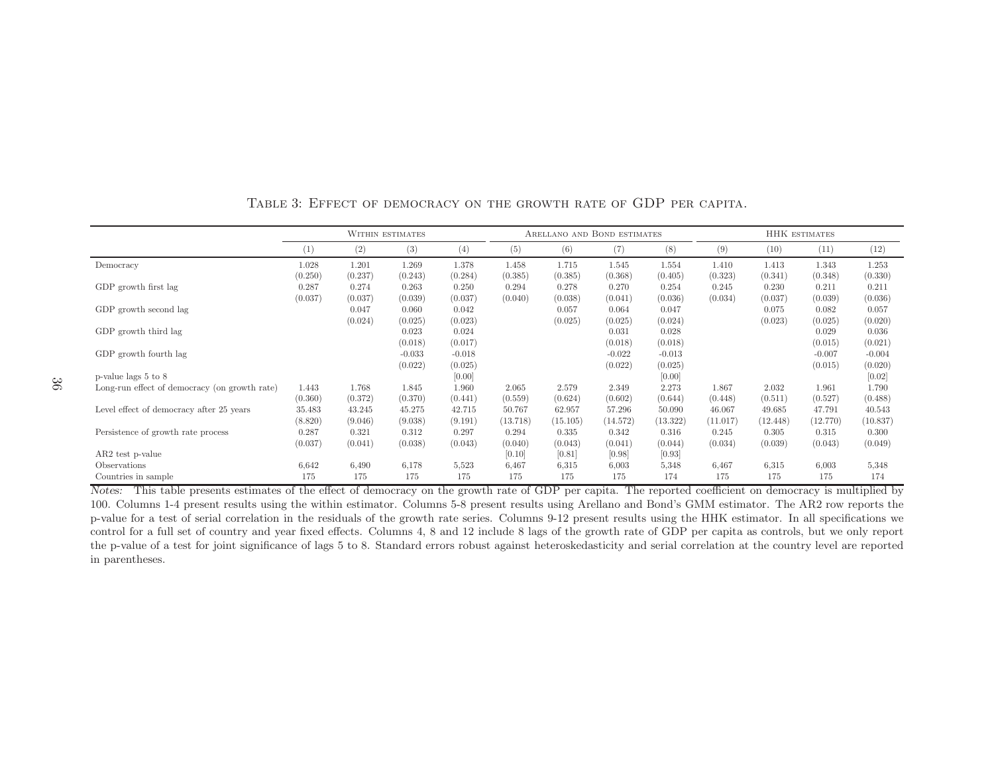|                                               |                  |         | <b>WITHIN ESTIMATES</b> |          |          | ARELLANO AND BOND ESTIMATES |          |          |          |          | HHK ESTIMATES |          |
|-----------------------------------------------|------------------|---------|-------------------------|----------|----------|-----------------------------|----------|----------|----------|----------|---------------|----------|
|                                               | $\left(1\right)$ | (2)     | (3)                     | (4)      | (5)      | (6)                         | (7)      | (8)      | (9)      | (10)     | (11)          | (12)     |
| Democracy                                     | 1.028            | 1.201   | 1.269                   | 1.378    | 1.458    | 1.715                       | 1.545    | 1.554    | 1.410    | 1.413    | 1.343         | 1.253    |
|                                               | (0.250)          | (0.237) | (0.243)                 | (0.284)  | (0.385)  | (0.385)                     | (0.368)  | (0.405)  | (0.323)  | (0.341)  | (0.348)       | (0.330)  |
| GDP growth first lag                          | 0.287            | 0.274   | 0.263                   | 0.250    | 0.294    | 0.278                       | 0.270    | 0.254    | 0.245    | 0.230    | 0.211         | 0.211    |
|                                               | (0.037)          | (0.037) | (0.039)                 | (0.037)  | (0.040)  | (0.038)                     | (0.041)  | (0.036)  | (0.034)  | (0.037)  | (0.039)       | (0.036)  |
| GDP growth second lag                         |                  | 0.047   | 0.060                   | 0.042    |          | 0.057                       | 0.064    | 0.047    |          | 0.075    | 0.082         | 0.057    |
|                                               |                  | (0.024) | (0.025)                 | (0.023)  |          | (0.025)                     | (0.025)  | (0.024)  |          | (0.023)  | (0.025)       | (0.020)  |
| GDP growth third lag                          |                  |         | 0.023                   | 0.024    |          |                             | 0.031    | 0.028    |          |          | 0.029         | 0.036    |
|                                               |                  |         | (0.018)                 | (0.017)  |          |                             | (0.018)  | (0.018)  |          |          | (0.015)       | (0.021)  |
| GDP growth fourth lag                         |                  |         | $-0.033$                | $-0.018$ |          |                             | $-0.022$ | $-0.013$ |          |          | $-0.007$      | $-0.004$ |
|                                               |                  |         | (0.022)                 | (0.025)  |          |                             | (0.022)  | (0.025)  |          |          | (0.015)       | (0.020)  |
| p-value lags 5 to 8                           |                  |         |                         | [0.00]   |          |                             |          | [0.00]   |          |          |               | [0.02]   |
| Long-run effect of democracy (on growth rate) | 1.443            | 1.768   | 1.845                   | 1.960    | 2.065    | 2.579                       | 2.349    | 2.273    | 1.867    | 2.032    | 1.961         | 1.790    |
|                                               | (0.360)          | (0.372) | (0.370)                 | (0.441)  | (0.559)  | (0.624)                     | (0.602)  | (0.644)  | (0.448)  | (0.511)  | (0.527)       | (0.488)  |
| Level effect of democracy after 25 years      | 35.483           | 43.245  | 45.275                  | 42.715   | 50.767   | 62.957                      | 57.296   | 50.090   | 46.067   | 49.685   | 47.791        | 40.543   |
|                                               | (8.820)          | (9.046) | (9.038)                 | (9.191)  | (13.718) | (15.105)                    | (14.572) | (13.322) | (11.017) | (12.448) | (12.770)      | (10.837) |
| Persistence of growth rate process            | 0.287            | 0.321   | 0.312                   | 0.297    | 0.294    | 0.335                       | 0.342    | 0.316    | 0.245    | 0.305    | 0.315         | 0.300    |
|                                               | (0.037)          | (0.041) | (0.038)                 | (0.043)  | (0.040)  | (0.043)                     | (0.041)  | (0.044)  | (0.034)  | (0.039)  | (0.043)       | (0.049)  |
| AR2 test p-value                              |                  |         |                         |          | [0.10]   | [0.81]                      | [0.98]   | [0.93]   |          |          |               |          |
| Observations                                  | 6,642            | 6,490   | 6,178                   | 5,523    | 6,467    | 6,315                       | 6,003    | 5,348    | 6,467    | 6,315    | 6,003         | 5,348    |
| Countries in sample                           | 175              | 175     | 175                     | 175      | 175      | 175                         | 175      | 174      | 175      | 175      | 175           | 174      |

Table 3: Effect of democracy on the growth rate of GDP per capita.

Notes: This table presents estimates of the effect of democracy on the growth rate of GDP per capita. The reported coefficient on democracy is multiplied by 100. Columns 1-4 present results using the within estimator. Columns 5-8 present results using Arellano and Bond's GMM estimator. The AR2 row reports the p-value for <sup>a</sup> test of serial correlation in the residuals of the growth rate series. Columns 9-12 present results using the HHK estimator. In all specifications we control for <sup>a</sup> full set of country and year fixed effects. Columns 4, <sup>8</sup> and <sup>12</sup> include <sup>8</sup> lags of the growth rate of GDP per capita as controls, but we only report the p-value of <sup>a</sup> test for joint significance of lags <sup>5</sup> to 8. Standard errors robust against heteroskedasticity and serial correlation at the country level are reportedin parentheses.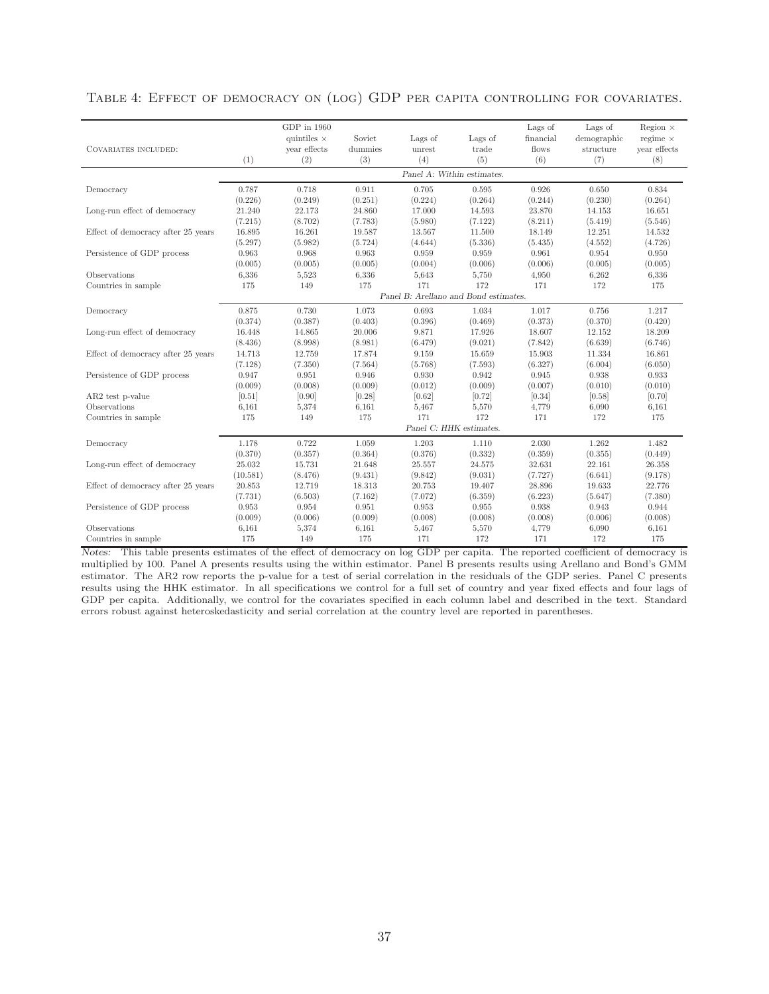| TABLE 4: EFFECT OF DEMOCRACY ON (LOG) GDP PER CAPITA CONTROLLING FOR COVARIATES. |  |  |  |  |  |
|----------------------------------------------------------------------------------|--|--|--|--|--|
|----------------------------------------------------------------------------------|--|--|--|--|--|

|                                    |          | GDP in 1960        |         |         |                                       | Lags of   | Lags of     | Region $\times$ |
|------------------------------------|----------|--------------------|---------|---------|---------------------------------------|-----------|-------------|-----------------|
|                                    |          | quintiles $\times$ | Soviet  | Lags of | Lags of                               | financial | demographic | regime $\times$ |
| COVARIATES INCLUDED:               |          | vear effects       | dummies | unrest  | trade                                 | flows     | structure   | vear effects    |
|                                    | (1)      | (2)                | (3)     | (4)     | (5)                                   | (6)       | (7)         | (8)             |
|                                    |          |                    |         |         | Panel A: Within estimates.            |           |             |                 |
| Democracy                          | 0.787    | 0.718              | 0.911   | 0.705   | 0.595                                 | 0.926     | 0.650       | 0.834           |
|                                    | (0.226)  | (0.249)            | (0.251) | (0.224) | (0.264)                               | (0.244)   | (0.230)     | (0.264)         |
| Long-run effect of democracy       | 21.240   | 22.173             | 24.860  | 17.000  | 14.593                                | 23.870    | 14.153      | 16.651          |
|                                    | (7.215)  | (8.702)            | (7.783) | (5.980) | (7.122)                               | (8.211)   | (5.419)     | (5.546)         |
| Effect of democracy after 25 years | 16.895   | 16.261             | 19.587  | 13.567  | 11.500                                | 18.149    | 12.251      | 14.532          |
|                                    | (5.297)  | (5.982)            | (5.724) | (4.644) | (5.336)                               | (5.435)   | (4.552)     | (4.726)         |
| Persistence of GDP process         | 0.963    | 0.968              | 0.963   | 0.959   | 0.959                                 | 0.961     | 0.954       | 0.950           |
|                                    | (0.005)  | (0.005)            | (0.005) | (0.004) | (0.006)                               | (0.006)   | (0.005)     | (0.005)         |
| Observations                       | 6,336    | 5,523              | 6,336   | 5,643   | 5,750                                 | 4,950     | 6,262       | 6,336           |
| Countries in sample                | 175      | 149                | 175     | 171     | 172                                   | 171       | 172         | 175             |
|                                    |          |                    |         |         | Panel B: Arellano and Bond estimates. |           |             |                 |
| Democracy                          | 0.875    | 0.730              | 1.073   | 0.693   | 1.034                                 | 1.017     | 0.756       | 1.217           |
|                                    | (0.374)  | (0.387)            | (0.403) | (0.396) | (0.469)                               | (0.373)   | (0.370)     | (0.420)         |
| Long-run effect of democracy       | 16.448   | 14.865             | 20.006  | 9.871   | 17.926                                | 18.607    | 12.152      | 18.209          |
|                                    | (8.436)  | (8.998)            | (8.981) | (6.479) | (9.021)                               | (7.842)   | (6.639)     | (6.746)         |
| Effect of democracy after 25 years | 14.713   | 12.759             | 17.874  | 9.159   | 15.659                                | 15.903    | 11.334      | 16.861          |
|                                    | (7.128)  | (7.350)            | (7.564) | (5.768) | (7.593)                               | (6.327)   | (6.004)     | (6.050)         |
| Persistence of GDP process         | 0.947    | 0.951              | 0.946   | 0.930   | 0.942                                 | 0.945     | 0.938       | 0.933           |
|                                    | (0.009)  | (0.008)            | (0.009) | (0.012) | (0.009)                               | (0.007)   | (0.010)     | (0.010)         |
| AR2 test p-value                   | [0.51]   | [0.90]             | [0.28]  | [0.62]  | [0.72]                                | [0.34]    | [0.58]      | [0.70]          |
| Observations                       | 6,161    | 5,374              | 6,161   | 5,467   | 5,570                                 | 4,779     | 6,090       | 6,161           |
| Countries in sample                | 175      | 149                | 175     | 171     | 172                                   | 171       | 172         | 175             |
|                                    |          |                    |         |         | Panel C: HHK estimates.               |           |             |                 |
| Democracy                          | 1.178    | 0.722              | 1.059   | 1.203   | 1.110                                 | 2.030     | 1.262       | 1.482           |
|                                    | (0.370)  | (0.357)            | (0.364) | (0.376) | (0.332)                               | (0.359)   | (0.355)     | (0.449)         |
| Long-run effect of democracy       | 25.032   | 15.731             | 21.648  | 25.557  | 24.575                                | 32.631    | 22.161      | 26.358          |
|                                    | (10.581) | (8.476)            | (9.431) | (9.842) | (9.031)                               | (7.727)   | (6.641)     | (9.178)         |
| Effect of democracy after 25 years | 20.853   | 12.719             | 18.313  | 20.753  | 19.407                                | 28.896    | 19.633      | 22.776          |
|                                    | (7.731)  | (6.503)            | (7.162) | (7.072) | (6.359)                               | (6.223)   | (5.647)     | (7.380)         |
| Persistence of GDP process         | 0.953    | 0.954              | 0.951   | 0.953   | 0.955                                 | 0.938     | 0.943       | 0.944           |
|                                    | (0.009)  | (0.006)            | (0.009) | (0.008) | (0.008)                               | (0.008)   | (0.006)     | (0.008)         |
| Observations                       | 6,161    | 5,374              | 6,161   | 5,467   | 5,570                                 | 4,779     | 6,090       | 6,161           |
| Countries in sample                | 175      | 149                | 175     | 171     | 172                                   | 171       | 172         | 175             |

Notes: This table presents estimates of the effect of democracy on log GDP per capita. The reported coefficient of democracy is multiplied by 100. Panel A presents results using the within estimator. Panel B presents results using Arellano and Bond's GMM estimator. The AR2 row reports the p-value for a test of serial correlation in the residuals of the GDP series. Panel C presents results using the HHK estimator. In all specifications we control for a full set of country and year fixed effects and four lags of GDP per capita. Additionally, we control for the covariates specified in each column label and described in the text. Standard errors robust against heteroskedasticity and serial correlation at the country level are reported in parentheses.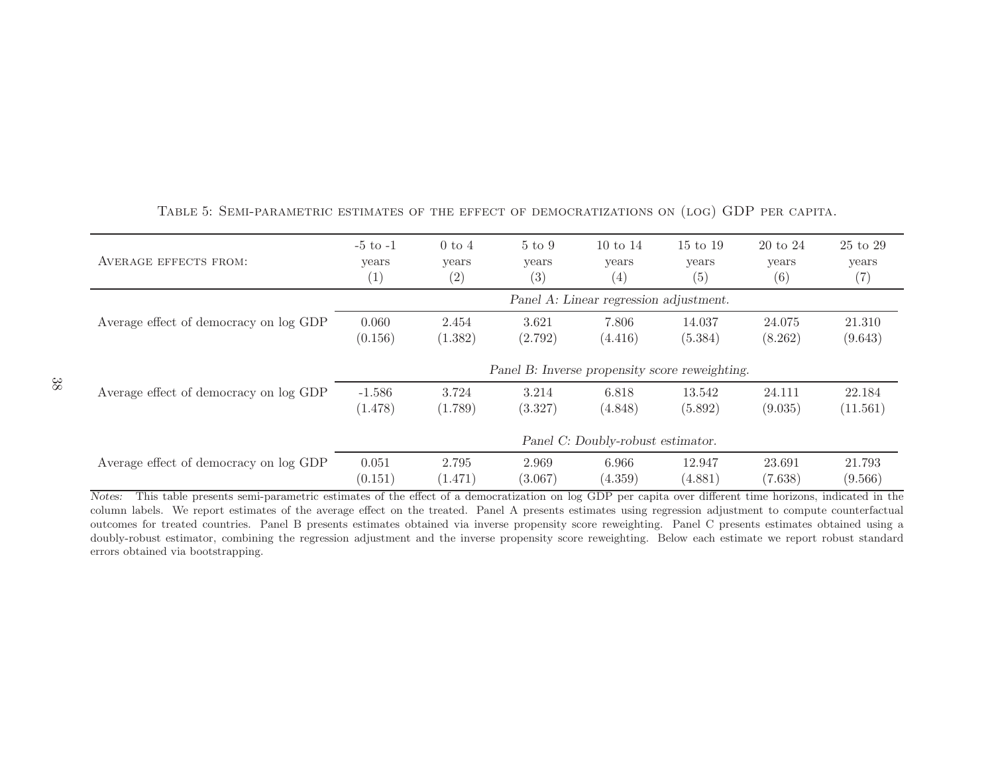| AVERAGE EFFECTS FROM:                  | $-5$ to $-1$      | $0$ to $4$ | $5 \text{ to } 9$ | $10 \text{ to } 14$                            | 15 to 19 | 20 to 24 | 25 to 29 |
|----------------------------------------|-------------------|------------|-------------------|------------------------------------------------|----------|----------|----------|
|                                        | years             | years      | years             | years                                          | years    | years    | years    |
|                                        | $\left( 1\right)$ | (2)        | (3)               | $\left( 4\right)$                              | (5)      | (6)      | (7)      |
|                                        |                   |            |                   | Panel A: Linear regression adjustment.         |          |          |          |
| Average effect of democracy on log GDP | 0.060             | 2.454      | 3.621             | 7.806                                          | 14.037   | 24.075   | 21.310   |
|                                        | (0.156)           | (1.382)    | (2.792)           | (4.416)                                        | (5.384)  | (8.262)  | (9.643)  |
|                                        |                   |            |                   | Panel B: Inverse propensity score reweighting. |          |          |          |
| Average effect of democracy on log GDP | $-1.586$          | 3.724      | 3.214             | 6.818                                          | 13.542   | 24.111   | 22.184   |
|                                        | (1.478)           | (1.789)    | (3.327)           | (4.848)                                        | (5.892)  | (9.035)  | (11.561) |
|                                        |                   |            |                   | Panel C: Doubly-robust estimator.              |          |          |          |
| Average effect of democracy on log GDP | 0.051             | 2.795      | 2.969             | 6.966                                          | 12.947   | 23.691   | 21.793   |
|                                        | (0.151)           | (1.471)    | (3.067)           | (4.359)                                        | (4.881)  | (7.638)  | (9.566)  |

### Table 5: Semi-parametric estimates of the effect of democratizations on (log) GDP per capita.

Notes: This table presents semi-parametric estimates of the effect of <sup>a</sup> democratization on log GDP per capita over different time horizons, indicated in the column labels. We report estimates of the average effect on the treated. Panel <sup>A</sup> presents estimates using regression adjustment to compute counterfactual outcomes for treated countries. Panel <sup>B</sup> presents estimates obtained via inverse propensity score reweighting. Panel <sup>C</sup> presents estimates obtained using <sup>a</sup> doubly-robust estimator, combining the regression adjustment and the inverse propensity score reweighting. Below each estimate we report robust standarderrors obtained via bootstrapping.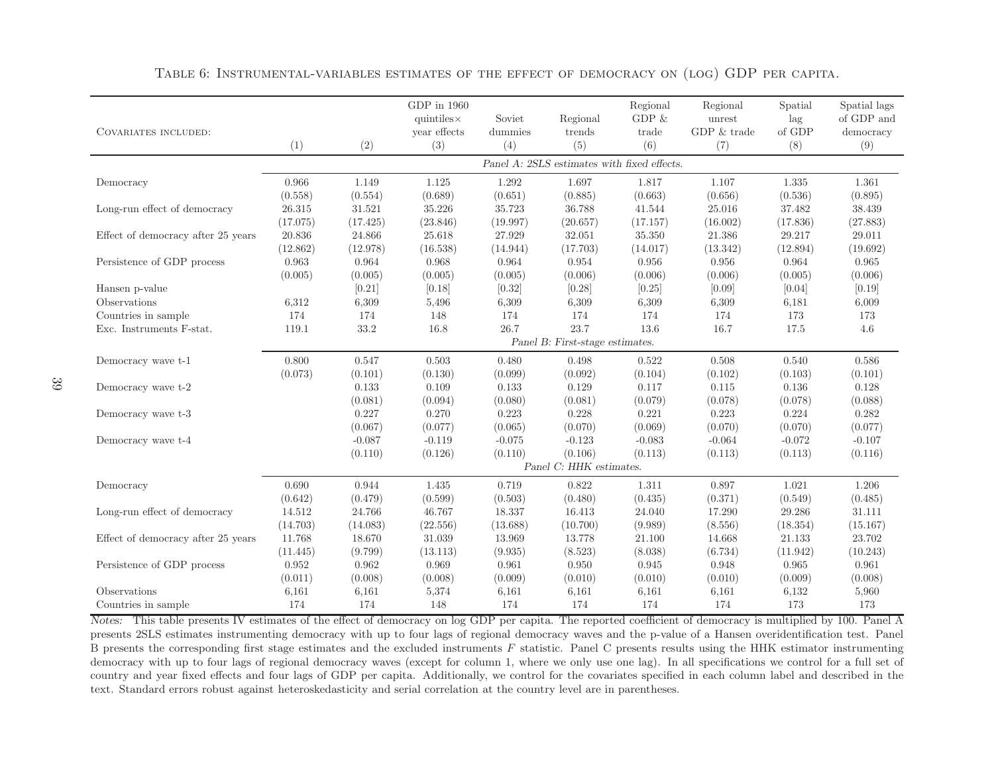<span id="page-39-0"></span>

|                                    |          |          | GDP in 1960<br>$quintiles \times$ | Soviet   | Regional                                    | Regional<br>$GDP \&$ | Regional<br>unrest | Spatial<br>lag | Spatial lags<br>of GDP and |
|------------------------------------|----------|----------|-----------------------------------|----------|---------------------------------------------|----------------------|--------------------|----------------|----------------------------|
| COVARIATES INCLUDED:               |          |          | year effects                      | dummies  | trends                                      | trade                | GDP $\&$ trade     | of GDP         | democracy                  |
|                                    | (1)      | (2)      | (3)                               | (4)      | (5)                                         | (6)                  | (7)                | (8)            | (9)                        |
|                                    |          |          |                                   |          | Panel A: 2SLS estimates with fixed effects. |                      |                    |                |                            |
| Democracy                          | 0.966    | 1.149    | 1.125                             | 1.292    | 1.697                                       | 1.817                | 1.107              | 1.335          | 1.361                      |
|                                    | (0.558)  | (0.554)  | (0.689)                           | (0.651)  | (0.885)                                     | (0.663)              | (0.656)            | (0.536)        | (0.895)                    |
| Long-run effect of democracy       | 26.315   | 31.521   | $35.226\,$                        | 35.723   | 36.788                                      | 41.544               | 25.016             | 37.482         | 38.439                     |
|                                    | (17.075) | (17.425) | (23.846)                          | (19.997) | (20.657)                                    | (17.157)             | (16.002)           | (17.836)       | (27.883)                   |
| Effect of democracy after 25 years | 20.836   | 24.866   | 25.618                            | 27.929   | 32.051                                      | 35.350               | 21.386             | 29.217         | 29.011                     |
|                                    | (12.862) | (12.978) | (16.538)                          | (14.944) | (17.703)                                    | (14.017)             | (13.342)           | (12.894)       | (19.692)                   |
| Persistence of GDP process         | 0.963    | 0.964    | 0.968                             | 0.964    | 0.954                                       | 0.956                | 0.956              | 0.964          | 0.965                      |
|                                    | (0.005)  | (0.005)  | (0.005)                           | (0.005)  | (0.006)                                     | (0.006)              | (0.006)            | (0.005)        | (0.006)                    |
| Hansen p-value                     |          | $[0.21]$ | [0.18]                            | [0.32]   | [0.28]                                      | [0.25]               | [0.09]             | [0.04]         | [0.19]                     |
| Observations                       | 6,312    | 6,309    | 5,496                             | 6,309    | 6,309                                       | 6,309                | 6,309              | 6,181          | 6,009                      |
| Countries in sample                | 174      | 174      | 148                               | 174      | 174                                         | 174                  | 174                | 173            | 173                        |
| Exc. Instruments F-stat.           | 119.1    | 33.2     | 16.8                              | 26.7     | 23.7                                        | 13.6                 | 16.7               | 17.5           | 4.6                        |
|                                    |          |          |                                   |          | Panel B: First-stage estimates.             |                      |                    |                |                            |
| Democracy wave t-1                 | 0.800    | 0.547    | 0.503                             | 0.480    | 0.498                                       | 0.522                | 0.508              | 0.540          | 0.586                      |
|                                    | (0.073)  | (0.101)  | (0.130)                           | (0.099)  | (0.092)                                     | (0.104)              | (0.102)            | (0.103)        | (0.101)                    |
| Democracy wave t-2                 |          | 0.133    | 0.109                             | 0.133    | 0.129                                       | 0.117                | 0.115              | 0.136          | 0.128                      |
|                                    |          | (0.081)  | (0.094)                           | (0.080)  | (0.081)                                     | (0.079)              | (0.078)            | (0.078)        | (0.088)                    |
| Democracy wave t-3                 |          | 0.227    | 0.270                             | 0.223    | 0.228                                       | 0.221                | 0.223              | 0.224          | 0.282                      |
|                                    |          | (0.067)  | (0.077)                           | (0.065)  | (0.070)                                     | (0.069)              | (0.070)            | (0.070)        | (0.077)                    |
| Democracy wave t-4                 |          | $-0.087$ | $-0.119$                          | $-0.075$ | $-0.123$                                    | $-0.083$             | $-0.064$           | $-0.072$       | $-0.107$                   |
|                                    |          | (0.110)  | (0.126)                           | (0.110)  | (0.106)                                     | (0.113)              | (0.113)            | (0.113)        | (0.116)                    |
|                                    |          |          |                                   |          | Panel C: HHK estimates.                     |                      |                    |                |                            |
| Democracy                          | 0.690    | 0.944    | 1.435                             | 0.719    | 0.822                                       | 1.311                | 0.897              | 1.021          | 1.206                      |
|                                    | (0.642)  | (0.479)  | (0.599)                           | (0.503)  | (0.480)                                     | (0.435)              | (0.371)            | (0.549)        | (0.485)                    |
| Long-run effect of democracy       | 14.512   | 24.766   | 46.767                            | 18.337   | 16.413                                      | 24.040               | 17.290             | 29.286         | 31.111                     |
|                                    | (14.703) | (14.083) | (22.556)                          | (13.688) | (10.700)                                    | (9.989)              | (8.556)            | (18.354)       | (15.167)                   |
| Effect of democracy after 25 years | 11.768   | 18.670   | 31.039                            | 13.969   | 13.778                                      | 21.100               | 14.668             | 21.133         | 23.702                     |
|                                    | (11.445) | (9.799)  | (13.113)                          | (9.935)  | (8.523)                                     | (8.038)              | (6.734)            | (11.942)       | (10.243)                   |
| Persistence of GDP process         | 0.952    | 0.962    | 0.969                             | 0.961    | 0.950                                       | 0.945                | 0.948              | 0.965          | 0.961                      |
|                                    | (0.011)  | (0.008)  | (0.008)                           | (0.009)  | (0.010)                                     | (0.010)              | (0.010)            | (0.009)        | (0.008)                    |
| Observations                       | 6,161    | 6,161    | 5,374                             | 6,161    | 6,161                                       | 6,161                | 6,161              | 6,132          | 5,960                      |
| Countries in sample                | 174      | 174      | 148                               | 174      | 174                                         | 174                  | 174                | 173            | 173                        |

Table 6: Instrumental-variables estimates of the effect of democracy on (log) GDP per capita.

Notes: This table presents IV estimates of the effect of democracy on log GDP per capita. The reported coefficient of democracy is multiplied by 100. Panel <sup>A</sup> presents 2SLS estimates instrumenting democracy with up to four lags of regional democracy waves and the p-value of <sup>a</sup> Hansen overidentification test. Panel B presents the corresponding first stage estimates and the excluded instruments  $F$  statistic. Panel C presents results using the HHK estimator instrumenting democracy with up to four lags of regional democracy waves (except for column 1, where we only use one lag). In all specifications we control for <sup>a</sup> full set of country and year fixed effects and four lags of GDP per capita. Additionally, we control for the covariates specified in each column label and described in the text. Standard errors robust against heteroskedasticity and serial correlation at the country level are in parentheses.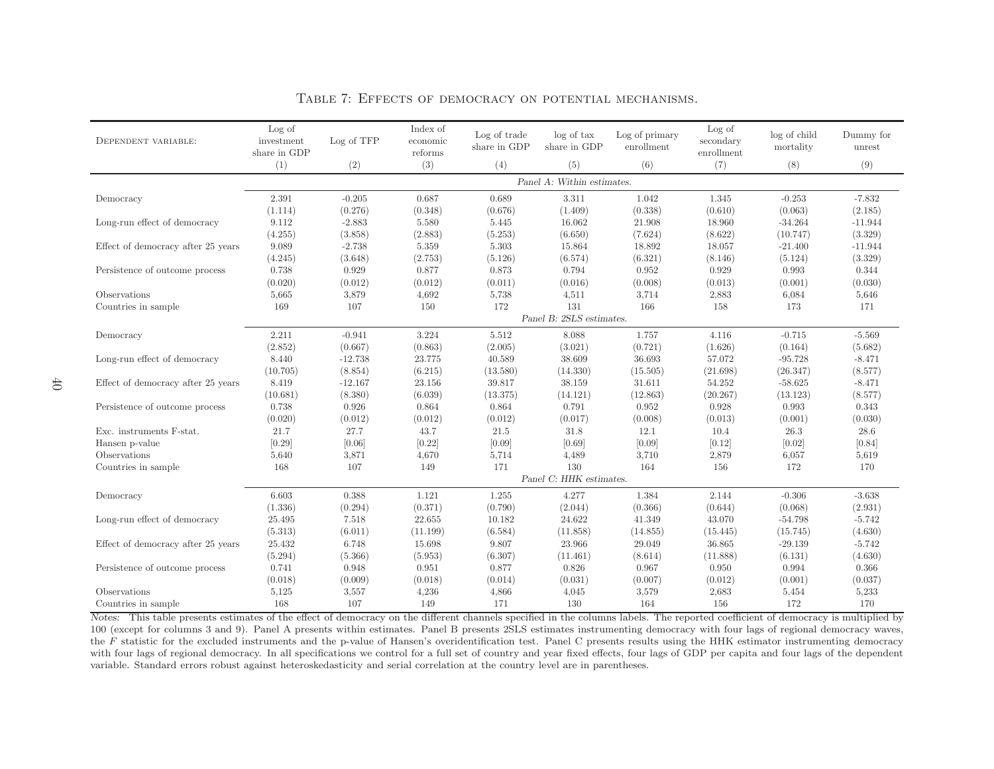| DEPENDENT VARIABLE:                | Log of<br>investment<br>share in GDP | Log of TFP | Index of<br>economic<br>reforms | Log of trade<br>share in GDP | log of tax<br>share in GDP | Log of primary<br>enrollment | Log of<br>secondary<br>enrollment | log of child<br>mortality | Dummy for<br>unrest |
|------------------------------------|--------------------------------------|------------|---------------------------------|------------------------------|----------------------------|------------------------------|-----------------------------------|---------------------------|---------------------|
|                                    | (1)                                  | (2)        | (3)                             | (4)                          | (5)                        | (6)                          | (7)                               | (8)                       | (9)                 |
|                                    |                                      |            |                                 |                              | Panel A: Within estimates. |                              |                                   |                           |                     |
|                                    |                                      |            |                                 |                              |                            |                              |                                   |                           |                     |
| Democracy                          | 2.391                                | $-0.205$   | 0.687                           | 0.689                        | 3.311                      | 1.042                        | 1.345                             | $-0.253$                  | $-7.832$            |
|                                    | (1.114)                              | (0.276)    | (0.348)                         | (0.676)                      | (1.409)                    | (0.338)                      | (0.610)                           | (0.063)                   | (2.185)             |
| Long-run effect of democracy       | 9.112                                | $-2.883$   | 5.580                           | 5.445                        | 16.062                     | 21.908                       | 18.960                            | $-34.264$                 | $-11.944$           |
|                                    | (4.255)                              | (3.858)    | (2.883)                         | (5.253)                      | (6.650)                    | (7.624)                      | (8.622)                           | (10.747)                  | (3.329)             |
| Effect of democracy after 25 years | 9.089                                | $-2.738$   | 5.359                           | 5.303                        | 15.864                     | 18.892                       | 18.057                            | $-21.400$                 | $-11.944$           |
|                                    | (4.245)                              | (3.648)    | (2.753)                         | (5.126)                      | (6.574)                    | (6.321)                      | (8.146)                           | (5.124)                   | (3.329)             |
| Persistence of outcome process     | 0.738                                | 0.929      | 0.877                           | 0.873                        | 0.794                      | 0.952                        | 0.929                             | 0.993                     | 0.344               |
|                                    | (0.020)                              | (0.012)    | (0.012)                         | (0.011)                      | (0.016)                    | (0.008)                      | (0.013)                           | (0.001)                   | (0.030)             |
| Observations                       | 5,665                                | 3,879      | 4,692                           | 5,738                        | 4,511                      | 3,714                        | 2,883                             | 6,084                     | 5,646               |
| Countries in sample                | 169                                  | 107        | 150                             | 172                          | 131                        | 166                          | 158                               | 173                       | 171                 |
|                                    |                                      |            |                                 |                              | Panel B: 2SLS estimates.   |                              |                                   |                           |                     |
| Democracy                          | 2.211                                | $-0.941$   | 3.224                           | 5.512                        | 8.088                      | 1.757                        | 4.116                             | $-0.715$                  | $-5.569$            |
|                                    | (2.852)                              | (0.667)    | (0.863)                         | (2.005)                      | (3.021)                    | (0.721)                      | (1.626)                           | (0.164)                   | (5.682)             |
| Long-run effect of democracy       | 8.440                                | $-12.738$  | 23.775                          | 40.589                       | 38.609                     | 36.693                       | 57.072                            | $-95.728$                 | $-8.471$            |
|                                    | (10.705)                             | (8.854)    | (6.215)                         | (13.580)                     | (14.330)                   | (15.505)                     | (21.698)                          | (26.347)                  | (8.577)             |
| Effect of democracy after 25 years | 8.419                                | $-12.167$  | 23.156                          | 39.817                       | 38.159                     | 31.611                       | 54.252                            | $-58.625$                 | $-8.471$            |
|                                    | (10.681)                             | (8.380)    | (6.039)                         | (13.375)                     | (14.121)                   | (12.863)                     | (20.267)                          | (13.123)                  | (8.577)             |
| Persistence of outcome process     | 0.738                                | 0.926      | 0.864                           | 0.864                        | 0.791                      | 0.952                        | 0.928                             | 0.993                     | 0.343               |
|                                    | (0.020)                              | (0.012)    | (0.012)                         | (0.012)                      | (0.017)                    | (0.008)                      | (0.013)                           | (0.001)                   | (0.030)             |
| Exc. instruments F-stat.           | 21.7                                 | 27.7       | 43.7                            | 21.5                         | 31.8                       | 12.1                         | 10.4                              | 26.3                      | 28.6                |
| Hansen p-value                     | [0.29]                               | [0.06]     | [0.22]                          | [0.09]                       | [0.69]                     | [0.09]                       | [0.12]                            | [0.02]                    | [0.84]              |
| Observations                       | 5,640                                | 3,871      | 4,670                           | 5,714                        | 4,489                      | 3,710                        | 2,879                             | 6,057                     | 5,619               |
| Countries in sample                | 168                                  | 107        | 149                             | 171                          | 130                        | 164                          | 156                               | 172                       | 170                 |
|                                    |                                      |            |                                 |                              | Panel C: HHK estimates.    |                              |                                   |                           |                     |
| Democracy                          | 6.603                                | 0.388      | 1.121                           | 1.255                        | 4.277                      | 1.384                        | 2.144                             | $-0.306$                  | $-3.638$            |
|                                    | (1.336)                              | (0.294)    | (0.371)                         | (0.790)                      | (2.044)                    | (0.366)                      | (0.644)                           | (0.068)                   | (2.931)             |
| Long-run effect of democracy       | 25.495                               | 7.518      | 22.655                          | 10.182                       | 24.622                     | 41.349                       | 43.070                            | $-54.798$                 | $-5.742$            |
|                                    | (5.313)                              | (6.011)    | (11.199)                        | (6.584)                      | (11.858)                   | (14.855)                     | (15.445)                          | (15.745)                  | (4.630)             |
| Effect of democracy after 25 years | 25.432                               | 6.748      | 15.698                          | 9.807                        | 23.966                     | 29.049                       | 36.865                            | $-29.139$                 | $-5.742$            |
|                                    | (5.294)                              | (5.366)    | (5.953)                         | (6.307)                      | (11.461)                   | (8.614)                      | (11.888)                          | (6.131)                   | (4.630)             |
| Persistence of outcome process     | 0.741                                | 0.948      | 0.951                           | 0.877                        | 0.826                      | 0.967                        | 0.950                             | 0.994                     | 0.366               |
|                                    | (0.018)                              |            | (0.018)                         | (0.014)                      |                            | (0.007)                      | (0.012)                           | (0.001)                   |                     |
| Observations                       | 5,125                                | (0.009)    | 4,236                           | 4,866                        | (0.031)                    |                              | 2,683                             |                           | (0.037)<br>5,233    |
|                                    |                                      | 3,557      |                                 |                              | 4,045                      | 3,579<br>164                 |                                   | 5,454                     |                     |
| Countries in sample                | 168                                  | 107        | 149                             | 171                          | 130                        |                              | 156                               | 172                       | 170                 |

### Table 7: Effects of democracy on potential mechanisms.

Notes: This table presents estimates of the effect of democracy on the different channels specified in the columns labels. The reported coefficient of democracy is multiplied by <sup>100</sup> (except for columns <sup>3</sup> and 9). Panel <sup>A</sup> presents within estimates. Panel <sup>B</sup> presents 2SLS estimates instrumenting democracy with four lags of regional democracy waves, the F statistic for the excluded instruments and the p-value of Hansen's overidentification test. Panel C presents results using the HHK estimator instrumenting democracy with four lags of regional democracy. In all specifications we control for a full set of country and year fixed effects, four lags of GDP per capita and four lags of the dependent variable. Standard errors robust against heteroskedasticity and serial correlation at the country level are in parentheses.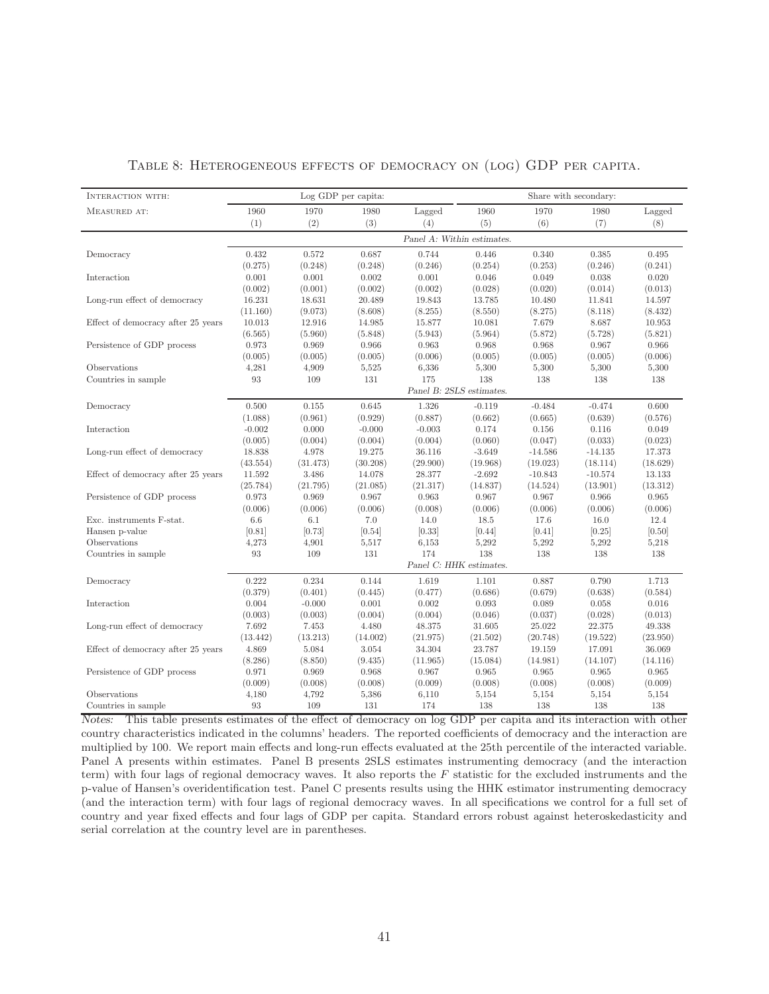| 1960<br>1970<br>1980<br>Lagged<br>1960<br>1970<br>1980<br>Lagged<br>MEASURED AT:<br>(1)<br>(2)<br>(3)<br>(5)<br>(8)<br>(4)<br>(6)<br>(7)<br>Panel A: Within estimates.<br>0.744<br>0.432<br>0.572<br>0.687<br>0.446<br>0.340<br>0.385<br>0.495<br>Democracy<br>(0.275)<br>(0.246)<br>(0.248)<br>(0.248)<br>(0.254)<br>(0.253)<br>(0.246)<br>(0.241)<br>0.038<br>Interaction<br>0.001<br>0.001<br>0.002<br>0.001<br>0.046<br>0.049<br>0.020<br>(0.002)<br>(0.001)<br>(0.002)<br>(0.002)<br>(0.028)<br>(0.020)<br>(0.014)<br>(0.013)<br>16.231<br>18.631<br>11.841<br>Long-run effect of democracy<br>20.489<br>19.843<br>13.785<br>10.480<br>14.597<br>(9.073)<br>(8.255)<br>(11.160)<br>(8.608)<br>(8.550)<br>(8.275)<br>(8.118)<br>(8.432)<br>Effect of democracy after 25 years<br>12.916<br>10.081<br>8.687<br>10.013<br>14.985<br>15.877<br>7.679<br>10.953<br>(6.565)<br>(5.960)<br>(5.848)<br>(5.943)<br>(5.964)<br>(5.872)<br>(5.728)<br>(5.821)<br>Persistence of GDP process<br>0.973<br>0.969<br>0.966<br>0.963<br>0.968<br>0.968<br>0.967<br>0.966<br>(0.005)<br>(0.005)<br>(0.005)<br>(0.006)<br>(0.005)<br>(0.005)<br>(0.005)<br>(0.006)<br>Observations<br>4,281<br>4,909<br>5,525<br>6,336<br>5,300<br>5,300<br>5,300<br>5,300<br>138<br>Countries in sample<br>93<br>109<br>131<br>175<br>138<br>138<br>138<br>Panel B: 2SLS estimates. | <b>INTERACTION WITH:</b> |  | Log GDP per capita: |  | Share with secondary: |  |
|---------------------------------------------------------------------------------------------------------------------------------------------------------------------------------------------------------------------------------------------------------------------------------------------------------------------------------------------------------------------------------------------------------------------------------------------------------------------------------------------------------------------------------------------------------------------------------------------------------------------------------------------------------------------------------------------------------------------------------------------------------------------------------------------------------------------------------------------------------------------------------------------------------------------------------------------------------------------------------------------------------------------------------------------------------------------------------------------------------------------------------------------------------------------------------------------------------------------------------------------------------------------------------------------------------------------------------------------------------|--------------------------|--|---------------------|--|-----------------------|--|
|                                                                                                                                                                                                                                                                                                                                                                                                                                                                                                                                                                                                                                                                                                                                                                                                                                                                                                                                                                                                                                                                                                                                                                                                                                                                                                                                                         |                          |  |                     |  |                       |  |
|                                                                                                                                                                                                                                                                                                                                                                                                                                                                                                                                                                                                                                                                                                                                                                                                                                                                                                                                                                                                                                                                                                                                                                                                                                                                                                                                                         |                          |  |                     |  |                       |  |
|                                                                                                                                                                                                                                                                                                                                                                                                                                                                                                                                                                                                                                                                                                                                                                                                                                                                                                                                                                                                                                                                                                                                                                                                                                                                                                                                                         |                          |  |                     |  |                       |  |
|                                                                                                                                                                                                                                                                                                                                                                                                                                                                                                                                                                                                                                                                                                                                                                                                                                                                                                                                                                                                                                                                                                                                                                                                                                                                                                                                                         |                          |  |                     |  |                       |  |
|                                                                                                                                                                                                                                                                                                                                                                                                                                                                                                                                                                                                                                                                                                                                                                                                                                                                                                                                                                                                                                                                                                                                                                                                                                                                                                                                                         |                          |  |                     |  |                       |  |
|                                                                                                                                                                                                                                                                                                                                                                                                                                                                                                                                                                                                                                                                                                                                                                                                                                                                                                                                                                                                                                                                                                                                                                                                                                                                                                                                                         |                          |  |                     |  |                       |  |
|                                                                                                                                                                                                                                                                                                                                                                                                                                                                                                                                                                                                                                                                                                                                                                                                                                                                                                                                                                                                                                                                                                                                                                                                                                                                                                                                                         |                          |  |                     |  |                       |  |
|                                                                                                                                                                                                                                                                                                                                                                                                                                                                                                                                                                                                                                                                                                                                                                                                                                                                                                                                                                                                                                                                                                                                                                                                                                                                                                                                                         |                          |  |                     |  |                       |  |
|                                                                                                                                                                                                                                                                                                                                                                                                                                                                                                                                                                                                                                                                                                                                                                                                                                                                                                                                                                                                                                                                                                                                                                                                                                                                                                                                                         |                          |  |                     |  |                       |  |
|                                                                                                                                                                                                                                                                                                                                                                                                                                                                                                                                                                                                                                                                                                                                                                                                                                                                                                                                                                                                                                                                                                                                                                                                                                                                                                                                                         |                          |  |                     |  |                       |  |
|                                                                                                                                                                                                                                                                                                                                                                                                                                                                                                                                                                                                                                                                                                                                                                                                                                                                                                                                                                                                                                                                                                                                                                                                                                                                                                                                                         |                          |  |                     |  |                       |  |
|                                                                                                                                                                                                                                                                                                                                                                                                                                                                                                                                                                                                                                                                                                                                                                                                                                                                                                                                                                                                                                                                                                                                                                                                                                                                                                                                                         |                          |  |                     |  |                       |  |
|                                                                                                                                                                                                                                                                                                                                                                                                                                                                                                                                                                                                                                                                                                                                                                                                                                                                                                                                                                                                                                                                                                                                                                                                                                                                                                                                                         |                          |  |                     |  |                       |  |
|                                                                                                                                                                                                                                                                                                                                                                                                                                                                                                                                                                                                                                                                                                                                                                                                                                                                                                                                                                                                                                                                                                                                                                                                                                                                                                                                                         |                          |  |                     |  |                       |  |
|                                                                                                                                                                                                                                                                                                                                                                                                                                                                                                                                                                                                                                                                                                                                                                                                                                                                                                                                                                                                                                                                                                                                                                                                                                                                                                                                                         |                          |  |                     |  |                       |  |
|                                                                                                                                                                                                                                                                                                                                                                                                                                                                                                                                                                                                                                                                                                                                                                                                                                                                                                                                                                                                                                                                                                                                                                                                                                                                                                                                                         |                          |  |                     |  |                       |  |
|                                                                                                                                                                                                                                                                                                                                                                                                                                                                                                                                                                                                                                                                                                                                                                                                                                                                                                                                                                                                                                                                                                                                                                                                                                                                                                                                                         |                          |  |                     |  |                       |  |
| 0.645<br>0.500<br>0.155<br>1.326<br>$-0.119$<br>$-0.484$<br>$-0.474$<br>0.600<br>Democracy                                                                                                                                                                                                                                                                                                                                                                                                                                                                                                                                                                                                                                                                                                                                                                                                                                                                                                                                                                                                                                                                                                                                                                                                                                                              |                          |  |                     |  |                       |  |
| (1.088)<br>(0.961)<br>(0.929)<br>(0.887)<br>(0.662)<br>(0.665)<br>(0.639)<br>(0.576)                                                                                                                                                                                                                                                                                                                                                                                                                                                                                                                                                                                                                                                                                                                                                                                                                                                                                                                                                                                                                                                                                                                                                                                                                                                                    |                          |  |                     |  |                       |  |
| 0.000<br>0.174<br>Interaction<br>$-0.002$<br>$-0.000$<br>$-0.003$<br>0.156<br>0.116<br>0.049                                                                                                                                                                                                                                                                                                                                                                                                                                                                                                                                                                                                                                                                                                                                                                                                                                                                                                                                                                                                                                                                                                                                                                                                                                                            |                          |  |                     |  |                       |  |
| (0.033)<br>(0.005)<br>(0.004)<br>(0.004)<br>(0.004)<br>(0.060)<br>(0.047)<br>(0.023)                                                                                                                                                                                                                                                                                                                                                                                                                                                                                                                                                                                                                                                                                                                                                                                                                                                                                                                                                                                                                                                                                                                                                                                                                                                                    |                          |  |                     |  |                       |  |
| 4.978<br>Long-run effect of democracy<br>18.838<br>19.275<br>36.116<br>$-3.649$<br>$-14.586$<br>$-14.135$<br>17.373                                                                                                                                                                                                                                                                                                                                                                                                                                                                                                                                                                                                                                                                                                                                                                                                                                                                                                                                                                                                                                                                                                                                                                                                                                     |                          |  |                     |  |                       |  |
| (43.554)<br>(31.473)<br>(30.208)<br>(29.900)<br>(19.968)<br>(19.023)<br>(18.114)<br>(18.629)                                                                                                                                                                                                                                                                                                                                                                                                                                                                                                                                                                                                                                                                                                                                                                                                                                                                                                                                                                                                                                                                                                                                                                                                                                                            |                          |  |                     |  |                       |  |
| Effect of democracy after 25 years<br>3.486<br>28.377<br>$-2.692$<br>$-10.574$<br>11.592<br>14.078<br>$-10.843$<br>13.133                                                                                                                                                                                                                                                                                                                                                                                                                                                                                                                                                                                                                                                                                                                                                                                                                                                                                                                                                                                                                                                                                                                                                                                                                               |                          |  |                     |  |                       |  |
| (25.784)<br>(21.795)<br>(21.085)<br>(21.317)<br>(14.837)<br>(13.901)<br>(13.312)<br>(14.524)                                                                                                                                                                                                                                                                                                                                                                                                                                                                                                                                                                                                                                                                                                                                                                                                                                                                                                                                                                                                                                                                                                                                                                                                                                                            |                          |  |                     |  |                       |  |
| Persistence of GDP process<br>0.973<br>0.969<br>0.967<br>0.963<br>0.967<br>0.967<br>0.966<br>0.965                                                                                                                                                                                                                                                                                                                                                                                                                                                                                                                                                                                                                                                                                                                                                                                                                                                                                                                                                                                                                                                                                                                                                                                                                                                      |                          |  |                     |  |                       |  |
| (0.006)<br>(0.006)<br>(0.006)<br>(0.008)<br>(0.006)<br>(0.006)<br>(0.006)<br>(0.006)                                                                                                                                                                                                                                                                                                                                                                                                                                                                                                                                                                                                                                                                                                                                                                                                                                                                                                                                                                                                                                                                                                                                                                                                                                                                    |                          |  |                     |  |                       |  |
| Exc. instruments F-stat.<br>6.6<br>6.1<br>7.0<br>14.0<br>18.5<br>16.0<br>12.4<br>17.6                                                                                                                                                                                                                                                                                                                                                                                                                                                                                                                                                                                                                                                                                                                                                                                                                                                                                                                                                                                                                                                                                                                                                                                                                                                                   |                          |  |                     |  |                       |  |
| Hansen p-value<br>[0.81]<br>[0.73]<br>[0.54]<br>[0.44]<br>[0.50]<br>[0.33]<br>[0.41]<br>[0.25]                                                                                                                                                                                                                                                                                                                                                                                                                                                                                                                                                                                                                                                                                                                                                                                                                                                                                                                                                                                                                                                                                                                                                                                                                                                          |                          |  |                     |  |                       |  |
| Observations<br>5,292<br>5,292<br>4,273<br>4,901<br>5,517<br>6,153<br>5,292<br>5,218                                                                                                                                                                                                                                                                                                                                                                                                                                                                                                                                                                                                                                                                                                                                                                                                                                                                                                                                                                                                                                                                                                                                                                                                                                                                    |                          |  |                     |  |                       |  |
| 93<br>138<br>109<br>131<br>174<br>138<br>138<br>138<br>Countries in sample                                                                                                                                                                                                                                                                                                                                                                                                                                                                                                                                                                                                                                                                                                                                                                                                                                                                                                                                                                                                                                                                                                                                                                                                                                                                              |                          |  |                     |  |                       |  |
| Panel C: HHK estimates.                                                                                                                                                                                                                                                                                                                                                                                                                                                                                                                                                                                                                                                                                                                                                                                                                                                                                                                                                                                                                                                                                                                                                                                                                                                                                                                                 |                          |  |                     |  |                       |  |
| Democracy<br>0.222<br>0.234<br>0.144<br>1.619<br>1.101<br>0.887<br>0.790<br>1.713                                                                                                                                                                                                                                                                                                                                                                                                                                                                                                                                                                                                                                                                                                                                                                                                                                                                                                                                                                                                                                                                                                                                                                                                                                                                       |                          |  |                     |  |                       |  |
| (0.379)<br>(0.401)<br>(0.445)<br>(0.477)<br>(0.686)<br>(0.679)<br>(0.638)<br>(0.584)                                                                                                                                                                                                                                                                                                                                                                                                                                                                                                                                                                                                                                                                                                                                                                                                                                                                                                                                                                                                                                                                                                                                                                                                                                                                    |                          |  |                     |  |                       |  |
| $-0.000$<br>0.001<br>Interaction<br>0.004<br>0.002<br>0.093<br>0.089<br>0.058<br>0.016                                                                                                                                                                                                                                                                                                                                                                                                                                                                                                                                                                                                                                                                                                                                                                                                                                                                                                                                                                                                                                                                                                                                                                                                                                                                  |                          |  |                     |  |                       |  |
| (0.003)<br>(0.003)<br>(0.004)<br>(0.004)<br>(0.046)<br>(0.037)<br>(0.028)<br>(0.013)                                                                                                                                                                                                                                                                                                                                                                                                                                                                                                                                                                                                                                                                                                                                                                                                                                                                                                                                                                                                                                                                                                                                                                                                                                                                    |                          |  |                     |  |                       |  |
| 7.692<br>4.480<br>22.375<br>Long-run effect of democracy<br>7.453<br>48.375<br>31.605<br>25.022<br>49.338                                                                                                                                                                                                                                                                                                                                                                                                                                                                                                                                                                                                                                                                                                                                                                                                                                                                                                                                                                                                                                                                                                                                                                                                                                               |                          |  |                     |  |                       |  |
| (13.213)<br>(13.442)<br>(14.002)<br>(21.975)<br>(21.502)<br>(20.748)<br>(19.522)<br>(23.950)                                                                                                                                                                                                                                                                                                                                                                                                                                                                                                                                                                                                                                                                                                                                                                                                                                                                                                                                                                                                                                                                                                                                                                                                                                                            |                          |  |                     |  |                       |  |
| Effect of democracy after 25 years<br>4.869<br>5.084<br>3.054<br>34.304<br>23.787<br>19.159<br>17.091<br>36.069                                                                                                                                                                                                                                                                                                                                                                                                                                                                                                                                                                                                                                                                                                                                                                                                                                                                                                                                                                                                                                                                                                                                                                                                                                         |                          |  |                     |  |                       |  |
| (8.286)<br>(8.850)<br>(9.435)<br>(15.084)<br>(14.107)<br>(11.965)<br>(14.981)<br>(14.116)                                                                                                                                                                                                                                                                                                                                                                                                                                                                                                                                                                                                                                                                                                                                                                                                                                                                                                                                                                                                                                                                                                                                                                                                                                                               |                          |  |                     |  |                       |  |
| Persistence of GDP process<br>0.971<br>0.969<br>0.968<br>0.967<br>0.965<br>0.965<br>0.965<br>0.965                                                                                                                                                                                                                                                                                                                                                                                                                                                                                                                                                                                                                                                                                                                                                                                                                                                                                                                                                                                                                                                                                                                                                                                                                                                      |                          |  |                     |  |                       |  |
| (0.009)<br>(0.008)<br>(0.008)<br>(0.009)<br>(0.008)<br>(0.008)<br>(0.008)<br>(0.009)                                                                                                                                                                                                                                                                                                                                                                                                                                                                                                                                                                                                                                                                                                                                                                                                                                                                                                                                                                                                                                                                                                                                                                                                                                                                    |                          |  |                     |  |                       |  |
| Observations<br>4,180<br>5,386<br>4,792<br>6,110<br>5,154<br>5,154<br>5,154<br>5,154                                                                                                                                                                                                                                                                                                                                                                                                                                                                                                                                                                                                                                                                                                                                                                                                                                                                                                                                                                                                                                                                                                                                                                                                                                                                    |                          |  |                     |  |                       |  |
| 93<br>138<br>Countries in sample<br>109<br>131<br>174<br>138<br>138<br>138                                                                                                                                                                                                                                                                                                                                                                                                                                                                                                                                                                                                                                                                                                                                                                                                                                                                                                                                                                                                                                                                                                                                                                                                                                                                              |                          |  |                     |  |                       |  |

#### Table 8: Heterogeneous effects of democracy on (log) GDP per capita.

Notes: This table presents estimates of the effect of democracy on log GDP per capita and its interaction with other country characteristics indicated in the columns' headers. The reported coefficients of democracy and the interaction are multiplied by 100. We report main effects and long-run effects evaluated at the 25th percentile of the interacted variable. Panel A presents within estimates. Panel B presents 2SLS estimates instrumenting democracy (and the interaction term) with four lags of regional democracy waves. It also reports the  $F$  statistic for the excluded instruments and the p-value of Hansen's overidentification test. Panel C presents results using the HHK estimator instrumenting democracy (and the interaction term) with four lags of regional democracy waves. In all specifications we control for a full set of country and year fixed effects and four lags of GDP per capita. Standard errors robust against heteroskedasticity and serial correlation at the country level are in parentheses.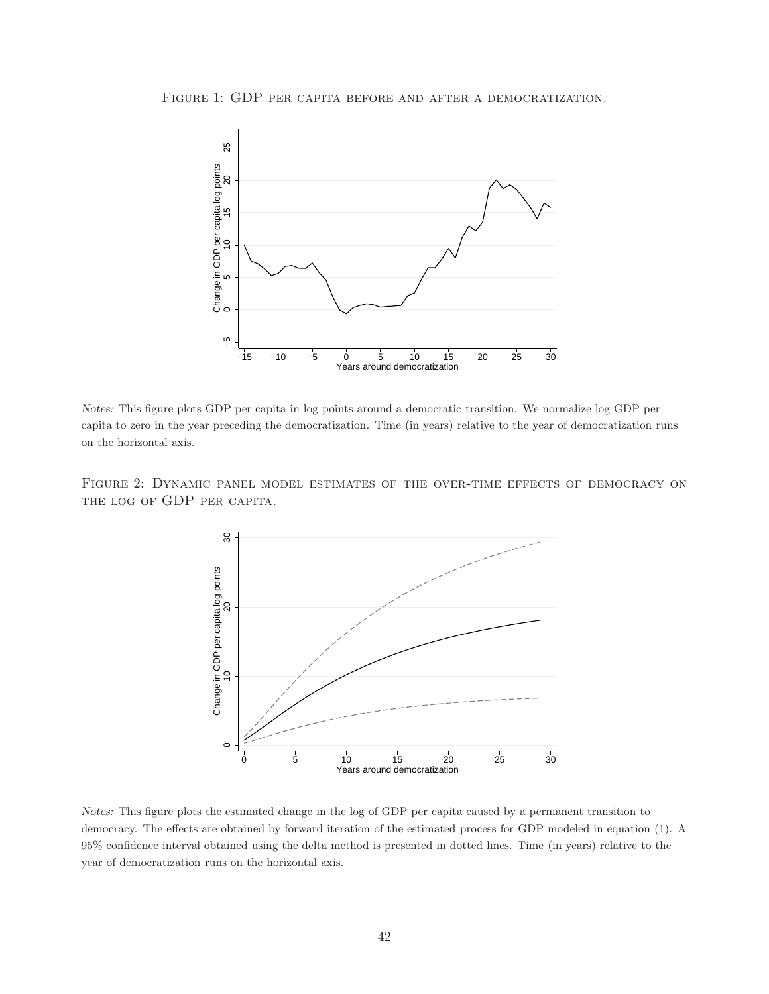FIGURE 1: GDP PER CAPITA BEFORE AND AFTER A DEMOCRATIZATION.



Notes: This figure plots GDP per capita in log points around a democratic transition. We normalize log GDP per capita to zero in the year preceding the democratization. Time (in years) relative to the year of democratization runs on the horizontal axis.

Figure 2: Dynamic panel model estimates of the over-time effects of democracy on the log of GDP per capita.



Notes: This figure plots the estimated change in the log of GDP per capita caused by a permanent transition to democracy. The effects are obtained by forward iteration of the estimated process for GDP modeled in equation [\(1\)](#page-7-0). A 95% confidence interval obtained using the delta method is presented in dotted lines. Time (in years) relative to the year of democratization runs on the horizontal axis.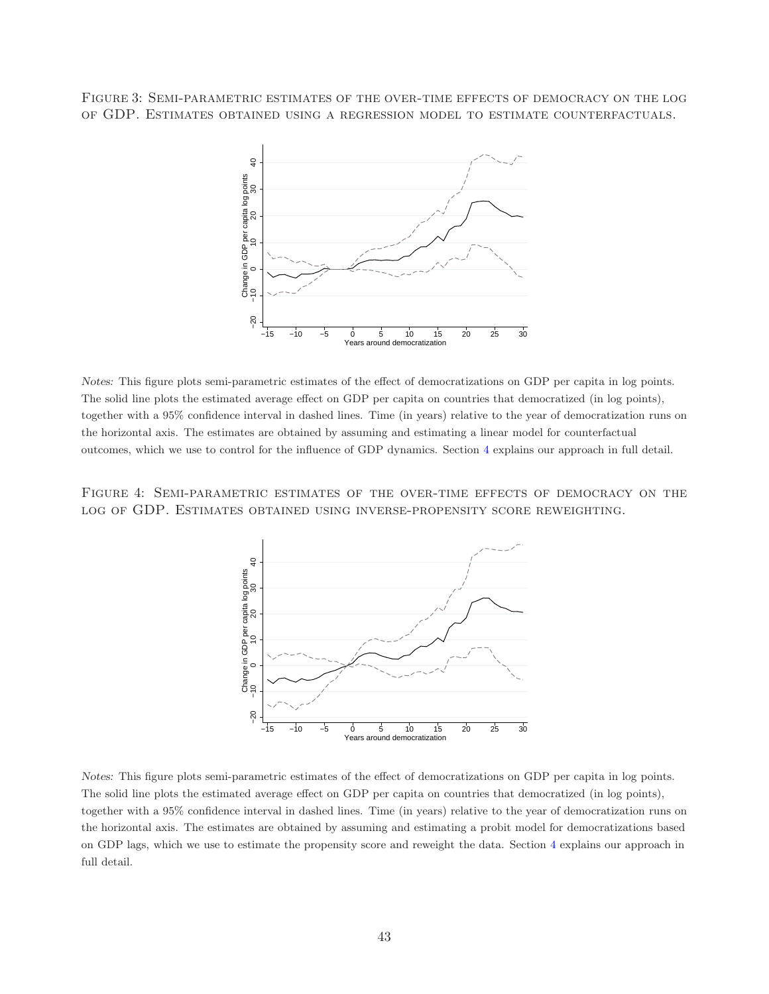<span id="page-43-0"></span>Figure 3: Semi-parametric estimates of the over-time effects of democracy on the log of GDP. Estimates obtained using a regression model to estimate counterfactuals.



Notes: This figure plots semi-parametric estimates of the effect of democratizations on GDP per capita in log points. The solid line plots the estimated average effect on GDP per capita on countries that democratized (in log points), together with a 95% confidence interval in dashed lines. Time (in years) relative to the year of democratization runs on the horizontal axis. The estimates are obtained by assuming and estimating a linear model for counterfactual outcomes, which we use to control for the influence of GDP dynamics. Section [4](#page-51-0) explains our approach in full detail.

<span id="page-43-1"></span>Figure 4: Semi-parametric estimates of the over-time effects of democracy on the log of GDP. Estimates obtained using inverse-propensity score reweighting.



Notes: This figure plots semi-parametric estimates of the effect of democratizations on GDP per capita in log points. The solid line plots the estimated average effect on GDP per capita on countries that democratized (in log points), together with a 95% confidence interval in dashed lines. Time (in years) relative to the year of democratization runs on the horizontal axis. The estimates are obtained by assuming and estimating a probit model for democratizations based on GDP lags, which we use to estimate the propensity score and reweight the data. Section [4](#page-51-0) explains our approach in full detail.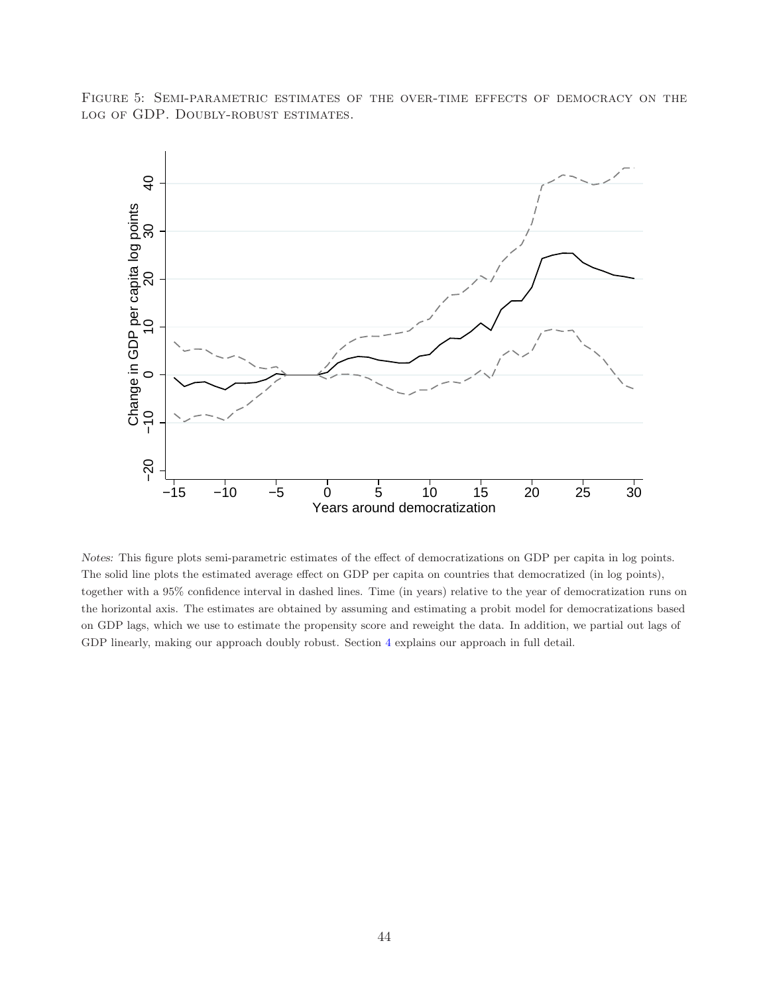<span id="page-44-0"></span>Figure 5: Semi-parametric estimates of the over-time effects of democracy on the LOG OF GDP. DOUBLY-ROBUST ESTIMATES.



Notes: This figure plots semi-parametric estimates of the effect of democratizations on GDP per capita in log points. The solid line plots the estimated average effect on GDP per capita on countries that democratized (in log points), together with a 95% confidence interval in dashed lines. Time (in years) relative to the year of democratization runs on the horizontal axis. The estimates are obtained by assuming and estimating a probit model for democratizations based on GDP lags, which we use to estimate the propensity score and reweight the data. In addition, we partial out lags of GDP linearly, making our approach doubly robust. Section [4](#page-51-0) explains our approach in full detail.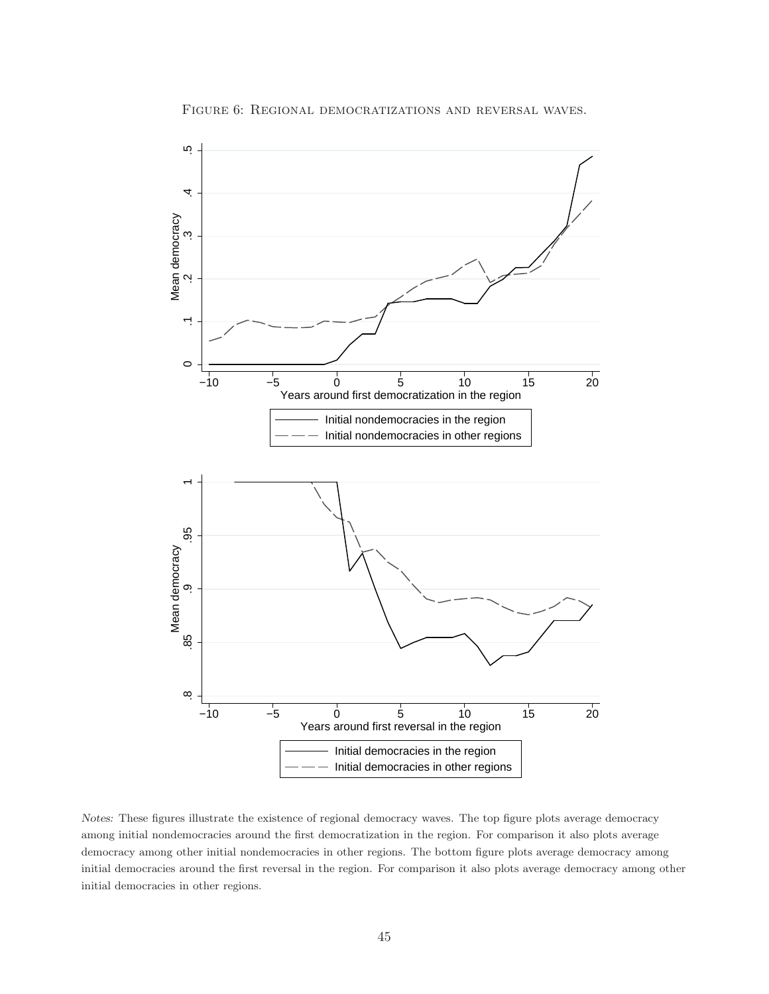



Notes: These figures illustrate the existence of regional democracy waves. The top figure plots average democracy among initial nondemocracies around the first democratization in the region. For comparison it also plots average democracy among other initial nondemocracies in other regions. The bottom figure plots average democracy among initial democracies around the first reversal in the region. For comparison it also plots average democracy among other initial democracies in other regions.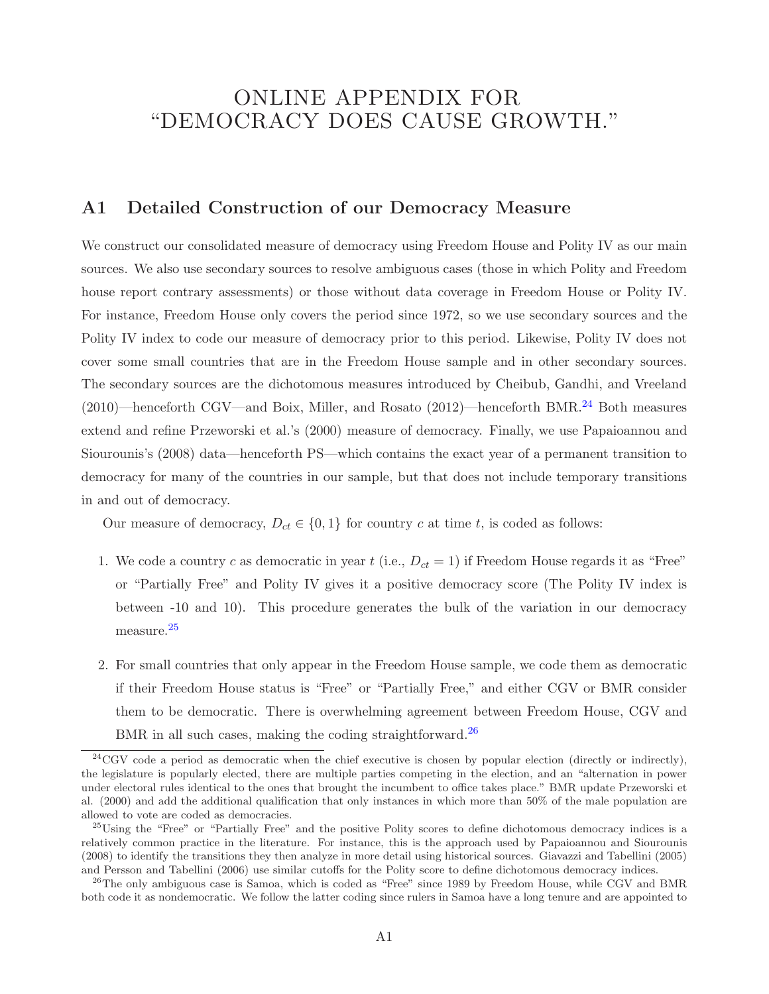# ONLINE APPENDIX FOR "DEMOCRACY DOES CAUSE GROWTH."

### A1 Detailed Construction of our Democracy Measure

We construct our consolidated measure of democracy using Freedom House and Polity IV as our main sources. We also use secondary sources to resolve ambiguous cases (those in which Polity and Freedom house report contrary assessments) or those without data coverage in Freedom House or Polity IV. For instance, Freedom House only covers the period since 1972, so we use secondary sources and the Polity IV index to code our measure of democracy prior to this period. Likewise, Polity IV does not cover some small countries that are in the Freedom House sample and in other secondary sources. The secondary sources are the dichotomous measures introduced by Cheibub, Gandhi, and Vreeland  $(2010)$ —henceforth CGV—and Boix, Miller, and Rosato  $(2012)$ —henceforth BMR.<sup>[24](#page-46-0)</sup> Both measures extend and refine Przeworski et al.'s (2000) measure of democracy. Finally, we use Papaioannou and Siourounis's (2008) data—henceforth PS—which contains the exact year of a permanent transition to democracy for many of the countries in our sample, but that does not include temporary transitions in and out of democracy.

Our measure of democracy,  $D_{ct} \in \{0,1\}$  for country c at time t, is coded as follows:

- 1. We code a country c as democratic in year t (i.e.,  $D_{ct} = 1$ ) if Freedom House regards it as "Free" or "Partially Free" and Polity IV gives it a positive democracy score (The Polity IV index is between -10 and 10). This procedure generates the bulk of the variation in our democracy measure.[25](#page-46-1)
- 2. For small countries that only appear in the Freedom House sample, we code them as democratic if their Freedom House status is "Free" or "Partially Free," and either CGV or BMR consider them to be democratic. There is overwhelming agreement between Freedom House, CGV and BMR in all such cases, making the coding straightforward.<sup>[26](#page-46-2)</sup>

<span id="page-46-0"></span> $^{24}$ CGV code a period as democratic when the chief executive is chosen by popular election (directly or indirectly), the legislature is popularly elected, there are multiple parties competing in the election, and an "alternation in power under electoral rules identical to the ones that brought the incumbent to office takes place." BMR update Przeworski et al. (2000) and add the additional qualification that only instances in which more than 50% of the male population are allowed to vote are coded as democracies.

<span id="page-46-1"></span> $^{25}$ Using the "Free" or "Partially Free" and the positive Polity scores to define dichotomous democracy indices is a relatively common practice in the literature. For instance, this is the approach used by Papaioannou and Siourounis (2008) to identify the transitions they then analyze in more detail using historical sources. Giavazzi and Tabellini (2005) and Persson and Tabellini (2006) use similar cutoffs for the Polity score to define dichotomous democracy indices.

<span id="page-46-2"></span><sup>&</sup>lt;sup>26</sup>The only ambiguous case is Samoa, which is coded as "Free" since 1989 by Freedom House, while CGV and BMR both code it as nondemocratic. We follow the latter coding since rulers in Samoa have a long tenure and are appointed to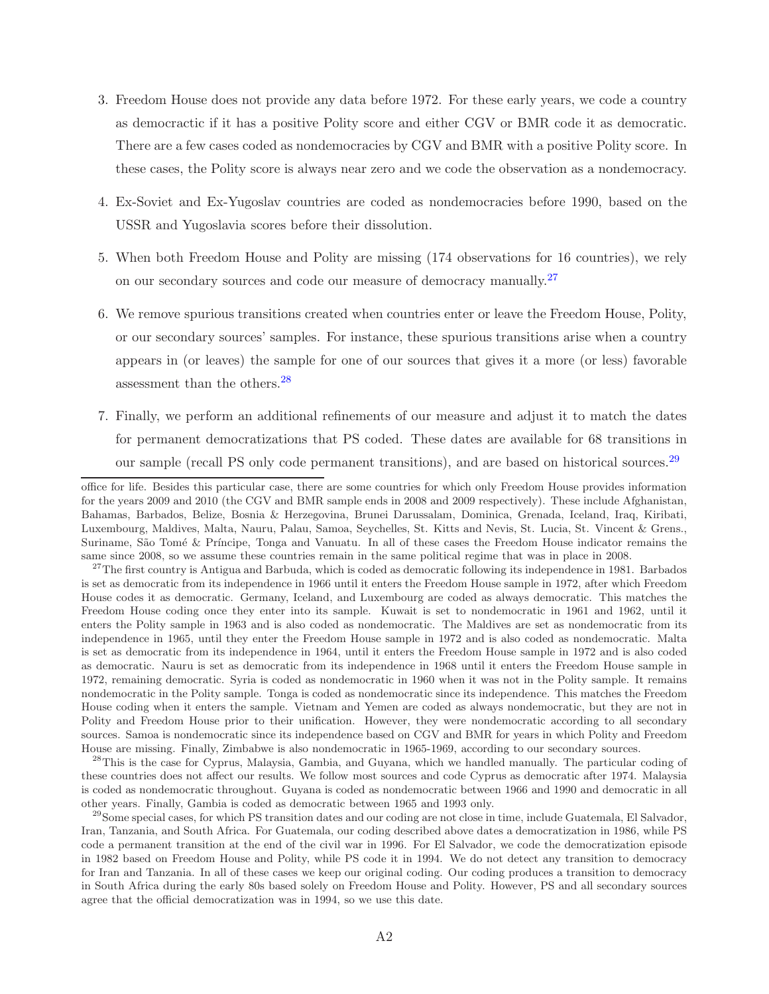- 3. Freedom House does not provide any data before 1972. For these early years, we code a country as democractic if it has a positive Polity score and either CGV or BMR code it as democratic. There are a few cases coded as nondemocracies by CGV and BMR with a positive Polity score. In these cases, the Polity score is always near zero and we code the observation as a nondemocracy.
- 4. Ex-Soviet and Ex-Yugoslav countries are coded as nondemocracies before 1990, based on the USSR and Yugoslavia scores before their dissolution.
- 5. When both Freedom House and Polity are missing (174 observations for 16 countries), we rely on our secondary sources and code our measure of democracy manually.<sup>[27](#page-47-0)</sup>
- 6. We remove spurious transitions created when countries enter or leave the Freedom House, Polity, or our secondary sources' samples. For instance, these spurious transitions arise when a country appears in (or leaves) the sample for one of our sources that gives it a more (or less) favorable assessment than the others.[28](#page-47-1)
- 7. Finally, we perform an additional refinements of our measure and adjust it to match the dates for permanent democratizations that PS coded. These dates are available for 68 transitions in our sample (recall PS only code permanent transitions), and are based on historical sources.<sup>[29](#page-47-2)</sup>

<span id="page-47-1"></span><sup>28</sup>This is the case for Cyprus, Malaysia, Gambia, and Guyana, which we handled manually. The particular coding of these countries does not affect our results. We follow most sources and code Cyprus as democratic after 1974. Malaysia is coded as nondemocratic throughout. Guyana is coded as nondemocratic between 1966 and 1990 and democratic in all other years. Finally, Gambia is coded as democratic between 1965 and 1993 only.

<span id="page-47-2"></span> $^{29}$ Some special cases, for which PS transition dates and our coding are not close in time, include Guatemala, El Salvador, Iran, Tanzania, and South Africa. For Guatemala, our coding described above dates a democratization in 1986, while PS code a permanent transition at the end of the civil war in 1996. For El Salvador, we code the democratization episode in 1982 based on Freedom House and Polity, while PS code it in 1994. We do not detect any transition to democracy for Iran and Tanzania. In all of these cases we keep our original coding. Our coding produces a transition to democracy in South Africa during the early 80s based solely on Freedom House and Polity. However, PS and all secondary sources agree that the official democratization was in 1994, so we use this date.

office for life. Besides this particular case, there are some countries for which only Freedom House provides information for the years 2009 and 2010 (the CGV and BMR sample ends in 2008 and 2009 respectively). These include Afghanistan, Bahamas, Barbados, Belize, Bosnia & Herzegovina, Brunei Darussalam, Dominica, Grenada, Iceland, Iraq, Kiribati, Luxembourg, Maldives, Malta, Nauru, Palau, Samoa, Seychelles, St. Kitts and Nevis, St. Lucia, St. Vincent & Grens., Suriname, São Tomé & Príncipe, Tonga and Vanuatu. In all of these cases the Freedom House indicator remains the same since 2008, so we assume these countries remain in the same political regime that was in place in 2008.

<span id="page-47-0"></span><sup>&</sup>lt;sup>27</sup>The first country is Antigua and Barbuda, which is coded as democratic following its independence in 1981. Barbados is set as democratic from its independence in 1966 until it enters the Freedom House sample in 1972, after which Freedom House codes it as democratic. Germany, Iceland, and Luxembourg are coded as always democratic. This matches the Freedom House coding once they enter into its sample. Kuwait is set to nondemocratic in 1961 and 1962, until it enters the Polity sample in 1963 and is also coded as nondemocratic. The Maldives are set as nondemocratic from its independence in 1965, until they enter the Freedom House sample in 1972 and is also coded as nondemocratic. Malta is set as democratic from its independence in 1964, until it enters the Freedom House sample in 1972 and is also coded as democratic. Nauru is set as democratic from its independence in 1968 until it enters the Freedom House sample in 1972, remaining democratic. Syria is coded as nondemocratic in 1960 when it was not in the Polity sample. It remains nondemocratic in the Polity sample. Tonga is coded as nondemocratic since its independence. This matches the Freedom House coding when it enters the sample. Vietnam and Yemen are coded as always nondemocratic, but they are not in Polity and Freedom House prior to their unification. However, they were nondemocratic according to all secondary sources. Samoa is nondemocratic since its independence based on CGV and BMR for years in which Polity and Freedom House are missing. Finally, Zimbabwe is also nondemocratic in 1965-1969, according to our secondary sources.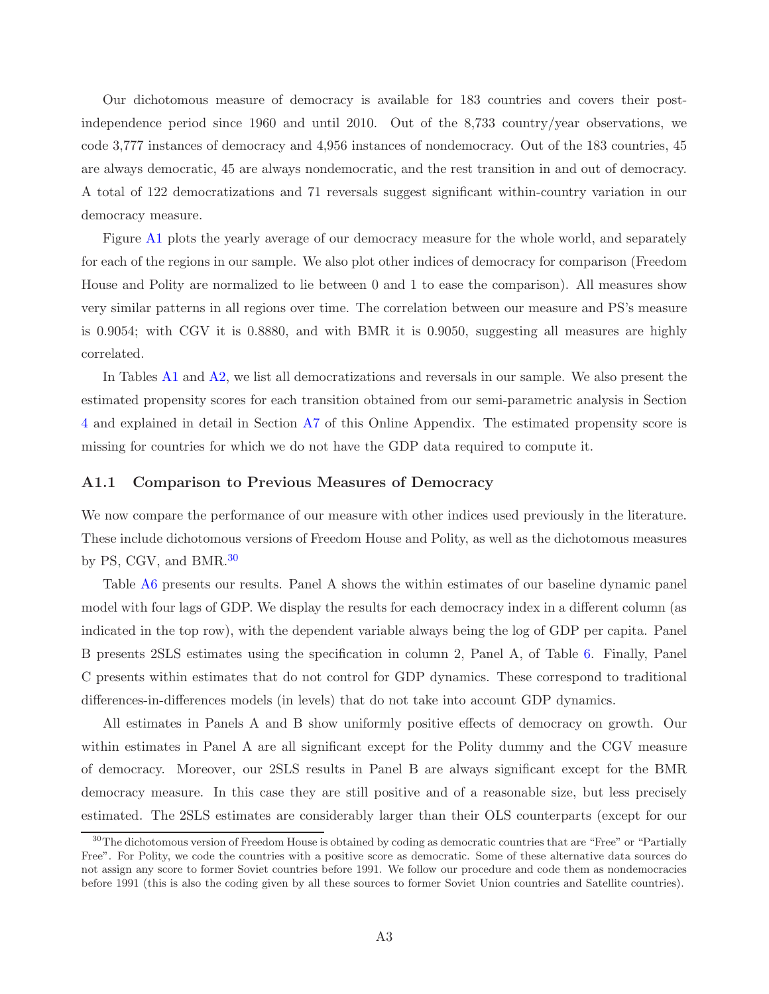Our dichotomous measure of democracy is available for 183 countries and covers their postindependence period since 1960 and until 2010. Out of the 8,733 country/year observations, we code 3,777 instances of democracy and 4,956 instances of nondemocracy. Out of the 183 countries, 45 are always democratic, 45 are always nondemocratic, and the rest transition in and out of democracy. A total of 122 democratizations and 71 reversals suggest significant within-country variation in our democracy measure.

Figure [A1](#page-78-0) plots the yearly average of our democracy measure for the whole world, and separately for each of the regions in our sample. We also plot other indices of democracy for comparison (Freedom House and Polity are normalized to lie between 0 and 1 to ease the comparison). All measures show very similar patterns in all regions over time. The correlation between our measure and PS's measure is 0.9054; with CGV it is 0.8880, and with BMR it is 0.9050, suggesting all measures are highly correlated.

In Tables [A1](#page-63-0) and [A2,](#page-64-0) we list all democratizations and reversals in our sample. We also present the estimated propensity scores for each transition obtained from our semi-parametric analysis in Section [4](#page-51-0) and explained in detail in Section [A7](#page-55-0) of this Online Appendix. The estimated propensity score is missing for countries for which we do not have the GDP data required to compute it.

#### A1.1 Comparison to Previous Measures of Democracy

We now compare the performance of our measure with other indices used previously in the literature. These include dichotomous versions of Freedom House and Polity, as well as the dichotomous measures by PS, CGV, and BMR.<sup>[30](#page-48-0)</sup>

Table [A6](#page-68-0) presents our results. Panel A shows the within estimates of our baseline dynamic panel model with four lags of GDP. We display the results for each democracy index in a different column (as indicated in the top row), with the dependent variable always being the log of GDP per capita. Panel B presents 2SLS estimates using the specification in column 2, Panel A, of Table [6.](#page-39-0) Finally, Panel C presents within estimates that do not control for GDP dynamics. These correspond to traditional differences-in-differences models (in levels) that do not take into account GDP dynamics.

All estimates in Panels A and B show uniformly positive effects of democracy on growth. Our within estimates in Panel A are all significant except for the Polity dummy and the CGV measure of democracy. Moreover, our 2SLS results in Panel B are always significant except for the BMR democracy measure. In this case they are still positive and of a reasonable size, but less precisely estimated. The 2SLS estimates are considerably larger than their OLS counterparts (except for our

<span id="page-48-0"></span><sup>&</sup>lt;sup>30</sup>The dichotomous version of Freedom House is obtained by coding as democratic countries that are "Free" or "Partially Free". For Polity, we code the countries with a positive score as democratic. Some of these alternative data sources do not assign any score to former Soviet countries before 1991. We follow our procedure and code them as nondemocracies before 1991 (this is also the coding given by all these sources to former Soviet Union countries and Satellite countries).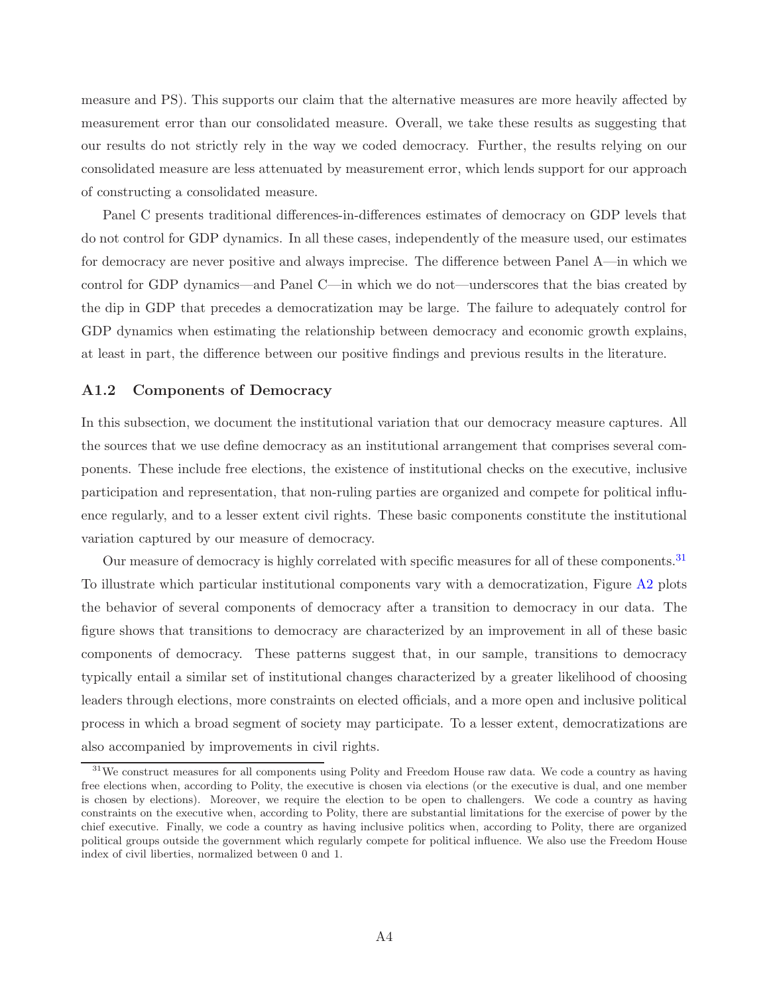measure and PS). This supports our claim that the alternative measures are more heavily affected by measurement error than our consolidated measure. Overall, we take these results as suggesting that our results do not strictly rely in the way we coded democracy. Further, the results relying on our consolidated measure are less attenuated by measurement error, which lends support for our approach of constructing a consolidated measure.

Panel C presents traditional differences-in-differences estimates of democracy on GDP levels that do not control for GDP dynamics. In all these cases, independently of the measure used, our estimates for democracy are never positive and always imprecise. The difference between Panel A—in which we control for GDP dynamics—and Panel C—in which we do not—underscores that the bias created by the dip in GDP that precedes a democratization may be large. The failure to adequately control for GDP dynamics when estimating the relationship between democracy and economic growth explains, at least in part, the difference between our positive findings and previous results in the literature.

#### A1.2 Components of Democracy

In this subsection, we document the institutional variation that our democracy measure captures. All the sources that we use define democracy as an institutional arrangement that comprises several components. These include free elections, the existence of institutional checks on the executive, inclusive participation and representation, that non-ruling parties are organized and compete for political influence regularly, and to a lesser extent civil rights. These basic components constitute the institutional variation captured by our measure of democracy.

Our measure of democracy is highly correlated with specific measures for all of these components.<sup>[31](#page-49-0)</sup> To illustrate which particular institutional components vary with a democratization, Figure [A2](#page-79-0) plots the behavior of several components of democracy after a transition to democracy in our data. The figure shows that transitions to democracy are characterized by an improvement in all of these basic components of democracy. These patterns suggest that, in our sample, transitions to democracy typically entail a similar set of institutional changes characterized by a greater likelihood of choosing leaders through elections, more constraints on elected officials, and a more open and inclusive political process in which a broad segment of society may participate. To a lesser extent, democratizations are also accompanied by improvements in civil rights.

<span id="page-49-0"></span><sup>&</sup>lt;sup>31</sup>We construct measures for all components using Polity and Freedom House raw data. We code a country as having free elections when, according to Polity, the executive is chosen via elections (or the executive is dual, and one member is chosen by elections). Moreover, we require the election to be open to challengers. We code a country as having constraints on the executive when, according to Polity, there are substantial limitations for the exercise of power by the chief executive. Finally, we code a country as having inclusive politics when, according to Polity, there are organized political groups outside the government which regularly compete for political influence. We also use the Freedom House index of civil liberties, normalized between 0 and 1.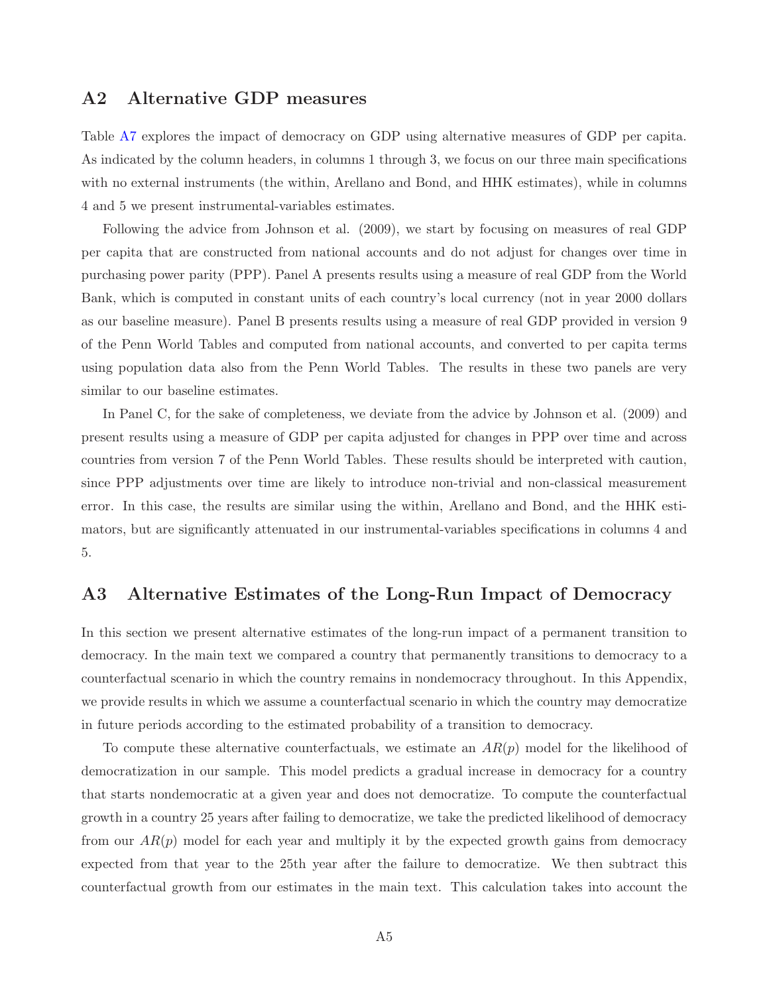### A2 Alternative GDP measures

Table [A7](#page-69-0) explores the impact of democracy on GDP using alternative measures of GDP per capita. As indicated by the column headers, in columns 1 through 3, we focus on our three main specifications with no external instruments (the within, Arellano and Bond, and HHK estimates), while in columns 4 and 5 we present instrumental-variables estimates.

Following the advice from Johnson et al. (2009), we start by focusing on measures of real GDP per capita that are constructed from national accounts and do not adjust for changes over time in purchasing power parity (PPP). Panel A presents results using a measure of real GDP from the World Bank, which is computed in constant units of each country's local currency (not in year 2000 dollars as our baseline measure). Panel B presents results using a measure of real GDP provided in version 9 of the Penn World Tables and computed from national accounts, and converted to per capita terms using population data also from the Penn World Tables. The results in these two panels are very similar to our baseline estimates.

In Panel C, for the sake of completeness, we deviate from the advice by Johnson et al. (2009) and present results using a measure of GDP per capita adjusted for changes in PPP over time and across countries from version 7 of the Penn World Tables. These results should be interpreted with caution, since PPP adjustments over time are likely to introduce non-trivial and non-classical measurement error. In this case, the results are similar using the within, Arellano and Bond, and the HHK estimators, but are significantly attenuated in our instrumental-variables specifications in columns 4 and 5.

### A3 Alternative Estimates of the Long-Run Impact of Democracy

In this section we present alternative estimates of the long-run impact of a permanent transition to democracy. In the main text we compared a country that permanently transitions to democracy to a counterfactual scenario in which the country remains in nondemocracy throughout. In this Appendix, we provide results in which we assume a counterfactual scenario in which the country may democratize in future periods according to the estimated probability of a transition to democracy.

To compute these alternative counterfactuals, we estimate an  $AR(p)$  model for the likelihood of democratization in our sample. This model predicts a gradual increase in democracy for a country that starts nondemocratic at a given year and does not democratize. To compute the counterfactual growth in a country 25 years after failing to democratize, we take the predicted likelihood of democracy from our  $AR(p)$  model for each year and multiply it by the expected growth gains from democracy expected from that year to the 25th year after the failure to democratize. We then subtract this counterfactual growth from our estimates in the main text. This calculation takes into account the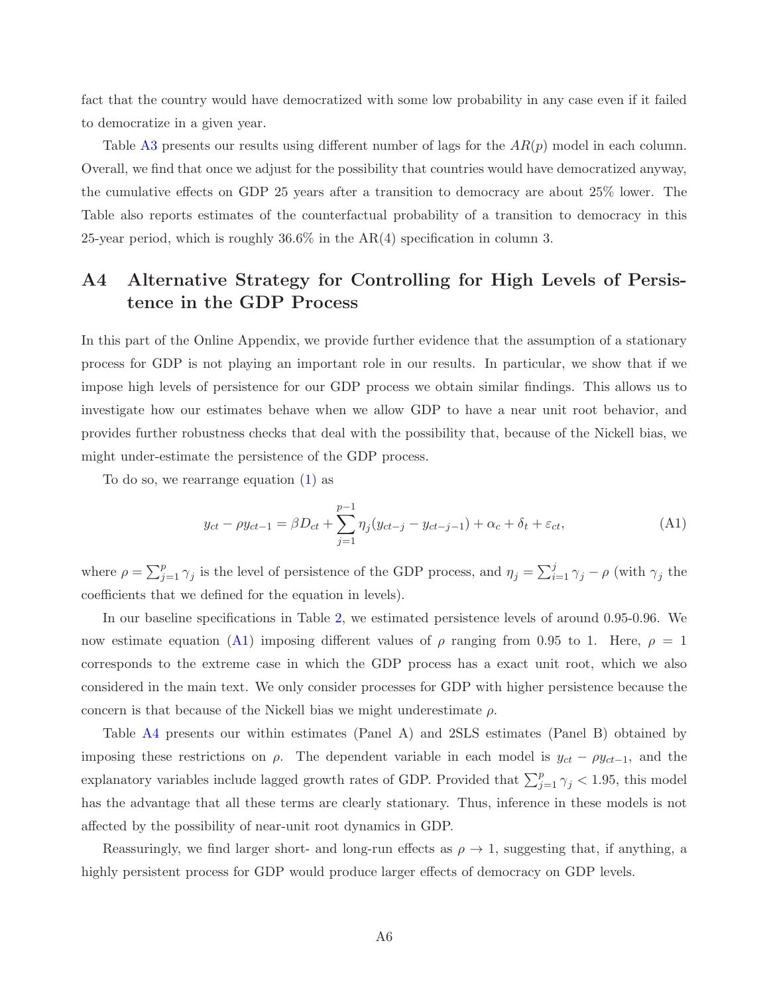fact that the country would have democratized with some low probability in any case even if it failed to democratize in a given year.

Table [A3](#page-65-0) presents our results using different number of lags for the  $AR(p)$  model in each column. Overall, we find that once we adjust for the possibility that countries would have democratized anyway, the cumulative effects on GDP 25 years after a transition to democracy are about 25% lower. The Table also reports estimates of the counterfactual probability of a transition to democracy in this 25-year period, which is roughly 36.6% in the AR(4) specification in column 3.

## <span id="page-51-0"></span>A4 Alternative Strategy for Controlling for High Levels of Persistence in the GDP Process

In this part of the Online Appendix, we provide further evidence that the assumption of a stationary process for GDP is not playing an important role in our results. In particular, we show that if we impose high levels of persistence for our GDP process we obtain similar findings. This allows us to investigate how our estimates behave when we allow GDP to have a near unit root behavior, and provides further robustness checks that deal with the possibility that, because of the Nickell bias, we might under-estimate the persistence of the GDP process.

To do so, we rearrange equation [\(1\)](#page-7-0) as

<span id="page-51-1"></span>
$$
y_{ct} - \rho y_{ct-1} = \beta D_{ct} + \sum_{j=1}^{p-1} \eta_j (y_{ct-j} - y_{ct-j-1}) + \alpha_c + \delta_t + \varepsilon_{ct},
$$
 (A1)

where  $\rho = \sum_{j=1}^p \gamma_j$  is the level of persistence of the GDP process, and  $\eta_j = \sum_{i=1}^j \gamma_j - \rho$  (with  $\gamma_j$  the coefficients that we defined for the equation in levels).

In our baseline specifications in Table [2,](#page-35-0) we estimated persistence levels of around 0.95-0.96. We now estimate equation [\(A1\)](#page-51-1) imposing different values of  $\rho$  ranging from 0.95 to 1. Here,  $\rho = 1$ corresponds to the extreme case in which the GDP process has a exact unit root, which we also considered in the main text. We only consider processes for GDP with higher persistence because the concern is that because of the Nickell bias we might underestimate  $\rho$ .

Table [A4](#page-66-0) presents our within estimates (Panel A) and 2SLS estimates (Panel B) obtained by imposing these restrictions on  $\rho$ . The dependent variable in each model is  $y_{ct} - \rho y_{ct-1}$ , and the explanatory variables include lagged growth rates of GDP. Provided that  $\sum_{j=1}^{p} \gamma_j < 1.95$ , this model has the advantage that all these terms are clearly stationary. Thus, inference in these models is not affected by the possibility of near-unit root dynamics in GDP.

Reassuringly, we find larger short- and long-run effects as  $\rho \to 1$ , suggesting that, if anything, a highly persistent process for GDP would produce larger effects of democracy on GDP levels.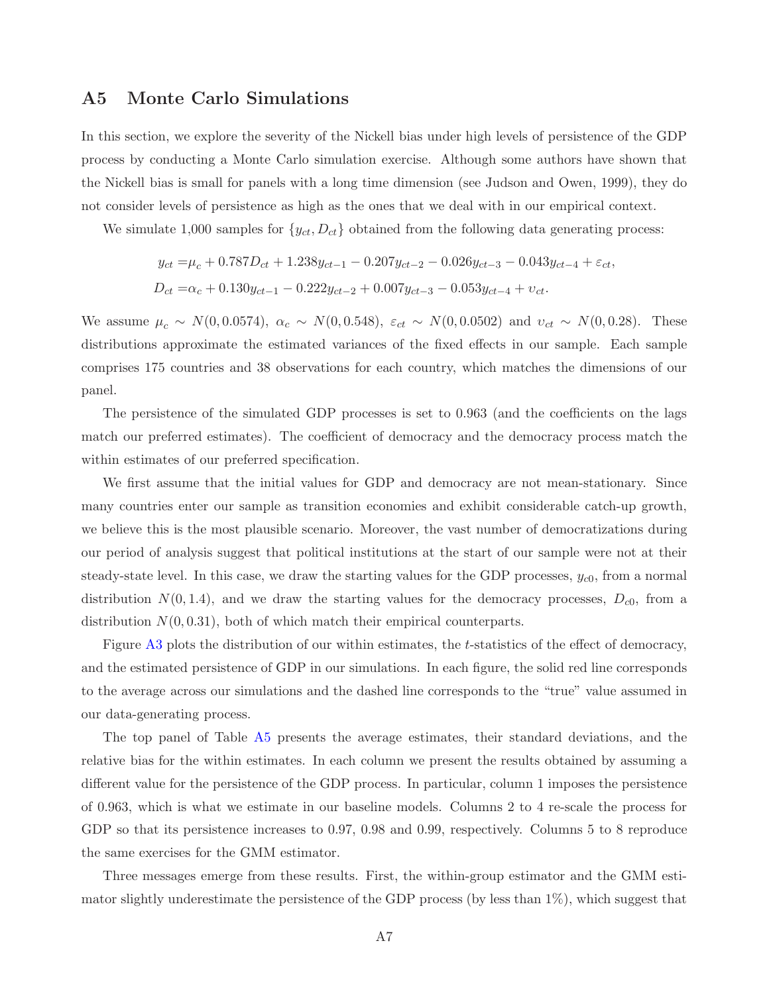### A5 Monte Carlo Simulations

In this section, we explore the severity of the Nickell bias under high levels of persistence of the GDP process by conducting a Monte Carlo simulation exercise. Although some authors have shown that the Nickell bias is small for panels with a long time dimension (see Judson and Owen, 1999), they do not consider levels of persistence as high as the ones that we deal with in our empirical context.

We simulate 1,000 samples for  $\{y_{ct}, D_{ct}\}\$  obtained from the following data generating process:

$$
y_{ct} = \mu_c + 0.787D_{ct} + 1.238y_{ct-1} - 0.207y_{ct-2} - 0.026y_{ct-3} - 0.043y_{ct-4} + \varepsilon_{ct},
$$
  

$$
D_{ct} = \alpha_c + 0.130y_{ct-1} - 0.222y_{ct-2} + 0.007y_{ct-3} - 0.053y_{ct-4} + v_{ct}.
$$

We assume  $\mu_c \sim N(0, 0.0574)$ ,  $\alpha_c \sim N(0, 0.548)$ ,  $\varepsilon_{ct} \sim N(0, 0.0502)$  and  $v_{ct} \sim N(0, 0.28)$ . These distributions approximate the estimated variances of the fixed effects in our sample. Each sample comprises 175 countries and 38 observations for each country, which matches the dimensions of our panel.

The persistence of the simulated GDP processes is set to 0.963 (and the coefficients on the lags match our preferred estimates). The coefficient of democracy and the democracy process match the within estimates of our preferred specification.

We first assume that the initial values for GDP and democracy are not mean-stationary. Since many countries enter our sample as transition economies and exhibit considerable catch-up growth, we believe this is the most plausible scenario. Moreover, the vast number of democratizations during our period of analysis suggest that political institutions at the start of our sample were not at their steady-state level. In this case, we draw the starting values for the GDP processes,  $y_{c0}$ , from a normal distribution  $N(0, 1.4)$ , and we draw the starting values for the democracy processes,  $D_{c0}$ , from a distribution  $N(0, 0.31)$ , both of which match their empirical counterparts.

Figure [A3](#page-80-0) plots the distribution of our within estimates, the t-statistics of the effect of democracy, and the estimated persistence of GDP in our simulations. In each figure, the solid red line corresponds to the average across our simulations and the dashed line corresponds to the "true" value assumed in our data-generating process.

The top panel of Table [A5](#page-67-0) presents the average estimates, their standard deviations, and the relative bias for the within estimates. In each column we present the results obtained by assuming a different value for the persistence of the GDP process. In particular, column 1 imposes the persistence of 0.963, which is what we estimate in our baseline models. Columns 2 to 4 re-scale the process for GDP so that its persistence increases to 0.97, 0.98 and 0.99, respectively. Columns 5 to 8 reproduce the same exercises for the GMM estimator.

Three messages emerge from these results. First, the within-group estimator and the GMM estimator slightly underestimate the persistence of the GDP process (by less than 1%), which suggest that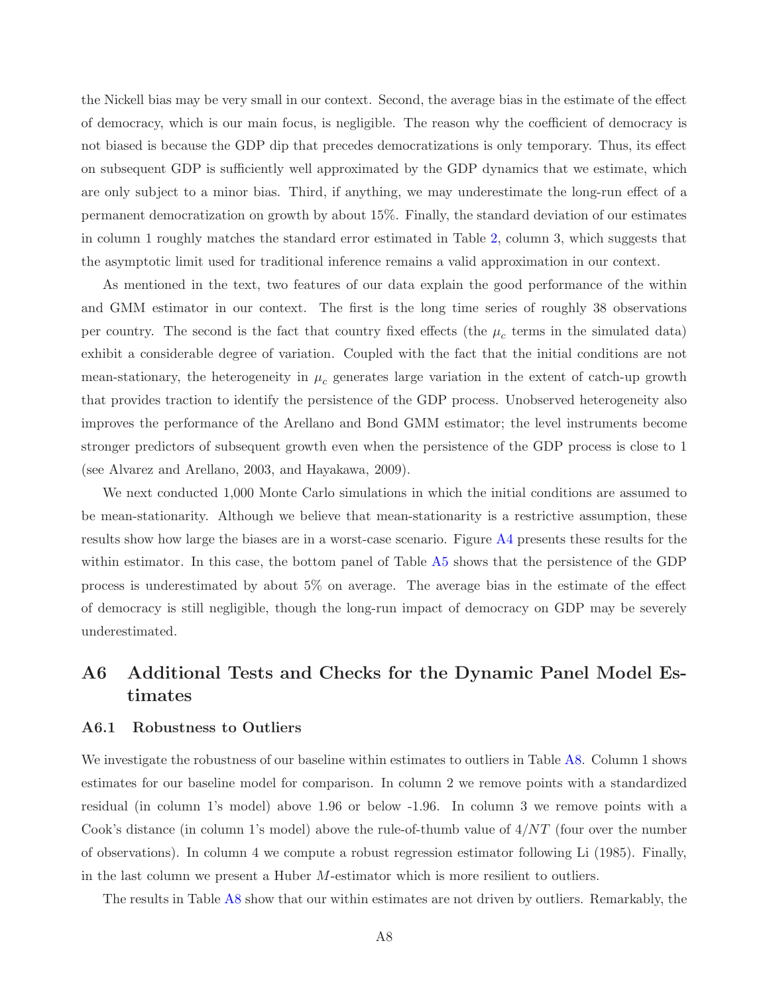the Nickell bias may be very small in our context. Second, the average bias in the estimate of the effect of democracy, which is our main focus, is negligible. The reason why the coefficient of democracy is not biased is because the GDP dip that precedes democratizations is only temporary. Thus, its effect on subsequent GDP is sufficiently well approximated by the GDP dynamics that we estimate, which are only subject to a minor bias. Third, if anything, we may underestimate the long-run effect of a permanent democratization on growth by about 15%. Finally, the standard deviation of our estimates in column 1 roughly matches the standard error estimated in Table [2,](#page-35-0) column 3, which suggests that the asymptotic limit used for traditional inference remains a valid approximation in our context.

As mentioned in the text, two features of our data explain the good performance of the within and GMM estimator in our context. The first is the long time series of roughly 38 observations per country. The second is the fact that country fixed effects (the  $\mu_c$  terms in the simulated data) exhibit a considerable degree of variation. Coupled with the fact that the initial conditions are not mean-stationary, the heterogeneity in  $\mu_c$  generates large variation in the extent of catch-up growth that provides traction to identify the persistence of the GDP process. Unobserved heterogeneity also improves the performance of the Arellano and Bond GMM estimator; the level instruments become stronger predictors of subsequent growth even when the persistence of the GDP process is close to 1 (see Alvarez and Arellano, 2003, and Hayakawa, 2009).

We next conducted 1,000 Monte Carlo simulations in which the initial conditions are assumed to be mean-stationarity. Although we believe that mean-stationarity is a restrictive assumption, these results show how large the biases are in a worst-case scenario. Figure [A4](#page-81-0) presents these results for the within estimator. In this case, the bottom panel of Table [A5](#page-67-0) shows that the persistence of the GDP process is underestimated by about 5% on average. The average bias in the estimate of the effect of democracy is still negligible, though the long-run impact of democracy on GDP may be severely underestimated.

## <span id="page-53-0"></span>A6 Additional Tests and Checks for the Dynamic Panel Model Estimates

#### A6.1 Robustness to Outliers

We investigate the robustness of our baseline within estimates to outliers in Table [A8.](#page-70-0) Column 1 shows estimates for our baseline model for comparison. In column 2 we remove points with a standardized residual (in column 1's model) above 1.96 or below -1.96. In column 3 we remove points with a Cook's distance (in column 1's model) above the rule-of-thumb value of  $4/NT$  (four over the number of observations). In column 4 we compute a robust regression estimator following Li (1985). Finally, in the last column we present a Huber M-estimator which is more resilient to outliers.

The results in Table [A8](#page-70-0) show that our within estimates are not driven by outliers. Remarkably, the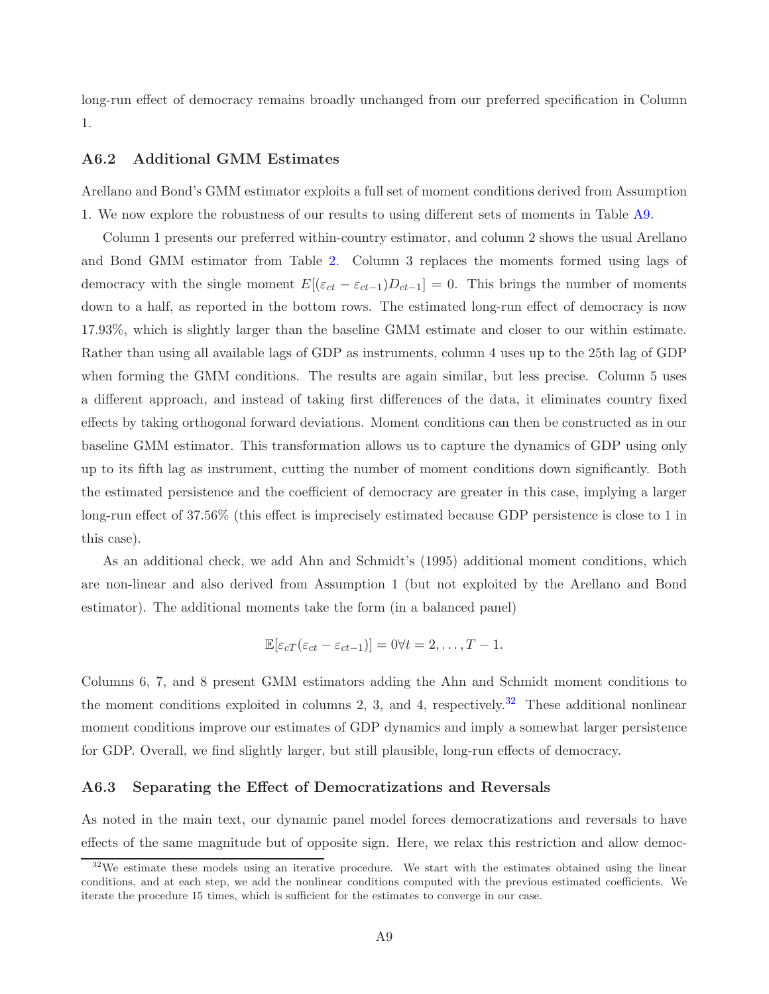long-run effect of democracy remains broadly unchanged from our preferred specification in Column 1.

#### A6.2 Additional GMM Estimates

Arellano and Bond's GMM estimator exploits a full set of moment conditions derived from Assumption 1. We now explore the robustness of our results to using different sets of moments in Table [A9.](#page-71-0)

Column 1 presents our preferred within-country estimator, and column 2 shows the usual Arellano and Bond GMM estimator from Table [2.](#page-35-0) Column 3 replaces the moments formed using lags of democracy with the single moment  $E[(\varepsilon_{ct} - \varepsilon_{ct-1})D_{ct-1}] = 0$ . This brings the number of moments down to a half, as reported in the bottom rows. The estimated long-run effect of democracy is now 17.93%, which is slightly larger than the baseline GMM estimate and closer to our within estimate. Rather than using all available lags of GDP as instruments, column 4 uses up to the 25th lag of GDP when forming the GMM conditions. The results are again similar, but less precise. Column 5 uses a different approach, and instead of taking first differences of the data, it eliminates country fixed effects by taking orthogonal forward deviations. Moment conditions can then be constructed as in our baseline GMM estimator. This transformation allows us to capture the dynamics of GDP using only up to its fifth lag as instrument, cutting the number of moment conditions down significantly. Both the estimated persistence and the coefficient of democracy are greater in this case, implying a larger long-run effect of 37.56% (this effect is imprecisely estimated because GDP persistence is close to 1 in this case).

As an additional check, we add Ahn and Schmidt's (1995) additional moment conditions, which are non-linear and also derived from Assumption 1 (but not exploited by the Arellano and Bond estimator). The additional moments take the form (in a balanced panel)

$$
\mathbb{E}[\varepsilon_{cT}(\varepsilon_{ct}-\varepsilon_{ct-1})]=0\forall t=2,\ldots,T-1.
$$

Columns 6, 7, and 8 present GMM estimators adding the Ahn and Schmidt moment conditions to the moment conditions exploited in columns 2, 3, and 4, respectively.<sup>[32](#page-54-0)</sup> These additional nonlinear moment conditions improve our estimates of GDP dynamics and imply a somewhat larger persistence for GDP. Overall, we find slightly larger, but still plausible, long-run effects of democracy.

#### A6.3 Separating the Effect of Democratizations and Reversals

As noted in the main text, our dynamic panel model forces democratizations and reversals to have effects of the same magnitude but of opposite sign. Here, we relax this restriction and allow democ-

<span id="page-54-0"></span><sup>&</sup>lt;sup>32</sup>We estimate these models using an iterative procedure. We start with the estimates obtained using the linear conditions, and at each step, we add the nonlinear conditions computed with the previous estimated coefficients. We iterate the procedure 15 times, which is sufficient for the estimates to converge in our case.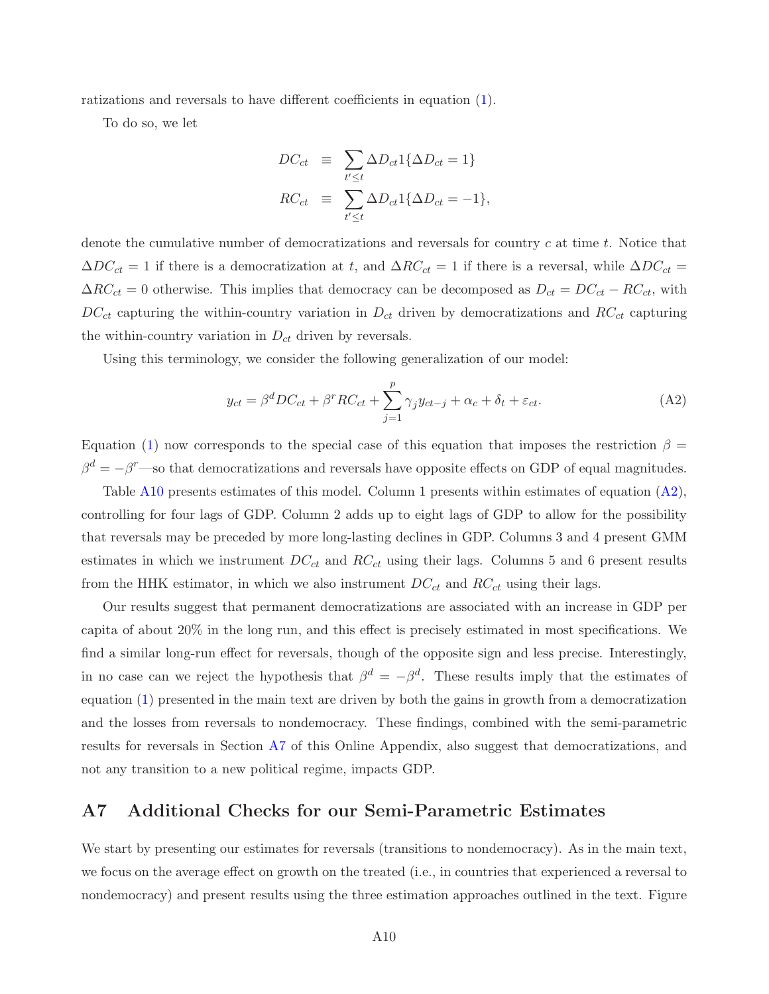ratizations and reversals to have different coefficients in equation [\(1\)](#page-7-0).

To do so, we let

$$
DC_{ct} \equiv \sum_{t' \leq t} \Delta D_{ct} 1 \{\Delta D_{ct} = 1\}
$$
  

$$
RC_{ct} \equiv \sum_{t' \leq t} \Delta D_{ct} 1 \{\Delta D_{ct} = -1\},
$$

denote the cumulative number of democratizations and reversals for country c at time t. Notice that  $\Delta DC_{ct} = 1$  if there is a democratization at t, and  $\Delta RC_{ct} = 1$  if there is a reversal, while  $\Delta DC_{ct} =$  $\Delta RC_{ct} = 0$  otherwise. This implies that democracy can be decomposed as  $D_{ct} = DC_{ct} - RC_{ct}$ , with  $DC_{ct}$  capturing the within-country variation in  $D_{ct}$  driven by democratizations and  $RC_{ct}$  capturing the within-country variation in  $D_{ct}$  driven by reversals.

Using this terminology, we consider the following generalization of our model:

<span id="page-55-1"></span>
$$
y_{ct} = \beta^d DC_{ct} + \beta^r RC_{ct} + \sum_{j=1}^p \gamma_j y_{ct-j} + \alpha_c + \delta_t + \varepsilon_{ct}.
$$
 (A2)

Equation [\(1\)](#page-7-0) now corresponds to the special case of this equation that imposes the restriction  $\beta =$  $\beta^d = -\beta^r$ —so that democratizations and reversals have opposite effects on GDP of equal magnitudes.

Table  $A10$  presents estimates of this model. Column 1 presents within estimates of equation  $(A2)$ , controlling for four lags of GDP. Column 2 adds up to eight lags of GDP to allow for the possibility that reversals may be preceded by more long-lasting declines in GDP. Columns 3 and 4 present GMM estimates in which we instrument  $DC_{ct}$  and  $RC_{ct}$  using their lags. Columns 5 and 6 present results from the HHK estimator, in which we also instrument  $DC_{ct}$  and  $RC_{ct}$  using their lags.

Our results suggest that permanent democratizations are associated with an increase in GDP per capita of about 20% in the long run, and this effect is precisely estimated in most specifications. We find a similar long-run effect for reversals, though of the opposite sign and less precise. Interestingly, in no case can we reject the hypothesis that  $\beta^d = -\beta^d$ . These results imply that the estimates of equation [\(1\)](#page-7-0) presented in the main text are driven by both the gains in growth from a democratization and the losses from reversals to nondemocracy. These findings, combined with the semi-parametric results for reversals in Section [A7](#page-55-0) of this Online Appendix, also suggest that democratizations, and not any transition to a new political regime, impacts GDP.

### <span id="page-55-0"></span>A7 Additional Checks for our Semi-Parametric Estimates

We start by presenting our estimates for reversals (transitions to nondemocracy). As in the main text, we focus on the average effect on growth on the treated (i.e., in countries that experienced a reversal to nondemocracy) and present results using the three estimation approaches outlined in the text. Figure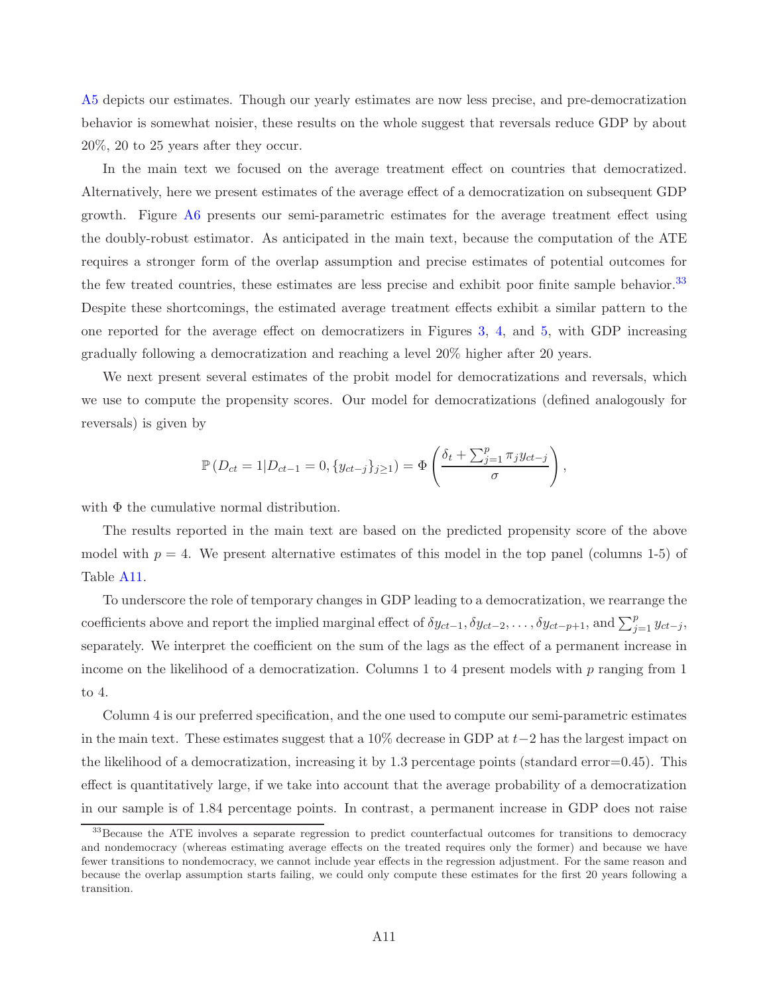[A5](#page-82-0) depicts our estimates. Though our yearly estimates are now less precise, and pre-democratization behavior is somewhat noisier, these results on the whole suggest that reversals reduce GDP by about 20%, 20 to 25 years after they occur.

In the main text we focused on the average treatment effect on countries that democratized. Alternatively, here we present estimates of the average effect of a democratization on subsequent GDP growth. Figure [A6](#page-83-0) presents our semi-parametric estimates for the average treatment effect using the doubly-robust estimator. As anticipated in the main text, because the computation of the ATE requires a stronger form of the overlap assumption and precise estimates of potential outcomes for the few treated countries, these estimates are less precise and exhibit poor finite sample behavior.<sup>[33](#page-56-0)</sup> Despite these shortcomings, the estimated average treatment effects exhibit a similar pattern to the one reported for the average effect on democratizers in Figures [3,](#page-43-0) [4,](#page-43-1) and [5,](#page-44-0) with GDP increasing gradually following a democratization and reaching a level 20% higher after 20 years.

We next present several estimates of the probit model for democratizations and reversals, which we use to compute the propensity scores. Our model for democratizations (defined analogously for reversals) is given by

$$
\mathbb{P}(D_{ct} = 1 | D_{ct-1} = 0, \{y_{ct-j}\}_{j \ge 1}) = \Phi\left(\frac{\delta_t + \sum_{j=1}^p \pi_j y_{ct-j}}{\sigma}\right),
$$

with  $\Phi$  the cumulative normal distribution.

The results reported in the main text are based on the predicted propensity score of the above model with  $p = 4$ . We present alternative estimates of this model in the top panel (columns 1-5) of Table [A11.](#page-73-0)

To underscore the role of temporary changes in GDP leading to a democratization, we rearrange the coefficients above and report the implied marginal effect of  $\delta y_{ct-1}, \delta y_{ct-2}, \ldots, \delta y_{ct-p+1}$ , and  $\sum_{j=1}^{p} y_{ct-j}$ , separately. We interpret the coefficient on the sum of the lags as the effect of a permanent increase in income on the likelihood of a democratization. Columns 1 to 4 present models with  $p$  ranging from 1 to 4.

Column 4 is our preferred specification, and the one used to compute our semi-parametric estimates in the main text. These estimates suggest that a  $10\%$  decrease in GDP at  $t-2$  has the largest impact on the likelihood of a democratization, increasing it by 1.3 percentage points (standard error=0.45). This effect is quantitatively large, if we take into account that the average probability of a democratization in our sample is of 1.84 percentage points. In contrast, a permanent increase in GDP does not raise

<span id="page-56-0"></span><sup>&</sup>lt;sup>33</sup>Because the ATE involves a separate regression to predict counterfactual outcomes for transitions to democracy and nondemocracy (whereas estimating average effects on the treated requires only the former) and because we have fewer transitions to nondemocracy, we cannot include year effects in the regression adjustment. For the same reason and because the overlap assumption starts failing, we could only compute these estimates for the first 20 years following a transition.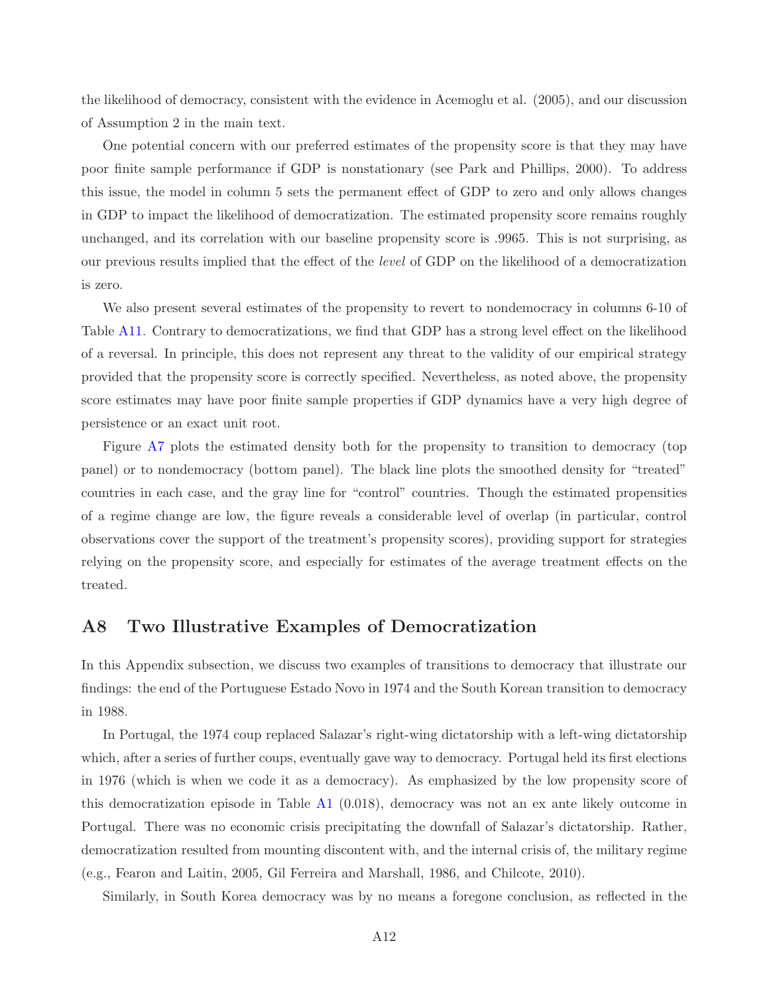the likelihood of democracy, consistent with the evidence in Acemoglu et al. (2005), and our discussion of Assumption 2 in the main text.

One potential concern with our preferred estimates of the propensity score is that they may have poor finite sample performance if GDP is nonstationary (see Park and Phillips, 2000). To address this issue, the model in column 5 sets the permanent effect of GDP to zero and only allows changes in GDP to impact the likelihood of democratization. The estimated propensity score remains roughly unchanged, and its correlation with our baseline propensity score is .9965. This is not surprising, as our previous results implied that the effect of the *level* of GDP on the likelihood of a democratization is zero.

We also present several estimates of the propensity to revert to nondemocracy in columns 6-10 of Table [A11.](#page-73-0) Contrary to democratizations, we find that GDP has a strong level effect on the likelihood of a reversal. In principle, this does not represent any threat to the validity of our empirical strategy provided that the propensity score is correctly specified. Nevertheless, as noted above, the propensity score estimates may have poor finite sample properties if GDP dynamics have a very high degree of persistence or an exact unit root.

Figure [A7](#page-84-0) plots the estimated density both for the propensity to transition to democracy (top panel) or to nondemocracy (bottom panel). The black line plots the smoothed density for "treated" countries in each case, and the gray line for "control" countries. Though the estimated propensities of a regime change are low, the figure reveals a considerable level of overlap (in particular, control observations cover the support of the treatment's propensity scores), providing support for strategies relying on the propensity score, and especially for estimates of the average treatment effects on the treated.

### A8 Two Illustrative Examples of Democratization

In this Appendix subsection, we discuss two examples of transitions to democracy that illustrate our findings: the end of the Portuguese Estado Novo in 1974 and the South Korean transition to democracy in 1988.

In Portugal, the 1974 coup replaced Salazar's right-wing dictatorship with a left-wing dictatorship which, after a series of further coups, eventually gave way to democracy. Portugal held its first elections in 1976 (which is when we code it as a democracy). As emphasized by the low propensity score of this democratization episode in Table [A1](#page-63-0) (0.018), democracy was not an ex ante likely outcome in Portugal. There was no economic crisis precipitating the downfall of Salazar's dictatorship. Rather, democratization resulted from mounting discontent with, and the internal crisis of, the military regime (e.g., Fearon and Laitin, 2005, Gil Ferreira and Marshall, 1986, and Chilcote, 2010).

Similarly, in South Korea democracy was by no means a foregone conclusion, as reflected in the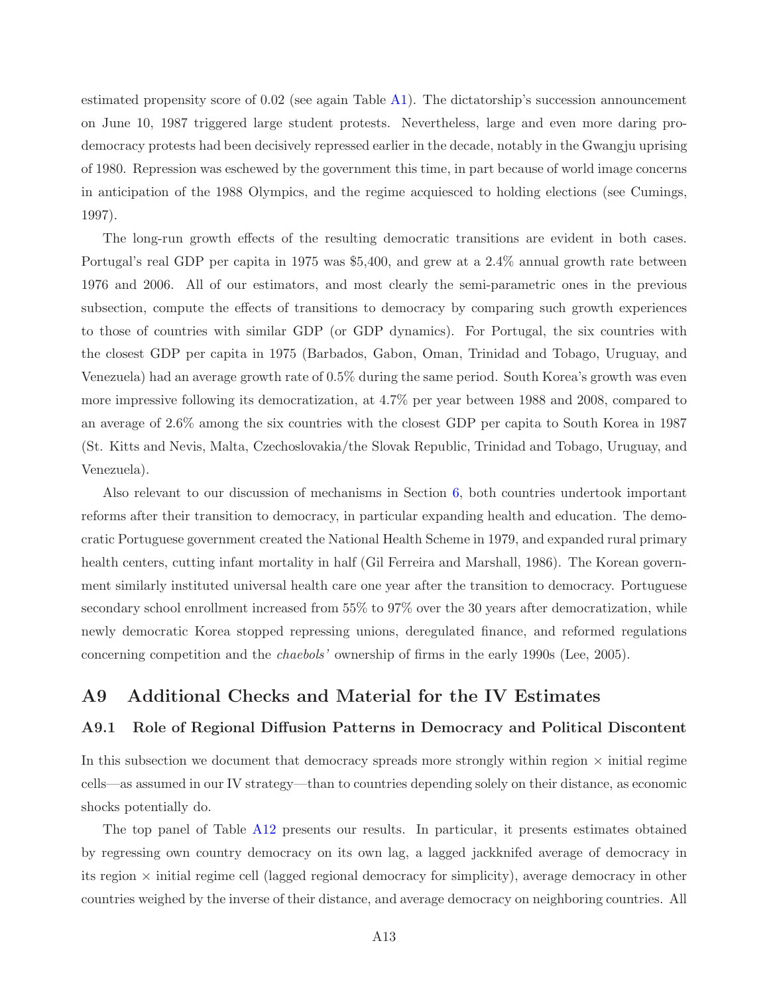estimated propensity score of 0.02 (see again Table [A1\)](#page-63-0). The dictatorship's succession announcement on June 10, 1987 triggered large student protests. Nevertheless, large and even more daring prodemocracy protests had been decisively repressed earlier in the decade, notably in the Gwangju uprising of 1980. Repression was eschewed by the government this time, in part because of world image concerns in anticipation of the 1988 Olympics, and the regime acquiesced to holding elections (see Cumings, 1997).

The long-run growth effects of the resulting democratic transitions are evident in both cases. Portugal's real GDP per capita in 1975 was \$5,400, and grew at a 2.4% annual growth rate between 1976 and 2006. All of our estimators, and most clearly the semi-parametric ones in the previous subsection, compute the effects of transitions to democracy by comparing such growth experiences to those of countries with similar GDP (or GDP dynamics). For Portugal, the six countries with the closest GDP per capita in 1975 (Barbados, Gabon, Oman, Trinidad and Tobago, Uruguay, and Venezuela) had an average growth rate of 0.5% during the same period. South Korea's growth was even more impressive following its democratization, at 4.7% per year between 1988 and 2008, compared to an average of 2.6% among the six countries with the closest GDP per capita to South Korea in 1987 (St. Kitts and Nevis, Malta, Czechoslovakia/the Slovak Republic, Trinidad and Tobago, Uruguay, and Venezuela).

Also relevant to our discussion of mechanisms in Section [6,](#page-53-0) both countries undertook important reforms after their transition to democracy, in particular expanding health and education. The democratic Portuguese government created the National Health Scheme in 1979, and expanded rural primary health centers, cutting infant mortality in half (Gil Ferreira and Marshall, 1986). The Korean government similarly instituted universal health care one year after the transition to democracy. Portuguese secondary school enrollment increased from 55% to 97% over the 30 years after democratization, while newly democratic Korea stopped repressing unions, deregulated finance, and reformed regulations concerning competition and the *chaebols'* ownership of firms in the early 1990s (Lee, 2005).

### A9 Additional Checks and Material for the IV Estimates

#### A9.1 Role of Regional Diffusion Patterns in Democracy and Political Discontent

In this subsection we document that democracy spreads more strongly within region  $\times$  initial regime cells—as assumed in our IV strategy—than to countries depending solely on their distance, as economic shocks potentially do.

The top panel of Table [A12](#page-74-0) presents our results. In particular, it presents estimates obtained by regressing own country democracy on its own lag, a lagged jackknifed average of democracy in its region  $\times$  initial regime cell (lagged regional democracy for simplicity), average democracy in other countries weighed by the inverse of their distance, and average democracy on neighboring countries. All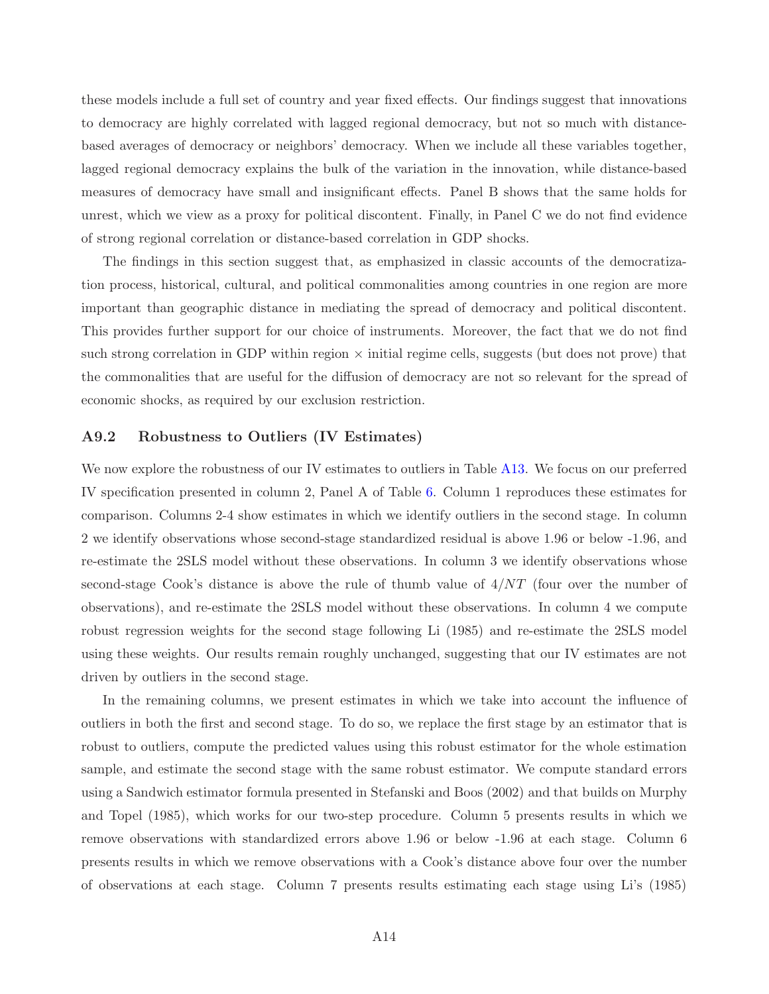these models include a full set of country and year fixed effects. Our findings suggest that innovations to democracy are highly correlated with lagged regional democracy, but not so much with distancebased averages of democracy or neighbors' democracy. When we include all these variables together, lagged regional democracy explains the bulk of the variation in the innovation, while distance-based measures of democracy have small and insignificant effects. Panel B shows that the same holds for unrest, which we view as a proxy for political discontent. Finally, in Panel C we do not find evidence of strong regional correlation or distance-based correlation in GDP shocks.

The findings in this section suggest that, as emphasized in classic accounts of the democratization process, historical, cultural, and political commonalities among countries in one region are more important than geographic distance in mediating the spread of democracy and political discontent. This provides further support for our choice of instruments. Moreover, the fact that we do not find such strong correlation in GDP within region  $\times$  initial regime cells, suggests (but does not prove) that the commonalities that are useful for the diffusion of democracy are not so relevant for the spread of economic shocks, as required by our exclusion restriction.

#### A9.2 Robustness to Outliers (IV Estimates)

We now explore the robustness of our IV estimates to outliers in Table [A13.](#page-75-0) We focus on our preferred IV specification presented in column 2, Panel A of Table [6.](#page-39-0) Column 1 reproduces these estimates for comparison. Columns 2-4 show estimates in which we identify outliers in the second stage. In column 2 we identify observations whose second-stage standardized residual is above 1.96 or below -1.96, and re-estimate the 2SLS model without these observations. In column 3 we identify observations whose second-stage Cook's distance is above the rule of thumb value of  $4/NT$  (four over the number of observations), and re-estimate the 2SLS model without these observations. In column 4 we compute robust regression weights for the second stage following Li (1985) and re-estimate the 2SLS model using these weights. Our results remain roughly unchanged, suggesting that our IV estimates are not driven by outliers in the second stage.

In the remaining columns, we present estimates in which we take into account the influence of outliers in both the first and second stage. To do so, we replace the first stage by an estimator that is robust to outliers, compute the predicted values using this robust estimator for the whole estimation sample, and estimate the second stage with the same robust estimator. We compute standard errors using a Sandwich estimator formula presented in Stefanski and Boos (2002) and that builds on Murphy and Topel (1985), which works for our two-step procedure. Column 5 presents results in which we remove observations with standardized errors above 1.96 or below -1.96 at each stage. Column 6 presents results in which we remove observations with a Cook's distance above four over the number of observations at each stage. Column 7 presents results estimating each stage using Li's (1985)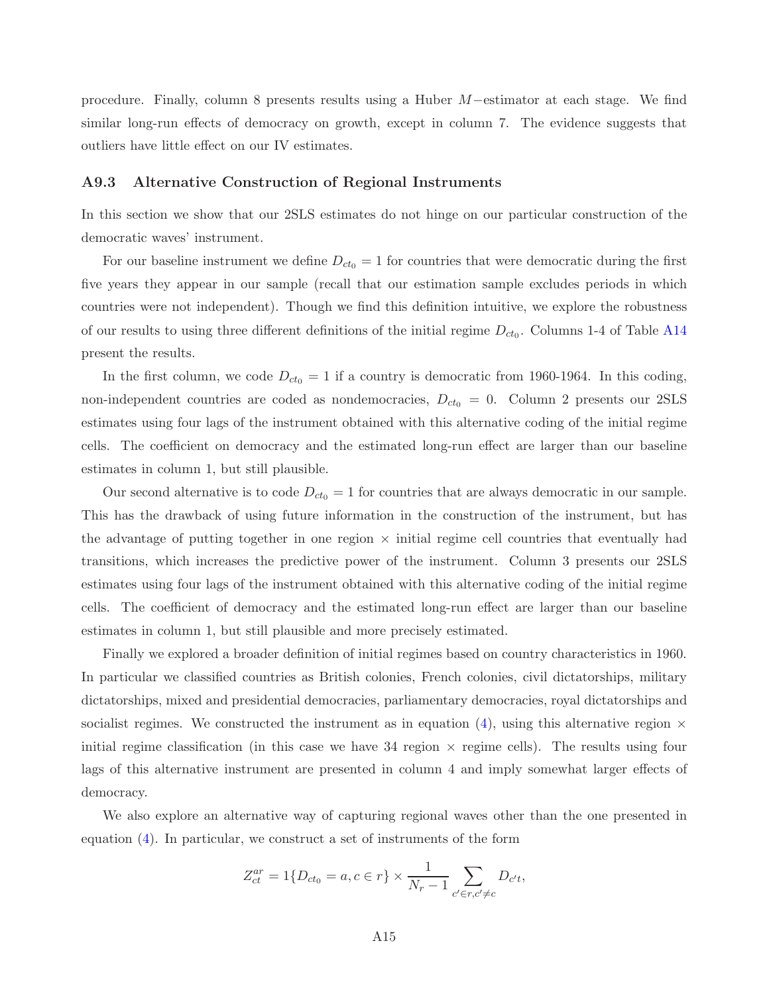procedure. Finally, column 8 presents results using a Huber M−estimator at each stage. We find similar long-run effects of democracy on growth, except in column 7. The evidence suggests that outliers have little effect on our IV estimates.

#### A9.3 Alternative Construction of Regional Instruments

In this section we show that our 2SLS estimates do not hinge on our particular construction of the democratic waves' instrument.

For our baseline instrument we define  $D_{ct_0} = 1$  for countries that were democratic during the first five years they appear in our sample (recall that our estimation sample excludes periods in which countries were not independent). Though we find this definition intuitive, we explore the robustness of our results to using three different definitions of the initial regime  $D_{ct_0}$ . Columns 1-4 of Table [A14](#page-76-0) present the results.

In the first column, we code  $D_{ct_0} = 1$  if a country is democratic from 1960-1964. In this coding, non-independent countries are coded as nondemocracies,  $D_{ct_0} = 0$ . Column 2 presents our 2SLS estimates using four lags of the instrument obtained with this alternative coding of the initial regime cells. The coefficient on democracy and the estimated long-run effect are larger than our baseline estimates in column 1, but still plausible.

Our second alternative is to code  $D_{ct_0} = 1$  for countries that are always democratic in our sample. This has the drawback of using future information in the construction of the instrument, but has the advantage of putting together in one region  $\times$  initial regime cell countries that eventually had transitions, which increases the predictive power of the instrument. Column 3 presents our 2SLS estimates using four lags of the instrument obtained with this alternative coding of the initial regime cells. The coefficient of democracy and the estimated long-run effect are larger than our baseline estimates in column 1, but still plausible and more precisely estimated.

Finally we explored a broader definition of initial regimes based on country characteristics in 1960. In particular we classified countries as British colonies, French colonies, civil dictatorships, military dictatorships, mixed and presidential democracies, parliamentary democracies, royal dictatorships and socialist regimes. We constructed the instrument as in equation [\(4\)](#page-20-0), using this alternative region  $\times$ initial regime classification (in this case we have  $34$  region  $\times$  regime cells). The results using four lags of this alternative instrument are presented in column 4 and imply somewhat larger effects of democracy.

We also explore an alternative way of capturing regional waves other than the one presented in equation [\(4\)](#page-20-0). In particular, we construct a set of instruments of the form

$$
Z_{ct}^{ar} = 1\{D_{ct_0} = a, c \in r\} \times \frac{1}{N_r - 1} \sum_{c' \in r, c' \neq c} D_{c't},
$$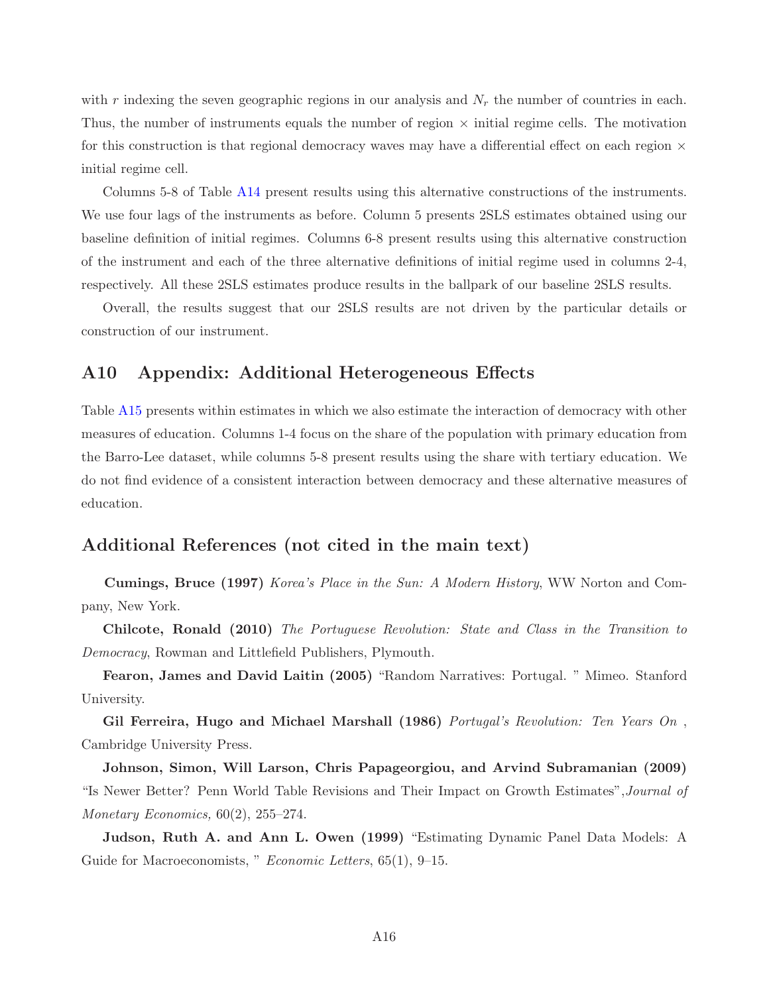with r indexing the seven geographic regions in our analysis and  $N_r$  the number of countries in each. Thus, the number of instruments equals the number of region  $\times$  initial regime cells. The motivation for this construction is that regional democracy waves may have a differential effect on each region  $\times$ initial regime cell.

Columns 5-8 of Table [A14](#page-76-0) present results using this alternative constructions of the instruments. We use four lags of the instruments as before. Column 5 presents 2SLS estimates obtained using our baseline definition of initial regimes. Columns 6-8 present results using this alternative construction of the instrument and each of the three alternative definitions of initial regime used in columns 2-4, respectively. All these 2SLS estimates produce results in the ballpark of our baseline 2SLS results.

Overall, the results suggest that our 2SLS results are not driven by the particular details or construction of our instrument.

### A10 Appendix: Additional Heterogeneous Effects

Table [A15](#page-77-0) presents within estimates in which we also estimate the interaction of democracy with other measures of education. Columns 1-4 focus on the share of the population with primary education from the Barro-Lee dataset, while columns 5-8 present results using the share with tertiary education. We do not find evidence of a consistent interaction between democracy and these alternative measures of education.

### Additional References (not cited in the main text)

Cumings, Bruce (1997) *Korea's Place in the Sun: A Modern History*, WW Norton and Company, New York.

Chilcote, Ronald (2010) *The Portuguese Revolution: State and Class in the Transition to Democracy*, Rowman and Littlefield Publishers, Plymouth.

Fearon, James and David Laitin (2005) "Random Narratives: Portugal. " Mimeo. Stanford University.

Gil Ferreira, Hugo and Michael Marshall (1986) *Portugal's Revolution: Ten Years On* , Cambridge University Press.

Johnson, Simon, Will Larson, Chris Papageorgiou, and Arvind Subramanian (2009) "Is Newer Better? Penn World Table Revisions and Their Impact on Growth Estimates",*Journal of Monetary Economics,* 60(2), 255–274.

Judson, Ruth A. and Ann L. Owen (1999) "Estimating Dynamic Panel Data Models: A Guide for Macroeconomists, " *Economic Letters*, 65(1), 9–15.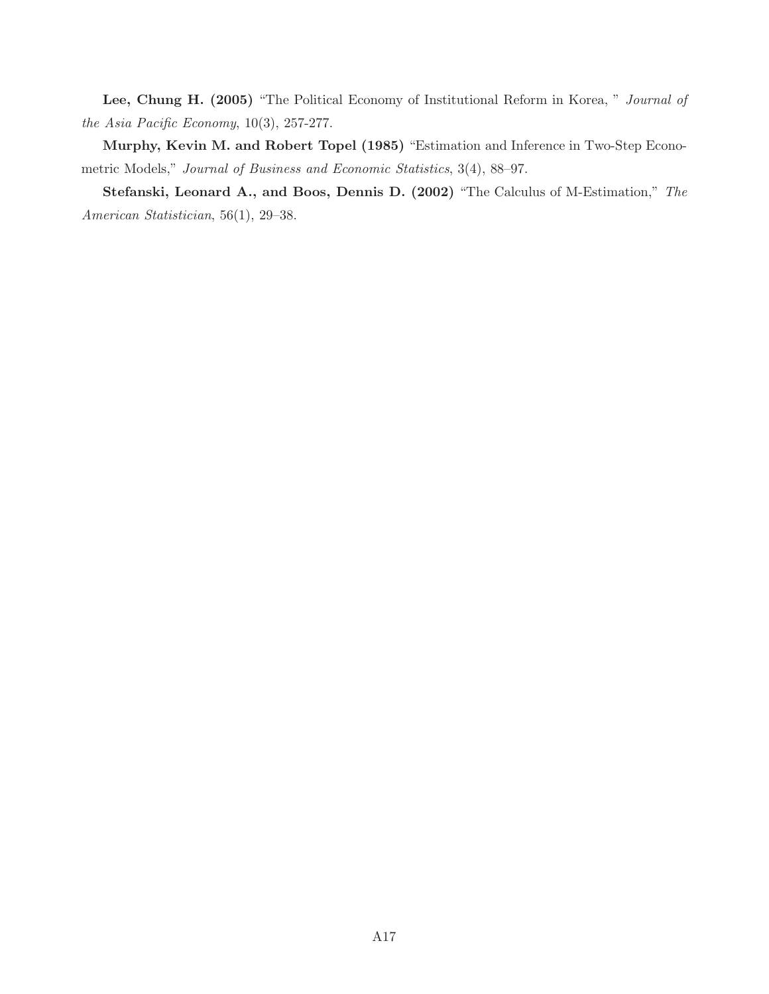Lee, Chung H. (2005) "The Political Economy of Institutional Reform in Korea, " *Journal of the Asia Pacific Economy*, 10(3), 257-277.

Murphy, Kevin M. and Robert Topel (1985) "Estimation and Inference in Two-Step Econometric Models," *Journal of Business and Economic Statistics*, 3(4), 88–97.

Stefanski, Leonard A., and Boos, Dennis D. (2002) "The Calculus of M-Estimation," *The American Statistician*, 56(1), 29–38.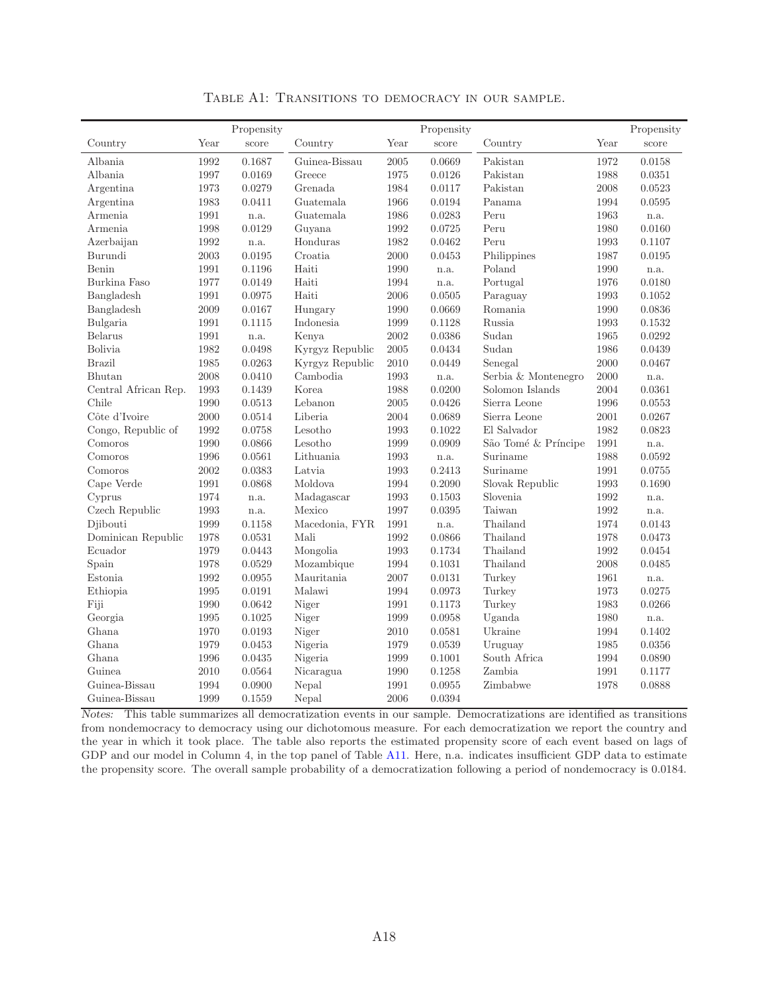<span id="page-63-0"></span>

|                                                                                              |                                                                      | Propensity                                                                             |                                                                               |                                                                      | Propensity                                                                             |                                                                                                  |                                                                      | Propensity                                                                         |
|----------------------------------------------------------------------------------------------|----------------------------------------------------------------------|----------------------------------------------------------------------------------------|-------------------------------------------------------------------------------|----------------------------------------------------------------------|----------------------------------------------------------------------------------------|--------------------------------------------------------------------------------------------------|----------------------------------------------------------------------|------------------------------------------------------------------------------------|
| Country                                                                                      | Year                                                                 | score                                                                                  | Country                                                                       | Year                                                                 | score                                                                                  | Country                                                                                          | Year                                                                 | score                                                                              |
| Albania                                                                                      | 1992                                                                 | 0.1687                                                                                 | Guinea-Bissau                                                                 | $\,2005\,$                                                           | 0.0669                                                                                 | Pakistan                                                                                         | 1972                                                                 | 0.0158                                                                             |
| Albania                                                                                      | 1997                                                                 | 0.0169                                                                                 | Greece                                                                        | 1975                                                                 | 0.0126                                                                                 | Pakistan                                                                                         | 1988                                                                 | 0.0351                                                                             |
| Argentina                                                                                    | 1973                                                                 | 0.0279                                                                                 | Grenada                                                                       | 1984                                                                 | 0.0117                                                                                 | Pakistan                                                                                         | 2008                                                                 | 0.0523                                                                             |
| Argentina                                                                                    | 1983                                                                 | 0.0411                                                                                 | Guatemala                                                                     | 1966                                                                 | 0.0194                                                                                 | Panama                                                                                           | 1994                                                                 | 0.0595                                                                             |
| Armenia                                                                                      | 1991                                                                 | n.a.                                                                                   | Guatemala                                                                     | 1986                                                                 | 0.0283                                                                                 | Peru                                                                                             | 1963                                                                 | n.a.                                                                               |
| Armenia                                                                                      | 1998                                                                 | 0.0129                                                                                 | Guyana                                                                        | 1992                                                                 | 0.0725                                                                                 | $\ensuremath{\mathop{\mathrm{Peru}}\nolimits}$                                                   | 1980                                                                 | 0.0160                                                                             |
| Azerbaijan                                                                                   | 1992                                                                 | n.a.                                                                                   | Honduras                                                                      | 1982                                                                 | 0.0462                                                                                 | Peru                                                                                             | 1993                                                                 | 0.1107                                                                             |
| Burundi                                                                                      | 2003                                                                 | 0.0195                                                                                 | Croatia                                                                       | 2000                                                                 | 0.0453                                                                                 | Philippines                                                                                      | 1987                                                                 | 0.0195                                                                             |
| Benin                                                                                        | 1991                                                                 | 0.1196                                                                                 | Haiti                                                                         | 1990                                                                 | n.a.                                                                                   | Poland                                                                                           | 1990                                                                 | n.a.                                                                               |
| Burkina Faso                                                                                 | 1977                                                                 | 0.0149                                                                                 | Haiti                                                                         | 1994                                                                 | n.a.                                                                                   | Portugal                                                                                         | 1976                                                                 | 0.0180                                                                             |
| Bangladesh                                                                                   | 1991                                                                 | 0.0975                                                                                 | Haiti                                                                         | 2006                                                                 | 0.0505                                                                                 | Paraguay                                                                                         | 1993                                                                 | 0.1052                                                                             |
| Bangladesh                                                                                   | 2009                                                                 | 0.0167                                                                                 | Hungary                                                                       | 1990                                                                 | 0.0669                                                                                 | Romania                                                                                          | 1990                                                                 | 0.0836                                                                             |
| Bulgaria                                                                                     | 1991                                                                 | 0.1115                                                                                 | Indonesia                                                                     | 1999                                                                 | 0.1128                                                                                 | Russia                                                                                           | 1993                                                                 | 0.1532                                                                             |
| <b>Belarus</b>                                                                               | 1991                                                                 | n.a.                                                                                   | Kenya                                                                         | 2002                                                                 | 0.0386                                                                                 | Sudan                                                                                            | 1965                                                                 | 0.0292                                                                             |
| <b>Bolivia</b>                                                                               | 1982                                                                 | 0.0498                                                                                 | Kyrgyz Republic                                                               | $\,2005\,$                                                           | 0.0434                                                                                 | Sudan                                                                                            | 1986                                                                 | 0.0439                                                                             |
| <b>Brazil</b>                                                                                | 1985                                                                 | 0.0263                                                                                 | Kyrgyz Republic                                                               | 2010                                                                 | 0.0449                                                                                 | Senegal                                                                                          | 2000                                                                 | 0.0467                                                                             |
| Bhutan                                                                                       | 2008                                                                 | 0.0410                                                                                 | Cambodia                                                                      | 1993                                                                 | n.a.                                                                                   | Serbia & Montenegro                                                                              | 2000                                                                 | n.a.                                                                               |
| Central African Rep.                                                                         | 1993                                                                 | 0.1439                                                                                 | Korea                                                                         | 1988                                                                 | 0.0200                                                                                 | Solomon Islands                                                                                  | 2004                                                                 | 0.0361                                                                             |
| Chile                                                                                        | 1990                                                                 | 0.0513                                                                                 | Lebanon                                                                       | $\,2005\,$                                                           | 0.0426                                                                                 | Sierra Leone                                                                                     | 1996                                                                 | 0.0553                                                                             |
| Côte d'Ivoire                                                                                | 2000                                                                 | 0.0514                                                                                 | Liberia                                                                       | 2004                                                                 | 0.0689                                                                                 | Sierra Leone                                                                                     | $\,2001\,$                                                           | 0.0267                                                                             |
| Congo, Republic of                                                                           | 1992                                                                 | 0.0758                                                                                 | Lesotho                                                                       | 1993                                                                 | 0.1022                                                                                 | El Salvador                                                                                      | 1982                                                                 | 0.0823                                                                             |
| Comoros                                                                                      | 1990                                                                 | 0.0866                                                                                 | Lesotho                                                                       | 1999                                                                 | 0.0909                                                                                 | São Tomé & Príncipe                                                                              | 1991                                                                 | n.a.                                                                               |
| Comoros                                                                                      | 1996                                                                 | 0.0561                                                                                 | Lithuania                                                                     | 1993                                                                 | n.a.                                                                                   | Suriname                                                                                         | 1988                                                                 | 0.0592                                                                             |
| Comoros                                                                                      | 2002                                                                 | 0.0383                                                                                 | Latvia                                                                        | 1993                                                                 | 0.2413                                                                                 | Suriname                                                                                         | 1991                                                                 | 0.0755                                                                             |
| Cape Verde                                                                                   | 1991                                                                 | 0.0868                                                                                 | Moldova                                                                       | 1994                                                                 | 0.2090                                                                                 | Slovak Republic                                                                                  | 1993                                                                 | 0.1690                                                                             |
| Cyprus                                                                                       | 1974                                                                 | n.a.                                                                                   | Madagascar                                                                    | 1993                                                                 | 0.1503                                                                                 | Slovenia                                                                                         | 1992                                                                 | n.a.                                                                               |
| Czech Republic                                                                               | 1993                                                                 | n.a.                                                                                   | Mexico                                                                        | 1997                                                                 | 0.0395                                                                                 | Taiwan                                                                                           | 1992                                                                 | n.a.                                                                               |
| Djibouti                                                                                     | 1999                                                                 | 0.1158                                                                                 | Macedonia, FYR                                                                | 1991                                                                 | n.a.                                                                                   | Thailand                                                                                         | 1974                                                                 | 0.0143                                                                             |
| Dominican Republic                                                                           | 1978                                                                 | 0.0531                                                                                 | Mali                                                                          | 1992                                                                 | 0.0866                                                                                 | Thailand                                                                                         | 1978                                                                 | 0.0473                                                                             |
| Ecuador                                                                                      | 1979                                                                 | 0.0443                                                                                 | Mongolia                                                                      | 1993                                                                 | 0.1734                                                                                 | Thailand                                                                                         | 1992                                                                 | 0.0454                                                                             |
| Spain                                                                                        | 1978                                                                 | 0.0529                                                                                 | Mozambique                                                                    | 1994                                                                 | 0.1031                                                                                 | Thailand                                                                                         | 2008                                                                 | 0.0485                                                                             |
|                                                                                              |                                                                      |                                                                                        | Mauritania                                                                    |                                                                      |                                                                                        |                                                                                                  |                                                                      |                                                                                    |
|                                                                                              |                                                                      |                                                                                        |                                                                               |                                                                      |                                                                                        |                                                                                                  |                                                                      |                                                                                    |
|                                                                                              |                                                                      |                                                                                        |                                                                               |                                                                      |                                                                                        |                                                                                                  |                                                                      |                                                                                    |
|                                                                                              |                                                                      |                                                                                        |                                                                               |                                                                      |                                                                                        |                                                                                                  |                                                                      |                                                                                    |
|                                                                                              |                                                                      |                                                                                        |                                                                               |                                                                      |                                                                                        |                                                                                                  |                                                                      |                                                                                    |
|                                                                                              |                                                                      |                                                                                        |                                                                               |                                                                      |                                                                                        |                                                                                                  |                                                                      |                                                                                    |
|                                                                                              |                                                                      |                                                                                        |                                                                               |                                                                      |                                                                                        |                                                                                                  |                                                                      |                                                                                    |
|                                                                                              |                                                                      |                                                                                        |                                                                               |                                                                      |                                                                                        |                                                                                                  |                                                                      |                                                                                    |
|                                                                                              |                                                                      |                                                                                        |                                                                               |                                                                      |                                                                                        |                                                                                                  |                                                                      |                                                                                    |
| Guinea-Bissau                                                                                | 1999                                                                 | 0.1559                                                                                 | Nepal                                                                         | 2006                                                                 | 0.0394                                                                                 |                                                                                                  |                                                                      |                                                                                    |
| Estonia<br>Ethiopia<br>Fiji<br>Georgia<br>Ghana<br>Ghana<br>Ghana<br>Guinea<br>Guinea-Bissau | 1992<br>1995<br>1990<br>1995<br>1970<br>1979<br>1996<br>2010<br>1994 | 0.0955<br>0.0191<br>0.0642<br>0.1025<br>0.0193<br>0.0453<br>0.0435<br>0.0564<br>0.0900 | Malawi<br>Niger<br>Niger<br>Niger<br>Nigeria<br>Nigeria<br>Nicaragua<br>Nepal | 2007<br>1994<br>1991<br>1999<br>2010<br>1979<br>1999<br>1990<br>1991 | 0.0131<br>0.0973<br>0.1173<br>0.0958<br>0.0581<br>0.0539<br>0.1001<br>0.1258<br>0.0955 | Turkey<br>Turkey<br>Turkey<br>Uganda<br>Ukraine<br>Uruguay<br>South Africa<br>Zambia<br>Zimbabwe | 1961<br>1973<br>1983<br>1980<br>1994<br>1985<br>1994<br>1991<br>1978 | n.a.<br>0.0275<br>0.0266<br>n.a.<br>0.1402<br>0.0356<br>0.0890<br>0.1177<br>0.0888 |

Table A1: Transitions to democracy in our sample.

Notes: This table summarizes all democratization events in our sample. Democratizations are identified as transitions from nondemocracy to democracy using our dichotomous measure. For each democratization we report the country and the year in which it took place. The table also reports the estimated propensity score of each event based on lags of GDP and our model in Column 4, in the top panel of Table [A11.](#page-73-0) Here, n.a. indicates insufficient GDP data to estimate the propensity score. The overall sample probability of a democratization following a period of nondemocracy is 0.0184.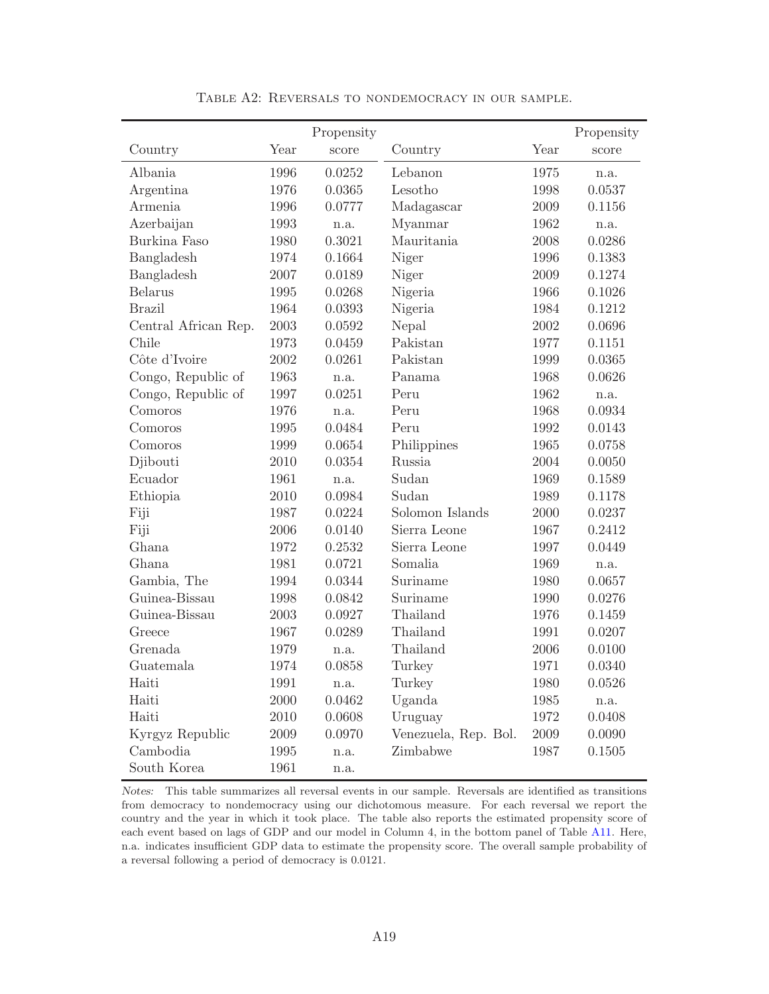<span id="page-64-0"></span>

|                      |      | Propensity |                      |          | Propensity |
|----------------------|------|------------|----------------------|----------|------------|
| Country              | Year | score      | Country              | Year     | score      |
| Albania              | 1996 | 0.0252     | Lebanon              | 1975     | n.a.       |
| Argentina            | 1976 | 0.0365     | Lesotho              | 1998     | 0.0537     |
| Armenia              | 1996 | 0.0777     | Madagascar           | 2009     | 0.1156     |
| Azerbaijan           | 1993 | n.a.       | Myanmar              | 1962     | n.a.       |
| Burkina Faso         | 1980 | 0.3021     | Mauritania           | 2008     | 0.0286     |
| Bangladesh           | 1974 | 0.1664     | Niger                | 1996     | 0.1383     |
| Bangladesh           | 2007 | 0.0189     | Niger                | 2009     | 0.1274     |
| <b>Belarus</b>       | 1995 | 0.0268     | Nigeria              | 1966     | 0.1026     |
| <b>Brazil</b>        | 1964 | 0.0393     | Nigeria              | 1984     | 0.1212     |
| Central African Rep. | 2003 | 0.0592     | Nepal                | $2002\,$ | 0.0696     |
| Chile                | 1973 | 0.0459     | Pakistan             | 1977     | 0.1151     |
| Côte d'Ivoire        | 2002 | 0.0261     | Pakistan             | 1999     | 0.0365     |
| Congo, Republic of   | 1963 | n.a.       | Panama               | 1968     | 0.0626     |
| Congo, Republic of   | 1997 | 0.0251     | Peru                 | 1962     | n.a.       |
| Comoros              | 1976 | n.a.       | Peru                 | 1968     | 0.0934     |
| Comoros              | 1995 | 0.0484     | Peru                 | 1992     | 0.0143     |
| Comoros              | 1999 | 0.0654     | Philippines          | 1965     | 0.0758     |
| Djibouti             | 2010 | 0.0354     | Russia               | 2004     | 0.0050     |
| Ecuador              | 1961 | n.a.       | Sudan                | 1969     | 0.1589     |
| Ethiopia             | 2010 | 0.0984     | Sudan                | 1989     | 0.1178     |
| Fiji                 | 1987 | 0.0224     | Solomon Islands      | 2000     | 0.0237     |
| Fiji                 | 2006 | 0.0140     | Sierra Leone         | 1967     | 0.2412     |
| Ghana                | 1972 | 0.2532     | Sierra Leone         | 1997     | 0.0449     |
| Ghana                | 1981 | 0.0721     | Somalia              | 1969     | n.a.       |
| Gambia, The          | 1994 | 0.0344     | Suriname             | 1980     | 0.0657     |
| Guinea-Bissau        | 1998 | 0.0842     | Suriname             | 1990     | 0.0276     |
| Guinea-Bissau        | 2003 | 0.0927     | Thailand             | 1976     | 0.1459     |
| Greece               | 1967 | 0.0289     | Thailand             | 1991     | 0.0207     |
| Grenada              | 1979 | n.a.       | Thailand             | 2006     | 0.0100     |
| Guatemala            | 1974 | 0.0858     | Turkey               | 1971     | 0.0340     |
| Haiti                | 1991 | n.a.       | Turkey               | 1980     | 0.0526     |
| Haiti                | 2000 | 0.0462     | Uganda               | 1985     | n.a.       |
| Haiti                | 2010 | 0.0608     | Uruguay              | 1972     | 0.0408     |
| Kyrgyz Republic      | 2009 | 0.0970     | Venezuela, Rep. Bol. | 2009     | 0.0090     |
| Cambodia             | 1995 | n.a.       | Zimbabwe             | 1987     | 0.1505     |
| South Korea          | 1961 | n.a.       |                      |          |            |

Table A2: Reversals to nondemocracy in our sample.

Notes: This table summarizes all reversal events in our sample. Reversals are identified as transitions from democracy to nondemocracy using our dichotomous measure. For each reversal we report the country and the year in which it took place. The table also reports the estimated propensity score of each event based on lags of GDP and our model in Column 4, in the bottom panel of Table [A11.](#page-73-0) Here, n.a. indicates insufficient GDP data to estimate the propensity score. The overall sample probability of a reversal following a period of democracy is 0.0121.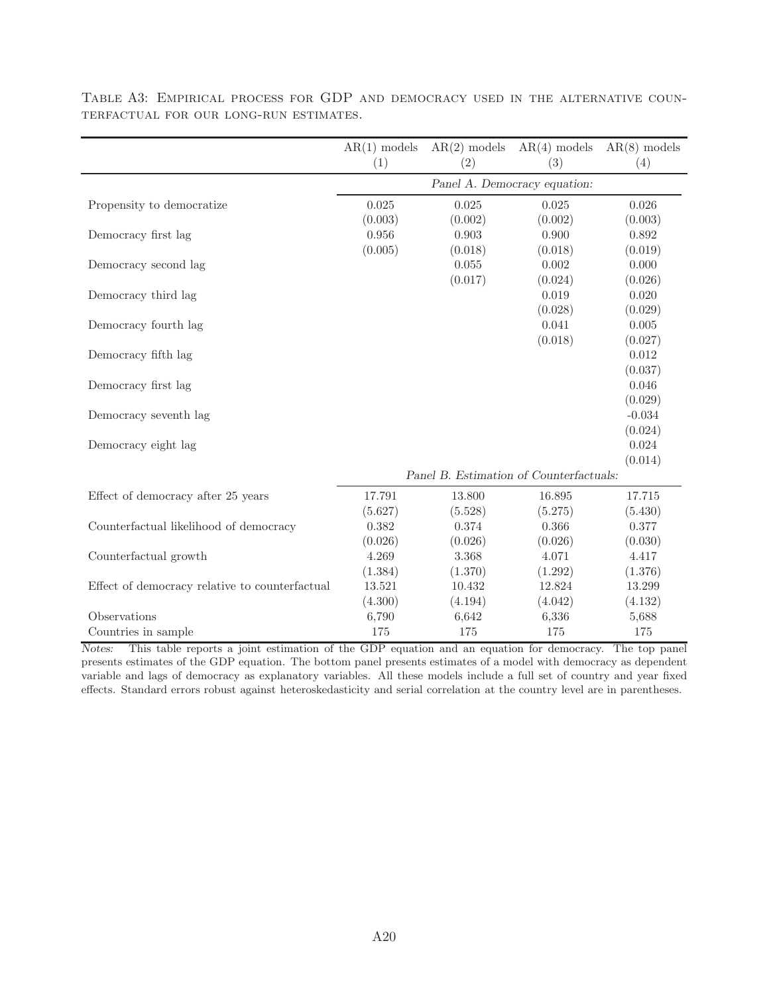|                                                | $AR(1)$ models<br>(1) | $AR(2)$ models<br>(2)                   | $AR(4)$ models<br>(3)        | $AR(8)$ models<br>(4) |
|------------------------------------------------|-----------------------|-----------------------------------------|------------------------------|-----------------------|
|                                                |                       |                                         | Panel A. Democracy equation: |                       |
| Propensity to democratize                      | 0.025                 | 0.025                                   | 0.025                        | 0.026                 |
|                                                | (0.003)               | (0.002)                                 | (0.002)                      | (0.003)               |
| Democracy first lag                            | 0.956                 | 0.903                                   | 0.900                        | 0.892                 |
|                                                | (0.005)               | (0.018)                                 | (0.018)                      | (0.019)               |
| Democracy second lag                           |                       | 0.055                                   | 0.002                        | 0.000                 |
|                                                |                       | (0.017)                                 | (0.024)                      | (0.026)               |
| Democracy third lag                            |                       |                                         | 0.019                        | 0.020                 |
|                                                |                       |                                         | (0.028)                      | (0.029)               |
| Democracy fourth lag                           |                       |                                         | 0.041                        | 0.005                 |
|                                                |                       |                                         | (0.018)                      | (0.027)               |
| Democracy fifth lag                            |                       |                                         |                              | 0.012                 |
|                                                |                       |                                         |                              | (0.037)               |
| Democracy first lag                            |                       |                                         |                              | 0.046                 |
|                                                |                       |                                         |                              | (0.029)               |
| Democracy seventh lag                          |                       |                                         |                              | $-0.034$              |
|                                                |                       |                                         |                              | (0.024)               |
| Democracy eight lag                            |                       |                                         |                              | 0.024                 |
|                                                |                       |                                         |                              | (0.014)               |
|                                                |                       | Panel B. Estimation of Counterfactuals: |                              |                       |
| Effect of democracy after 25 years             | 17.791                | 13.800                                  | 16.895                       | 17.715                |
|                                                | (5.627)               | (5.528)                                 | (5.275)                      | (5.430)               |
| Counterfactual likelihood of democracy         | 0.382                 | 0.374                                   | 0.366                        | 0.377                 |
|                                                | (0.026)               | (0.026)                                 | (0.026)                      | (0.030)               |
| Counterfactual growth                          | 4.269                 | 3.368                                   | 4.071                        | 4.417                 |
|                                                | (1.384)               | (1.370)                                 | (1.292)                      | (1.376)               |
| Effect of democracy relative to counterfactual | 13.521                | 10.432                                  | 12.824                       | 13.299                |
|                                                | (4.300)               | (4.194)                                 | (4.042)                      | (4.132)               |
| Observations                                   | 6,790                 | 6,642                                   | 6,336                        | 5,688                 |
| Countries in sample                            | 175                   | 175                                     | 175                          | 175                   |

<span id="page-65-0"></span>Table A3: Empirical process for GDP and democracy used in the alternative counterfactual for our long-run estimates.

Notes: This table reports a joint estimation of the GDP equation and an equation for democracy. The top panel presents estimates of the GDP equation. The bottom panel presents estimates of a model with democracy as dependent variable and lags of democracy as explanatory variables. All these models include a full set of country and year fixed effects. Standard errors robust against heteroskedasticity and serial correlation at the country level are in parentheses.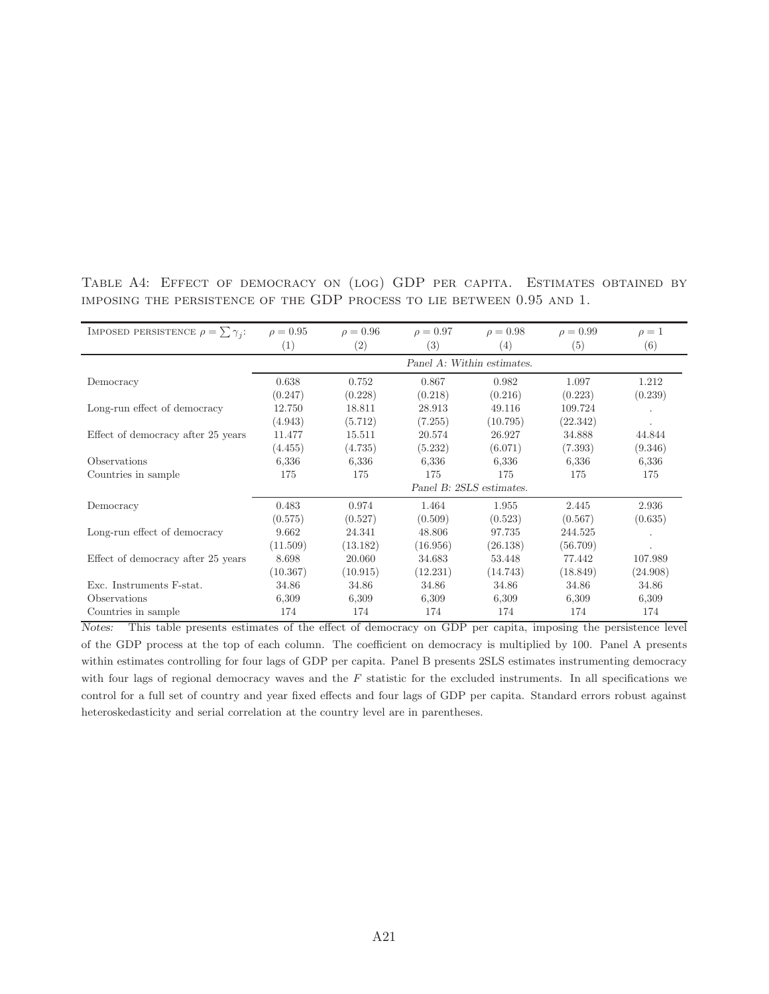| IMPOSED PERSISTENCE $\rho = \sum \gamma_i$ : | $\rho = 0.95$ | $\rho = 0.96$ | $\rho = 0.97$ | $\rho = 0.98$              | $\rho = 0.99$ | $\rho=1$ |
|----------------------------------------------|---------------|---------------|---------------|----------------------------|---------------|----------|
|                                              | (1)           | (2)           | (3)           | (4)                        | (5)           | (6)      |
|                                              |               |               |               | Panel A: Within estimates. |               |          |
| Democracy                                    | 0.638         | 0.752         | 0.867         | 0.982                      | 1.097         | 1.212    |
|                                              | (0.247)       | (0.228)       | (0.218)       | (0.216)                    | (0.223)       | (0.239)  |
| Long-run effect of democracy                 | 12.750        | 18.811        | 28.913        | 49.116                     | 109.724       |          |
|                                              | (4.943)       | (5.712)       | (7.255)       | (10.795)                   | (22.342)      | $\cdot$  |
| Effect of democracy after 25 years           | 11.477        | 15.511        | 20.574        | 26.927                     | 34.888        | 44.844   |
|                                              | (4.455)       | (4.735)       | (5.232)       | (6.071)                    | (7.393)       | (9.346)  |
| Observations                                 | 6,336         | 6,336         | 6,336         | 6,336                      | 6,336         | 6,336    |
| Countries in sample                          | 175           | 175           | 175           | 175                        | 175           | 175      |
|                                              |               |               |               | Panel B: 2SLS estimates.   |               |          |
| Democracy                                    | 0.483         | 0.974         | 1.464         | 1.955                      | 2.445         | 2.936    |
|                                              | (0.575)       | (0.527)       | (0.509)       | (0.523)                    | (0.567)       | (0.635)  |
| Long-run effect of democracy                 | 9.662         | 24.341        | 48.806        | 97.735                     | 244.525       |          |
|                                              | (11.509)      | (13.182)      | (16.956)      | (26.138)                   | (56.709)      |          |
| Effect of democracy after 25 years           | 8.698         | 20.060        | 34.683        | 53.448                     | 77.442        | 107.989  |
|                                              | (10.367)      | (10.915)      | (12.231)      | (14.743)                   | (18.849)      | (24.908) |
| Exc. Instruments F-stat.                     | 34.86         | 34.86         | 34.86         | 34.86                      | 34.86         | 34.86    |
| Observations                                 | 6,309         | 6,309         | 6,309         | 6,309                      | 6,309         | 6,309    |
| Countries in sample                          | 174           | 174           | 174           | 174                        | 174           | 174      |

<span id="page-66-0"></span>Table A4: Effect of democracy on (log) GDP per capita. Estimates obtained by imposing the persistence of the GDP process to lie between 0.95 and 1.

Notes: This table presents estimates of the effect of democracy on GDP per capita, imposing the persistence level of the GDP process at the top of each column. The coefficient on democracy is multiplied by 100. Panel A presents within estimates controlling for four lags of GDP per capita. Panel B presents 2SLS estimates instrumenting democracy with four lags of regional democracy waves and the  $F$  statistic for the excluded instruments. In all specifications we control for a full set of country and year fixed effects and four lags of GDP per capita. Standard errors robust against heteroskedasticity and serial correlation at the country level are in parentheses.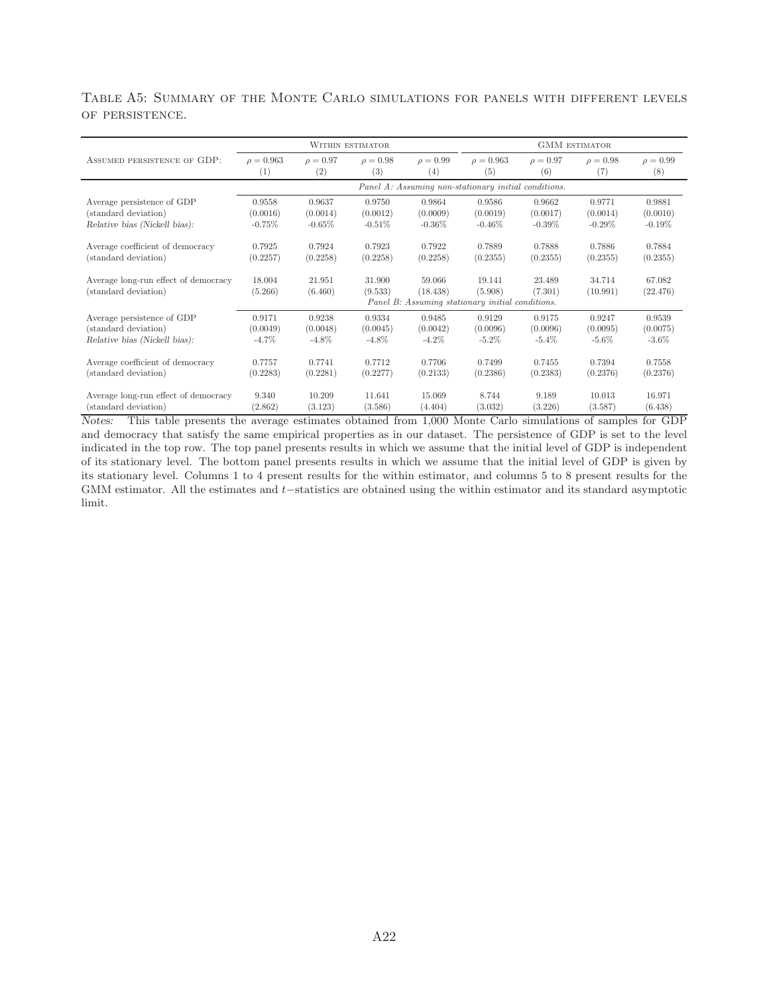<span id="page-67-0"></span>Table A5: Summary of the Monte Carlo simulations for panels with different levels of persistence.

|                                                              |                   |                   | <b>WITHIN ESTIMATOR</b> |                    |                                                                       | <b>GMM ESTIMATOR</b> |                    |                    |
|--------------------------------------------------------------|-------------------|-------------------|-------------------------|--------------------|-----------------------------------------------------------------------|----------------------|--------------------|--------------------|
| ASSUMED PERSISTENCE OF GDP:                                  | $\rho = 0.963$    | $\rho = 0.97$     | $\rho = 0.98$           | $\rho = 0.99$      | $\rho = 0.963$                                                        | $\rho = 0.97$        | $\rho = 0.98$      | $\rho = 0.99$      |
|                                                              | (1)               | (2)               | (3)                     | (4)                | (5)                                                                   | (6)                  | (7)                | (8)                |
|                                                              |                   |                   |                         |                    | Panel A: Assuming non-stationary initial conditions.                  |                      |                    |                    |
| Average persistence of GDP                                   | 0.9558            | 0.9637            | 0.9750                  | 0.9864             | 0.9586                                                                | 0.9662               | 0.9771             | 0.9881             |
| (standard deviation)                                         | (0.0016)          | (0.0014)          | (0.0012)                | (0.0009)           | (0.0019)                                                              | (0.0017)             | (0.0014)           | (0.0010)           |
| Relative bias (Nickell bias):                                | $-0.75\%$         | $-0.65%$          | $-0.51%$                | $-0.36\%$          | $-0.46\%$                                                             | $-0.39\%$            | $-0.29\%$          | $-0.19%$           |
| Average coefficient of democracy                             | 0.7925            | 0.7924            | 0.7923                  | 0.7922             | 0.7889                                                                | 0.7888               | 0.7886             | 0.7884             |
| (standard deviation)                                         | (0.2257)          | (0.2258)          | (0.2258)                | (0.2258)           | (0.2355)                                                              | (0.2355)             | (0.2355)           | (0.2355)           |
| Average long-run effect of democracy<br>(standard deviation) | 18.004<br>(5.266) | 21.951<br>(6.460) | 31.900<br>(9.533)       | 59.066<br>(18.438) | 19.141<br>(5.908)<br>Panel B: Assuming stationary initial conditions. | 23.489<br>(7.301)    | 34.714<br>(10.991) | 67.082<br>(22.476) |
| Average persistence of GDP                                   | 0.9171            | 0.9238            | 0.9334                  | 0.9485             | 0.9129                                                                | 0.9175               | 0.9247             | 0.9539             |
| (standard deviation)                                         | (0.0049)          | (0.0048)          | (0.0045)                | (0.0042)           | (0.0096)                                                              | (0.0096)             | (0.0095)           | (0.0075)           |
| Relative bias (Nickell bias):                                | $-4.7\%$          | $-4.8\%$          | $-4.8\%$                | $-4.2\%$           | $-5.2\%$                                                              | $-5.4\%$             | $-5.6\%$           | $-3.6\%$           |
| Average coefficient of democracy                             | 0.7757            | 0.7741            | 0.7712                  | 0.7706             | 0.7499                                                                | 0.7455               | 0.7394             | 0.7558             |
| (standard deviation)                                         | (0.2283)          | (0.2281)          | (0.2277)                | (0.2133)           | (0.2386)                                                              | (0.2383)             | (0.2376)           | (0.2376)           |
| Average long-run effect of democracy                         | 9.340             | 10.209            | 11.641                  | 15.069             | 8.744                                                                 | 9.189                | 10.013             | 16.971             |
| (standard deviation)                                         | (2.862)           | (3.123)           | (3.586)                 | (4.404)            | (3.032)                                                               | (3.226)              | (3.587)            | (6.438)            |

Notes: This table presents the average estimates obtained from 1,000 Monte Carlo simulations of samples for GDP and democracy that satisfy the same empirical properties as in our dataset. The persistence of GDP is set to the level indicated in the top row. The top panel presents results in which we assume that the initial level of GDP is independent of its stationary level. The bottom panel presents results in which we assume that the initial level of GDP is given by its stationary level. Columns 1 to 4 present results for the within estimator, and columns 5 to 8 present results for the GMM estimator. All the estimates and t-statistics are obtained using the within estimator and its standard asymptotic limit.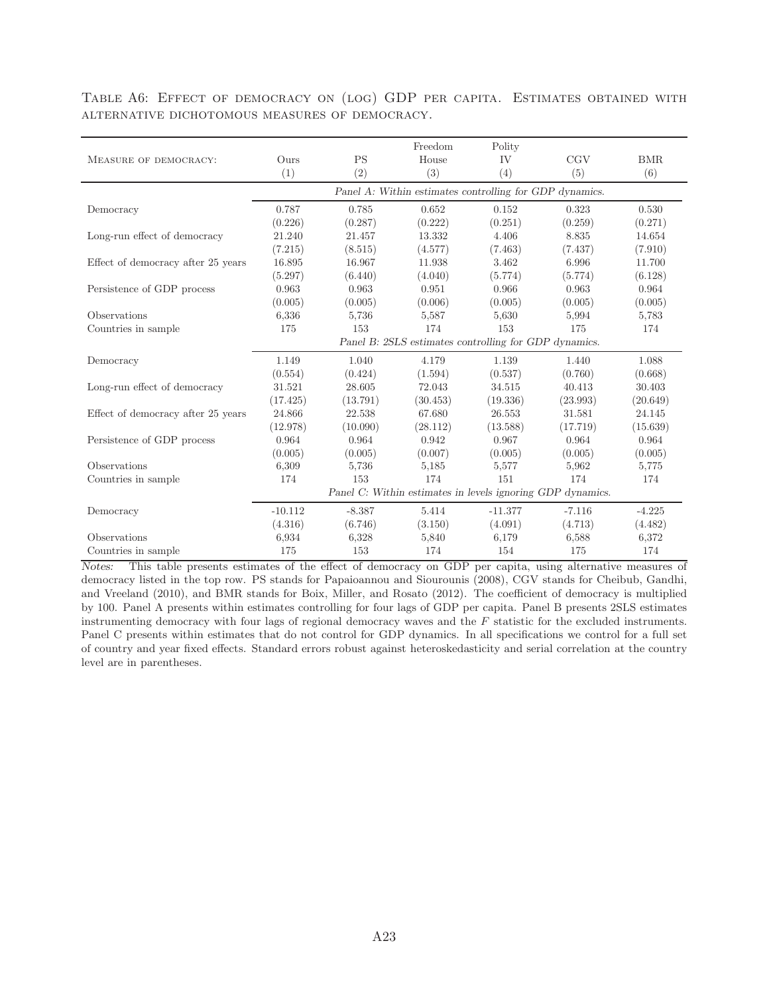<span id="page-68-0"></span>TABLE A6: EFFECT OF DEMOCRACY ON (LOG) GDP PER CAPITA. ESTIMATES OBTAINED WITH alternative dichotomous measures of democracy.

| MEASURE OF DEMOCRACY:              | <b>PS</b><br>Ours<br>(1)<br>(2)                         |          | Freedom<br>House<br>(3) | Polity<br>IV<br>(4)                                        | <b>CGV</b><br>(5) | <b>BMR</b><br>(6) |  |  |
|------------------------------------|---------------------------------------------------------|----------|-------------------------|------------------------------------------------------------|-------------------|-------------------|--|--|
|                                    | Panel A: Within estimates controlling for GDP dynamics. |          |                         |                                                            |                   |                   |  |  |
| Democracy                          | 0.787                                                   | 0.785    | 0.652                   | 0.152                                                      | 0.323             | 0.530             |  |  |
|                                    | (0.226)                                                 | (0.287)  | (0.222)                 | (0.251)                                                    | (0.259)           | (0.271)           |  |  |
| Long-run effect of democracy       | 21.240                                                  | 21.457   | 13.332                  | 4.406                                                      | 8.835             | 14.654            |  |  |
|                                    | (7.215)                                                 | (8.515)  | (4.577)                 | (7.463)                                                    | (7.437)           | (7.910)           |  |  |
| Effect of democracy after 25 years | 16.895                                                  | 16.967   | 11.938                  | 3.462                                                      | 6.996             | 11.700            |  |  |
|                                    | (5.297)                                                 | (6.440)  | (4.040)                 | (5.774)                                                    | (5.774)           | (6.128)           |  |  |
| Persistence of GDP process         | 0.963                                                   | 0.963    | 0.951                   | 0.966                                                      | 0.963             | 0.964             |  |  |
|                                    | (0.005)                                                 | (0.005)  | (0.006)                 | (0.005)                                                    | (0.005)           | (0.005)           |  |  |
| Observations                       | 6,336                                                   | 5,736    | 5,587                   | 5,630                                                      | 5,994             | 5,783             |  |  |
| Countries in sample                | 175                                                     | 153      | 174                     | 153                                                        | 175               | 174               |  |  |
|                                    | Panel B: 2SLS estimates controlling for GDP dynamics.   |          |                         |                                                            |                   |                   |  |  |
| Democracy                          | 1.149                                                   | 1.040    | 4.179                   | 1.139                                                      | 1.440             | 1.088             |  |  |
|                                    | (0.554)                                                 | (0.424)  | (1.594)                 | (0.537)                                                    | (0.760)           | (0.668)           |  |  |
| Long-run effect of democracy       | 31.521                                                  | 28.605   | 72.043                  | 34.515                                                     | 40.413            | 30.403            |  |  |
|                                    | (17.425)                                                | (13.791) | (30.453)                | (19.336)                                                   | (23.993)          | (20.649)          |  |  |
| Effect of democracy after 25 years | 24.866                                                  | 22.538   | 67.680                  | 26.553                                                     | 31.581            | 24.145            |  |  |
|                                    | (12.978)                                                | (10.090) | (28.112)                | (13.588)                                                   | (17.719)          | (15.639)          |  |  |
| Persistence of GDP process         | 0.964                                                   | 0.964    | 0.942                   | 0.967                                                      | 0.964             | 0.964             |  |  |
|                                    | (0.005)                                                 | (0.005)  | (0.007)                 | (0.005)                                                    | (0.005)           | (0.005)           |  |  |
| Observations                       | 6,309                                                   | 5,736    | 5,185                   | 5,577                                                      | 5,962             | 5,775             |  |  |
| Countries in sample                | 174                                                     | 153      | 174                     | 151                                                        | 174               | 174               |  |  |
|                                    |                                                         |          |                         | Panel C: Within estimates in levels ignoring GDP dynamics. |                   |                   |  |  |
| Democracy                          | $-10.112$                                               | $-8.387$ | 5.414                   | $-11.377$                                                  | $-7.116$          | $-4.225$          |  |  |
|                                    | (4.316)                                                 | (6.746)  | (3.150)                 | (4.091)                                                    | (4.713)           | (4.482)           |  |  |
| Observations                       | 6,934                                                   | 6,328    | 5,840                   | 6,179                                                      | 6,588             | 6,372             |  |  |
| Countries in sample                | 175                                                     | 153      | 174                     | 154                                                        | 175               | 174               |  |  |

Notes: This table presents estimates of the effect of democracy on GDP per capita, using alternative measures of democracy listed in the top row. PS stands for Papaioannou and Siourounis (2008), CGV stands for Cheibub, Gandhi, and Vreeland (2010), and BMR stands for Boix, Miller, and Rosato (2012). The coefficient of democracy is multiplied by 100. Panel A presents within estimates controlling for four lags of GDP per capita. Panel B presents 2SLS estimates instrumenting democracy with four lags of regional democracy waves and the  $F$  statistic for the excluded instruments. Panel C presents within estimates that do not control for GDP dynamics. In all specifications we control for a full set of country and year fixed effects. Standard errors robust against heteroskedasticity and serial correlation at the country level are in parentheses.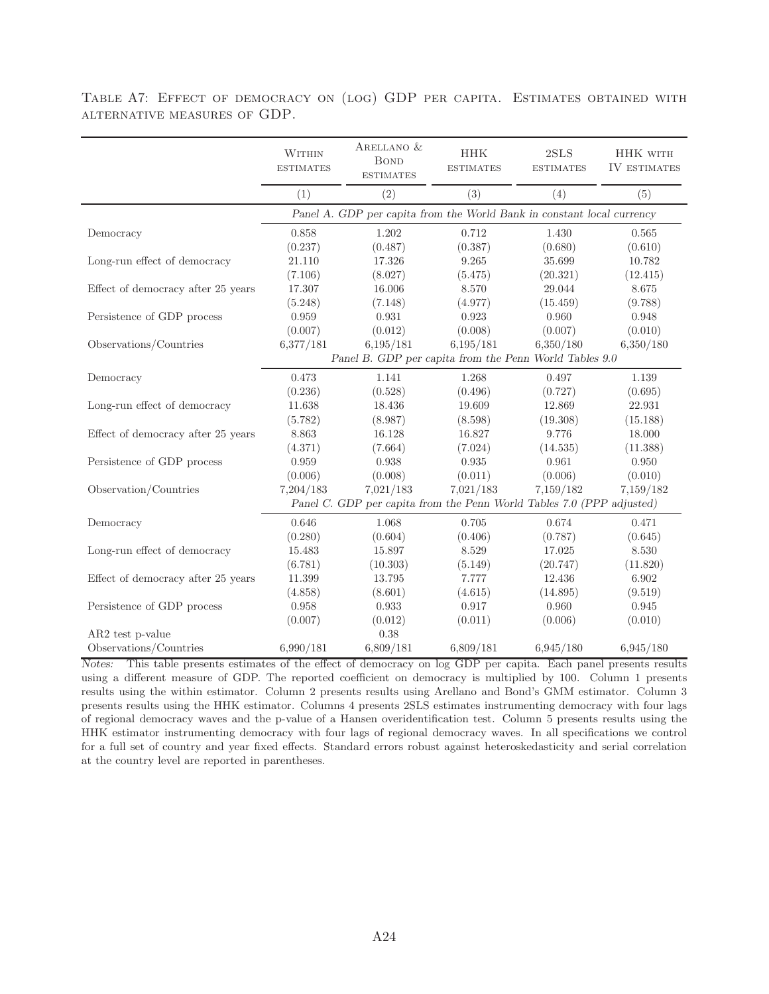<span id="page-69-0"></span>Table A7: Effect of democracy on (log) GDP per capita. Estimates obtained with alternative measures of GDP.

|                                    | WITHIN<br><b>ESTIMATES</b>                                             | ARELLANO &<br><b>BOND</b><br><b>ESTIMATES</b>                         | <b>HHK</b><br><b>ESTIMATES</b> | 2SLS<br><b>ESTIMATES</b> | HHK WITH<br>IV ESTIMATES |  |  |
|------------------------------------|------------------------------------------------------------------------|-----------------------------------------------------------------------|--------------------------------|--------------------------|--------------------------|--|--|
|                                    | (1)                                                                    | (2)                                                                   | (3)                            | (4)                      | (5)                      |  |  |
|                                    | Panel A. GDP per capita from the World Bank in constant local currency |                                                                       |                                |                          |                          |  |  |
| Democracy                          | 0.858                                                                  | 1.202                                                                 | 0.712                          | 1.430                    | 0.565                    |  |  |
|                                    | (0.237)                                                                | (0.487)                                                               | (0.387)                        | (0.680)                  | (0.610)                  |  |  |
| Long-run effect of democracy       | 21.110                                                                 | 17.326                                                                | 9.265                          | 35.699                   | 10.782                   |  |  |
|                                    | (7.106)                                                                | (8.027)                                                               | (5.475)                        | (20.321)                 | (12.415)                 |  |  |
| Effect of democracy after 25 years | 17.307                                                                 | 16.006                                                                | 8.570                          | 29.044                   | 8.675                    |  |  |
|                                    | (5.248)                                                                | (7.148)                                                               | (4.977)                        | (15.459)                 | (9.788)                  |  |  |
| Persistence of GDP process         | 0.959                                                                  | 0.931                                                                 | 0.923                          | 0.960                    | 0.948                    |  |  |
|                                    | (0.007)                                                                | (0.012)                                                               | (0.008)                        | (0.007)                  | (0.010)                  |  |  |
| Observations/Countries             | 6,377/181                                                              | 6,195/181                                                             | 6,195/181                      | 6,350/180                | 6,350/180                |  |  |
|                                    | Panel B. GDP per capita from the Penn World Tables 9.0                 |                                                                       |                                |                          |                          |  |  |
| Democracy                          | 0.473                                                                  | 1.141                                                                 | 1.268                          | 0.497                    | 1.139                    |  |  |
|                                    | (0.236)                                                                | (0.528)                                                               | (0.496)                        | (0.727)                  | (0.695)                  |  |  |
| Long-run effect of democracy       | 11.638                                                                 | 18.436                                                                | 19.609                         | 12.869                   | 22.931                   |  |  |
|                                    | (5.782)                                                                | (8.987)                                                               | (8.598)                        | (19.308)                 | (15.188)                 |  |  |
| Effect of democracy after 25 years | 8.863                                                                  | 16.128                                                                | 16.827                         | 9.776                    | 18.000                   |  |  |
|                                    | (4.371)                                                                | (7.664)                                                               | (7.024)                        | (14.535)                 | (11.388)                 |  |  |
| Persistence of GDP process         | 0.959                                                                  | 0.938                                                                 | 0.935                          | 0.961                    | 0.950                    |  |  |
|                                    | (0.006)                                                                | (0.008)                                                               | (0.011)                        | (0.006)                  | (0.010)                  |  |  |
| Observation/Countries              | 7,204/183                                                              | 7,021/183                                                             | 7,021/183                      | 7,159/182                | 7,159/182                |  |  |
|                                    |                                                                        | Panel C. GDP per capita from the Penn World Tables 7.0 (PPP adjusted) |                                |                          |                          |  |  |
|                                    |                                                                        |                                                                       |                                |                          |                          |  |  |
| Democracy                          | 0.646                                                                  | 1.068                                                                 | 0.705                          | 0.674                    | 0.471                    |  |  |
|                                    | (0.280)                                                                | (0.604)                                                               | (0.406)                        | (0.787)                  | (0.645)                  |  |  |
| Long-run effect of democracy       | 15.483                                                                 | 15.897                                                                | 8.529                          | 17.025                   | 8.530                    |  |  |
|                                    | (6.781)                                                                | (10.303)                                                              | (5.149)                        | (20.747)                 | (11.820)                 |  |  |
| Effect of democracy after 25 years | 11.399                                                                 | 13.795                                                                | 7.777                          | 12.436                   | 6.902                    |  |  |
|                                    | (4.858)                                                                | (8.601)                                                               | (4.615)                        | (14.895)                 | (9.519)                  |  |  |
| Persistence of GDP process         | $0.958\,$                                                              | 0.933                                                                 | 0.917                          | 0.960                    | 0.945                    |  |  |
|                                    | (0.007)                                                                | (0.012)                                                               | (0.011)                        | (0.006)                  | (0.010)                  |  |  |
| AR2 test p-value                   |                                                                        | 0.38                                                                  |                                |                          |                          |  |  |
| Observations/Countries             | 6,990/181                                                              | 6,809/181                                                             | 6,809/181                      | 6,945/180                | 6,945/180                |  |  |

Notes: This table presents estimates of the effect of democracy on log GDP per capita. Each panel presents results using a different measure of GDP. The reported coefficient on democracy is multiplied by 100. Column 1 presents results using the within estimator. Column 2 presents results using Arellano and Bond's GMM estimator. Column 3 presents results using the HHK estimator. Columns 4 presents 2SLS estimates instrumenting democracy with four lags of regional democracy waves and the p-value of a Hansen overidentification test. Column 5 presents results using the HHK estimator instrumenting democracy with four lags of regional democracy waves. In all specifications we control for a full set of country and year fixed effects. Standard errors robust against heteroskedasticity and serial correlation at the country level are reported in parentheses.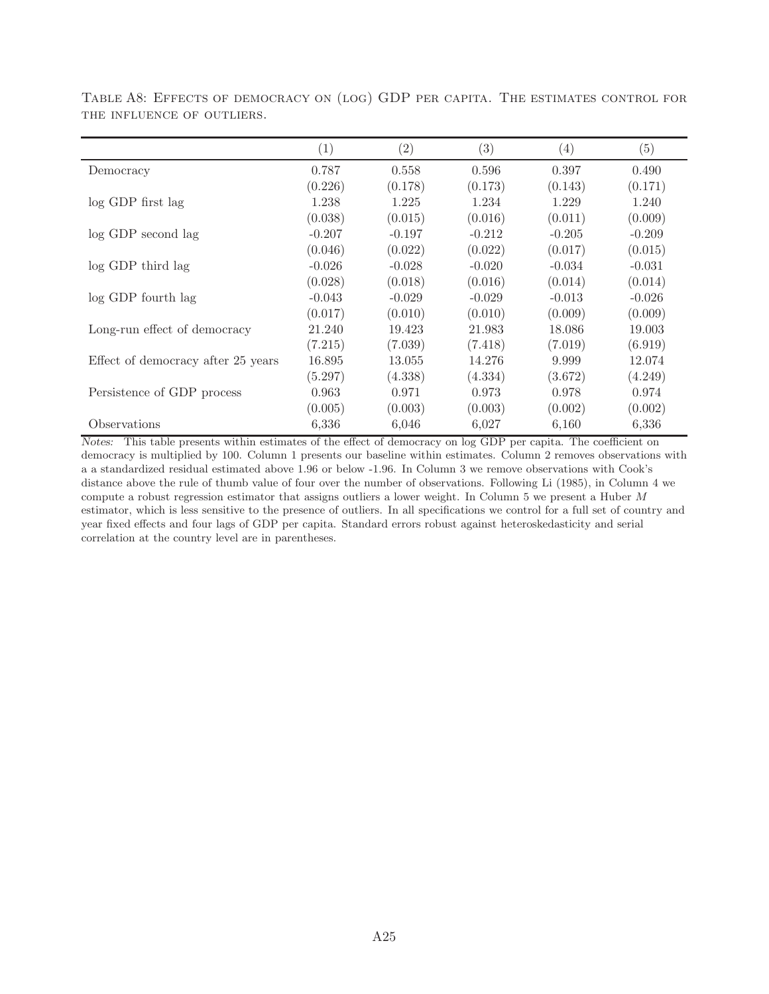|                                    | (1)      | (2)      | (3)      | (4)      | (5)      |
|------------------------------------|----------|----------|----------|----------|----------|
| Democracy                          | 0.787    | 0.558    | 0.596    | 0.397    | 0.490    |
|                                    | (0.226)  | (0.178)  | (0.173)  | (0.143)  | (0.171)  |
| $log$ GDP first $lag$              | 1.238    | 1.225    | 1.234    | 1.229    | 1.240    |
|                                    | (0.038)  | (0.015)  | (0.016)  | (0.011)  | (0.009)  |
| log GDP second lag                 | $-0.207$ | $-0.197$ | $-0.212$ | $-0.205$ | $-0.209$ |
|                                    | (0.046)  | (0.022)  | (0.022)  | (0.017)  | (0.015)  |
| log GDP third lag                  | $-0.026$ | $-0.028$ | $-0.020$ | $-0.034$ | $-0.031$ |
|                                    | (0.028)  | (0.018)  | (0.016)  | (0.014)  | (0.014)  |
| log GDP fourth lag                 | $-0.043$ | $-0.029$ | $-0.029$ | $-0.013$ | $-0.026$ |
|                                    | (0.017)  | (0.010)  | (0.010)  | (0.009)  | (0.009)  |
| Long-run effect of democracy       | 21.240   | 19.423   | 21.983   | 18.086   | 19.003   |
|                                    | (7.215)  | (7.039)  | (7.418)  | (7.019)  | (6.919)  |
| Effect of democracy after 25 years | 16.895   | 13.055   | 14.276   | 9.999    | 12.074   |
|                                    | (5.297)  | (4.338)  | (4.334)  | (3.672)  | (4.249)  |
| Persistence of GDP process         | 0.963    | 0.971    | 0.973    | 0.978    | 0.974    |
|                                    | (0.005)  | (0.003)  | (0.003)  | (0.002)  | (0.002)  |
| Observations                       | 6,336    | 6,046    | 6,027    | 6,160    | 6,336    |

<span id="page-70-0"></span>Table A8: Effects of democracy on (log) GDP per capita. The estimates control for THE INFLUENCE OF OUTLIERS.

Notes: This table presents within estimates of the effect of democracy on log GDP per capita. The coefficient on democracy is multiplied by 100. Column 1 presents our baseline within estimates. Column 2 removes observations with a a standardized residual estimated above 1.96 or below -1.96. In Column 3 we remove observations with Cook's distance above the rule of thumb value of four over the number of observations. Following Li (1985), in Column 4 we compute a robust regression estimator that assigns outliers a lower weight. In Column 5 we present a Huber  $M$ estimator, which is less sensitive to the presence of outliers. In all specifications we control for a full set of country and year fixed effects and four lags of GDP per capita. Standard errors robust against heteroskedasticity and serial correlation at the country level are in parentheses.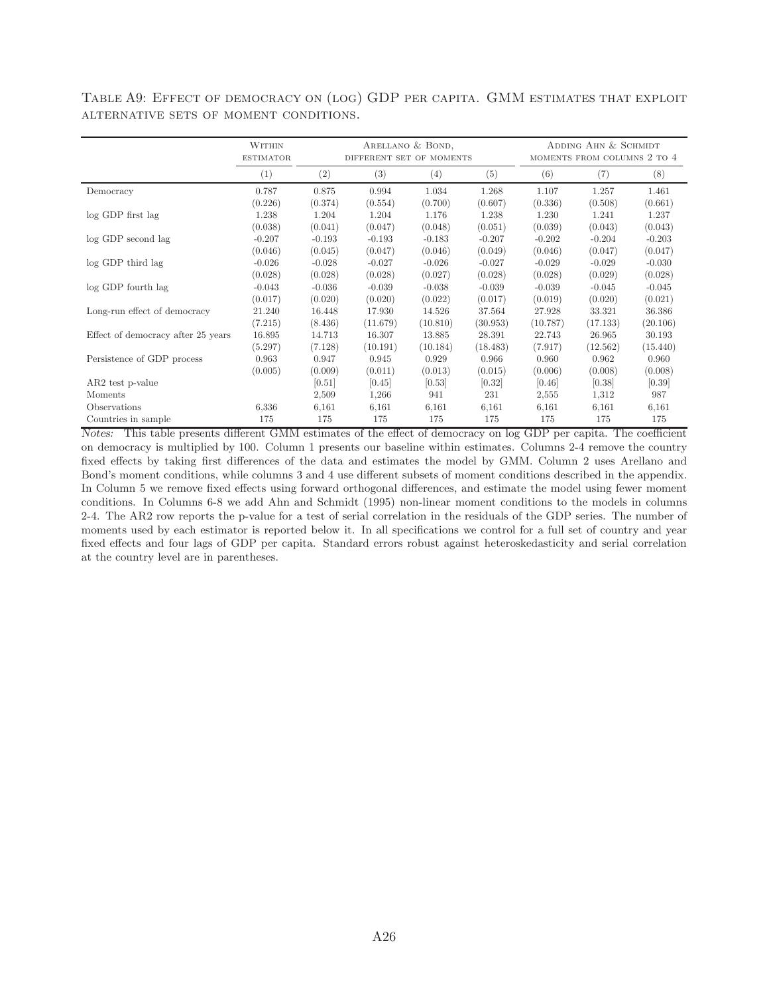<span id="page-71-0"></span>Table A9: Effect of democracy on (log) GDP per capita. GMM estimates that exploit alternative sets of moment conditions.

|                                    | <b>WITHIN</b><br><b>ESTIMATOR</b> | ARELLANO & BOND,<br>DIFFERENT SET OF MOMENTS |          |          |          | ADDING AHN & SCHMIDT<br>MOMENTS FROM COLUMNS 2 TO 4 |          |          |
|------------------------------------|-----------------------------------|----------------------------------------------|----------|----------|----------|-----------------------------------------------------|----------|----------|
|                                    | (1)                               | (2)                                          | (3)      | (4)      | (5)      | (6)                                                 | (7)      | (8)      |
| Democracy                          | 0.787                             | 0.875                                        | 0.994    | 1.034    | 1.268    | 1.107                                               | 1.257    | 1.461    |
|                                    | (0.226)                           | (0.374)                                      | (0.554)  | (0.700)  | (0.607)  | (0.336)                                             | (0.508)  | (0.661)  |
| $log$ GDP first $lag$              | 1.238                             | 1.204                                        | 1.204    | 1.176    | 1.238    | 1.230                                               | 1.241    | 1.237    |
|                                    | (0.038)                           | (0.041)                                      | (0.047)  | (0.048)  | (0.051)  | (0.039)                                             | (0.043)  | (0.043)  |
| log GDP second lag                 | $-0.207$                          | $-0.193$                                     | $-0.193$ | $-0.183$ | $-0.207$ | $-0.202$                                            | $-0.204$ | $-0.203$ |
|                                    | (0.046)                           | (0.045)                                      | (0.047)  | (0.046)  | (0.049)  | (0.046)                                             | (0.047)  | (0.047)  |
| log GDP third lag                  | $-0.026$                          | $-0.028$                                     | $-0.027$ | $-0.026$ | $-0.027$ | $-0.029$                                            | $-0.029$ | $-0.030$ |
|                                    | (0.028)                           | (0.028)                                      | (0.028)  | (0.027)  | (0.028)  | (0.028)                                             | (0.029)  | (0.028)  |
| log GDP fourth lag                 | $-0.043$                          | $-0.036$                                     | $-0.039$ | $-0.038$ | $-0.039$ | $-0.039$                                            | $-0.045$ | $-0.045$ |
|                                    | (0.017)                           | (0.020)                                      | (0.020)  | (0.022)  | (0.017)  | (0.019)                                             | (0.020)  | (0.021)  |
| Long-run effect of democracy       | 21.240                            | 16.448                                       | 17.930   | 14.526   | 37.564   | 27.928                                              | 33.321   | 36.386   |
|                                    | (7.215)                           | (8.436)                                      | (11.679) | (10.810) | (30.953) | (10.787)                                            | (17.133) | (20.106) |
| Effect of democracy after 25 years | 16.895                            | 14.713                                       | 16.307   | 13.885   | 28.391   | 22.743                                              | 26.965   | 30.193   |
|                                    | (5.297)                           | (7.128)                                      | (10.191) | (10.184) | (18.483) | (7.917)                                             | (12.562) | (15.440) |
| Persistence of GDP process         | 0.963                             | 0.947                                        | 0.945    | 0.929    | 0.966    | 0.960                                               | 0.962    | 0.960    |
|                                    | (0.005)                           | (0.009)                                      | (0.011)  | (0.013)  | (0.015)  | (0.006)                                             | (0.008)  | (0.008)  |
| AR2 test p-value                   |                                   | [0.51]                                       | [0.45]   | [0.53]   | [0.32]   | [0.46]                                              | [0.38]   | [0.39]   |
| Moments                            |                                   | 2,509                                        | 1,266    | 941      | 231      | 2,555                                               | 1,312    | 987      |
| Observations                       | 6,336                             | 6,161                                        | 6,161    | 6,161    | 6,161    | 6,161                                               | 6,161    | 6,161    |
| Countries in sample                | 175                               | 175                                          | 175      | 175      | 175      | 175                                                 | 175      | 175      |

Notes: This table presents different GMM estimates of the effect of democracy on log GDP per capita. The coefficient on democracy is multiplied by 100. Column 1 presents our baseline within estimates. Columns 2-4 remove the country fixed effects by taking first differences of the data and estimates the model by GMM. Column 2 uses Arellano and Bond's moment conditions, while columns 3 and 4 use different subsets of moment conditions described in the appendix. In Column 5 we remove fixed effects using forward orthogonal differences, and estimate the model using fewer moment conditions. In Columns 6-8 we add Ahn and Schmidt (1995) non-linear moment conditions to the models in columns 2-4. The AR2 row reports the p-value for a test of serial correlation in the residuals of the GDP series. The number of moments used by each estimator is reported below it. In all specifications we control for a full set of country and year fixed effects and four lags of GDP per capita. Standard errors robust against heteroskedasticity and serial correlation at the country level are in parentheses.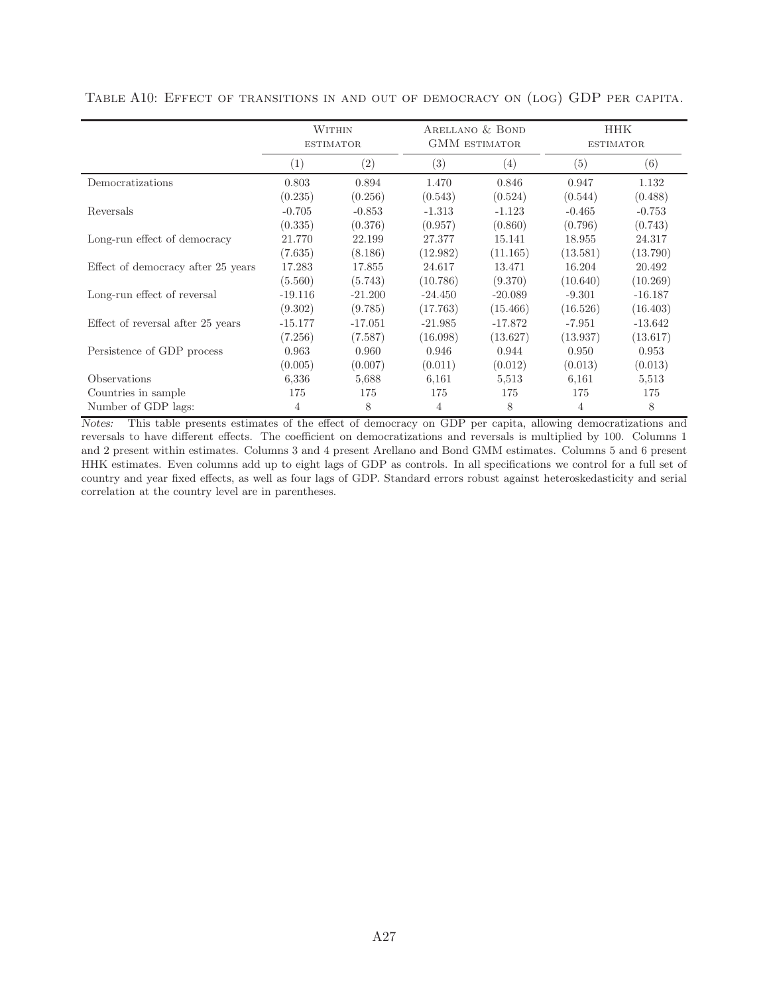|                                    | <b>WITHIN</b><br><b>ESTIMATOR</b> |           |           | ARELLANO & BOND<br><b>GMM ESTIMATOR</b> | HHK<br><b>ESTIMATOR</b> |           |  |
|------------------------------------|-----------------------------------|-----------|-----------|-----------------------------------------|-------------------------|-----------|--|
|                                    | $\left( 1\right)$                 | (2)       | (3)       | (4)                                     | (5)                     | (6)       |  |
| Democratizations                   | 0.803                             | 0.894     | 1.470     | 0.846                                   | 0.947                   | 1.132     |  |
|                                    | (0.235)                           | (0.256)   | (0.543)   | (0.524)                                 | (0.544)                 | (0.488)   |  |
| Reversals                          | $-0.705$                          | $-0.853$  | $-1.313$  | $-1.123$                                | $-0.465$                | $-0.753$  |  |
|                                    | (0.335)                           | (0.376)   | (0.957)   | (0.860)                                 | (0.796)                 | (0.743)   |  |
| Long-run effect of democracy       | 21.770                            | 22.199    | 27.377    | 15.141                                  | 18.955                  | 24.317    |  |
|                                    | (7.635)                           | (8.186)   | (12.982)  | (11.165)                                | (13.581)                | (13.790)  |  |
| Effect of democracy after 25 years | 17.283                            | 17.855    | 24.617    | 13.471                                  | 16.204                  | 20.492    |  |
|                                    | (5.560)                           | (5.743)   | (10.786)  | (9.370)                                 | (10.640)                | (10.269)  |  |
| Long-run effect of reversal        | $-19.116$                         | $-21.200$ | $-24.450$ | $-20.089$                               | $-9.301$                | $-16.187$ |  |
|                                    | (9.302)                           | (9.785)   | (17.763)  | (15.466)                                | (16.526)                | (16.403)  |  |
| Effect of reversal after 25 years  | $-15.177$                         | $-17.051$ | $-21.985$ | $-17.872$                               | $-7.951$                | $-13.642$ |  |
|                                    | (7.256)                           | (7.587)   | (16.098)  | (13.627)                                | (13.937)                | (13.617)  |  |
| Persistence of GDP process         | 0.963                             | 0.960     | 0.946     | 0.944                                   | 0.950                   | 0.953     |  |
|                                    | (0.005)                           | (0.007)   | (0.011)   | (0.012)                                 | (0.013)                 | (0.013)   |  |
| Observations                       | 6,336                             | 5,688     | 6,161     | 5,513                                   | 6,161                   | 5,513     |  |
| Countries in sample                | 175                               | 175       | 175       | 175                                     | 175                     | 175       |  |
| Number of GDP lags:                | 4                                 | 8         | 4         | 8                                       | 4                       | 8         |  |

Table A10: Effect of transitions in and out of democracy on (log) GDP per capita.

Notes: This table presents estimates of the effect of democracy on GDP per capita, allowing democratizations and reversals to have different effects. The coefficient on democratizations and reversals is multiplied by 100. Columns 1 and 2 present within estimates. Columns 3 and 4 present Arellano and Bond GMM estimates. Columns 5 and 6 present HHK estimates. Even columns add up to eight lags of GDP as controls. In all specifications we control for a full set of country and year fixed effects, as well as four lags of GDP. Standard errors robust against heteroskedasticity and serial correlation at the country level are in parentheses.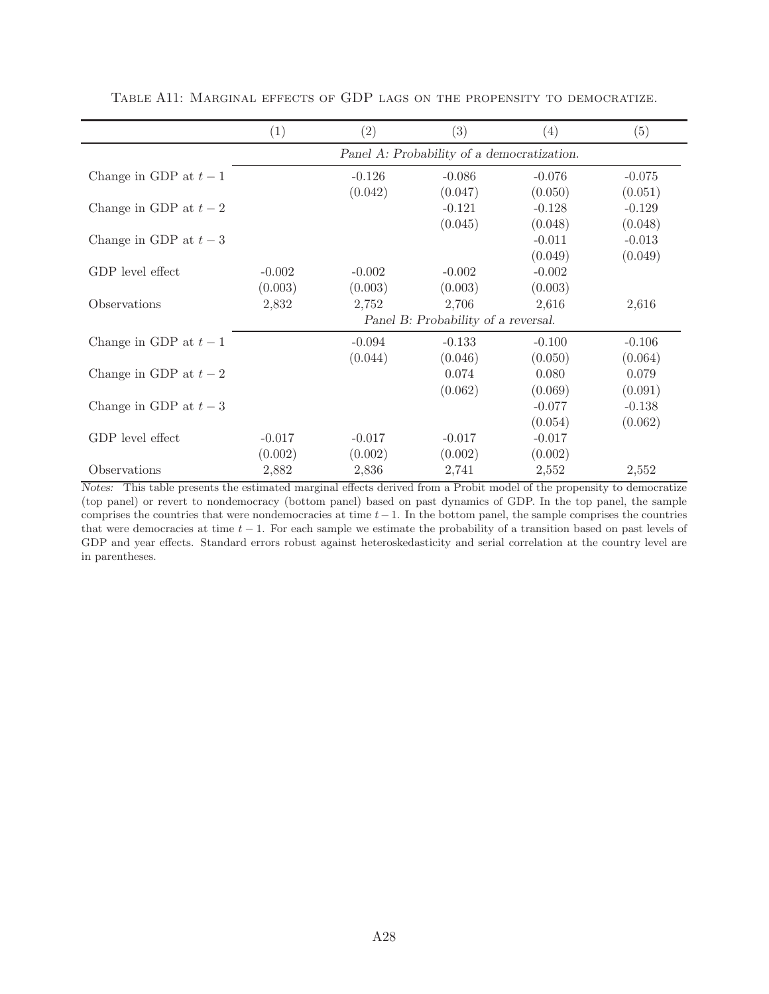|                        | (1)                                        | (2)      | (3)      | (4)      | (5)      |  |  |  |  |
|------------------------|--------------------------------------------|----------|----------|----------|----------|--|--|--|--|
|                        | Panel A: Probability of a democratization. |          |          |          |          |  |  |  |  |
| Change in GDP at $t-1$ |                                            | $-0.126$ | $-0.086$ | $-0.076$ | $-0.075$ |  |  |  |  |
|                        |                                            | (0.042)  | (0.047)  | (0.050)  | (0.051)  |  |  |  |  |
| Change in GDP at $t-2$ |                                            |          | $-0.121$ | $-0.128$ | $-0.129$ |  |  |  |  |
|                        |                                            |          | (0.045)  | (0.048)  | (0.048)  |  |  |  |  |
| Change in GDP at $t-3$ |                                            |          |          | $-0.011$ | $-0.013$ |  |  |  |  |
|                        |                                            |          |          | (0.049)  | (0.049)  |  |  |  |  |
| GDP level effect       | $-0.002$                                   | $-0.002$ | $-0.002$ | $-0.002$ |          |  |  |  |  |
|                        | (0.003)                                    | (0.003)  | (0.003)  | (0.003)  |          |  |  |  |  |
| Observations           | 2,832                                      | 2,752    | 2,706    | 2,616    | 2,616    |  |  |  |  |
|                        | Panel B: Probability of a reversal.        |          |          |          |          |  |  |  |  |
| Change in GDP at $t-1$ |                                            | $-0.094$ | $-0.133$ | $-0.100$ | $-0.106$ |  |  |  |  |
|                        |                                            | (0.044)  | (0.046)  | (0.050)  | (0.064)  |  |  |  |  |
| Change in GDP at $t-2$ |                                            |          | 0.074    | 0.080    | 0.079    |  |  |  |  |
|                        |                                            |          | (0.062)  | (0.069)  | (0.091)  |  |  |  |  |
| Change in GDP at $t-3$ |                                            |          |          | $-0.077$ | $-0.138$ |  |  |  |  |
|                        |                                            |          |          | (0.054)  | (0.062)  |  |  |  |  |
| GDP level effect       | $-0.017$                                   | $-0.017$ | $-0.017$ | $-0.017$ |          |  |  |  |  |
|                        | (0.002)                                    | (0.002)  | (0.002)  | (0.002)  |          |  |  |  |  |
| Observations           | 2,882                                      | 2,836    | 2,741    | 2,552    | 2,552    |  |  |  |  |

Table A11: Marginal effects of GDP lags on the propensity to democratize.

Notes: This table presents the estimated marginal effects derived from a Probit model of the propensity to democratize (top panel) or revert to nondemocracy (bottom panel) based on past dynamics of GDP. In the top panel, the sample comprises the countries that were nondemocracies at time  $t-1$ . In the bottom panel, the sample comprises the countries that were democracies at time  $t - 1$ . For each sample we estimate the probability of a transition based on past levels of GDP and year effects. Standard errors robust against heteroskedasticity and serial correlation at the country level are in parentheses.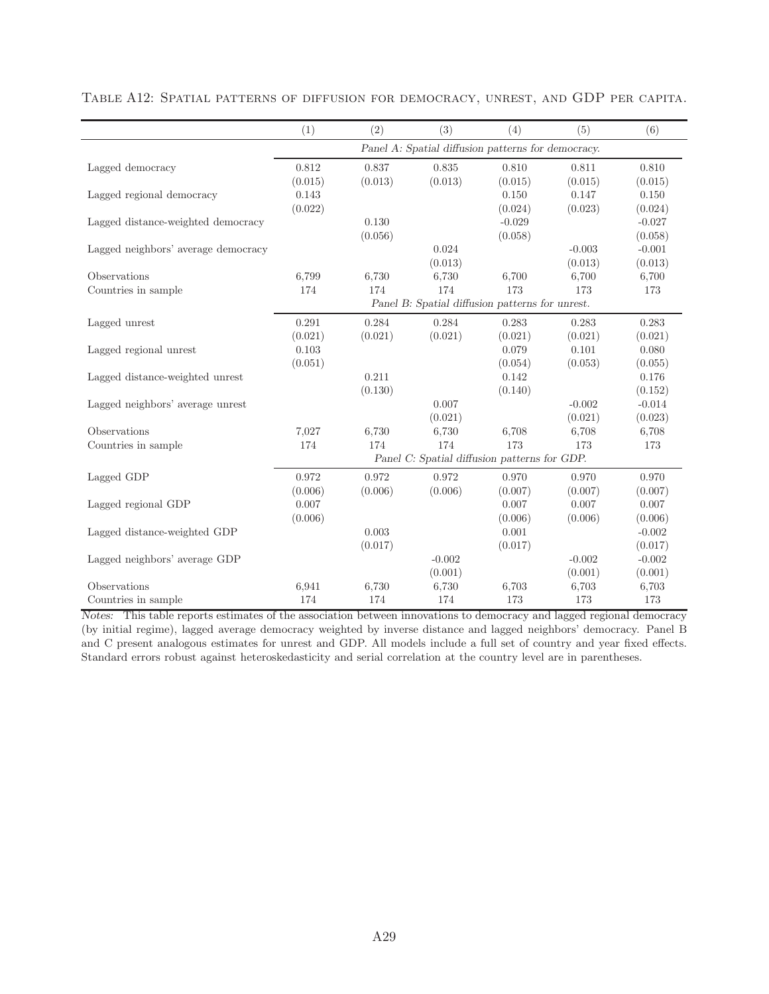|                                     | (1)                                                | (2)     | (3)      | (4)                                          | (5)      | (6)      |  |  |
|-------------------------------------|----------------------------------------------------|---------|----------|----------------------------------------------|----------|----------|--|--|
|                                     | Panel A: Spatial diffusion patterns for democracy. |         |          |                                              |          |          |  |  |
| Lagged democracy                    | 0.812                                              | 0.837   | 0.835    | 0.810                                        | 0.811    | 0.810    |  |  |
|                                     | (0.015)                                            | (0.013) | (0.013)  | (0.015)                                      | (0.015)  | (0.015)  |  |  |
| Lagged regional democracy           | 0.143                                              |         |          | 0.150                                        | 0.147    | 0.150    |  |  |
|                                     | (0.022)                                            |         |          | (0.024)                                      | (0.023)  | (0.024)  |  |  |
| Lagged distance-weighted democracy  |                                                    | 0.130   |          | $-0.029$                                     |          | $-0.027$ |  |  |
|                                     |                                                    | (0.056) |          | (0.058)                                      |          | (0.058)  |  |  |
| Lagged neighbors' average democracy |                                                    |         | 0.024    |                                              | $-0.003$ | $-0.001$ |  |  |
|                                     |                                                    |         | (0.013)  |                                              | (0.013)  | (0.013)  |  |  |
| Observations                        | 6,799                                              | 6,730   | 6,730    | 6,700                                        | 6,700    | 6,700    |  |  |
| Countries in sample                 | 174                                                | 174     | 174      | 173                                          | 173      | 173      |  |  |
|                                     | Panel B: Spatial diffusion patterns for unrest.    |         |          |                                              |          |          |  |  |
| Lagged unrest                       | 0.291                                              | 0.284   | 0.284    | 0.283                                        | 0.283    | 0.283    |  |  |
|                                     | (0.021)                                            | (0.021) | (0.021)  | (0.021)                                      | (0.021)  | (0.021)  |  |  |
| Lagged regional unrest              | 0.103                                              |         |          | 0.079                                        | 0.101    | 0.080    |  |  |
|                                     | (0.051)                                            |         |          | (0.054)                                      | (0.053)  | (0.055)  |  |  |
| Lagged distance-weighted unrest     |                                                    | 0.211   |          | 0.142                                        |          | 0.176    |  |  |
|                                     |                                                    | (0.130) |          | (0.140)                                      |          | (0.152)  |  |  |
| Lagged neighbors' average unrest    |                                                    |         | 0.007    |                                              | $-0.002$ | $-0.014$ |  |  |
|                                     |                                                    |         | (0.021)  |                                              | (0.021)  | (0.023)  |  |  |
| Observations                        | 7,027                                              | 6,730   | 6,730    | 6,708                                        | 6,708    | 6,708    |  |  |
| Countries in sample                 | 174                                                | 174     | 174      | 173                                          | 173      | 173      |  |  |
|                                     |                                                    |         |          | Panel C: Spatial diffusion patterns for GDP. |          |          |  |  |
| Lagged GDP                          | 0.972                                              | 0.972   | 0.972    | 0.970                                        | 0.970    | 0.970    |  |  |
|                                     | (0.006)                                            | (0.006) | (0.006)  | (0.007)                                      | (0.007)  | (0.007)  |  |  |
| Lagged regional GDP                 | 0.007                                              |         |          | 0.007                                        | 0.007    | 0.007    |  |  |
|                                     | (0.006)                                            |         |          | (0.006)                                      | (0.006)  | (0.006)  |  |  |
| Lagged distance-weighted GDP        |                                                    | 0.003   |          | 0.001                                        |          | $-0.002$ |  |  |
|                                     |                                                    | (0.017) |          | (0.017)                                      |          | (0.017)  |  |  |
| Lagged neighbors' average GDP       |                                                    |         | $-0.002$ |                                              | $-0.002$ | $-0.002$ |  |  |
|                                     |                                                    |         | (0.001)  |                                              | (0.001)  | (0.001)  |  |  |
| Observations                        | 6,941                                              | 6,730   | 6,730    | 6,703                                        | 6,703    | 6,703    |  |  |
| Countries in sample                 | 174                                                | 174     | 174      | 173                                          | 173      | 173      |  |  |

Table A12: Spatial patterns of diffusion for democracy, unrest, and GDP per capita.

Notes: This table reports estimates of the association between innovations to democracy and lagged regional democracy (by initial regime), lagged average democracy weighted by inverse distance and lagged neighbors' democracy. Panel B and C present analogous estimates for unrest and GDP. All models include a full set of country and year fixed effects. Standard errors robust against heteroskedasticity and serial correlation at the country level are in parentheses.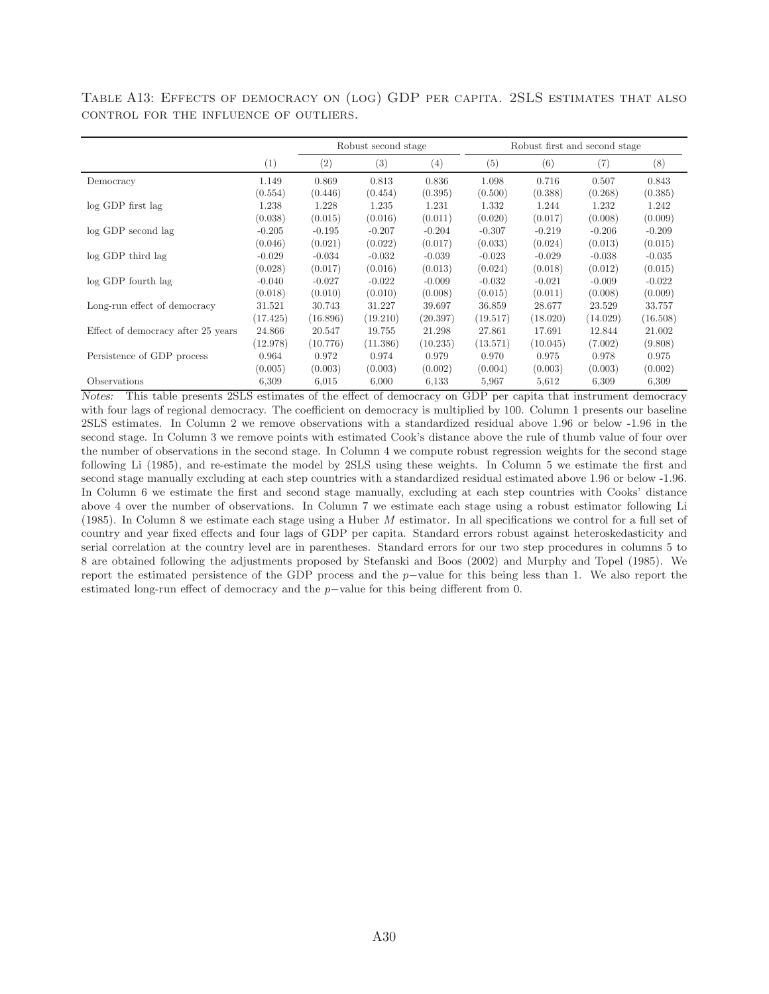Table A13: Effects of democracy on (log) GDP per capita. 2SLS estimates that also control for the influence of outliers.

|                                    |          | Robust second stage |          |          | Robust first and second stage |          |          |          |
|------------------------------------|----------|---------------------|----------|----------|-------------------------------|----------|----------|----------|
|                                    | (1)      | (2)                 | (3)      | (4)      | (5)                           | (6)      | (7)      | (8)      |
| Democracy                          | 1.149    | 0.869               | 0.813    | 0.836    | 1.098                         | 0.716    | 0.507    | 0.843    |
|                                    | (0.554)  | (0.446)             | (0.454)  | (0.395)  | (0.500)                       | (0.388)  | (0.268)  | (0.385)  |
| $log$ GDP first $lag$              | 1.238    | 1.228               | 1.235    | 1.231    | 1.332                         | 1.244    | 1.232    | 1.242    |
|                                    | (0.038)  | (0.015)             | (0.016)  | (0.011)  | (0.020)                       | (0.017)  | (0.008)  | (0.009)  |
| log GDP second lag                 | $-0.205$ | $-0.195$            | $-0.207$ | $-0.204$ | $-0.307$                      | $-0.219$ | $-0.206$ | $-0.209$ |
|                                    | (0.046)  | (0.021)             | (0.022)  | (0.017)  | (0.033)                       | (0.024)  | (0.013)  | (0.015)  |
| log GDP third lag                  | $-0.029$ | $-0.034$            | $-0.032$ | $-0.039$ | $-0.023$                      | $-0.029$ | $-0.038$ | $-0.035$ |
|                                    | (0.028)  | (0.017)             | (0.016)  | (0.013)  | (0.024)                       | (0.018)  | (0.012)  | (0.015)  |
| log GDP fourth lag                 | $-0.040$ | $-0.027$            | $-0.022$ | $-0.009$ | $-0.032$                      | $-0.021$ | $-0.009$ | $-0.022$ |
|                                    | (0.018)  | (0.010)             | (0.010)  | (0.008)  | (0.015)                       | (0.011)  | (0.008)  | (0.009)  |
| Long-run effect of democracy       | 31.521   | 30.743              | 31.227   | 39.697   | 36.859                        | 28.677   | 23.529   | 33.757   |
|                                    | (17.425) | (16.896)            | (19.210) | (20.397) | (19.517)                      | (18.020) | (14.029) | (16.508) |
| Effect of democracy after 25 years | 24.866   | 20.547              | 19.755   | 21.298   | 27.861                        | 17.691   | 12.844   | 21.002   |
|                                    | (12.978) | (10.776)            | (11.386) | (10.235) | (13.571)                      | (10.045) | (7.002)  | (9.808)  |
| Persistence of GDP process         | 0.964    | 0.972               | 0.974    | 0.979    | 0.970                         | 0.975    | 0.978    | 0.975    |
|                                    | (0.005)  | (0.003)             | (0.003)  | (0.002)  | (0.004)                       | (0.003)  | (0.003)  | (0.002)  |
| Observations                       | 6,309    | 6,015               | 6,000    | 6,133    | 5,967                         | 5,612    | 6,309    | 6,309    |

Notes: This table presents 2SLS estimates of the effect of democracy on GDP per capita that instrument democracy with four lags of regional democracy. The coefficient on democracy is multiplied by 100. Column 1 presents our baseline 2SLS estimates. In Column 2 we remove observations with a standardized residual above 1.96 or below -1.96 in the second stage. In Column 3 we remove points with estimated Cook's distance above the rule of thumb value of four over the number of observations in the second stage. In Column 4 we compute robust regression weights for the second stage following Li (1985), and re-estimate the model by 2SLS using these weights. In Column 5 we estimate the first and second stage manually excluding at each step countries with a standardized residual estimated above 1.96 or below -1.96. In Column 6 we estimate the first and second stage manually, excluding at each step countries with Cooks' distance above 4 over the number of observations. In Column 7 we estimate each stage using a robust estimator following Li (1985). In Column 8 we estimate each stage using a Huber  $M$  estimator. In all specifications we control for a full set of country and year fixed effects and four lags of GDP per capita. Standard errors robust against heteroskedasticity and serial correlation at the country level are in parentheses. Standard errors for our two step procedures in columns 5 to 8 are obtained following the adjustments proposed by Stefanski and Boos (2002) and Murphy and Topel (1985). We report the estimated persistence of the GDP process and the p−value for this being less than 1. We also report the estimated long-run effect of democracy and the p−value for this being different from 0.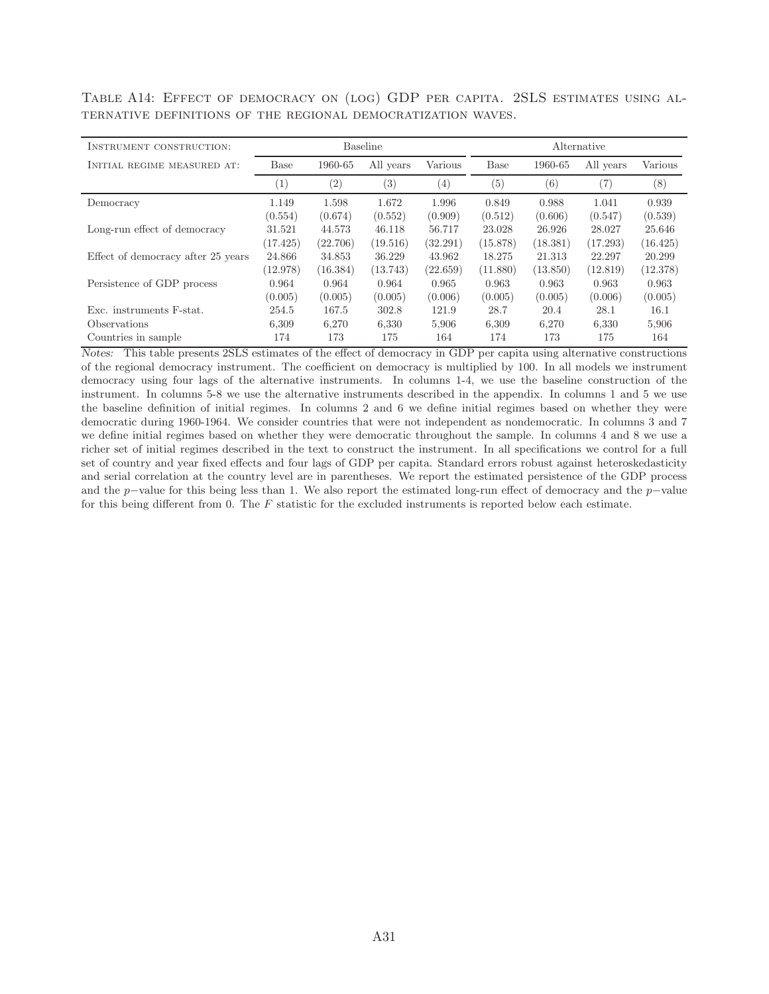Instrument construction: Baseline Alternative Initial regime measured at: Base 1960-65 All years Various Base 1960-65 All years Various  $(1)$   $(2)$   $(3)$   $(4)$   $(5)$   $(6)$   $(7)$   $(8)$ Democracy 1.149 1.598 1.672 1.996 0.849 0.988 1.041 0.939  $(0.554)$   $(0.674)$   $(0.552)$   $(0.909)$   $(0.512)$   $(0.606)$   $(0.547)$   $(0.539)$ Long-run effect of democracy 31.521 44.573 46.118 56.717 23.028 26.926 28.027 25.646 (17.425) (22.706) (19.516) (32.291) (15.878) (18.381) (17.293) (16.425) Effect of democracy after 25 years 24.866 34.853 36.229 43.962 18.275 21.313 22.297 20.299 (12.978) (16.384) (13.743) (22.659) (11.880) (13.850) (12.819) (12.378) Persistence of GDP process 0.964 0.964 0.964 0.965 0.963 0.963 0.963 0.963  $(0.005)$   $(0.005)$   $(0.005)$   $(0.006)$   $(0.005)$   $(0.005)$   $(0.006)$   $(0.005)$ Exc. instruments F-stat. 254.5 167.5 302.8 121.9 28.7 20.4 28.1 16.1 Observations 6,309 6,270 6,330 5,906 6,309 6,270 6,330 5,906 Countries in sample 174 173 175 164 174 173 175 164

Table A14: Effect of democracy on (log) GDP per capita. 2SLS estimates using alternative definitions of the regional democratization waves.

Notes: This table presents 2SLS estimates of the effect of democracy in GDP per capita using alternative constructions of the regional democracy instrument. The coefficient on democracy is multiplied by 100. In all models we instrument democracy using four lags of the alternative instruments. In columns 1-4, we use the baseline construction of the instrument. In columns 5-8 we use the alternative instruments described in the appendix. In columns 1 and 5 we use the baseline definition of initial regimes. In columns 2 and 6 we define initial regimes based on whether they were democratic during 1960-1964. We consider countries that were not independent as nondemocratic. In columns 3 and 7 we define initial regimes based on whether they were democratic throughout the sample. In columns 4 and 8 we use a richer set of initial regimes described in the text to construct the instrument. In all specifications we control for a full set of country and year fixed effects and four lags of GDP per capita. Standard errors robust against heteroskedasticity and serial correlation at the country level are in parentheses. We report the estimated persistence of the GDP process and the p−value for this being less than 1. We also report the estimated long-run effect of democracy and the p−value for this being different from 0. The  $F$  statistic for the excluded instruments is reported below each estimate.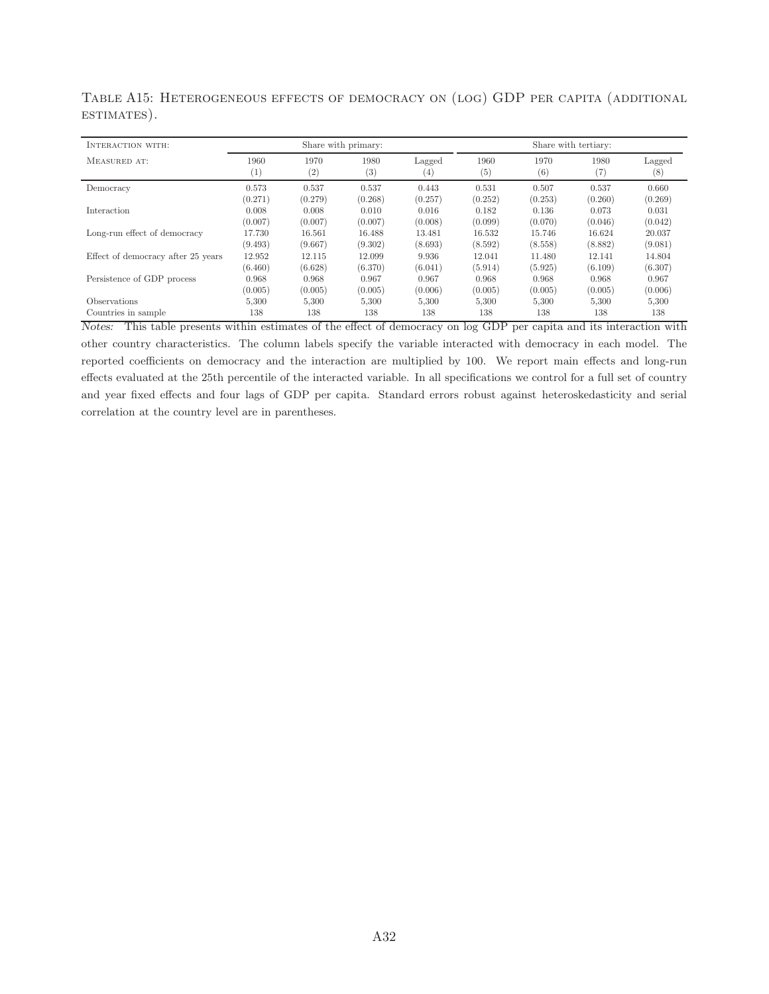| INTERACTION WITH:                  | Share with primary: |         |         |         | Share with tertiary: |         |         |         |
|------------------------------------|---------------------|---------|---------|---------|----------------------|---------|---------|---------|
| MEASURED AT:                       | 1960                | 1970    | 1980    | Lagged  | 1960                 | 1970    | 1980    | Lagged  |
|                                    | $\left( 1\right)$   | (2)     | (3)     | (4)     | (5)                  | (6)     | (7)     | (8)     |
| Democracy                          | 0.573               | 0.537   | 0.537   | 0.443   | 0.531                | 0.507   | 0.537   | 0.660   |
|                                    | (0.271)             | (0.279) | (0.268) | (0.257) | (0.252)              | (0.253) | (0.260) | (0.269) |
| Interaction                        | 0.008               | 0.008   | 0.010   | 0.016   | 0.182                | 0.136   | 0.073   | 0.031   |
|                                    | (0.007)             | (0.007) | (0.007) | (0.008) | (0.099)              | (0.070) | (0.046) | (0.042) |
| Long-run effect of democracy       | 17.730              | 16.561  | 16.488  | 13.481  | 16.532               | 15.746  | 16.624  | 20.037  |
|                                    | (9.493)             | (9.667) | (9.302) | (8.693) | (8.592)              | (8.558) | (8.882) | (9.081) |
| Effect of democracy after 25 years | 12.952              | 12.115  | 12.099  | 9.936   | 12.041               | 11.480  | 12.141  | 14.804  |
|                                    | (6.460)             | (6.628) | (6.370) | (6.041) | (5.914)              | (5.925) | (6.109) | (6.307) |
| Persistence of GDP process         | 0.968               | 0.968   | 0.967   | 0.967   | 0.968                | 0.968   | 0.968   | 0.967   |
|                                    | (0.005)             | (0.005) | (0.005) | (0.006) | (0.005)              | (0.005) | (0.005) | (0.006) |
| Observations                       | 5,300               | 5,300   | 5,300   | 5,300   | 5,300                | 5,300   | 5,300   | 5,300   |
| Countries in sample                | 138                 | 138     | 138     | 138     | 138                  | 138     | 138     | 138     |

TABLE A15: HETEROGENEOUS EFFECTS OF DEMOCRACY ON (LOG) GDP PER CAPITA (ADDITIONAL estimates).

Notes: This table presents within estimates of the effect of democracy on log GDP per capita and its interaction with other country characteristics. The column labels specify the variable interacted with democracy in each model. The reported coefficients on democracy and the interaction are multiplied by 100. We report main effects and long-run effects evaluated at the 25th percentile of the interacted variable. In all specifications we control for a full set of country and year fixed effects and four lags of GDP per capita. Standard errors robust against heteroskedasticity and serial correlation at the country level are in parentheses.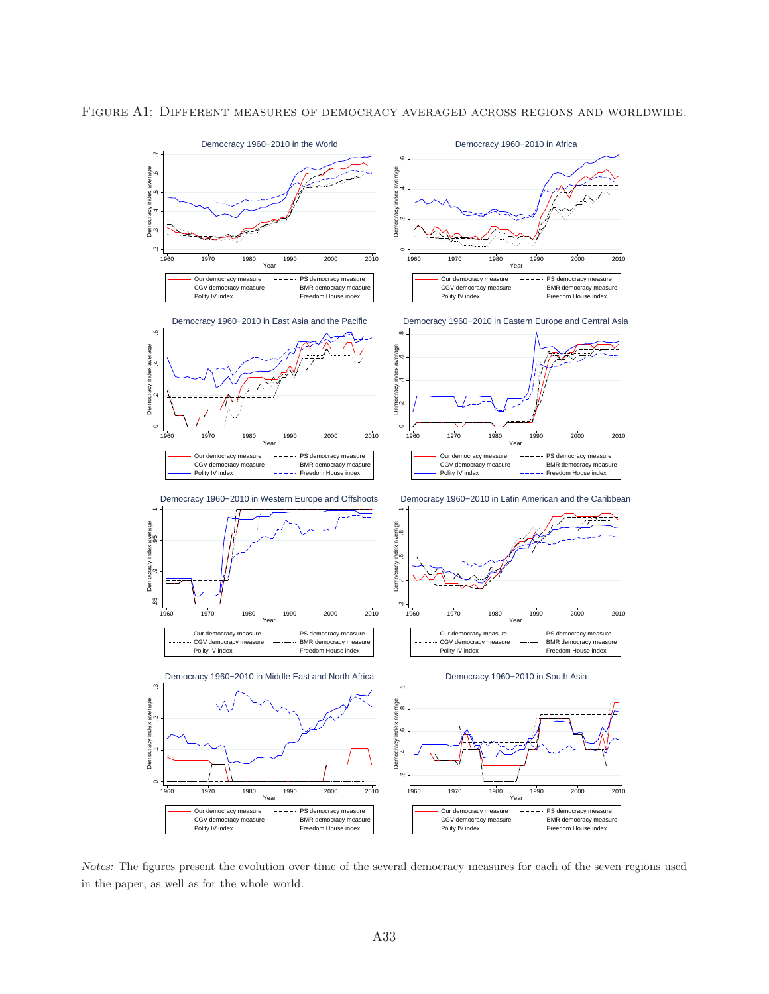

Figure A1: Different measures of democracy averaged across regions and worldwide.

Notes: The figures present the evolution over time of the several democracy measures for each of the seven regions used in the paper, as well as for the whole world.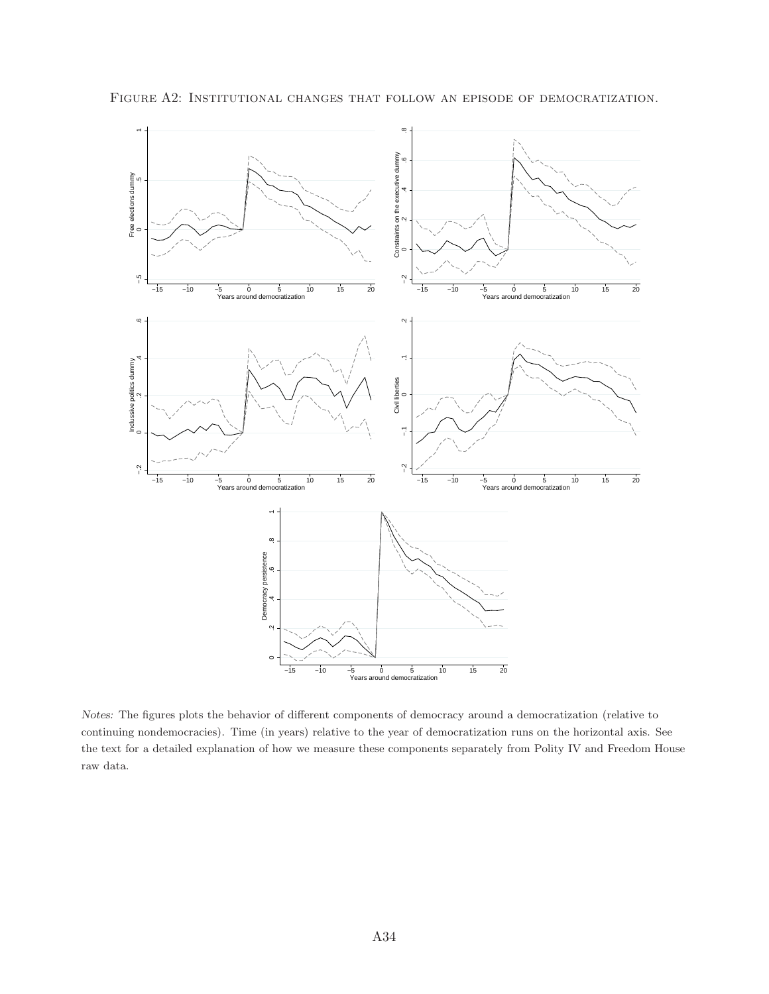

Figure A2: Institutional changes that follow an episode of democratization.

Notes: The figures plots the behavior of different components of democracy around a democratization (relative to continuing nondemocracies). Time (in years) relative to the year of democratization runs on the horizontal axis. See the text for a detailed explanation of how we measure these components separately from Polity IV and Freedom House raw data.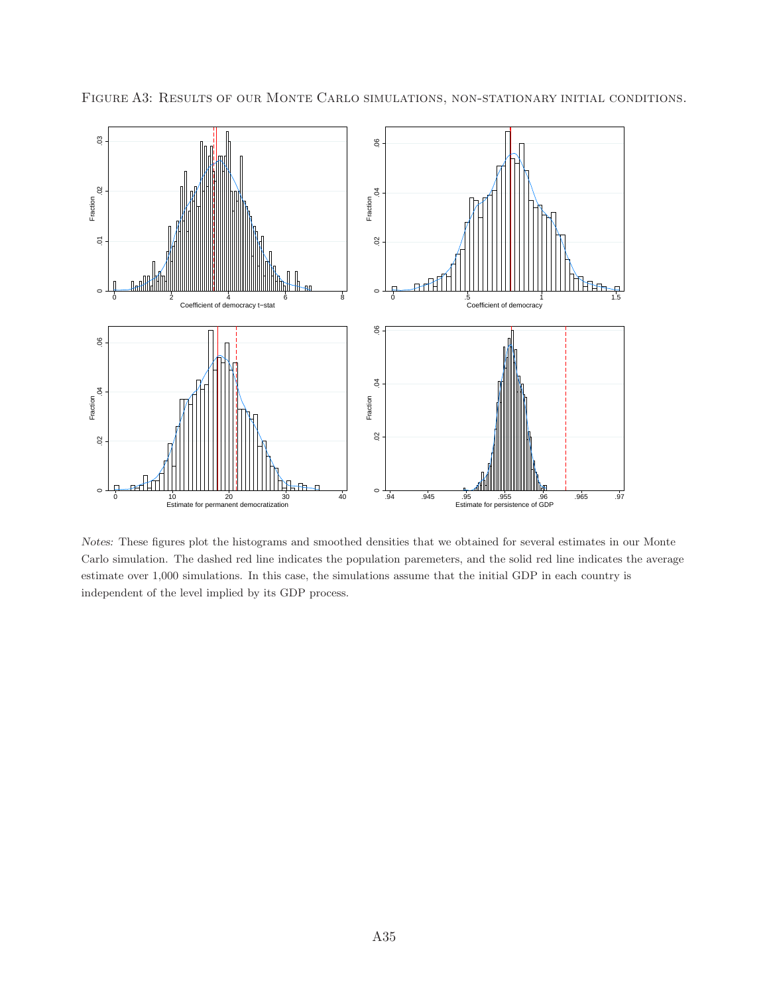

Figure A3: Results of our Monte Carlo simulations, non-stationary initial conditions.

Notes: These figures plot the histograms and smoothed densities that we obtained for several estimates in our Monte Carlo simulation. The dashed red line indicates the population paremeters, and the solid red line indicates the average estimate over 1,000 simulations. In this case, the simulations assume that the initial GDP in each country is independent of the level implied by its GDP process.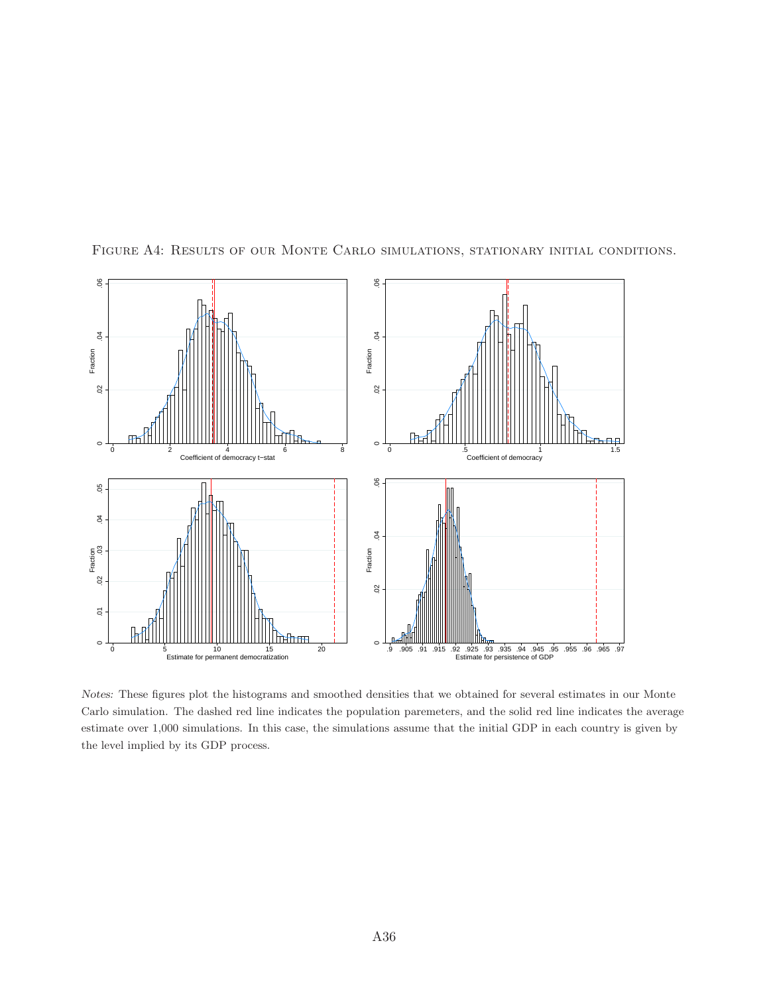

Figure A4: Results of our Monte Carlo simulations, stationary initial conditions.

Notes: These figures plot the histograms and smoothed densities that we obtained for several estimates in our Monte Carlo simulation. The dashed red line indicates the population paremeters, and the solid red line indicates the average estimate over 1,000 simulations. In this case, the simulations assume that the initial GDP in each country is given by the level implied by its GDP process.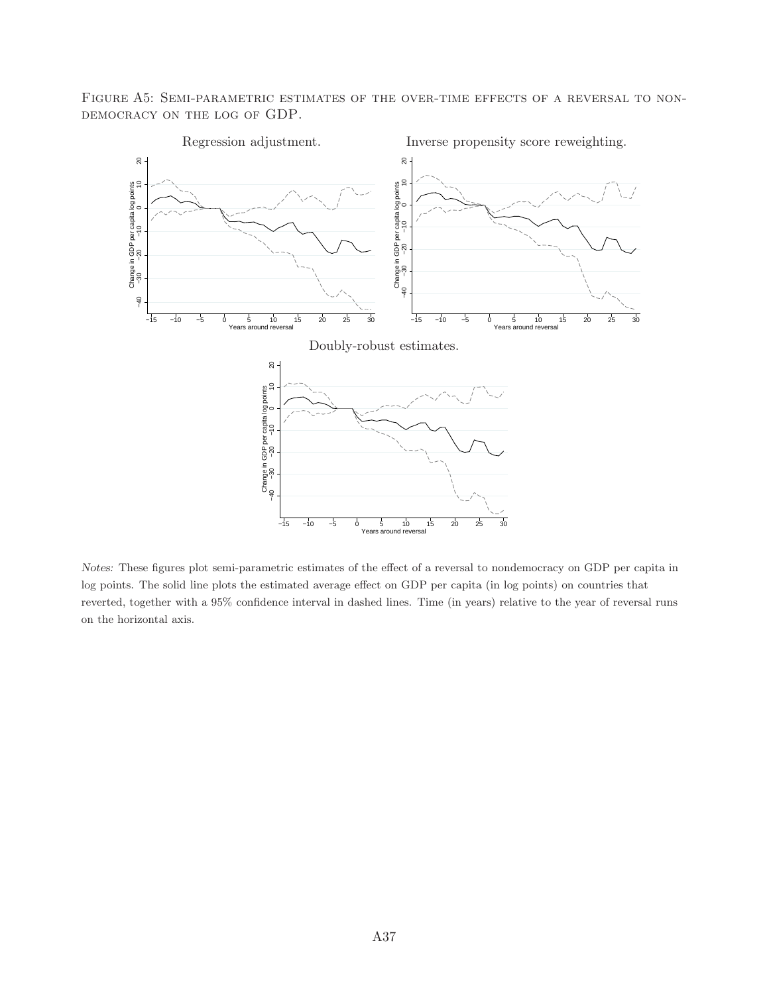Figure A5: Semi-parametric estimates of the over-time effects of a reversal to nondemocracy on the log of GDP.



Notes: These figures plot semi-parametric estimates of the effect of a reversal to nondemocracy on GDP per capita in log points. The solid line plots the estimated average effect on GDP per capita (in log points) on countries that reverted, together with a 95% confidence interval in dashed lines. Time (in years) relative to the year of reversal runs on the horizontal axis.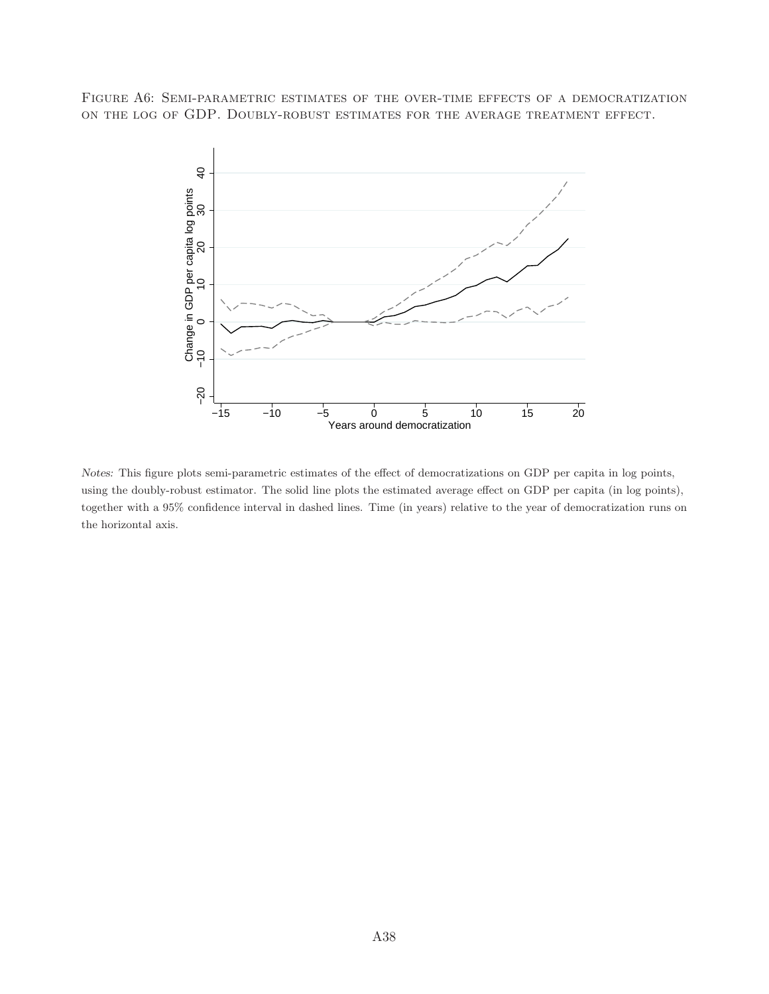Figure A6: Semi-parametric estimates of the over-time effects of a democratization on the log of GDP. Doubly-robust estimates for the average treatment effect.



Notes: This figure plots semi-parametric estimates of the effect of democratizations on GDP per capita in log points, using the doubly-robust estimator. The solid line plots the estimated average effect on GDP per capita (in log points), together with a 95% confidence interval in dashed lines. Time (in years) relative to the year of democratization runs on the horizontal axis.